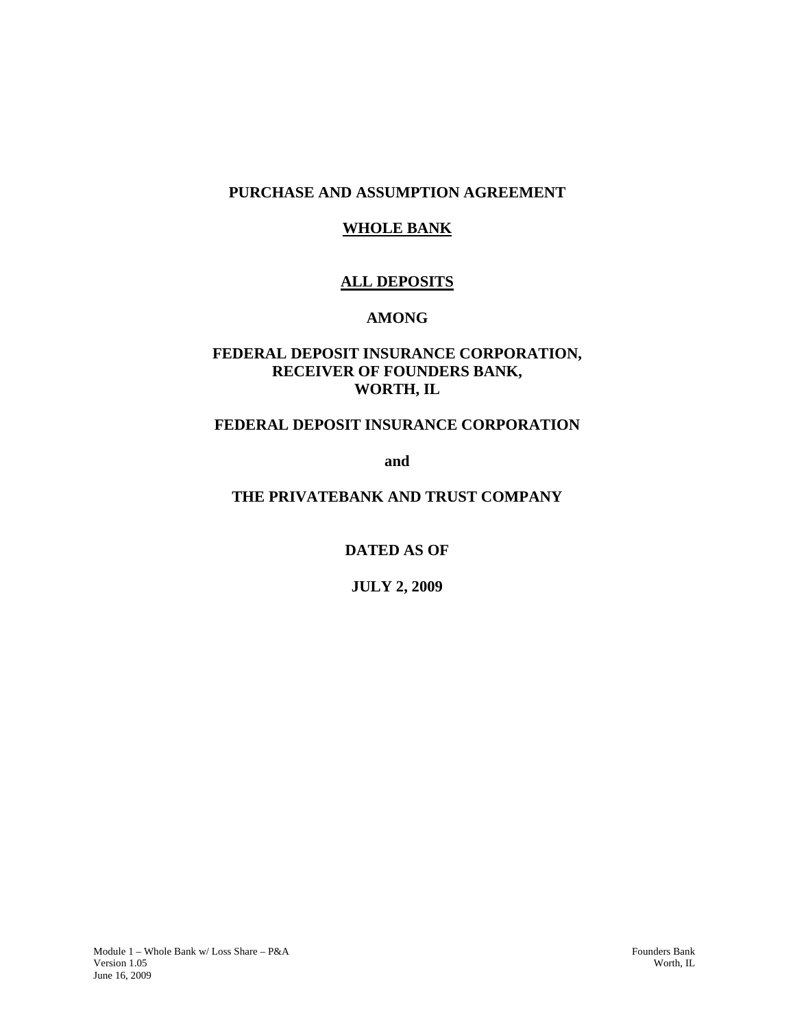### **PURCHASE AND ASSUMPTION AGREEMENT**

### **WHOLE BANK**

### **ALL DEPOSITS**

#### **AMONG**

### **FEDERAL DEPOSIT INSURANCE CORPORATION, RECEIVER OF FOUNDERS BANK, WORTH, IL**

### **FEDERAL DEPOSIT INSURANCE CORPORATION**

**and** 

### **THE PRIVATEBANK AND TRUST COMPANY**

**DATED AS OF**

**JULY 2, 2009**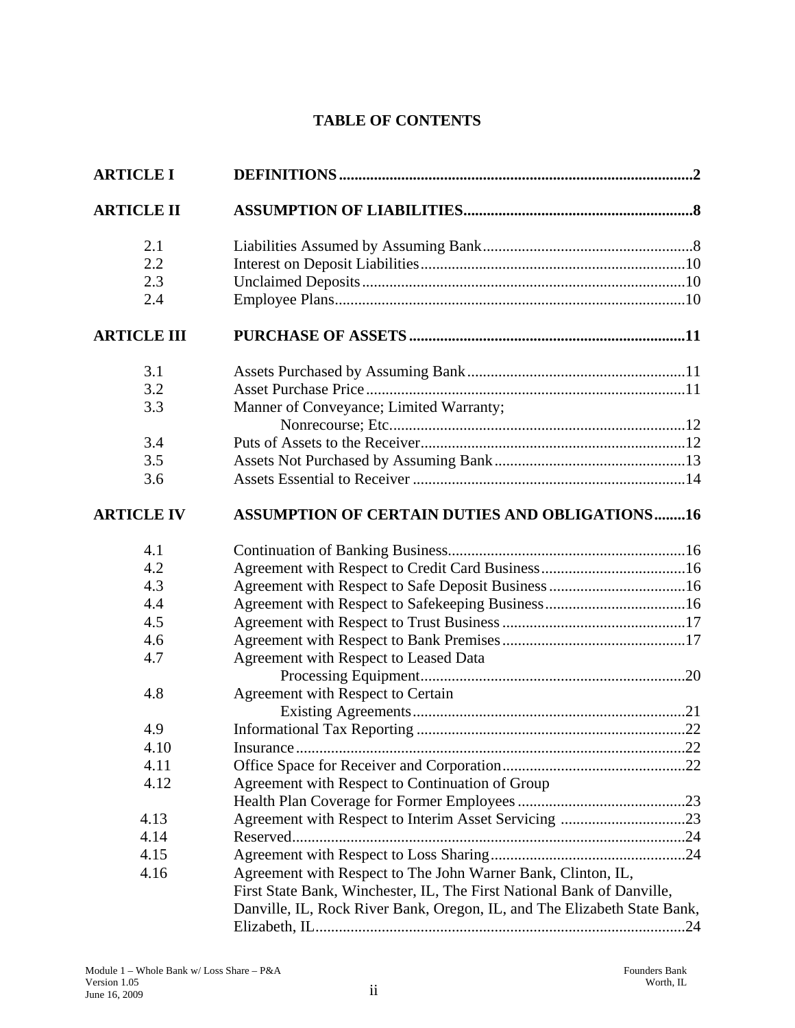## **TABLE OF CONTENTS**

| <b>ARTICLE I</b>   |                                                                          |  |
|--------------------|--------------------------------------------------------------------------|--|
| <b>ARTICLE II</b>  |                                                                          |  |
| 2.1                |                                                                          |  |
| 2.2                |                                                                          |  |
| 2.3                |                                                                          |  |
| 2.4                |                                                                          |  |
| <b>ARTICLE III</b> |                                                                          |  |
| 3.1                |                                                                          |  |
| 3.2                |                                                                          |  |
| 3.3                | Manner of Conveyance; Limited Warranty;                                  |  |
|                    |                                                                          |  |
| 3.4                |                                                                          |  |
| 3.5                |                                                                          |  |
| 3.6                |                                                                          |  |
| <b>ARTICLE IV</b>  | <b>ASSUMPTION OF CERTAIN DUTIES AND OBLIGATIONS16</b>                    |  |
| 4.1                |                                                                          |  |
| 4.2                |                                                                          |  |
| 4.3                |                                                                          |  |
| 4.4                |                                                                          |  |
| 4.5                |                                                                          |  |
| 4.6                |                                                                          |  |
| 4.7                | Agreement with Respect to Leased Data                                    |  |
|                    |                                                                          |  |
| 4.8                | Agreement with Respect to Certain                                        |  |
|                    |                                                                          |  |
| 4.9                |                                                                          |  |
| 4.10               |                                                                          |  |
| 4.11               |                                                                          |  |
| 4.12               | Agreement with Respect to Continuation of Group                          |  |
|                    |                                                                          |  |
| 4.13               |                                                                          |  |
| 4.14               |                                                                          |  |
| 4.15               |                                                                          |  |
| 4.16               | Agreement with Respect to The John Warner Bank, Clinton, IL,             |  |
|                    | First State Bank, Winchester, IL, The First National Bank of Danville,   |  |
|                    | Danville, IL, Rock River Bank, Oregon, IL, and The Elizabeth State Bank, |  |
|                    |                                                                          |  |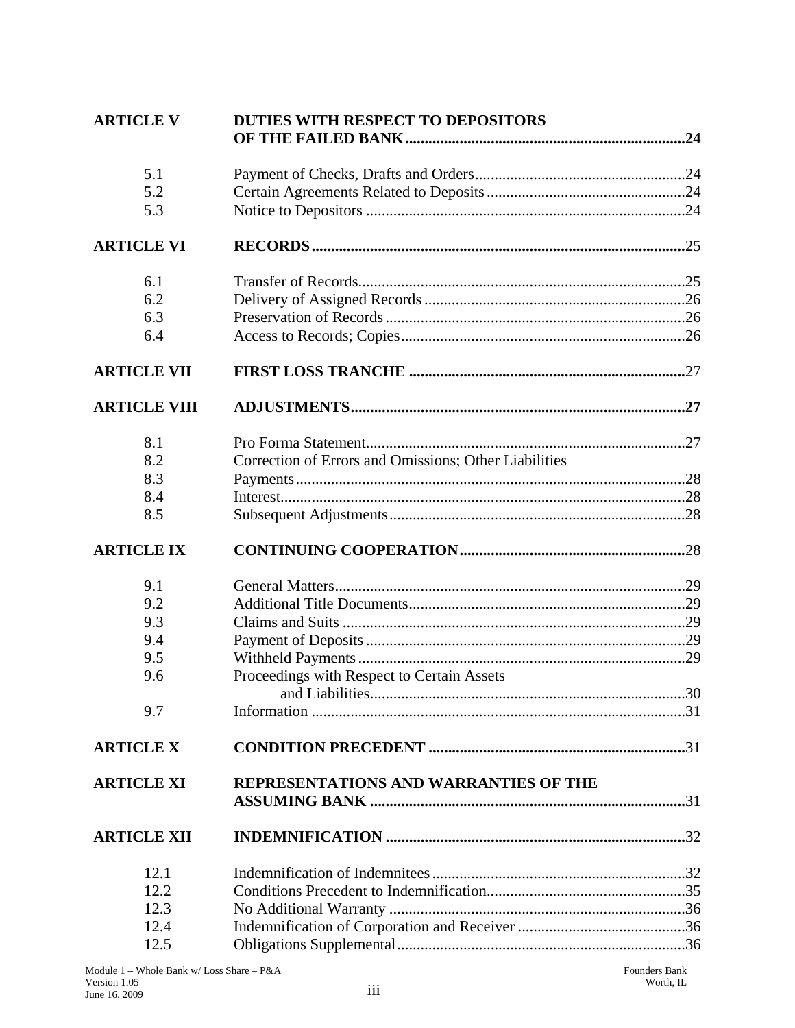| <b>ARTICLE V</b>    | DUTIES WITH RESPECT TO DEPOSITORS                     |  |
|---------------------|-------------------------------------------------------|--|
|                     |                                                       |  |
| 5.1                 |                                                       |  |
| 5.2                 |                                                       |  |
| 5.3                 |                                                       |  |
| <b>ARTICLE VI</b>   |                                                       |  |
| 6.1                 |                                                       |  |
| 6.2                 |                                                       |  |
| 6.3                 |                                                       |  |
| 6.4                 |                                                       |  |
| <b>ARTICLE VII</b>  |                                                       |  |
| <b>ARTICLE VIII</b> |                                                       |  |
| 8.1                 |                                                       |  |
| 8.2                 | Correction of Errors and Omissions; Other Liabilities |  |
| 8.3                 |                                                       |  |
| 8.4                 |                                                       |  |
| 8.5                 |                                                       |  |
| <b>ARTICLE IX</b>   |                                                       |  |
| 9.1                 |                                                       |  |
| 9.2                 |                                                       |  |
| 9.3                 |                                                       |  |
| 9.4                 |                                                       |  |
| 9.5                 |                                                       |  |
| 9.6                 | Proceedings with Respect to Certain Assets            |  |
|                     |                                                       |  |
| 9.7                 |                                                       |  |
| <b>ARTICLE X</b>    |                                                       |  |
| <b>ARTICLE XI</b>   | <b>REPRESENTATIONS AND WARRANTIES OF THE</b>          |  |
| <b>ARTICLE XII</b>  |                                                       |  |
| 12.1                |                                                       |  |
| 12.2                |                                                       |  |
| 12.3                |                                                       |  |
| 12.4                |                                                       |  |
| 12.5                |                                                       |  |
|                     |                                                       |  |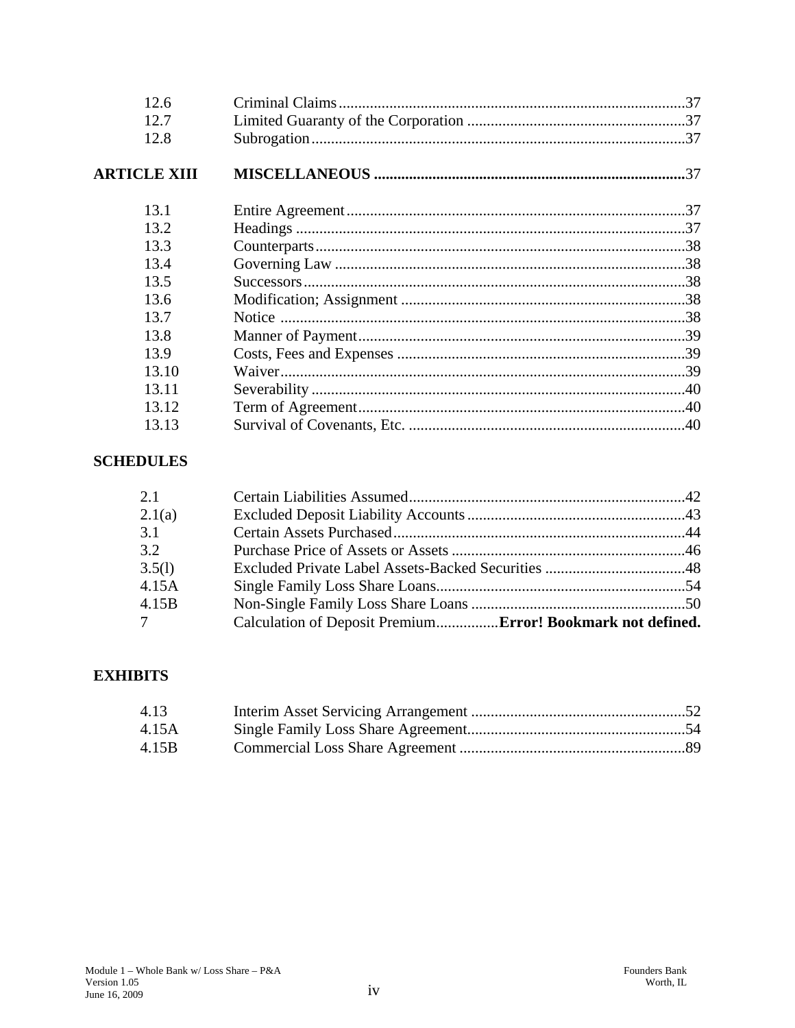| 12.6                |  |
|---------------------|--|
| 12.7                |  |
| 12.8                |  |
| <b>ARTICLE XIII</b> |  |
| 13.1                |  |
| 13.2                |  |
| 13.3                |  |
| 13.4                |  |
| 13.5                |  |
| 13.6                |  |
| 13.7                |  |
| 13.8                |  |
| 13.9                |  |
| 13.10               |  |
| 13.11               |  |
| 13.12               |  |
| 13.13               |  |

### **SCHEDULES**

| 2.1    |                                                            |  |
|--------|------------------------------------------------------------|--|
| 2.1(a) |                                                            |  |
| 3.1    |                                                            |  |
| 3.2    |                                                            |  |
| 3.5(l) |                                                            |  |
| 4.15A  |                                                            |  |
| 4.15B  |                                                            |  |
| 7      | Calculation of Deposit PremiumError! Bookmark not defined. |  |

## **EXHIBITS**

| 4.13  |  |
|-------|--|
| 4.15A |  |
| 4.15B |  |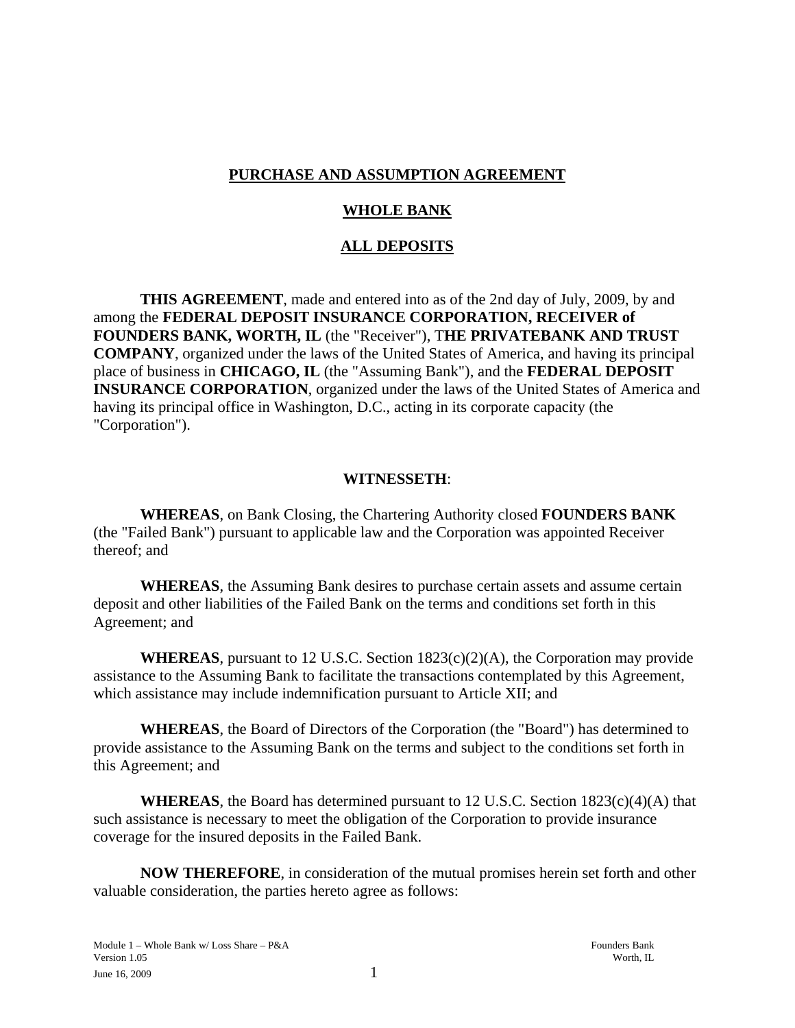### **PURCHASE AND ASSUMPTION AGREEMENT**

### **WHOLE BANK**

### **ALL DEPOSITS**

 **THIS AGREEMENT**, made and entered into as of the 2nd day of July, 2009, by and among the **FEDERAL DEPOSIT INSURANCE CORPORATION, RECEIVER of FOUNDERS BANK, WORTH, IL** (the "Receiver"), T**HE PRIVATEBANK AND TRUST COMPANY**, organized under the laws of the United States of America, and having its principal place of business in **CHICAGO, IL** (the "Assuming Bank"), and the **FEDERAL DEPOSIT INSURANCE CORPORATION**, organized under the laws of the United States of America and having its principal office in Washington, D.C., acting in its corporate capacity (the "Corporation").

#### **WITNESSETH**:

**WHEREAS**, on Bank Closing, the Chartering Authority closed **FOUNDERS BANK**  (the "Failed Bank") pursuant to applicable law and the Corporation was appointed Receiver thereof; and

 **WHEREAS**, the Assuming Bank desires to purchase certain assets and assume certain deposit and other liabilities of the Failed Bank on the terms and conditions set forth in this Agreement; and

**WHEREAS**, pursuant to 12 U.S.C. Section 1823(c)(2)(A), the Corporation may provide assistance to the Assuming Bank to facilitate the transactions contemplated by this Agreement, which assistance may include indemnification pursuant to Article XII; and

**WHEREAS**, the Board of Directors of the Corporation (the "Board") has determined to provide assistance to the Assuming Bank on the terms and subject to the conditions set forth in this Agreement; and

**WHEREAS**, the Board has determined pursuant to 12 U.S.C. Section 1823(c)(4)(A) that such assistance is necessary to meet the obligation of the Corporation to provide insurance coverage for the insured deposits in the Failed Bank.

 **NOW THEREFORE**, in consideration of the mutual promises herein set forth and other valuable consideration, the parties hereto agree as follows: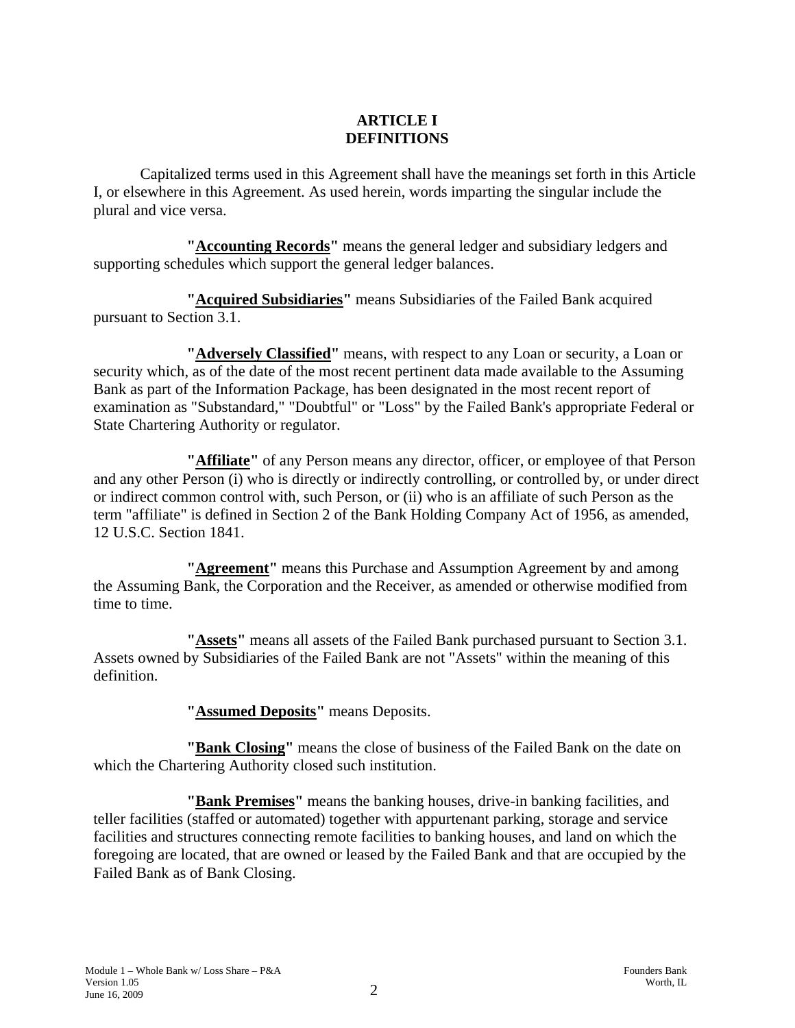### **ARTICLE I DEFINITIONS**

<span id="page-5-0"></span>Capitalized terms used in this Agreement shall have the meanings set forth in this Article I, or elsewhere in this Agreement. As used herein, words imparting the singular include the plural and vice versa.

**"Accounting Records"** means the general ledger and subsidiary ledgers and supporting schedules which support the general ledger balances.

**"Acquired Subsidiaries"** means Subsidiaries of the Failed Bank acquired pursuant to Section 3.1.

**"Adversely Classified"** means, with respect to any Loan or security, a Loan or security which, as of the date of the most recent pertinent data made available to the Assuming Bank as part of the Information Package, has been designated in the most recent report of examination as "Substandard," "Doubtful" or "Loss" by the Failed Bank's appropriate Federal or State Chartering Authority or regulator.

**"Affiliate"** of any Person means any director, officer, or employee of that Person and any other Person (i) who is directly or indirectly controlling, or controlled by, or under direct or indirect common control with, such Person, or (ii) who is an affiliate of such Person as the term "affiliate" is defined in Section 2 of the Bank Holding Company Act of 1956, as amended, 12 U.S.C. Section 1841.

**"Agreement"** means this Purchase and Assumption Agreement by and among the Assuming Bank, the Corporation and the Receiver, as amended or otherwise modified from time to time.

**"Assets"** means all assets of the Failed Bank purchased pursuant to Section 3.1. Assets owned by Subsidiaries of the Failed Bank are not "Assets" within the meaning of this definition.

**"Assumed Deposits"** means Deposits.

**"Bank Closing"** means the close of business of the Failed Bank on the date on which the Chartering Authority closed such institution.

**"Bank Premises"** means the banking houses, drive-in banking facilities, and teller facilities (staffed or automated) together with appurtenant parking, storage and service facilities and structures connecting remote facilities to banking houses, and land on which the foregoing are located, that are owned or leased by the Failed Bank and that are occupied by the Failed Bank as of Bank Closing.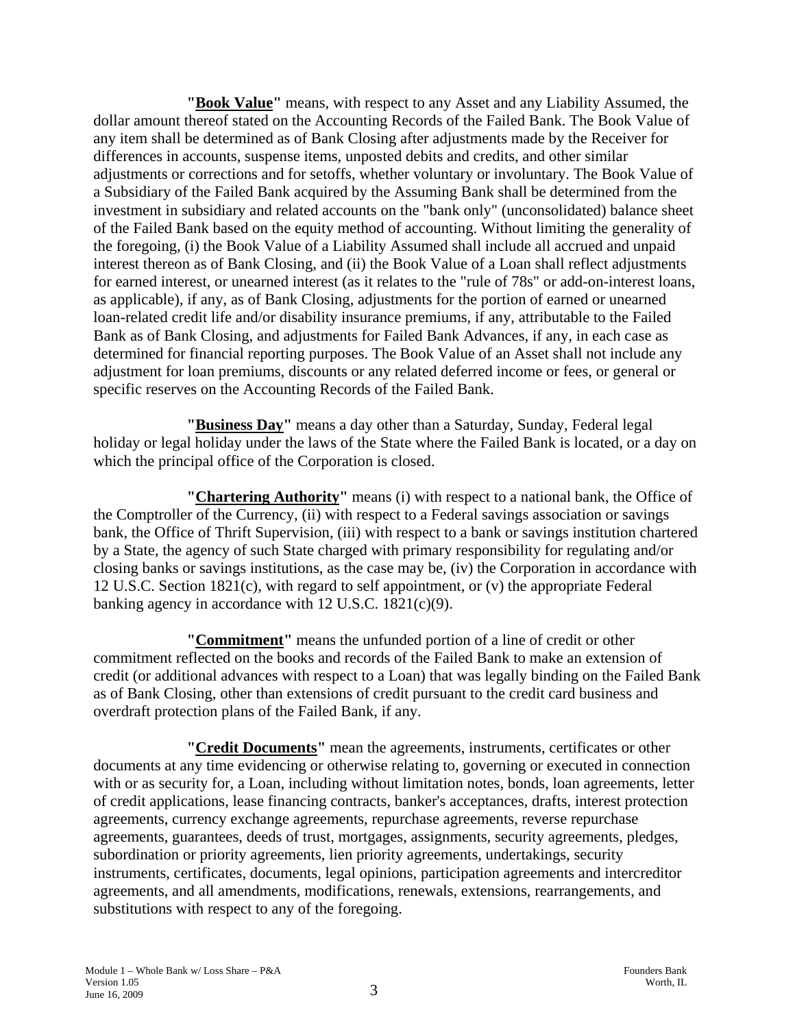<span id="page-6-0"></span> **"Book Value"** means, with respect to any Asset and any Liability Assumed, the dollar amount thereof stated on the Accounting Records of the Failed Bank. The Book Value of any item shall be determined as of Bank Closing after adjustments made by the Receiver for differences in accounts, suspense items, unposted debits and credits, and other similar adjustments or corrections and for setoffs, whether voluntary or involuntary. The Book Value of a Subsidiary of the Failed Bank acquired by the Assuming Bank shall be determined from the investment in subsidiary and related accounts on the "bank only" (unconsolidated) balance sheet of the Failed Bank based on the equity method of accounting. Without limiting the generality of the foregoing, (i) the Book Value of a Liability Assumed shall include all accrued and unpaid interest thereon as of Bank Closing, and (ii) the Book Value of a Loan shall reflect adjustments for earned interest, or unearned interest (as it relates to the "rule of 78s" or add-on-interest loans, as applicable), if any, as of Bank Closing, adjustments for the portion of earned or unearned loan-related credit life and/or disability insurance premiums, if any, attributable to the Failed Bank as of Bank Closing, and adjustments for Failed Bank Advances, if any, in each case as determined for financial reporting purposes. The Book Value of an Asset shall not include any adjustment for loan premiums, discounts or any related deferred income or fees, or general or specific reserves on the Accounting Records of the Failed Bank.

**"Business Day"** means a day other than a Saturday, Sunday, Federal legal holiday or legal holiday under the laws of the State where the Failed Bank is located, or a day on which the principal office of the Corporation is closed.

**"Chartering Authority"** means (i) with respect to a national bank, the Office of the Comptroller of the Currency, (ii) with respect to a Federal savings association or savings bank, the Office of Thrift Supervision, (iii) with respect to a bank or savings institution chartered by a State, the agency of such State charged with primary responsibility for regulating and/or closing banks or savings institutions, as the case may be, (iv) the Corporation in accordance with 12 U.S.C. Section 1821(c), with regard to self appointment, or (v) the appropriate Federal banking agency in accordance with 12 U.S.C. 1821(c)(9).

**"Commitment"** means the unfunded portion of a line of credit or other commitment reflected on the books and records of the Failed Bank to make an extension of credit (or additional advances with respect to a Loan) that was legally binding on the Failed Bank as of Bank Closing, other than extensions of credit pursuant to the credit card business and overdraft protection plans of the Failed Bank, if any.

**"Credit Documents"** mean the agreements, instruments, certificates or other documents at any time evidencing or otherwise relating to, governing or executed in connection with or as security for, a Loan, including without limitation notes, bonds, loan agreements, letter of credit applications, lease financing contracts, banker's acceptances, drafts, interest protection agreements, currency exchange agreements, repurchase agreements, reverse repurchase agreements, guarantees, deeds of trust, mortgages, assignments, security agreements, pledges, subordination or priority agreements, lien priority agreements, undertakings, security instruments, certificates, documents, legal opinions, participation agreements and intercreditor agreements, and all amendments, modifications, renewals, extensions, rearrangements, and substitutions with respect to any of the foregoing.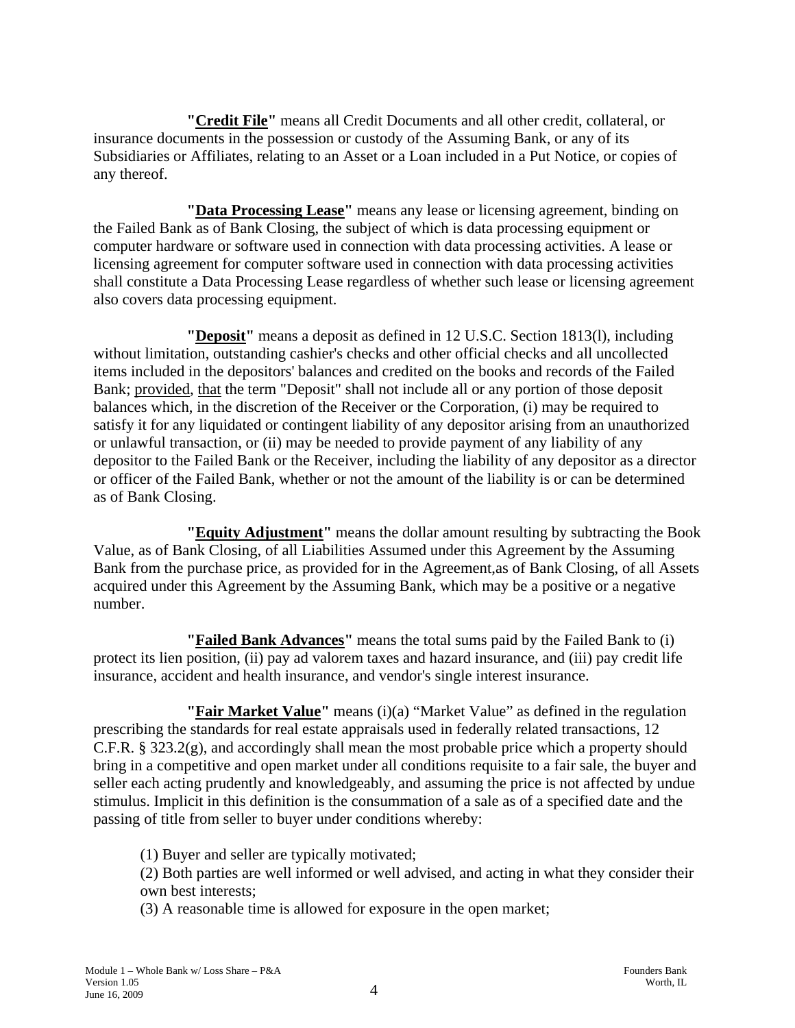<span id="page-7-0"></span> **"Credit File"** means all Credit Documents and all other credit, collateral, or insurance documents in the possession or custody of the Assuming Bank, or any of its Subsidiaries or Affiliates, relating to an Asset or a Loan included in a Put Notice, or copies of any thereof.

**"Data Processing Lease"** means any lease or licensing agreement, binding on the Failed Bank as of Bank Closing, the subject of which is data processing equipment or computer hardware or software used in connection with data processing activities. A lease or licensing agreement for computer software used in connection with data processing activities shall constitute a Data Processing Lease regardless of whether such lease or licensing agreement also covers data processing equipment.

**"Deposit"** means a deposit as defined in 12 U.S.C. Section 1813(l), including without limitation, outstanding cashier's checks and other official checks and all uncollected items included in the depositors' balances and credited on the books and records of the Failed Bank; provided, that the term "Deposit" shall not include all or any portion of those deposit balances which, in the discretion of the Receiver or the Corporation, (i) may be required to satisfy it for any liquidated or contingent liability of any depositor arising from an unauthorized or unlawful transaction, or (ii) may be needed to provide payment of any liability of any depositor to the Failed Bank or the Receiver, including the liability of any depositor as a director or officer of the Failed Bank, whether or not the amount of the liability is or can be determined as of Bank Closing.

**"Equity Adjustment"** means the dollar amount resulting by subtracting the Book Value, as of Bank Closing, of all Liabilities Assumed under this Agreement by the Assuming Bank from the purchase price, as provided for in the Agreement,as of Bank Closing, of all Assets acquired under this Agreement by the Assuming Bank, which may be a positive or a negative number.

**"Failed Bank Advances"** means the total sums paid by the Failed Bank to (i) protect its lien position, (ii) pay ad valorem taxes and hazard insurance, and (iii) pay credit life insurance, accident and health insurance, and vendor's single interest insurance.

**"Fair Market Value"** means (i)(a) "Market Value" as defined in the regulation prescribing the standards for real estate appraisals used in federally related transactions, 12 C.F.R. § 323.2(g), and accordingly shall mean the most probable price which a property should bring in a competitive and open market under all conditions requisite to a fair sale, the buyer and seller each acting prudently and knowledgeably, and assuming the price is not affected by undue stimulus. Implicit in this definition is the consummation of a sale as of a specified date and the passing of title from seller to buyer under conditions whereby:

(1) Buyer and seller are typically motivated;

(2) Both parties are well informed or well advised, and acting in what they consider their own best interests;

(3) A reasonable time is allowed for exposure in the open market;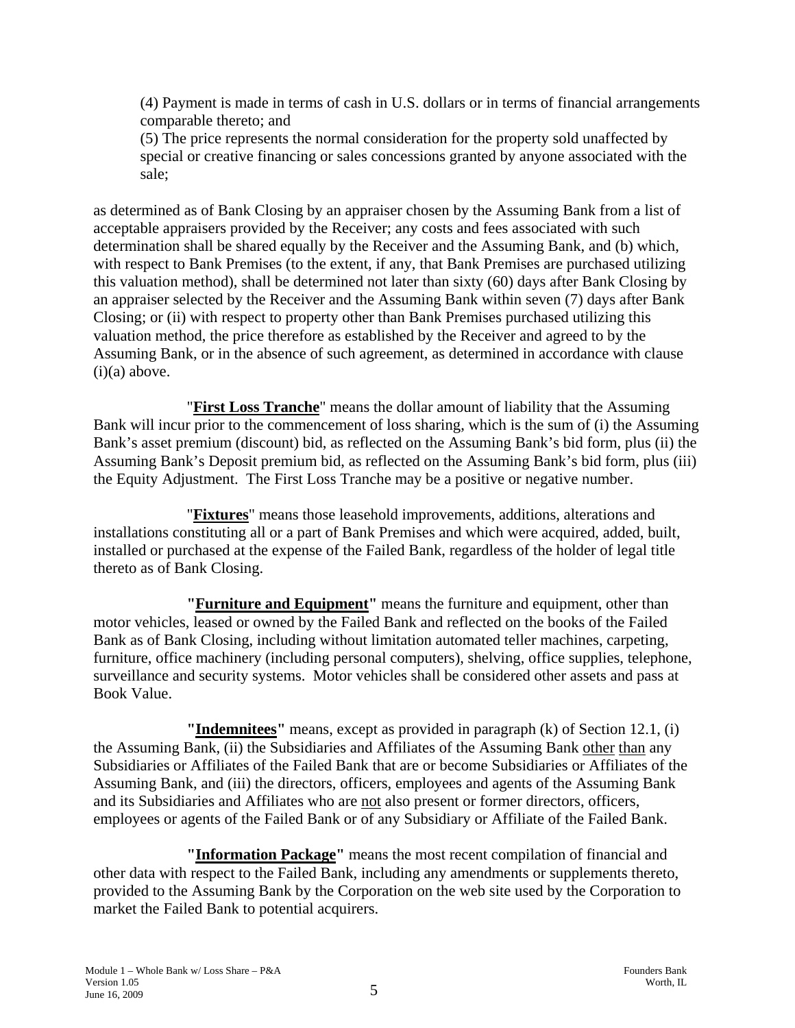(4) Payment is made in terms of cash in U.S. dollars or in terms of financial arrangements comparable thereto; and

(5) The price represents the normal consideration for the property sold unaffected by special or creative financing or sales concessions granted by anyone associated with the sale;

as determined as of Bank Closing by an appraiser chosen by the Assuming Bank from a list of acceptable appraisers provided by the Receiver; any costs and fees associated with such determination shall be shared equally by the Receiver and the Assuming Bank, and (b) which, with respect to Bank Premises (to the extent, if any, that Bank Premises are purchased utilizing this valuation method), shall be determined not later than sixty (60) days after Bank Closing by an appraiser selected by the Receiver and the Assuming Bank within seven (7) days after Bank Closing; or (ii) with respect to property other than Bank Premises purchased utilizing this valuation method, the price therefore as established by the Receiver and agreed to by the Assuming Bank, or in the absence of such agreement, as determined in accordance with clause  $(i)(a)$  above.

"**First Loss Tranche**" means the dollar amount of liability that the Assuming Bank will incur prior to the commencement of loss sharing, which is the sum of (i) the Assuming Bank's asset premium (discount) bid, as reflected on the Assuming Bank's bid form, plus (ii) the Assuming Bank's Deposit premium bid, as reflected on the Assuming Bank's bid form, plus (iii) the Equity Adjustment. The First Loss Tranche may be a positive or negative number.

"**Fixtures**" means those leasehold improvements, additions, alterations and installations constituting all or a part of Bank Premises and which were acquired, added, built, installed or purchased at the expense of the Failed Bank, regardless of the holder of legal title thereto as of Bank Closing.

**"Furniture and Equipment"** means the furniture and equipment, other than motor vehicles, leased or owned by the Failed Bank and reflected on the books of the Failed Bank as of Bank Closing, including without limitation automated teller machines, carpeting, furniture, office machinery (including personal computers), shelving, office supplies, telephone, surveillance and security systems. Motor vehicles shall be considered other assets and pass at Book Value.

**"Indemnitees"** means, except as provided in paragraph (k) of Section 12.1, (i) the Assuming Bank, (ii) the Subsidiaries and Affiliates of the Assuming Bank other than any Subsidiaries or Affiliates of the Failed Bank that are or become Subsidiaries or Affiliates of the Assuming Bank, and (iii) the directors, officers, employees and agents of the Assuming Bank and its Subsidiaries and Affiliates who are not also present or former directors, officers, employees or agents of the Failed Bank or of any Subsidiary or Affiliate of the Failed Bank.

**"Information Package"** means the most recent compilation of financial and other data with respect to the Failed Bank, including any amendments or supplements thereto, provided to the Assuming Bank by the Corporation on the web site used by the Corporation to market the Failed Bank to potential acquirers.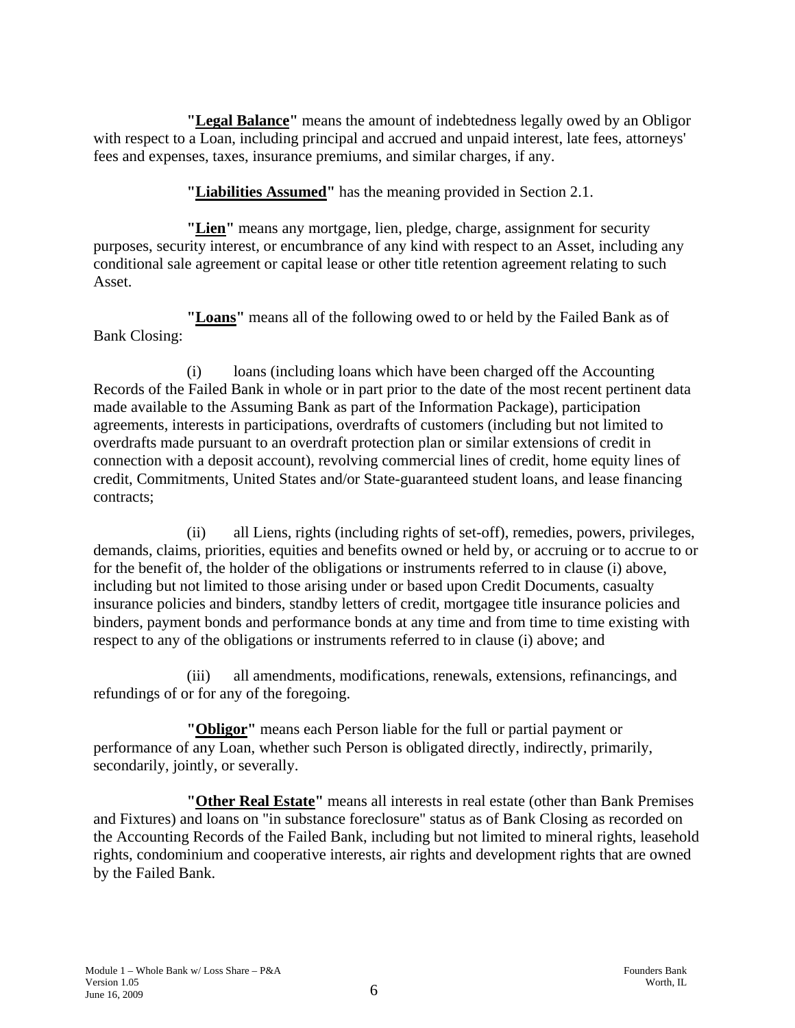**"Legal Balance"** means the amount of indebtedness legally owed by an Obligor with respect to a Loan, including principal and accrued and unpaid interest, late fees, attorneys' fees and expenses, taxes, insurance premiums, and similar charges, if any.

**"Liabilities Assumed"** has the meaning provided in Section 2.1.

**"Lien"** means any mortgage, lien, pledge, charge, assignment for security purposes, security interest, or encumbrance of any kind with respect to an Asset, including any conditional sale agreement or capital lease or other title retention agreement relating to such Asset.

**"Loans"** means all of the following owed to or held by the Failed Bank as of Bank Closing:

(i) loans (including loans which have been charged off the Accounting Records of the Failed Bank in whole or in part prior to the date of the most recent pertinent data made available to the Assuming Bank as part of the Information Package), participation agreements, interests in participations, overdrafts of customers (including but not limited to overdrafts made pursuant to an overdraft protection plan or similar extensions of credit in connection with a deposit account), revolving commercial lines of credit, home equity lines of credit, Commitments, United States and/or State-guaranteed student loans, and lease financing contracts;

(ii) all Liens, rights (including rights of set-off), remedies, powers, privileges, demands, claims, priorities, equities and benefits owned or held by, or accruing or to accrue to or for the benefit of, the holder of the obligations or instruments referred to in clause (i) above, including but not limited to those arising under or based upon Credit Documents, casualty insurance policies and binders, standby letters of credit, mortgagee title insurance policies and binders, payment bonds and performance bonds at any time and from time to time existing with respect to any of the obligations or instruments referred to in clause (i) above; and

(iii) all amendments, modifications, renewals, extensions, refinancings, and refundings of or for any of the foregoing.

**"Obligor"** means each Person liable for the full or partial payment or performance of any Loan, whether such Person is obligated directly, indirectly, primarily, secondarily, jointly, or severally.

**"Other Real Estate"** means all interests in real estate (other than Bank Premises and Fixtures) and loans on "in substance foreclosure" status as of Bank Closing as recorded on the Accounting Records of the Failed Bank, including but not limited to mineral rights, leasehold rights, condominium and cooperative interests, air rights and development rights that are owned by the Failed Bank.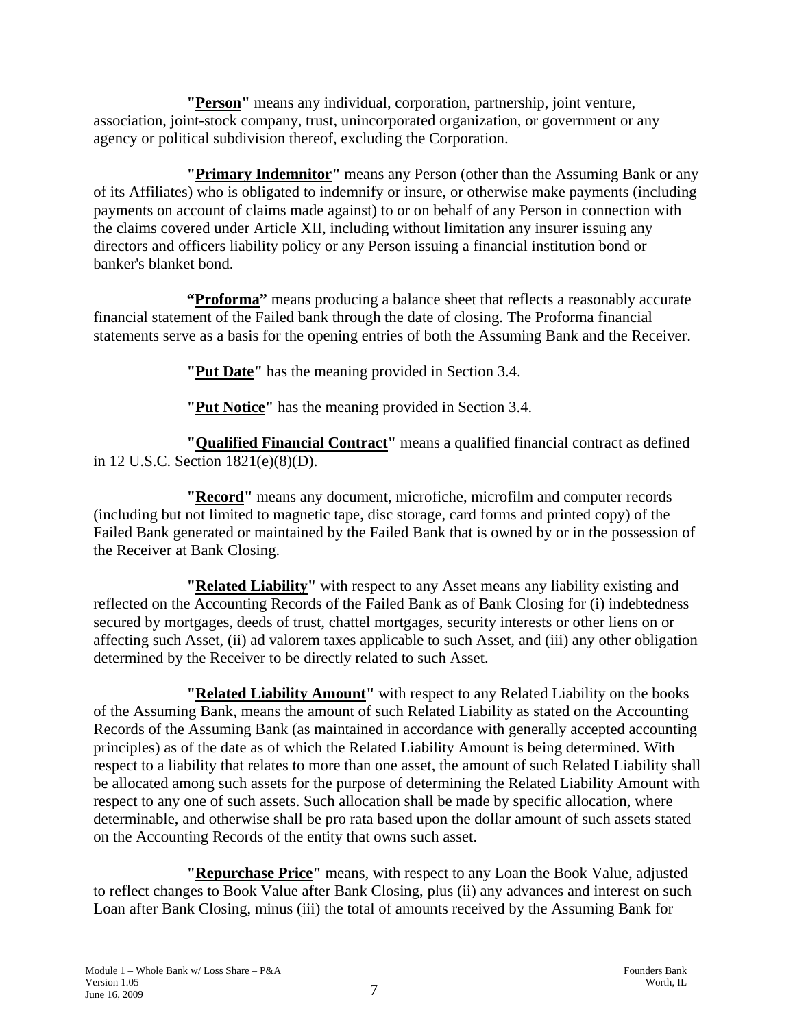**"Person"** means any individual, corporation, partnership, joint venture, association, joint-stock company, trust, unincorporated organization, or government or any agency or political subdivision thereof, excluding the Corporation.

**"Primary Indemnitor"** means any Person (other than the Assuming Bank or any of its Affiliates) who is obligated to indemnify or insure, or otherwise make payments (including payments on account of claims made against) to or on behalf of any Person in connection with the claims covered under Article XII, including without limitation any insurer issuing any directors and officers liability policy or any Person issuing a financial institution bond or banker's blanket bond.

**"Proforma"** means producing a balance sheet that reflects a reasonably accurate financial statement of the Failed bank through the date of closing. The Proforma financial statements serve as a basis for the opening entries of both the Assuming Bank and the Receiver.

**"Put Date"** has the meaning provided in Section 3.4.

**"Put Notice"** has the meaning provided in Section 3.4.

**"Qualified Financial Contract"** means a qualified financial contract as defined in 12 U.S.C. Section 1821(e)(8)(D).

**"Record"** means any document, microfiche, microfilm and computer records (including but not limited to magnetic tape, disc storage, card forms and printed copy) of the Failed Bank generated or maintained by the Failed Bank that is owned by or in the possession of the Receiver at Bank Closing.

**"Related Liability"** with respect to any Asset means any liability existing and reflected on the Accounting Records of the Failed Bank as of Bank Closing for (i) indebtedness secured by mortgages, deeds of trust, chattel mortgages, security interests or other liens on or affecting such Asset, (ii) ad valorem taxes applicable to such Asset, and (iii) any other obligation determined by the Receiver to be directly related to such Asset.

**"Related Liability Amount"** with respect to any Related Liability on the books of the Assuming Bank, means the amount of such Related Liability as stated on the Accounting Records of the Assuming Bank (as maintained in accordance with generally accepted accounting principles) as of the date as of which the Related Liability Amount is being determined. With respect to a liability that relates to more than one asset, the amount of such Related Liability shall be allocated among such assets for the purpose of determining the Related Liability Amount with respect to any one of such assets. Such allocation shall be made by specific allocation, where determinable, and otherwise shall be pro rata based upon the dollar amount of such assets stated on the Accounting Records of the entity that owns such asset.

 **"Repurchase Price"** means, with respect to any Loan the Book Value, adjusted to reflect changes to Book Value after Bank Closing, plus (ii) any advances and interest on such Loan after Bank Closing, minus (iii) the total of amounts received by the Assuming Bank for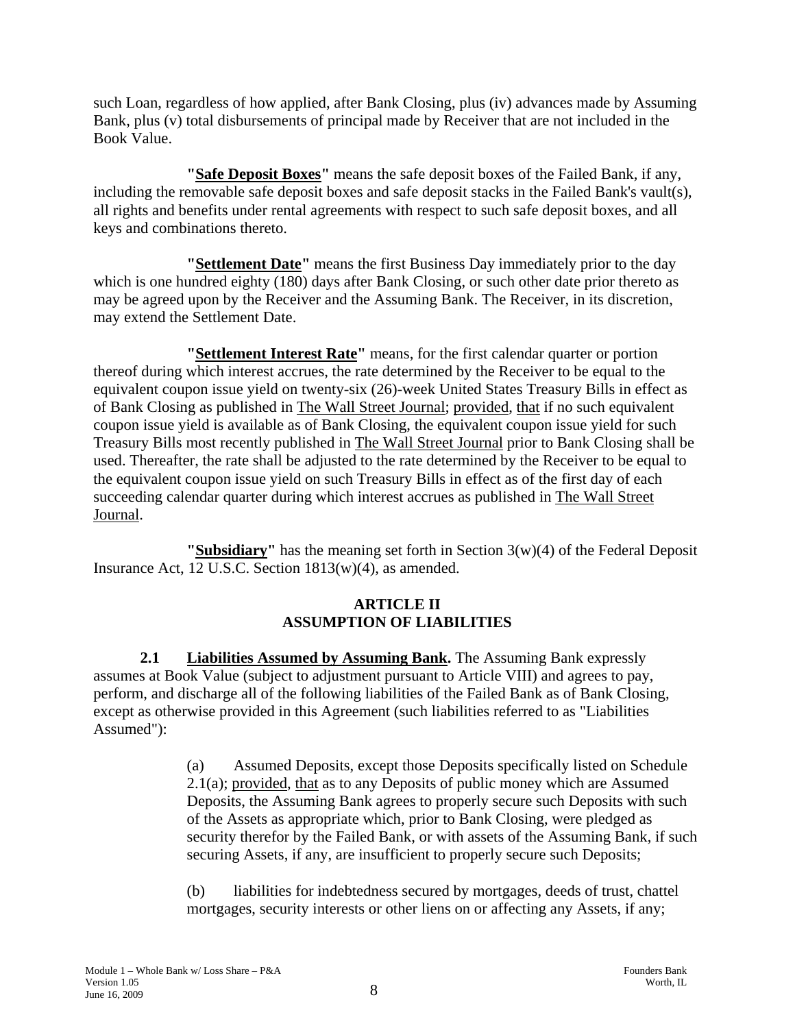such Loan, regardless of how applied, after Bank Closing, plus (iv) advances made by Assuming Bank, plus (v) total disbursements of principal made by Receiver that are not included in the Book Value.

**"Safe Deposit Boxes"** means the safe deposit boxes of the Failed Bank, if any, including the removable safe deposit boxes and safe deposit stacks in the Failed Bank's vault(s), all rights and benefits under rental agreements with respect to such safe deposit boxes, and all keys and combinations thereto.

**"Settlement Date"** means the first Business Day immediately prior to the day which is one hundred eighty (180) days after Bank Closing, or such other date prior thereto as may be agreed upon by the Receiver and the Assuming Bank. The Receiver, in its discretion, may extend the Settlement Date.

**"Settlement Interest Rate"** means, for the first calendar quarter or portion thereof during which interest accrues, the rate determined by the Receiver to be equal to the equivalent coupon issue yield on twenty-six (26)-week United States Treasury Bills in effect as of Bank Closing as published in The Wall Street Journal; provided, that if no such equivalent coupon issue yield is available as of Bank Closing, the equivalent coupon issue yield for such Treasury Bills most recently published in The Wall Street Journal prior to Bank Closing shall be used. Thereafter, the rate shall be adjusted to the rate determined by the Receiver to be equal to the equivalent coupon issue yield on such Treasury Bills in effect as of the first day of each succeeding calendar quarter during which interest accrues as published in The Wall Street Journal.

**"Subsidiary"** has the meaning set forth in Section 3(w)(4) of the Federal Deposit Insurance Act, 12 U.S.C. Section 1813(w)(4), as amended.

### **ARTICLE II ASSUMPTION OF LIABILITIES**

 **2.1 Liabilities Assumed by Assuming Bank.** The Assuming Bank expressly assumes at Book Value (subject to adjustment pursuant to Article VIII) and agrees to pay, perform, and discharge all of the following liabilities of the Failed Bank as of Bank Closing, except as otherwise provided in this Agreement (such liabilities referred to as "Liabilities Assumed"):

> (a) Assumed Deposits, except those Deposits specifically listed on Schedule 2.1(a); provided, that as to any Deposits of public money which are Assumed Deposits, the Assuming Bank agrees to properly secure such Deposits with such of the Assets as appropriate which, prior to Bank Closing, were pledged as security therefor by the Failed Bank, or with assets of the Assuming Bank, if such securing Assets, if any, are insufficient to properly secure such Deposits;

(b) liabilities for indebtedness secured by mortgages, deeds of trust, chattel mortgages, security interests or other liens on or affecting any Assets, if any;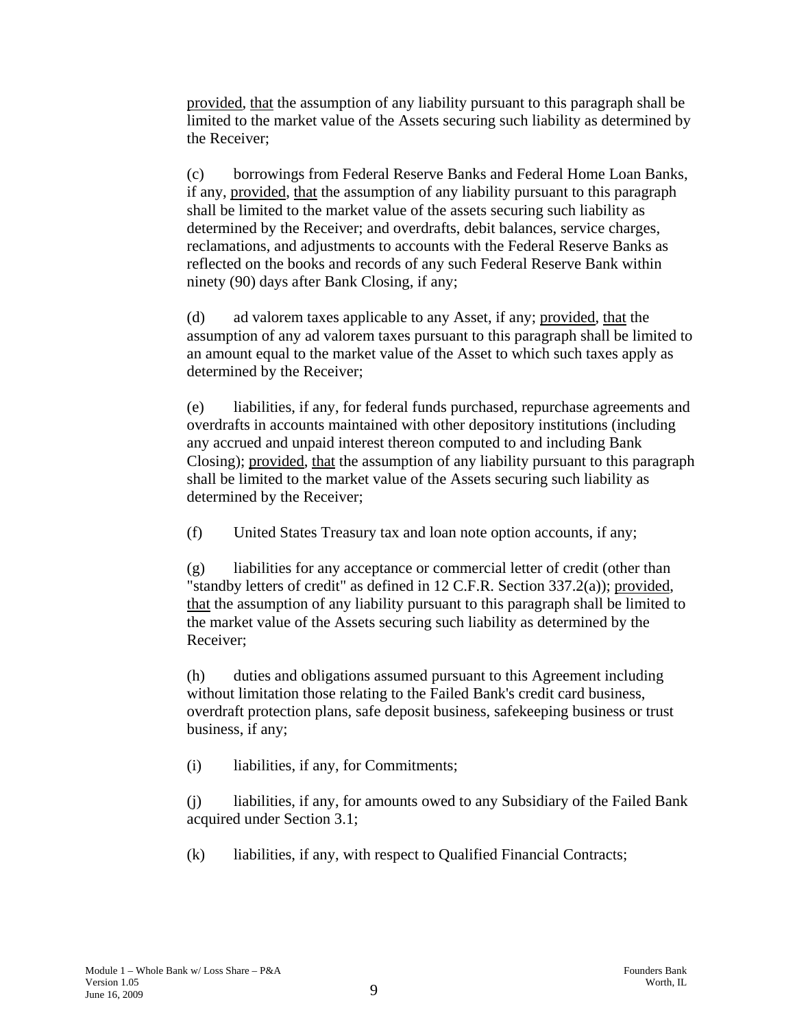provided, that the assumption of any liability pursuant to this paragraph shall be limited to the market value of the Assets securing such liability as determined by the Receiver;

(c) borrowings from Federal Reserve Banks and Federal Home Loan Banks, if any, provided, that the assumption of any liability pursuant to this paragraph shall be limited to the market value of the assets securing such liability as determined by the Receiver; and overdrafts, debit balances, service charges, reclamations, and adjustments to accounts with the Federal Reserve Banks as reflected on the books and records of any such Federal Reserve Bank within ninety (90) days after Bank Closing, if any;

(d) ad valorem taxes applicable to any Asset, if any; provided, that the assumption of any ad valorem taxes pursuant to this paragraph shall be limited to an amount equal to the market value of the Asset to which such taxes apply as determined by the Receiver;

(e) liabilities, if any, for federal funds purchased, repurchase agreements and overdrafts in accounts maintained with other depository institutions (including any accrued and unpaid interest thereon computed to and including Bank Closing); provided, that the assumption of any liability pursuant to this paragraph shall be limited to the market value of the Assets securing such liability as determined by the Receiver;

(f) United States Treasury tax and loan note option accounts, if any;

(g) liabilities for any acceptance or commercial letter of credit (other than "standby letters of credit" as defined in 12 C.F.R. Section 337.2(a)); provided, that the assumption of any liability pursuant to this paragraph shall be limited to the market value of the Assets securing such liability as determined by the Receiver;

(h) duties and obligations assumed pursuant to this Agreement including without limitation those relating to the Failed Bank's credit card business, overdraft protection plans, safe deposit business, safekeeping business or trust business, if any;

(i) liabilities, if any, for Commitments;

(j) liabilities, if any, for amounts owed to any Subsidiary of the Failed Bank acquired under Section 3.1;

(k) liabilities, if any, with respect to Qualified Financial Contracts;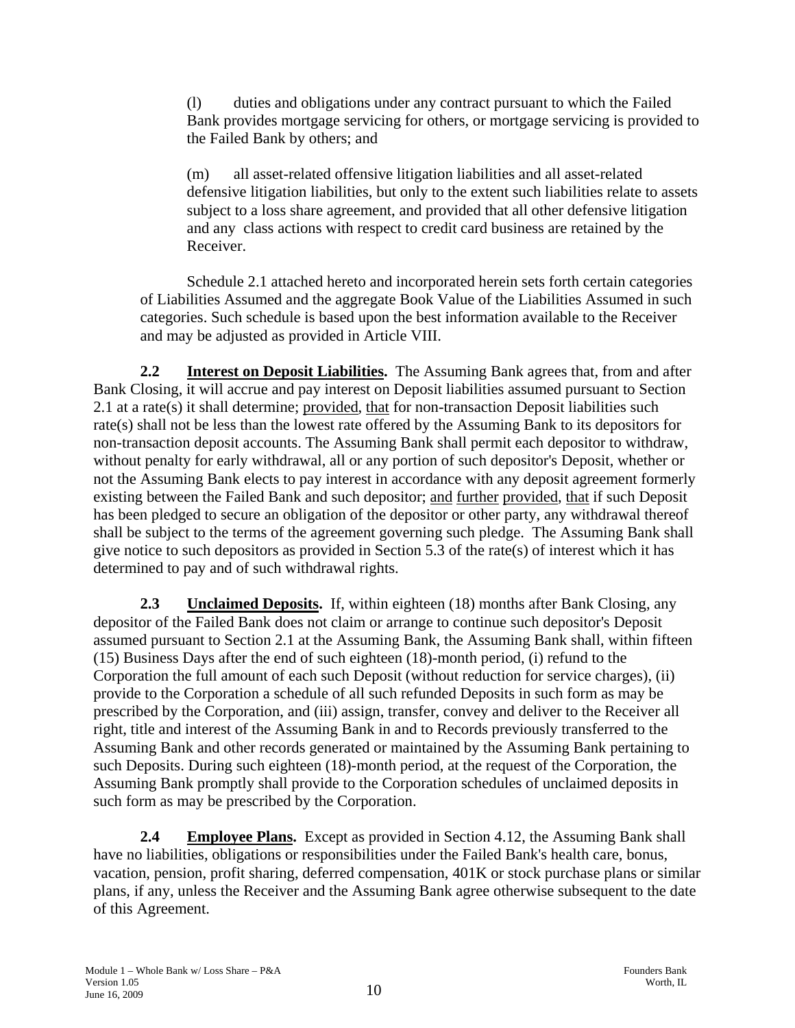(l) duties and obligations under any contract pursuant to which the Failed Bank provides mortgage servicing for others, or mortgage servicing is provided to the Failed Bank by others; and

(m) all asset-related offensive litigation liabilities and all asset-related defensive litigation liabilities, but only to the extent such liabilities relate to assets subject to a loss share agreement, and provided that all other defensive litigation and any class actions with respect to credit card business are retained by the Receiver.

Schedule 2.1 attached hereto and incorporated herein sets forth certain categories of Liabilities Assumed and the aggregate Book Value of the Liabilities Assumed in such categories. Such schedule is based upon the best information available to the Receiver and may be adjusted as provided in Article VIII.

**2.2 Interest on Deposit Liabilities.** The Assuming Bank agrees that, from and after Bank Closing, it will accrue and pay interest on Deposit liabilities assumed pursuant to Section 2.1 at a rate(s) it shall determine; provided, that for non-transaction Deposit liabilities such rate(s) shall not be less than the lowest rate offered by the Assuming Bank to its depositors for non-transaction deposit accounts. The Assuming Bank shall permit each depositor to withdraw, without penalty for early withdrawal, all or any portion of such depositor's Deposit, whether or not the Assuming Bank elects to pay interest in accordance with any deposit agreement formerly existing between the Failed Bank and such depositor; and further provided, that if such Deposit has been pledged to secure an obligation of the depositor or other party, any withdrawal thereof shall be subject to the terms of the agreement governing such pledge. The Assuming Bank shall give notice to such depositors as provided in Section 5.3 of the rate(s) of interest which it has determined to pay and of such withdrawal rights.

**2.3 Unclaimed Deposits.** If, within eighteen (18) months after Bank Closing, any depositor of the Failed Bank does not claim or arrange to continue such depositor's Deposit assumed pursuant to Section 2.1 at the Assuming Bank, the Assuming Bank shall, within fifteen (15) Business Days after the end of such eighteen (18)-month period, (i) refund to the Corporation the full amount of each such Deposit (without reduction for service charges), (ii) provide to the Corporation a schedule of all such refunded Deposits in such form as may be prescribed by the Corporation, and (iii) assign, transfer, convey and deliver to the Receiver all right, title and interest of the Assuming Bank in and to Records previously transferred to the Assuming Bank and other records generated or maintained by the Assuming Bank pertaining to such Deposits. During such eighteen (18)-month period, at the request of the Corporation, the Assuming Bank promptly shall provide to the Corporation schedules of unclaimed deposits in such form as may be prescribed by the Corporation.

**2.4 Employee Plans.** Except as provided in Section 4.12, the Assuming Bank shall have no liabilities, obligations or responsibilities under the Failed Bank's health care, bonus, vacation, pension, profit sharing, deferred compensation, 401K or stock purchase plans or similar plans, if any, unless the Receiver and the Assuming Bank agree otherwise subsequent to the date of this Agreement.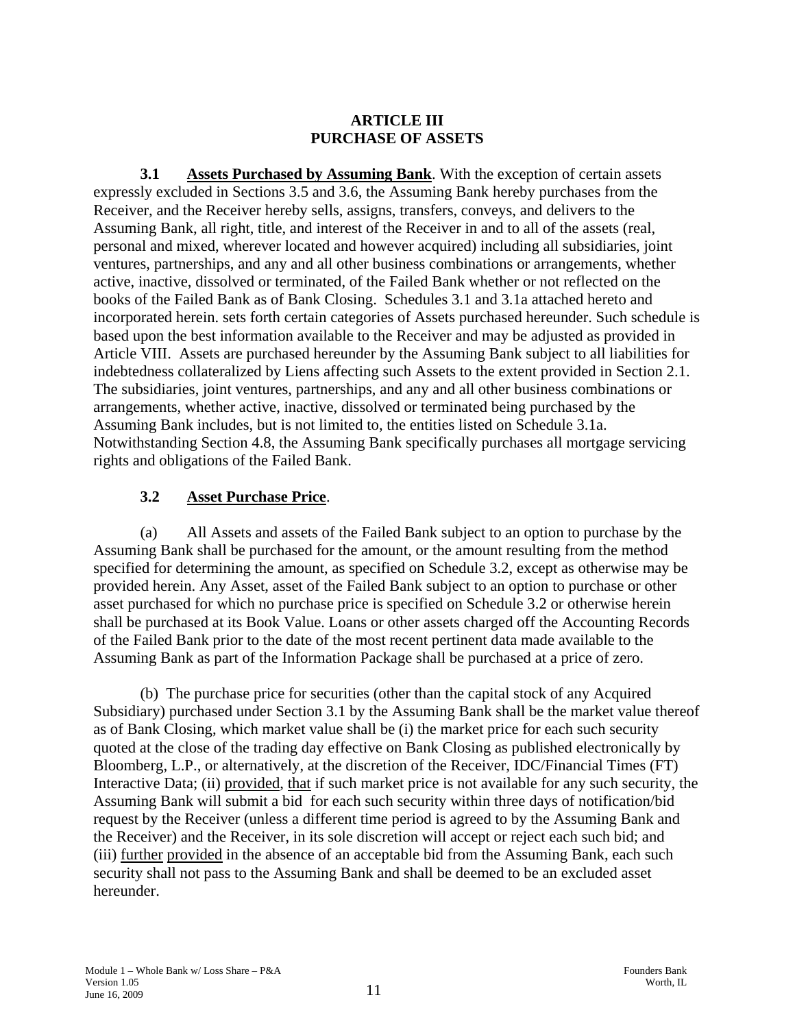### **ARTICLE III PURCHASE OF ASSETS**

Assuming Bank includes, but is not limited to, the entities listed on Schedule 3.1a.  **3.1 Assets Purchased by Assuming Bank**. With the exception of certain assets expressly excluded in Sections 3.5 and 3.6, the Assuming Bank hereby purchases from the Receiver, and the Receiver hereby sells, assigns, transfers, conveys, and delivers to the Assuming Bank, all right, title, and interest of the Receiver in and to all of the assets (real, personal and mixed, wherever located and however acquired) including all subsidiaries, joint ventures, partnerships, and any and all other business combinations or arrangements, whether active, inactive, dissolved or terminated, of the Failed Bank whether or not reflected on the books of the Failed Bank as of Bank Closing. Schedules 3.1 and 3.1a attached hereto and incorporated herein. sets forth certain categories of Assets purchased hereunder. Such schedule is based upon the best information available to the Receiver and may be adjusted as provided in Article VIII. Assets are purchased hereunder by the Assuming Bank subject to all liabilities for indebtedness collateralized by Liens affecting such Assets to the extent provided in Section 2.1. The subsidiaries, joint ventures, partnerships, and any and all other business combinations or arrangements, whether active, inactive, dissolved or terminated being purchased by the Notwithstanding Section 4.8, the Assuming Bank specifically purchases all mortgage servicing rights and obligations of the Failed Bank.

### **3.2 Asset Purchase Price**.

(a) All Assets and assets of the Failed Bank subject to an option to purchase by the Assuming Bank shall be purchased for the amount, or the amount resulting from the method specified for determining the amount, as specified on Schedule 3.2, except as otherwise may be provided herein. Any Asset, asset of the Failed Bank subject to an option to purchase or other asset purchased for which no purchase price is specified on Schedule 3.2 or otherwise herein shall be purchased at its Book Value. Loans or other assets charged off the Accounting Records of the Failed Bank prior to the date of the most recent pertinent data made available to the Assuming Bank as part of the Information Package shall be purchased at a price of zero.

(b) The purchase price for securities (other than the capital stock of any Acquired Subsidiary) purchased under Section 3.1 by the Assuming Bank shall be the market value thereof as of Bank Closing, which market value shall be (i) the market price for each such security quoted at the close of the trading day effective on Bank Closing as published electronically by Bloomberg, L.P., or alternatively, at the discretion of the Receiver, IDC/Financial Times (FT) Interactive Data; (ii) provided, that if such market price is not available for any such security, the Assuming Bank will submit a bid for each such security within three days of notification/bid request by the Receiver (unless a different time period is agreed to by the Assuming Bank and the Receiver) and the Receiver, in its sole discretion will accept or reject each such bid; and (iii) further provided in the absence of an acceptable bid from the Assuming Bank, each such security shall not pass to the Assuming Bank and shall be deemed to be an excluded asset hereunder.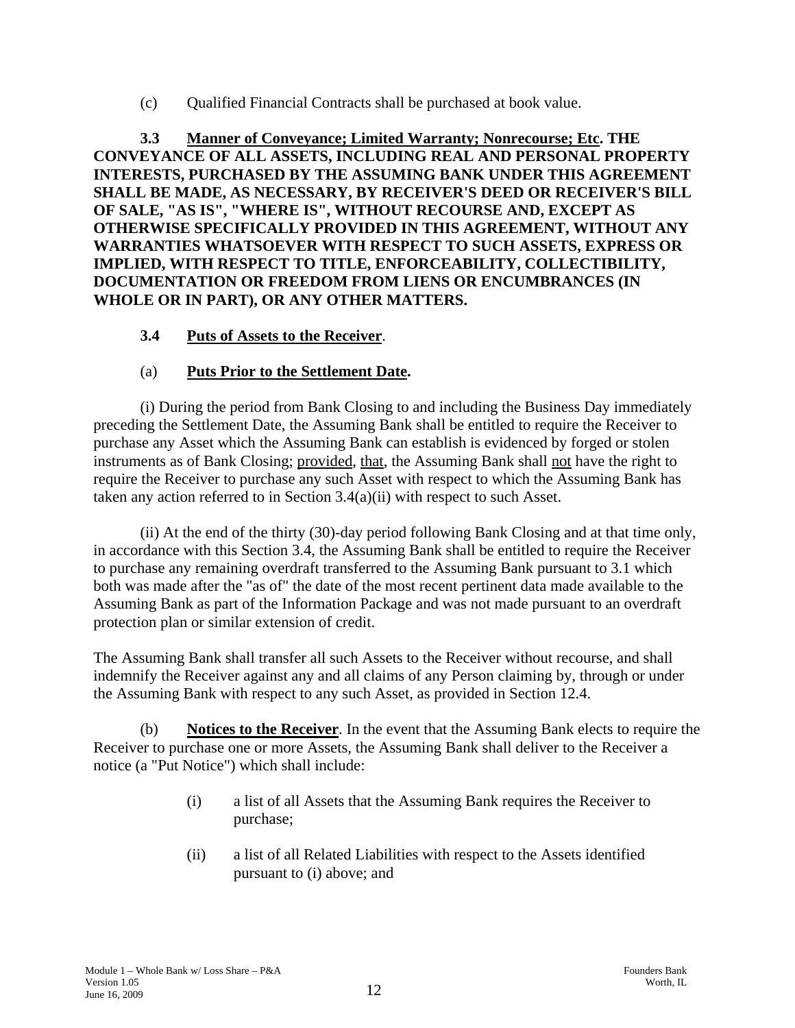(c) Qualified Financial Contracts shall be purchased at book value.

**3.3 Manner of Conveyance; Limited Warranty; Nonrecourse; Etc. THE CONVEYANCE OF ALL ASSETS, INCLUDING REAL AND PERSONAL PROPERTY INTERESTS, PURCHASED BY THE ASSUMING BANK UNDER THIS AGREEMENT SHALL BE MADE, AS NECESSARY, BY RECEIVER'S DEED OR RECEIVER'S BILL OF SALE, "AS IS", "WHERE IS", WITHOUT RECOURSE AND, EXCEPT AS OTHERWISE SPECIFICALLY PROVIDED IN THIS AGREEMENT, WITHOUT ANY WARRANTIES WHATSOEVER WITH RESPECT TO SUCH ASSETS, EXPRESS OR IMPLIED, WITH RESPECT TO TITLE, ENFORCEABILITY, COLLECTIBILITY, DOCUMENTATION OR FREEDOM FROM LIENS OR ENCUMBRANCES (IN WHOLE OR IN PART), OR ANY OTHER MATTERS.** 

## **3.4 Puts of Assets to the Receiver**.

## (a) **Puts Prior to the Settlement Date.**

(i) During the period from Bank Closing to and including the Business Day immediately preceding the Settlement Date, the Assuming Bank shall be entitled to require the Receiver to purchase any Asset which the Assuming Bank can establish is evidenced by forged or stolen instruments as of Bank Closing; provided, that, the Assuming Bank shall not have the right to require the Receiver to purchase any such Asset with respect to which the Assuming Bank has taken any action referred to in Section 3.4(a)(ii) with respect to such Asset.

(ii) At the end of the thirty (30)-day period following Bank Closing and at that time only, in accordance with this Section 3.4, the Assuming Bank shall be entitled to require the Receiver to purchase any remaining overdraft transferred to the Assuming Bank pursuant to 3.1 which both was made after the "as of" the date of the most recent pertinent data made available to the Assuming Bank as part of the Information Package and was not made pursuant to an overdraft protection plan or similar extension of credit.

The Assuming Bank shall transfer all such Assets to the Receiver without recourse, and shall indemnify the Receiver against any and all claims of any Person claiming by, through or under the Assuming Bank with respect to any such Asset, as provided in Section 12.4.

(b) **Notices to the Receiver**. In the event that the Assuming Bank elects to require the Receiver to purchase one or more Assets, the Assuming Bank shall deliver to the Receiver a notice (a "Put Notice") which shall include:

- (i) a list of all Assets that the Assuming Bank requires the Receiver to purchase;
- (ii) a list of all Related Liabilities with respect to the Assets identified pursuant to (i) above; and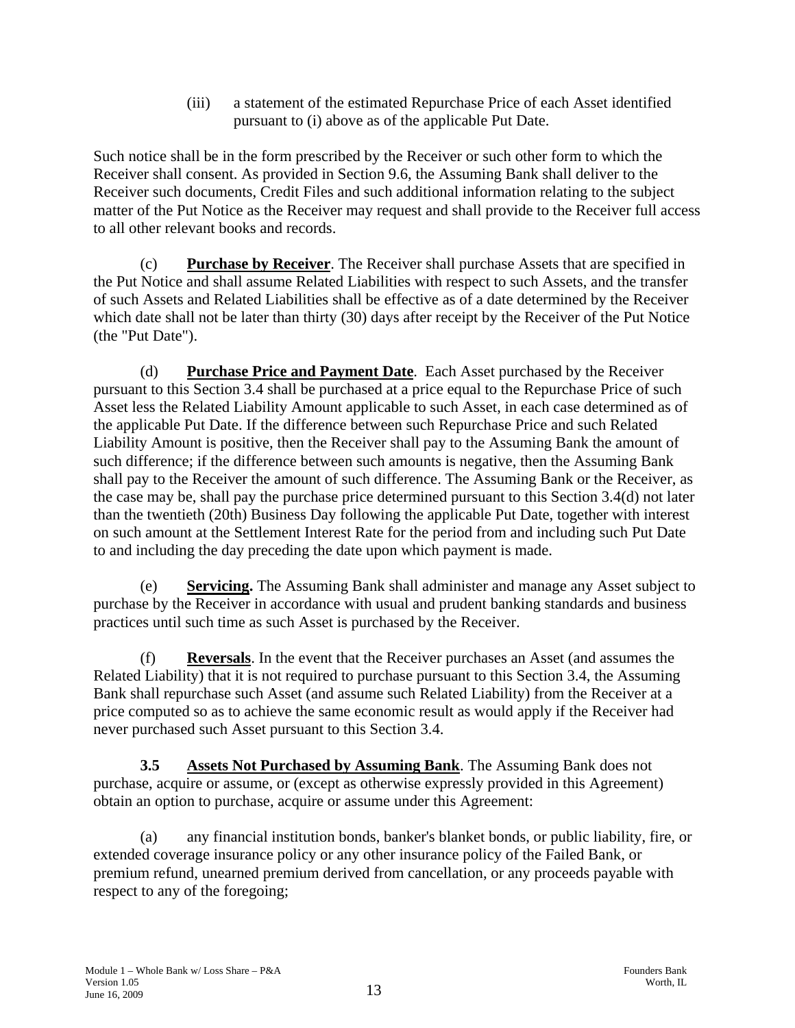(iii) a statement of the estimated Repurchase Price of each Asset identified pursuant to (i) above as of the applicable Put Date.

Such notice shall be in the form prescribed by the Receiver or such other form to which the Receiver shall consent. As provided in Section 9.6, the Assuming Bank shall deliver to the Receiver such documents, Credit Files and such additional information relating to the subject matter of the Put Notice as the Receiver may request and shall provide to the Receiver full access to all other relevant books and records.

(c) **Purchase by Receiver**. The Receiver shall purchase Assets that are specified in the Put Notice and shall assume Related Liabilities with respect to such Assets, and the transfer of such Assets and Related Liabilities shall be effective as of a date determined by the Receiver which date shall not be later than thirty (30) days after receipt by the Receiver of the Put Notice (the "Put Date").

(d) **Purchase Price and Payment Date**. Each Asset purchased by the Receiver pursuant to this Section 3.4 shall be purchased at a price equal to the Repurchase Price of such Asset less the Related Liability Amount applicable to such Asset, in each case determined as of the applicable Put Date. If the difference between such Repurchase Price and such Related Liability Amount is positive, then the Receiver shall pay to the Assuming Bank the amount of such difference; if the difference between such amounts is negative, then the Assuming Bank shall pay to the Receiver the amount of such difference. The Assuming Bank or the Receiver, as the case may be, shall pay the purchase price determined pursuant to this Section 3.4(d) not later than the twentieth (20th) Business Day following the applicable Put Date, together with interest on such amount at the Settlement Interest Rate for the period from and including such Put Date to and including the day preceding the date upon which payment is made.

(e) **Servicing.** The Assuming Bank shall administer and manage any Asset subject to purchase by the Receiver in accordance with usual and prudent banking standards and business practices until such time as such Asset is purchased by the Receiver.

(f) **Reversals**. In the event that the Receiver purchases an Asset (and assumes the Related Liability) that it is not required to purchase pursuant to this Section 3.4, the Assuming Bank shall repurchase such Asset (and assume such Related Liability) from the Receiver at a price computed so as to achieve the same economic result as would apply if the Receiver had never purchased such Asset pursuant to this Section 3.4.

**3.5 Assets Not Purchased by Assuming Bank**. The Assuming Bank does not purchase, acquire or assume, or (except as otherwise expressly provided in this Agreement) obtain an option to purchase, acquire or assume under this Agreement:

(a) any financial institution bonds, banker's blanket bonds, or public liability, fire, or extended coverage insurance policy or any other insurance policy of the Failed Bank, or premium refund, unearned premium derived from cancellation, or any proceeds payable with respect to any of the foregoing;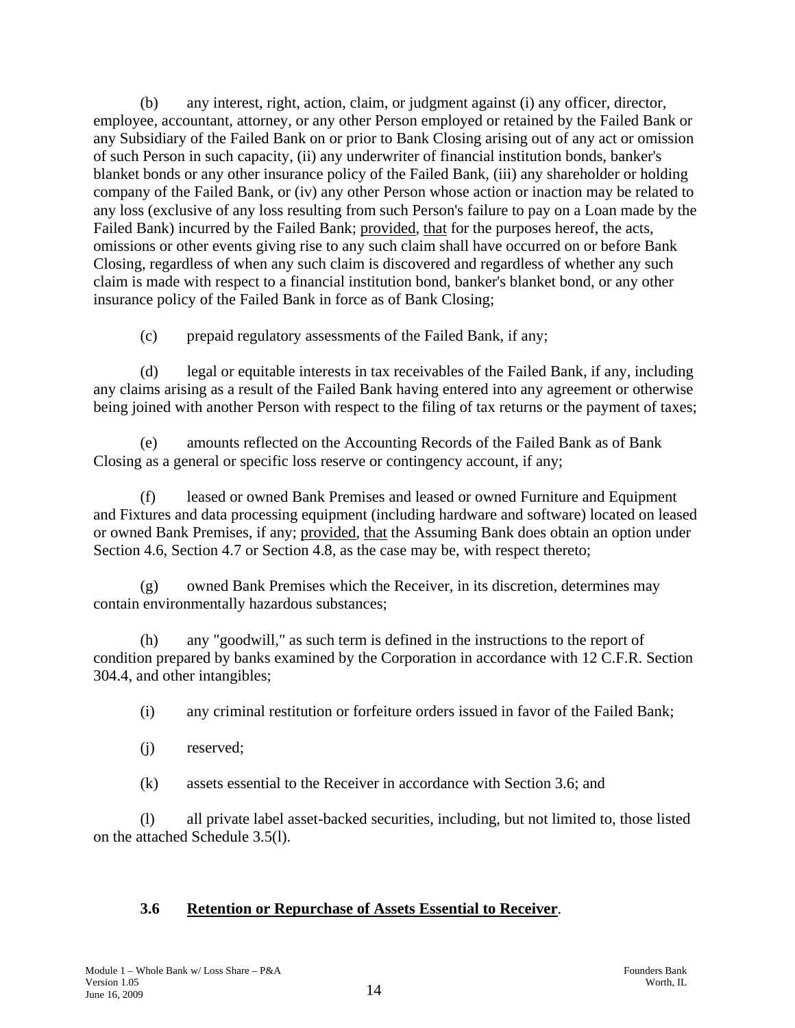(b) any interest, right, action, claim, or judgment against (i) any officer, director, employee, accountant, attorney, or any other Person employed or retained by the Failed Bank or any Subsidiary of the Failed Bank on or prior to Bank Closing arising out of any act or omission of such Person in such capacity, (ii) any underwriter of financial institution bonds, banker's blanket bonds or any other insurance policy of the Failed Bank, (iii) any shareholder or holding company of the Failed Bank, or (iv) any other Person whose action or inaction may be related to any loss (exclusive of any loss resulting from such Person's failure to pay on a Loan made by the Failed Bank) incurred by the Failed Bank; provided, that for the purposes hereof, the acts, omissions or other events giving rise to any such claim shall have occurred on or before Bank Closing, regardless of when any such claim is discovered and regardless of whether any such claim is made with respect to a financial institution bond, banker's blanket bond, or any other insurance policy of the Failed Bank in force as of Bank Closing;

(c) prepaid regulatory assessments of the Failed Bank, if any;

(d) legal or equitable interests in tax receivables of the Failed Bank, if any, including any claims arising as a result of the Failed Bank having entered into any agreement or otherwise being joined with another Person with respect to the filing of tax returns or the payment of taxes;

(e) amounts reflected on the Accounting Records of the Failed Bank as of Bank Closing as a general or specific loss reserve or contingency account, if any;

(f) leased or owned Bank Premises and leased or owned Furniture and Equipment and Fixtures and data processing equipment (including hardware and software) located on leased or owned Bank Premises, if any; provided, that the Assuming Bank does obtain an option under Section 4.6, Section 4.7 or Section 4.8, as the case may be, with respect thereto;

(g) owned Bank Premises which the Receiver, in its discretion, determines may contain environmentally hazardous substances;

(h) any "goodwill," as such term is defined in the instructions to the report of condition prepared by banks examined by the Corporation in accordance with 12 C.F.R. Section 304.4, and other intangibles;

- (i) any criminal restitution or forfeiture orders issued in favor of the Failed Bank;
- (j) reserved;
- (k) assets essential to the Receiver in accordance with Section 3.6; and

(l) all private label asset-backed securities, including, but not limited to, those listed on the attached Schedule 3.5(l).

### **3.6 Retention or Repurchase of Assets Essential to Receiver**.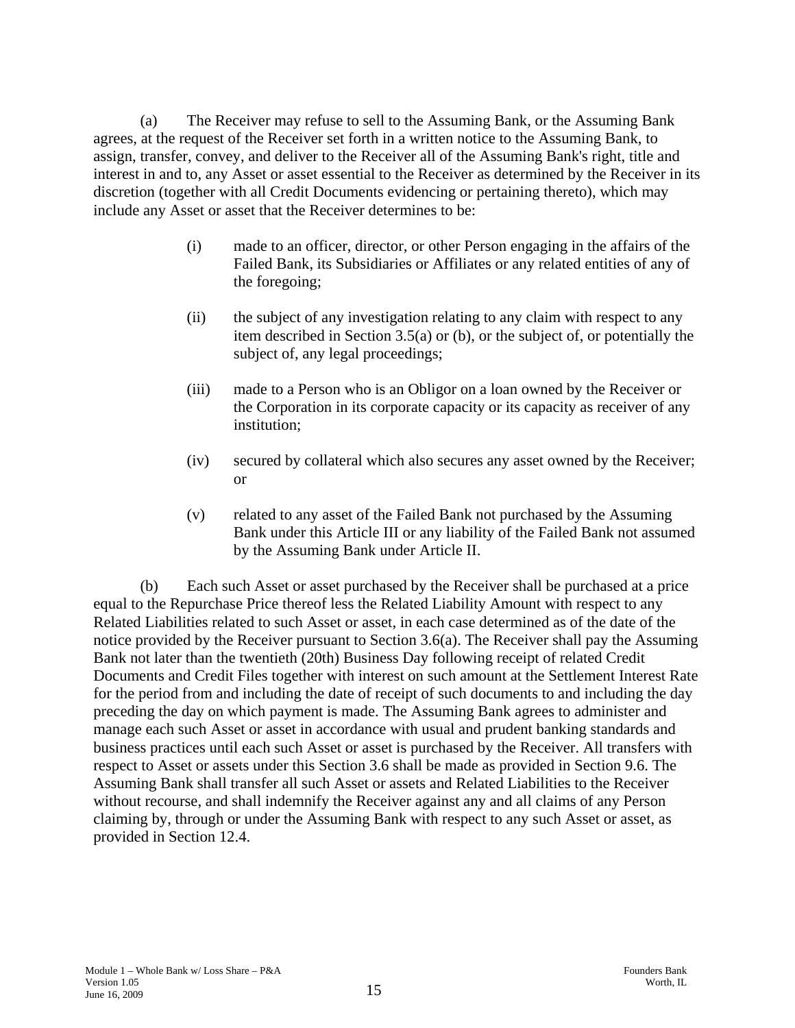(a) The Receiver may refuse to sell to the Assuming Bank, or the Assuming Bank agrees, at the request of the Receiver set forth in a written notice to the Assuming Bank, to assign, transfer, convey, and deliver to the Receiver all of the Assuming Bank's right, title and interest in and to, any Asset or asset essential to the Receiver as determined by the Receiver in its discretion (together with all Credit Documents evidencing or pertaining thereto), which may include any Asset or asset that the Receiver determines to be:

- (i) made to an officer, director, or other Person engaging in the affairs of the Failed Bank, its Subsidiaries or Affiliates or any related entities of any of the foregoing;
- (ii) the subject of any investigation relating to any claim with respect to any item described in Section 3.5(a) or (b), or the subject of, or potentially the subject of, any legal proceedings;
- (iii) made to a Person who is an Obligor on a loan owned by the Receiver or the Corporation in its corporate capacity or its capacity as receiver of any institution;
- (iv) secured by collateral which also secures any asset owned by the Receiver; or
- (v) related to any asset of the Failed Bank not purchased by the Assuming Bank under this Article III or any liability of the Failed Bank not assumed by the Assuming Bank under Article II.

(b) Each such Asset or asset purchased by the Receiver shall be purchased at a price equal to the Repurchase Price thereof less the Related Liability Amount with respect to any Related Liabilities related to such Asset or asset, in each case determined as of the date of the notice provided by the Receiver pursuant to Section 3.6(a). The Receiver shall pay the Assuming Bank not later than the twentieth (20th) Business Day following receipt of related Credit Documents and Credit Files together with interest on such amount at the Settlement Interest Rate for the period from and including the date of receipt of such documents to and including the day preceding the day on which payment is made. The Assuming Bank agrees to administer and manage each such Asset or asset in accordance with usual and prudent banking standards and business practices until each such Asset or asset is purchased by the Receiver. All transfers with respect to Asset or assets under this Section 3.6 shall be made as provided in Section 9.6. The Assuming Bank shall transfer all such Asset or assets and Related Liabilities to the Receiver without recourse, and shall indemnify the Receiver against any and all claims of any Person claiming by, through or under the Assuming Bank with respect to any such Asset or asset, as provided in Section 12.4.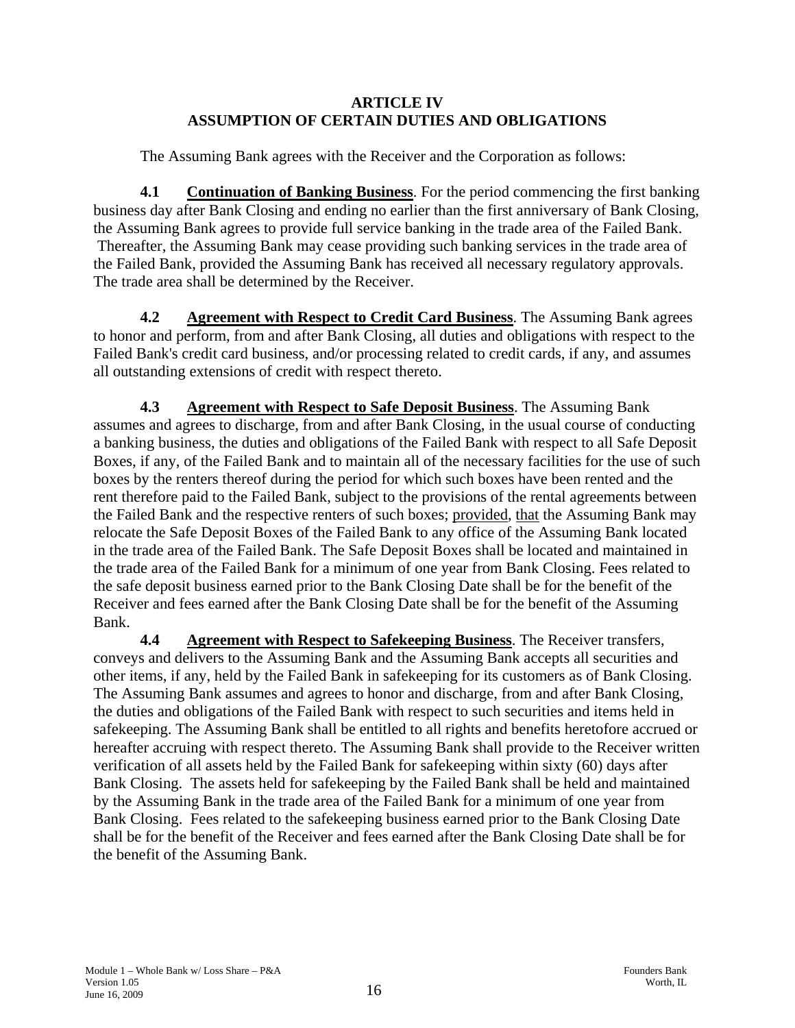### **ARTICLE IV ASSUMPTION OF CERTAIN DUTIES AND OBLIGATIONS**

The Assuming Bank agrees with the Receiver and the Corporation as follows:

**4.1** Continuation of Banking Business. For the period commencing the first banking business day after Bank Closing and ending no earlier than the first anniversary of Bank Closing, the Assuming Bank agrees to provide full service banking in the trade area of the Failed Bank. Thereafter, the Assuming Bank may cease providing such banking services in the trade area of the Failed Bank, provided the Assuming Bank has received all necessary regulatory approvals. The trade area shall be determined by the Receiver.

**4.2 Agreement with Respect to Credit Card Business**. The Assuming Bank agrees to honor and perform, from and after Bank Closing, all duties and obligations with respect to the Failed Bank's credit card business, and/or processing related to credit cards, if any, and assumes all outstanding extensions of credit with respect thereto.

**4.3 Agreement with Respect to Safe Deposit Business**. The Assuming Bank assumes and agrees to discharge, from and after Bank Closing, in the usual course of conducting a banking business, the duties and obligations of the Failed Bank with respect to all Safe Deposit Boxes, if any, of the Failed Bank and to maintain all of the necessary facilities for the use of such boxes by the renters thereof during the period for which such boxes have been rented and the rent therefore paid to the Failed Bank, subject to the provisions of the rental agreements between the Failed Bank and the respective renters of such boxes; provided, that the Assuming Bank may relocate the Safe Deposit Boxes of the Failed Bank to any office of the Assuming Bank located in the trade area of the Failed Bank. The Safe Deposit Boxes shall be located and maintained in the trade area of the Failed Bank for a minimum of one year from Bank Closing. Fees related to the safe deposit business earned prior to the Bank Closing Date shall be for the benefit of the Receiver and fees earned after the Bank Closing Date shall be for the benefit of the Assuming Bank.

**4.4 Agreement with Respect to Safekeeping Business**. The Receiver transfers, conveys and delivers to the Assuming Bank and the Assuming Bank accepts all securities and other items, if any, held by the Failed Bank in safekeeping for its customers as of Bank Closing. The Assuming Bank assumes and agrees to honor and discharge, from and after Bank Closing, the duties and obligations of the Failed Bank with respect to such securities and items held in safekeeping. The Assuming Bank shall be entitled to all rights and benefits heretofore accrued or hereafter accruing with respect thereto. The Assuming Bank shall provide to the Receiver written verification of all assets held by the Failed Bank for safekeeping within sixty (60) days after Bank Closing. The assets held for safekeeping by the Failed Bank shall be held and maintained by the Assuming Bank in the trade area of the Failed Bank for a minimum of one year from Bank Closing. Fees related to the safekeeping business earned prior to the Bank Closing Date shall be for the benefit of the Receiver and fees earned after the Bank Closing Date shall be for the benefit of the Assuming Bank.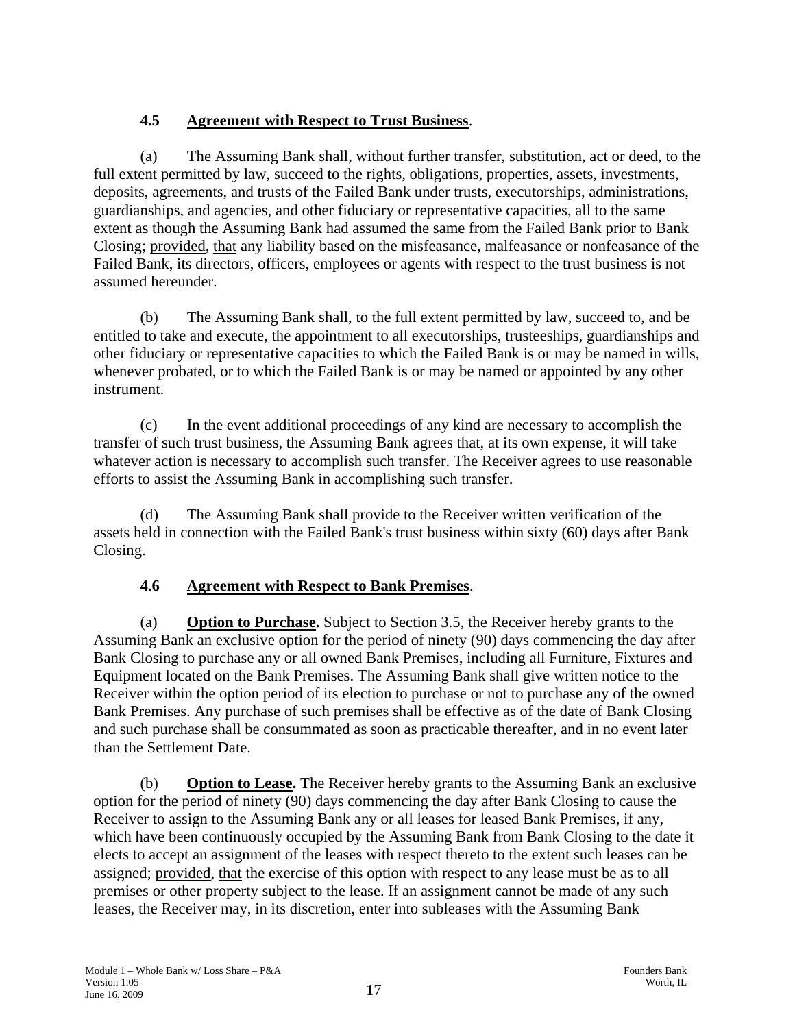## **4.5 Agreement with Respect to Trust Business**.

(a) The Assuming Bank shall, without further transfer, substitution, act or deed, to the full extent permitted by law, succeed to the rights, obligations, properties, assets, investments, deposits, agreements, and trusts of the Failed Bank under trusts, executorships, administrations, guardianships, and agencies, and other fiduciary or representative capacities, all to the same extent as though the Assuming Bank had assumed the same from the Failed Bank prior to Bank Closing; provided, that any liability based on the misfeasance, malfeasance or nonfeasance of the Failed Bank, its directors, officers, employees or agents with respect to the trust business is not assumed hereunder.

(b) The Assuming Bank shall, to the full extent permitted by law, succeed to, and be entitled to take and execute, the appointment to all executorships, trusteeships, guardianships and other fiduciary or representative capacities to which the Failed Bank is or may be named in wills, whenever probated, or to which the Failed Bank is or may be named or appointed by any other instrument.

(c) In the event additional proceedings of any kind are necessary to accomplish the transfer of such trust business, the Assuming Bank agrees that, at its own expense, it will take whatever action is necessary to accomplish such transfer. The Receiver agrees to use reasonable efforts to assist the Assuming Bank in accomplishing such transfer.

(d) The Assuming Bank shall provide to the Receiver written verification of the assets held in connection with the Failed Bank's trust business within sixty (60) days after Bank Closing.

## **4.6 Agreement with Respect to Bank Premises**.

(a) **Option to Purchase.** Subject to Section 3.5, the Receiver hereby grants to the Assuming Bank an exclusive option for the period of ninety (90) days commencing the day after Bank Closing to purchase any or all owned Bank Premises, including all Furniture, Fixtures and Equipment located on the Bank Premises. The Assuming Bank shall give written notice to the Receiver within the option period of its election to purchase or not to purchase any of the owned Bank Premises. Any purchase of such premises shall be effective as of the date of Bank Closing and such purchase shall be consummated as soon as practicable thereafter, and in no event later than the Settlement Date.

(b) **Option to Lease.** The Receiver hereby grants to the Assuming Bank an exclusive option for the period of ninety (90) days commencing the day after Bank Closing to cause the Receiver to assign to the Assuming Bank any or all leases for leased Bank Premises, if any, which have been continuously occupied by the Assuming Bank from Bank Closing to the date it elects to accept an assignment of the leases with respect thereto to the extent such leases can be assigned; provided, that the exercise of this option with respect to any lease must be as to all premises or other property subject to the lease. If an assignment cannot be made of any such leases, the Receiver may, in its discretion, enter into subleases with the Assuming Bank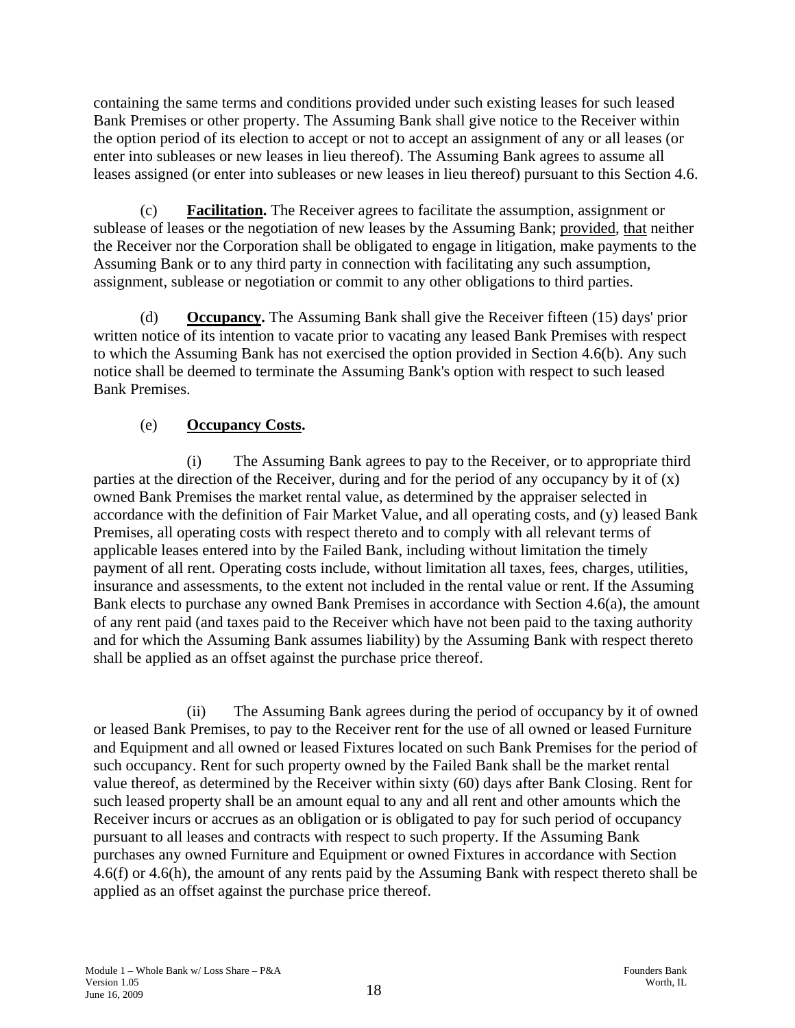containing the same terms and conditions provided under such existing leases for such leased Bank Premises or other property. The Assuming Bank shall give notice to the Receiver within the option period of its election to accept or not to accept an assignment of any or all leases (or enter into subleases or new leases in lieu thereof). The Assuming Bank agrees to assume all leases assigned (or enter into subleases or new leases in lieu thereof) pursuant to this Section 4.6.

(c) **Facilitation.** The Receiver agrees to facilitate the assumption, assignment or sublease of leases or the negotiation of new leases by the Assuming Bank; provided, that neither the Receiver nor the Corporation shall be obligated to engage in litigation, make payments to the Assuming Bank or to any third party in connection with facilitating any such assumption, assignment, sublease or negotiation or commit to any other obligations to third parties.

(d) **Occupancy.** The Assuming Bank shall give the Receiver fifteen (15) days' prior written notice of its intention to vacate prior to vacating any leased Bank Premises with respect to which the Assuming Bank has not exercised the option provided in Section 4.6(b). Any such notice shall be deemed to terminate the Assuming Bank's option with respect to such leased Bank Premises.

## (e) **Occupancy Costs.**

(i) The Assuming Bank agrees to pay to the Receiver, or to appropriate third parties at the direction of the Receiver, during and for the period of any occupancy by it of (x) owned Bank Premises the market rental value, as determined by the appraiser selected in accordance with the definition of Fair Market Value, and all operating costs, and (y) leased Bank Premises, all operating costs with respect thereto and to comply with all relevant terms of applicable leases entered into by the Failed Bank, including without limitation the timely payment of all rent. Operating costs include, without limitation all taxes, fees, charges, utilities, insurance and assessments, to the extent not included in the rental value or rent. If the Assuming Bank elects to purchase any owned Bank Premises in accordance with Section 4.6(a), the amount of any rent paid (and taxes paid to the Receiver which have not been paid to the taxing authority and for which the Assuming Bank assumes liability) by the Assuming Bank with respect thereto shall be applied as an offset against the purchase price thereof.

(ii) The Assuming Bank agrees during the period of occupancy by it of owned or leased Bank Premises, to pay to the Receiver rent for the use of all owned or leased Furniture and Equipment and all owned or leased Fixtures located on such Bank Premises for the period of such occupancy. Rent for such property owned by the Failed Bank shall be the market rental value thereof, as determined by the Receiver within sixty (60) days after Bank Closing. Rent for such leased property shall be an amount equal to any and all rent and other amounts which the Receiver incurs or accrues as an obligation or is obligated to pay for such period of occupancy pursuant to all leases and contracts with respect to such property. If the Assuming Bank purchases any owned Furniture and Equipment or owned Fixtures in accordance with Section 4.6(f) or 4.6(h), the amount of any rents paid by the Assuming Bank with respect thereto shall be applied as an offset against the purchase price thereof.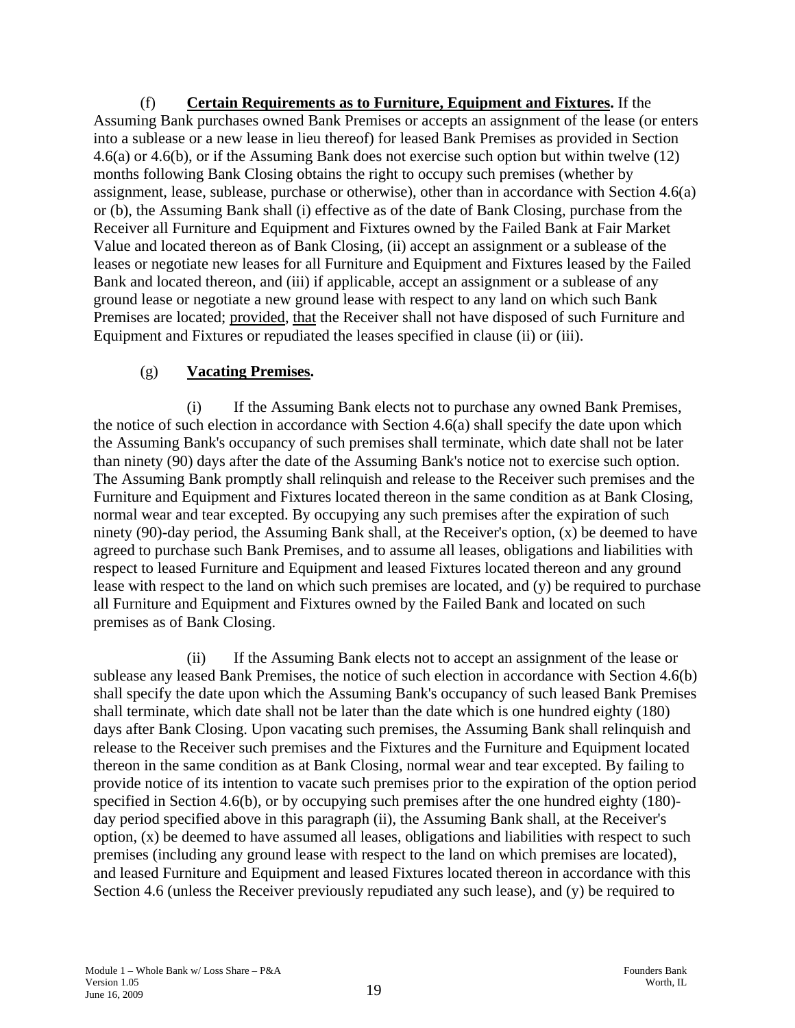(f) **Certain Requirements as to Furniture, Equipment and Fixtures.** If the Assuming Bank purchases owned Bank Premises or accepts an assignment of the lease (or enters into a sublease or a new lease in lieu thereof) for leased Bank Premises as provided in Section 4.6(a) or 4.6(b), or if the Assuming Bank does not exercise such option but within twelve (12) months following Bank Closing obtains the right to occupy such premises (whether by assignment, lease, sublease, purchase or otherwise), other than in accordance with Section 4.6(a) or (b), the Assuming Bank shall (i) effective as of the date of Bank Closing, purchase from the Receiver all Furniture and Equipment and Fixtures owned by the Failed Bank at Fair Market Value and located thereon as of Bank Closing, (ii) accept an assignment or a sublease of the leases or negotiate new leases for all Furniture and Equipment and Fixtures leased by the Failed Bank and located thereon, and (iii) if applicable, accept an assignment or a sublease of any ground lease or negotiate a new ground lease with respect to any land on which such Bank Premises are located; provided, that the Receiver shall not have disposed of such Furniture and Equipment and Fixtures or repudiated the leases specified in clause (ii) or (iii).

## (g) **Vacating Premises.**

(i) If the Assuming Bank elects not to purchase any owned Bank Premises, the notice of such election in accordance with Section 4.6(a) shall specify the date upon which the Assuming Bank's occupancy of such premises shall terminate, which date shall not be later than ninety (90) days after the date of the Assuming Bank's notice not to exercise such option. The Assuming Bank promptly shall relinquish and release to the Receiver such premises and the Furniture and Equipment and Fixtures located thereon in the same condition as at Bank Closing, normal wear and tear excepted. By occupying any such premises after the expiration of such ninety (90)-day period, the Assuming Bank shall, at the Receiver's option, (x) be deemed to have agreed to purchase such Bank Premises, and to assume all leases, obligations and liabilities with respect to leased Furniture and Equipment and leased Fixtures located thereon and any ground lease with respect to the land on which such premises are located, and (y) be required to purchase all Furniture and Equipment and Fixtures owned by the Failed Bank and located on such premises as of Bank Closing.

(ii) If the Assuming Bank elects not to accept an assignment of the lease or sublease any leased Bank Premises, the notice of such election in accordance with Section 4.6(b) shall specify the date upon which the Assuming Bank's occupancy of such leased Bank Premises shall terminate, which date shall not be later than the date which is one hundred eighty (180) days after Bank Closing. Upon vacating such premises, the Assuming Bank shall relinquish and release to the Receiver such premises and the Fixtures and the Furniture and Equipment located thereon in the same condition as at Bank Closing, normal wear and tear excepted. By failing to provide notice of its intention to vacate such premises prior to the expiration of the option period specified in Section 4.6(b), or by occupying such premises after the one hundred eighty (180) day period specified above in this paragraph (ii), the Assuming Bank shall, at the Receiver's option, (x) be deemed to have assumed all leases, obligations and liabilities with respect to such premises (including any ground lease with respect to the land on which premises are located), and leased Furniture and Equipment and leased Fixtures located thereon in accordance with this Section 4.6 (unless the Receiver previously repudiated any such lease), and (y) be required to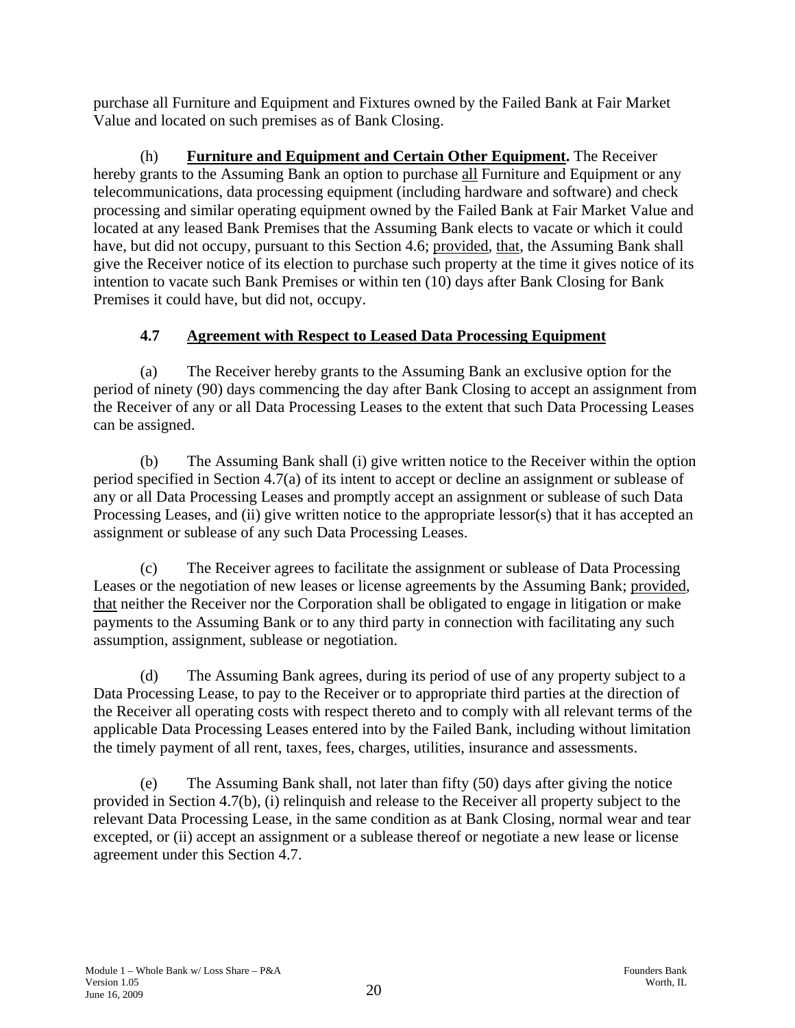purchase all Furniture and Equipment and Fixtures owned by the Failed Bank at Fair Market Value and located on such premises as of Bank Closing.

(h) **Furniture and Equipment and Certain Other Equipment.** The Receiver hereby grants to the Assuming Bank an option to purchase all Furniture and Equipment or any telecommunications, data processing equipment (including hardware and software) and check processing and similar operating equipment owned by the Failed Bank at Fair Market Value and located at any leased Bank Premises that the Assuming Bank elects to vacate or which it could have, but did not occupy, pursuant to this Section 4.6; provided, that, the Assuming Bank shall give the Receiver notice of its election to purchase such property at the time it gives notice of its intention to vacate such Bank Premises or within ten (10) days after Bank Closing for Bank Premises it could have, but did not, occupy.

# **4.7 Agreement with Respect to Leased Data Processing Equipment**

(a) The Receiver hereby grants to the Assuming Bank an exclusive option for the period of ninety (90) days commencing the day after Bank Closing to accept an assignment from the Receiver of any or all Data Processing Leases to the extent that such Data Processing Leases can be assigned.

(b) The Assuming Bank shall (i) give written notice to the Receiver within the option period specified in Section 4.7(a) of its intent to accept or decline an assignment or sublease of any or all Data Processing Leases and promptly accept an assignment or sublease of such Data Processing Leases, and (ii) give written notice to the appropriate lessor(s) that it has accepted an assignment or sublease of any such Data Processing Leases.

(c) The Receiver agrees to facilitate the assignment or sublease of Data Processing Leases or the negotiation of new leases or license agreements by the Assuming Bank; provided, that neither the Receiver nor the Corporation shall be obligated to engage in litigation or make payments to the Assuming Bank or to any third party in connection with facilitating any such assumption, assignment, sublease or negotiation.

(d) The Assuming Bank agrees, during its period of use of any property subject to a Data Processing Lease, to pay to the Receiver or to appropriate third parties at the direction of the Receiver all operating costs with respect thereto and to comply with all relevant terms of the applicable Data Processing Leases entered into by the Failed Bank, including without limitation the timely payment of all rent, taxes, fees, charges, utilities, insurance and assessments.

(e) The Assuming Bank shall, not later than fifty (50) days after giving the notice provided in Section 4.7(b), (i) relinquish and release to the Receiver all property subject to the relevant Data Processing Lease, in the same condition as at Bank Closing, normal wear and tear excepted, or (ii) accept an assignment or a sublease thereof or negotiate a new lease or license agreement under this Section 4.7.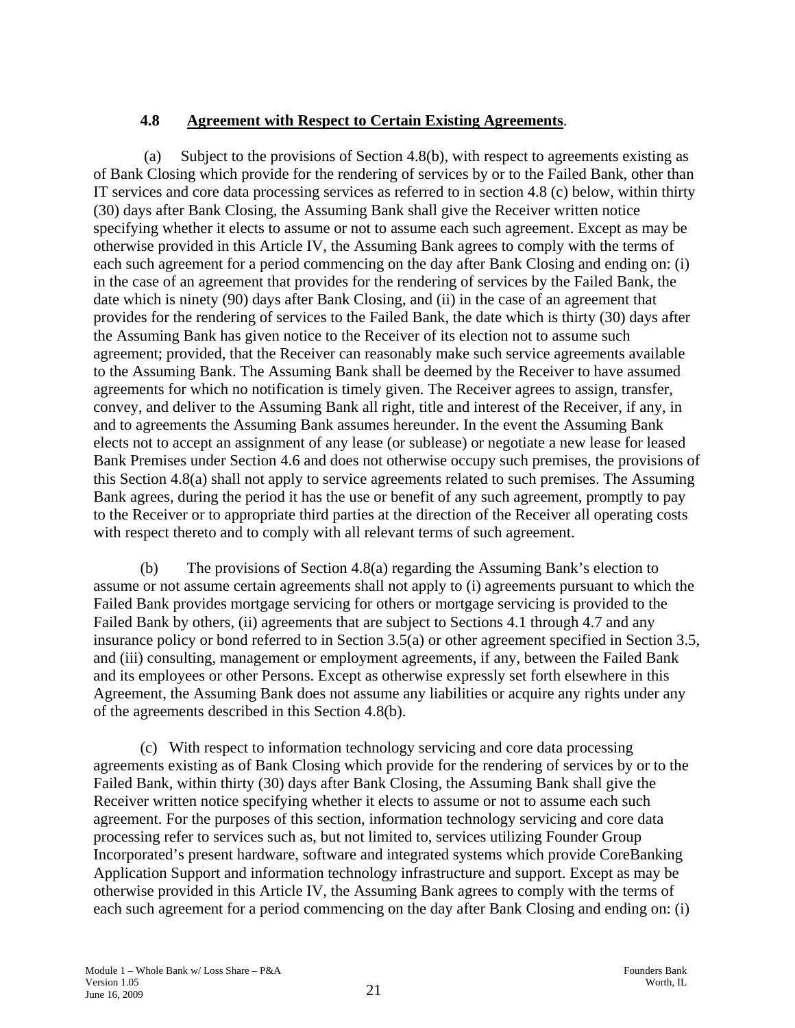### **4.8 Agreement with Respect to Certain Existing Agreements**.

(a) Subject to the provisions of Section 4.8(b), with respect to agreements existing as of Bank Closing which provide for the rendering of services by or to the Failed Bank, other than IT services and core data processing services as referred to in section 4.8 (c) below, within thirty (30) days after Bank Closing, the Assuming Bank shall give the Receiver written notice specifying whether it elects to assume or not to assume each such agreement. Except as may be otherwise provided in this Article IV, the Assuming Bank agrees to comply with the terms of each such agreement for a period commencing on the day after Bank Closing and ending on: (i) in the case of an agreement that provides for the rendering of services by the Failed Bank, the date which is ninety (90) days after Bank Closing, and (ii) in the case of an agreement that provides for the rendering of services to the Failed Bank, the date which is thirty (30) days after the Assuming Bank has given notice to the Receiver of its election not to assume such agreement; provided, that the Receiver can reasonably make such service agreements available to the Assuming Bank. The Assuming Bank shall be deemed by the Receiver to have assumed agreements for which no notification is timely given. The Receiver agrees to assign, transfer, convey, and deliver to the Assuming Bank all right, title and interest of the Receiver, if any, in and to agreements the Assuming Bank assumes hereunder. In the event the Assuming Bank elects not to accept an assignment of any lease (or sublease) or negotiate a new lease for leased Bank Premises under Section 4.6 and does not otherwise occupy such premises, the provisions of this Section 4.8(a) shall not apply to service agreements related to such premises. The Assuming Bank agrees, during the period it has the use or benefit of any such agreement, promptly to pay to the Receiver or to appropriate third parties at the direction of the Receiver all operating costs with respect thereto and to comply with all relevant terms of such agreement.

(b) The provisions of Section 4.8(a) regarding the Assuming Bank's election to assume or not assume certain agreements shall not apply to (i) agreements pursuant to which the Failed Bank provides mortgage servicing for others or mortgage servicing is provided to the Failed Bank by others, (ii) agreements that are subject to Sections 4.1 through 4.7 and any insurance policy or bond referred to in Section 3.5(a) or other agreement specified in Section 3.5, and (iii) consulting, management or employment agreements, if any, between the Failed Bank and its employees or other Persons. Except as otherwise expressly set forth elsewhere in this Agreement, the Assuming Bank does not assume any liabilities or acquire any rights under any of the agreements described in this Section 4.8(b).

(c) With respect to information technology servicing and core data processing agreements existing as of Bank Closing which provide for the rendering of services by or to the Failed Bank, within thirty (30) days after Bank Closing, the Assuming Bank shall give the Receiver written notice specifying whether it elects to assume or not to assume each such agreement. For the purposes of this section, information technology servicing and core data processing refer to services such as, but not limited to, services utilizing Founder Group Incorporated's present hardware, software and integrated systems which provide CoreBanking Application Support and information technology infrastructure and support. Except as may be otherwise provided in this Article IV, the Assuming Bank agrees to comply with the terms of each such agreement for a period commencing on the day after Bank Closing and ending on: (i)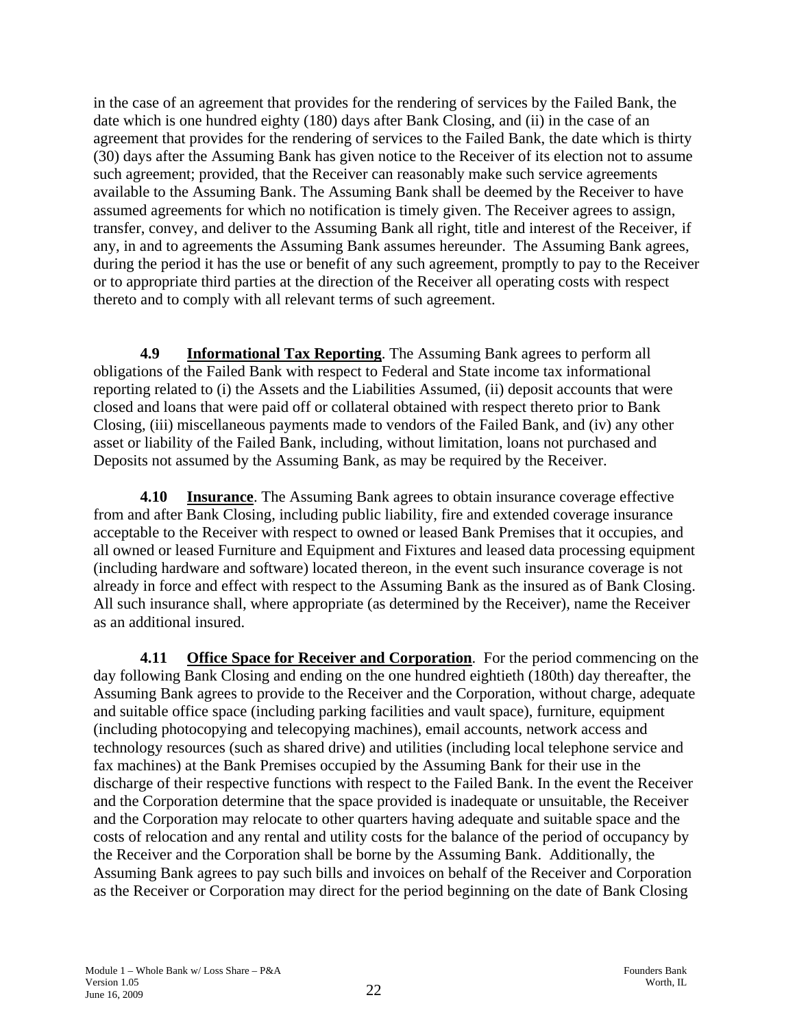in the case of an agreement that provides for the rendering of services by the Failed Bank, the date which is one hundred eighty (180) days after Bank Closing, and (ii) in the case of an agreement that provides for the rendering of services to the Failed Bank, the date which is thirty (30) days after the Assuming Bank has given notice to the Receiver of its election not to assume such agreement; provided, that the Receiver can reasonably make such service agreements available to the Assuming Bank. The Assuming Bank shall be deemed by the Receiver to have assumed agreements for which no notification is timely given. The Receiver agrees to assign, transfer, convey, and deliver to the Assuming Bank all right, title and interest of the Receiver, if any, in and to agreements the Assuming Bank assumes hereunder. The Assuming Bank agrees, during the period it has the use or benefit of any such agreement, promptly to pay to the Receiver or to appropriate third parties at the direction of the Receiver all operating costs with respect thereto and to comply with all relevant terms of such agreement.

**4.9 Informational Tax Reporting**. The Assuming Bank agrees to perform all obligations of the Failed Bank with respect to Federal and State income tax informational reporting related to (i) the Assets and the Liabilities Assumed, (ii) deposit accounts that were closed and loans that were paid off or collateral obtained with respect thereto prior to Bank Closing, (iii) miscellaneous payments made to vendors of the Failed Bank, and (iv) any other asset or liability of the Failed Bank, including, without limitation, loans not purchased and Deposits not assumed by the Assuming Bank, as may be required by the Receiver.

**4.10 Insurance**. The Assuming Bank agrees to obtain insurance coverage effective from and after Bank Closing, including public liability, fire and extended coverage insurance acceptable to the Receiver with respect to owned or leased Bank Premises that it occupies, and all owned or leased Furniture and Equipment and Fixtures and leased data processing equipment (including hardware and software) located thereon, in the event such insurance coverage is not already in force and effect with respect to the Assuming Bank as the insured as of Bank Closing. All such insurance shall, where appropriate (as determined by the Receiver), name the Receiver as an additional insured.

**4.11 Office Space for Receiver and Corporation**. For the period commencing on the day following Bank Closing and ending on the one hundred eightieth (180th) day thereafter, the Assuming Bank agrees to provide to the Receiver and the Corporation, without charge, adequate and suitable office space (including parking facilities and vault space), furniture, equipment (including photocopying and telecopying machines), email accounts, network access and technology resources (such as shared drive) and utilities (including local telephone service and fax machines) at the Bank Premises occupied by the Assuming Bank for their use in the discharge of their respective functions with respect to the Failed Bank. In the event the Receiver and the Corporation determine that the space provided is inadequate or unsuitable, the Receiver and the Corporation may relocate to other quarters having adequate and suitable space and the costs of relocation and any rental and utility costs for the balance of the period of occupancy by the Receiver and the Corporation shall be borne by the Assuming Bank. Additionally, the Assuming Bank agrees to pay such bills and invoices on behalf of the Receiver and Corporation as the Receiver or Corporation may direct for the period beginning on the date of Bank Closing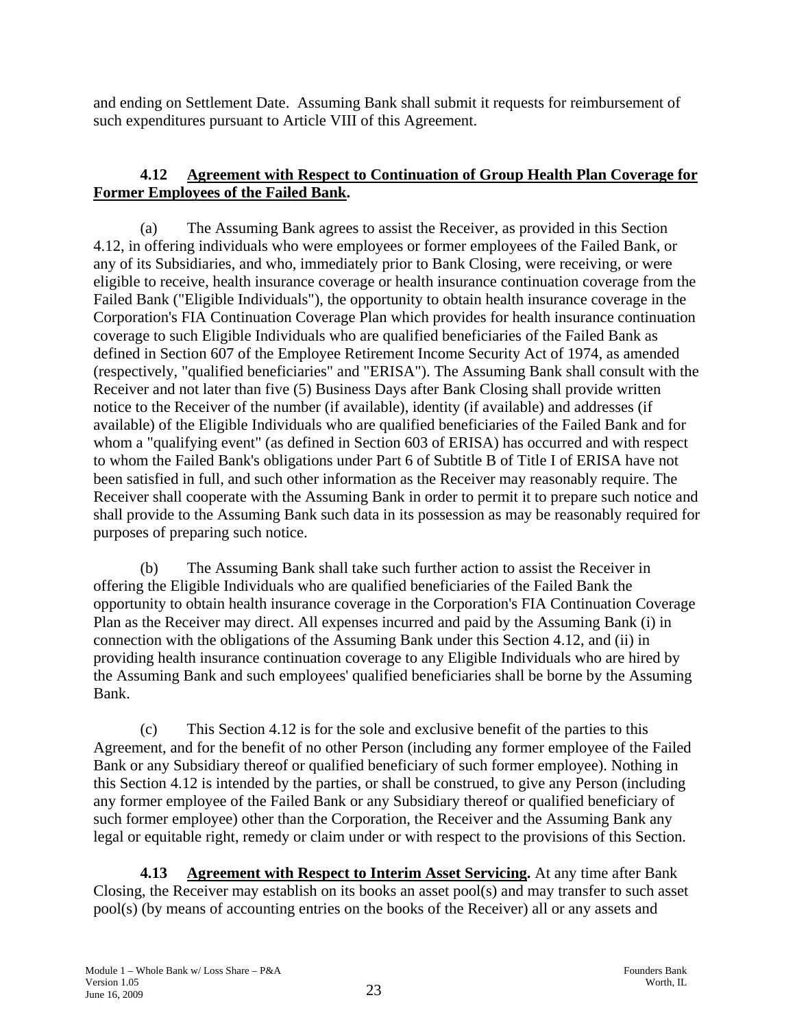and ending on Settlement Date. Assuming Bank shall submit it requests for reimbursement of such expenditures pursuant to Article VIII of this Agreement.

### **4.12 Agreement with Respect to Continuation of Group Health Plan Coverage for Former Employees of the Failed Bank.**

(a) The Assuming Bank agrees to assist the Receiver, as provided in this Section 4.12, in offering individuals who were employees or former employees of the Failed Bank, or any of its Subsidiaries, and who, immediately prior to Bank Closing, were receiving, or were eligible to receive, health insurance coverage or health insurance continuation coverage from the Failed Bank ("Eligible Individuals"), the opportunity to obtain health insurance coverage in the Corporation's FIA Continuation Coverage Plan which provides for health insurance continuation coverage to such Eligible Individuals who are qualified beneficiaries of the Failed Bank as defined in Section 607 of the Employee Retirement Income Security Act of 1974, as amended (respectively, "qualified beneficiaries" and "ERISA"). The Assuming Bank shall consult with the Receiver and not later than five (5) Business Days after Bank Closing shall provide written notice to the Receiver of the number (if available), identity (if available) and addresses (if available) of the Eligible Individuals who are qualified beneficiaries of the Failed Bank and for whom a "qualifying event" (as defined in Section 603 of ERISA) has occurred and with respect to whom the Failed Bank's obligations under Part 6 of Subtitle B of Title I of ERISA have not been satisfied in full, and such other information as the Receiver may reasonably require. The Receiver shall cooperate with the Assuming Bank in order to permit it to prepare such notice and shall provide to the Assuming Bank such data in its possession as may be reasonably required for purposes of preparing such notice.

(b) The Assuming Bank shall take such further action to assist the Receiver in offering the Eligible Individuals who are qualified beneficiaries of the Failed Bank the opportunity to obtain health insurance coverage in the Corporation's FIA Continuation Coverage Plan as the Receiver may direct. All expenses incurred and paid by the Assuming Bank (i) in connection with the obligations of the Assuming Bank under this Section 4.12, and (ii) in providing health insurance continuation coverage to any Eligible Individuals who are hired by the Assuming Bank and such employees' qualified beneficiaries shall be borne by the Assuming Bank.

(c) This Section 4.12 is for the sole and exclusive benefit of the parties to this Agreement, and for the benefit of no other Person (including any former employee of the Failed Bank or any Subsidiary thereof or qualified beneficiary of such former employee). Nothing in this Section 4.12 is intended by the parties, or shall be construed, to give any Person (including any former employee of the Failed Bank or any Subsidiary thereof or qualified beneficiary of such former employee) other than the Corporation, the Receiver and the Assuming Bank any legal or equitable right, remedy or claim under or with respect to the provisions of this Section.

**4.13 Agreement with Respect to Interim Asset Servicing.** At any time after Bank Closing, the Receiver may establish on its books an asset pool(s) and may transfer to such asset pool(s) (by means of accounting entries on the books of the Receiver) all or any assets and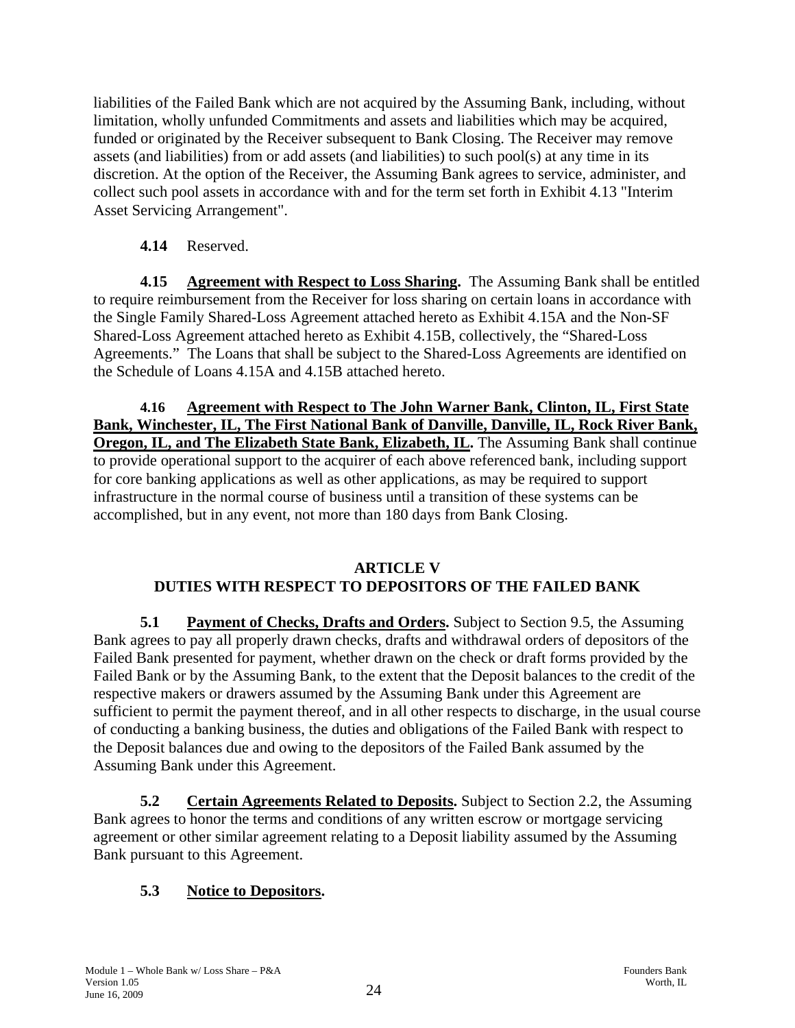liabilities of the Failed Bank which are not acquired by the Assuming Bank, including, without limitation, wholly unfunded Commitments and assets and liabilities which may be acquired, funded or originated by the Receiver subsequent to Bank Closing. The Receiver may remove assets (and liabilities) from or add assets (and liabilities) to such pool(s) at any time in its discretion. At the option of the Receiver, the Assuming Bank agrees to service, administer, and collect such pool assets in accordance with and for the term set forth in Exhibit 4.13 "Interim Asset Servicing Arrangement".

## **4.14** Reserved.

**4.15 Agreement with Respect to Loss Sharing.** The Assuming Bank shall be entitled to require reimbursement from the Receiver for loss sharing on certain loans in accordance with the Single Family Shared-Loss Agreement attached hereto as Exhibit 4.15A and the Non-SF Shared-Loss Agreement attached hereto as Exhibit 4.15B, collectively, the "Shared-Loss Agreements." The Loans that shall be subject to the Shared-Loss Agreements are identified on the Schedule of Loans 4.15A and 4.15B attached hereto.

**4.16 Agreement with Respect to The John Warner Bank, Clinton, IL, First State Bank, Winchester, IL, The First National Bank of Danville, Danville, IL, Rock River Bank, Oregon, IL, and The Elizabeth State Bank, Elizabeth, IL.** The Assuming Bank shall continue to provide operational support to the acquirer of each above referenced bank, including support for core banking applications as well as other applications, as may be required to support infrastructure in the normal course of business until a transition of these systems can be accomplished, but in any event, not more than 180 days from Bank Closing.

## **ARTICLE V DUTIES WITH RESPECT TO DEPOSITORS OF THE FAILED BANK**

 **5.1 Payment of Checks, Drafts and Orders.** Subject to Section 9.5, the Assuming Bank agrees to pay all properly drawn checks, drafts and withdrawal orders of depositors of the Failed Bank presented for payment, whether drawn on the check or draft forms provided by the Failed Bank or by the Assuming Bank, to the extent that the Deposit balances to the credit of the respective makers or drawers assumed by the Assuming Bank under this Agreement are sufficient to permit the payment thereof, and in all other respects to discharge, in the usual course of conducting a banking business, the duties and obligations of the Failed Bank with respect to the Deposit balances due and owing to the depositors of the Failed Bank assumed by the Assuming Bank under this Agreement.

**5.2 Certain Agreements Related to Deposits.** Subject to Section 2.2, the Assuming Bank agrees to honor the terms and conditions of any written escrow or mortgage servicing agreement or other similar agreement relating to a Deposit liability assumed by the Assuming Bank pursuant to this Agreement.

## **5.3 Notice to Depositors.**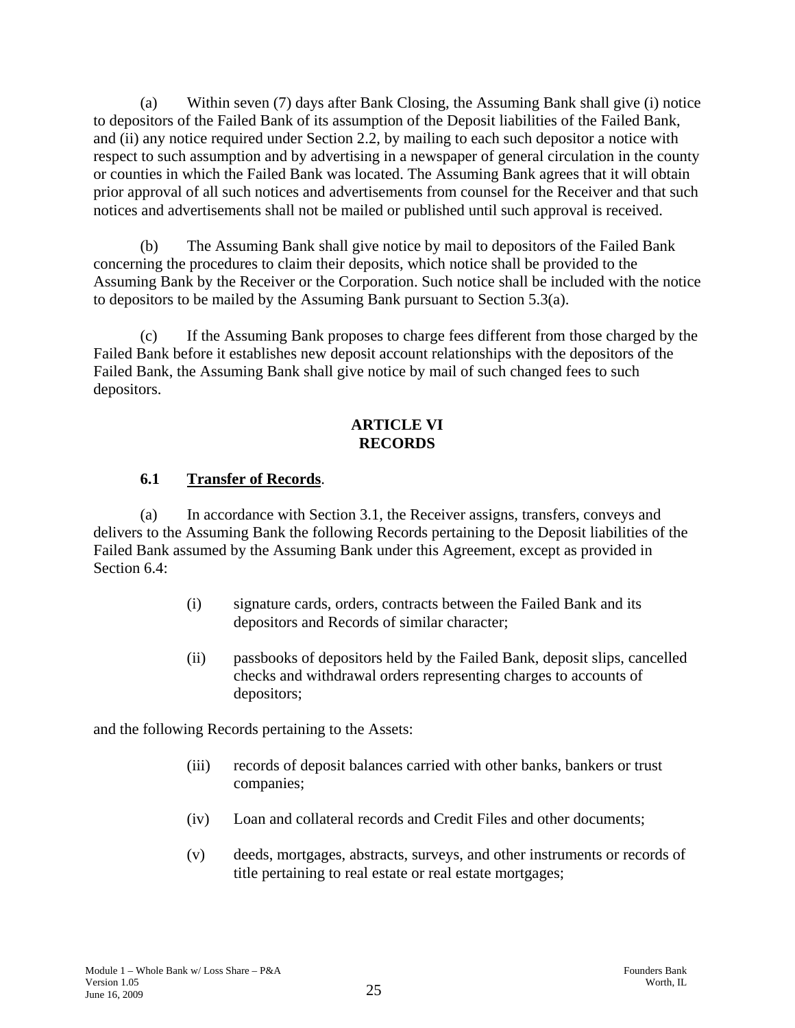(a) Within seven (7) days after Bank Closing, the Assuming Bank shall give (i) notice to depositors of the Failed Bank of its assumption of the Deposit liabilities of the Failed Bank, and (ii) any notice required under Section 2.2, by mailing to each such depositor a notice with respect to such assumption and by advertising in a newspaper of general circulation in the county or counties in which the Failed Bank was located. The Assuming Bank agrees that it will obtain prior approval of all such notices and advertisements from counsel for the Receiver and that such notices and advertisements shall not be mailed or published until such approval is received.

(b) The Assuming Bank shall give notice by mail to depositors of the Failed Bank concerning the procedures to claim their deposits, which notice shall be provided to the Assuming Bank by the Receiver or the Corporation. Such notice shall be included with the notice to depositors to be mailed by the Assuming Bank pursuant to Section 5.3(a).

(c) If the Assuming Bank proposes to charge fees different from those charged by the Failed Bank before it establishes new deposit account relationships with the depositors of the Failed Bank, the Assuming Bank shall give notice by mail of such changed fees to such depositors.

### **ARTICLE VI RECORDS**

## **6.1 Transfer of Records**.

(a) In accordance with Section 3.1, the Receiver assigns, transfers, conveys and delivers to the Assuming Bank the following Records pertaining to the Deposit liabilities of the Failed Bank assumed by the Assuming Bank under this Agreement, except as provided in Section 6.4:

- (i) signature cards, orders, contracts between the Failed Bank and its depositors and Records of similar character;
- (ii) passbooks of depositors held by the Failed Bank, deposit slips, cancelled checks and withdrawal orders representing charges to accounts of depositors;

and the following Records pertaining to the Assets:

- (iii) records of deposit balances carried with other banks, bankers or trust companies;
- (iv) Loan and collateral records and Credit Files and other documents;
- (v) deeds, mortgages, abstracts, surveys, and other instruments or records of title pertaining to real estate or real estate mortgages;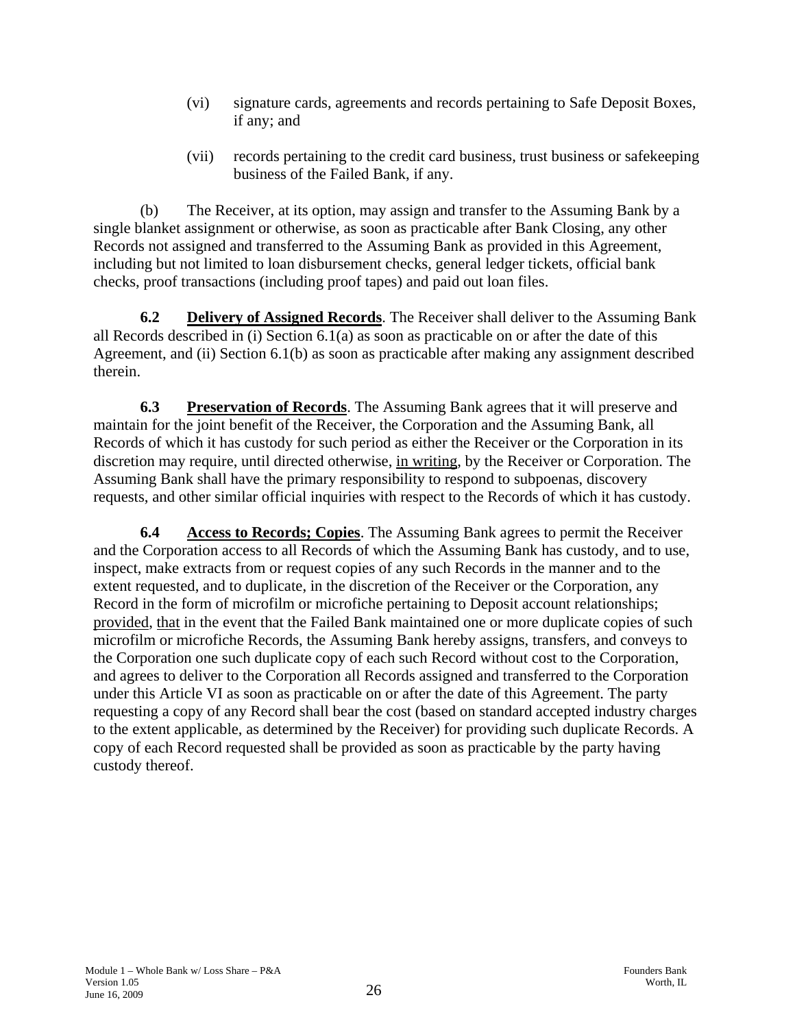- (vi) signature cards, agreements and records pertaining to Safe Deposit Boxes, if any; and
- (vii) records pertaining to the credit card business, trust business or safekeeping business of the Failed Bank, if any.

(b) The Receiver, at its option, may assign and transfer to the Assuming Bank by a single blanket assignment or otherwise, as soon as practicable after Bank Closing, any other Records not assigned and transferred to the Assuming Bank as provided in this Agreement, including but not limited to loan disbursement checks, general ledger tickets, official bank checks, proof transactions (including proof tapes) and paid out loan files.

**6.2 Delivery of Assigned Records**. The Receiver shall deliver to the Assuming Bank all Records described in (i) Section 6.1(a) as soon as practicable on or after the date of this Agreement, and (ii) Section 6.1(b) as soon as practicable after making any assignment described therein.

**6.3 Preservation of Records**. The Assuming Bank agrees that it will preserve and maintain for the joint benefit of the Receiver, the Corporation and the Assuming Bank, all Records of which it has custody for such period as either the Receiver or the Corporation in its discretion may require, until directed otherwise, in writing, by the Receiver or Corporation. The Assuming Bank shall have the primary responsibility to respond to subpoenas, discovery requests, and other similar official inquiries with respect to the Records of which it has custody.

**6.4 Access to Records; Copies**. The Assuming Bank agrees to permit the Receiver and the Corporation access to all Records of which the Assuming Bank has custody, and to use, inspect, make extracts from or request copies of any such Records in the manner and to the extent requested, and to duplicate, in the discretion of the Receiver or the Corporation, any Record in the form of microfilm or microfiche pertaining to Deposit account relationships; provided, that in the event that the Failed Bank maintained one or more duplicate copies of such microfilm or microfiche Records, the Assuming Bank hereby assigns, transfers, and conveys to the Corporation one such duplicate copy of each such Record without cost to the Corporation, and agrees to deliver to the Corporation all Records assigned and transferred to the Corporation under this Article VI as soon as practicable on or after the date of this Agreement. The party requesting a copy of any Record shall bear the cost (based on standard accepted industry charges to the extent applicable, as determined by the Receiver) for providing such duplicate Records. A copy of each Record requested shall be provided as soon as practicable by the party having custody thereof.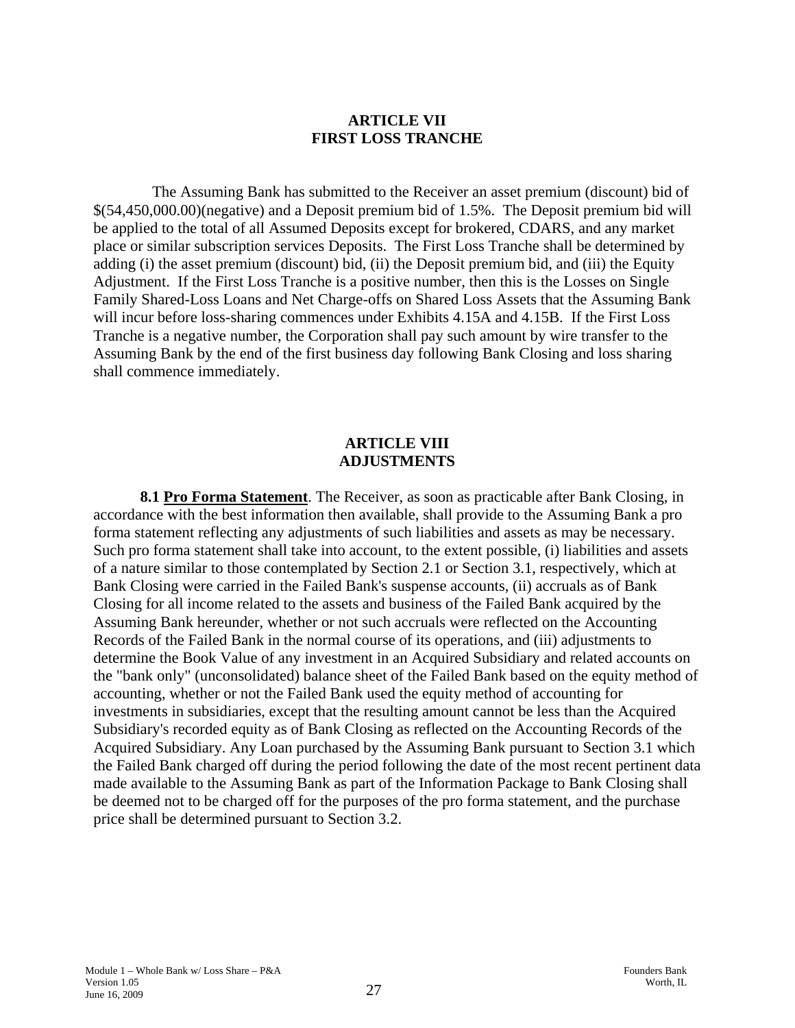### **ARTICLE VII FIRST LOSS TRANCHE**

 The Assuming Bank has submitted to the Receiver an asset premium (discount) bid of \$(54,450,000.00)(negative) and a Deposit premium bid of 1.5%. The Deposit premium bid will be applied to the total of all Assumed Deposits except for brokered, CDARS, and any market place or similar subscription services Deposits. The First Loss Tranche shall be determined by adding (i) the asset premium (discount) bid, (ii) the Deposit premium bid, and (iii) the Equity Adjustment. If the First Loss Tranche is a positive number, then this is the Losses on Single Family Shared-Loss Loans and Net Charge-offs on Shared Loss Assets that the Assuming Bank will incur before loss-sharing commences under Exhibits 4.15A and 4.15B. If the First Loss Tranche is a negative number, the Corporation shall pay such amount by wire transfer to the Assuming Bank by the end of the first business day following Bank Closing and loss sharing shall commence immediately.

#### **ARTICLE VIII ADJUSTMENTS**

**8.1 Pro Forma Statement**. The Receiver, as soon as practicable after Bank Closing, in accordance with the best information then available, shall provide to the Assuming Bank a pro forma statement reflecting any adjustments of such liabilities and assets as may be necessary. Such pro forma statement shall take into account, to the extent possible, (i) liabilities and assets of a nature similar to those contemplated by Section 2.1 or Section 3.1, respectively, which at Bank Closing were carried in the Failed Bank's suspense accounts, (ii) accruals as of Bank Closing for all income related to the assets and business of the Failed Bank acquired by the Assuming Bank hereunder, whether or not such accruals were reflected on the Accounting Records of the Failed Bank in the normal course of its operations, and (iii) adjustments to determine the Book Value of any investment in an Acquired Subsidiary and related accounts on the "bank only" (unconsolidated) balance sheet of the Failed Bank based on the equity method of accounting, whether or not the Failed Bank used the equity method of accounting for investments in subsidiaries, except that the resulting amount cannot be less than the Acquired Subsidiary's recorded equity as of Bank Closing as reflected on the Accounting Records of the Acquired Subsidiary. Any Loan purchased by the Assuming Bank pursuant to Section 3.1 which the Failed Bank charged off during the period following the date of the most recent pertinent data made available to the Assuming Bank as part of the Information Package to Bank Closing shall be deemed not to be charged off for the purposes of the pro forma statement, and the purchase price shall be determined pursuant to Section 3.2.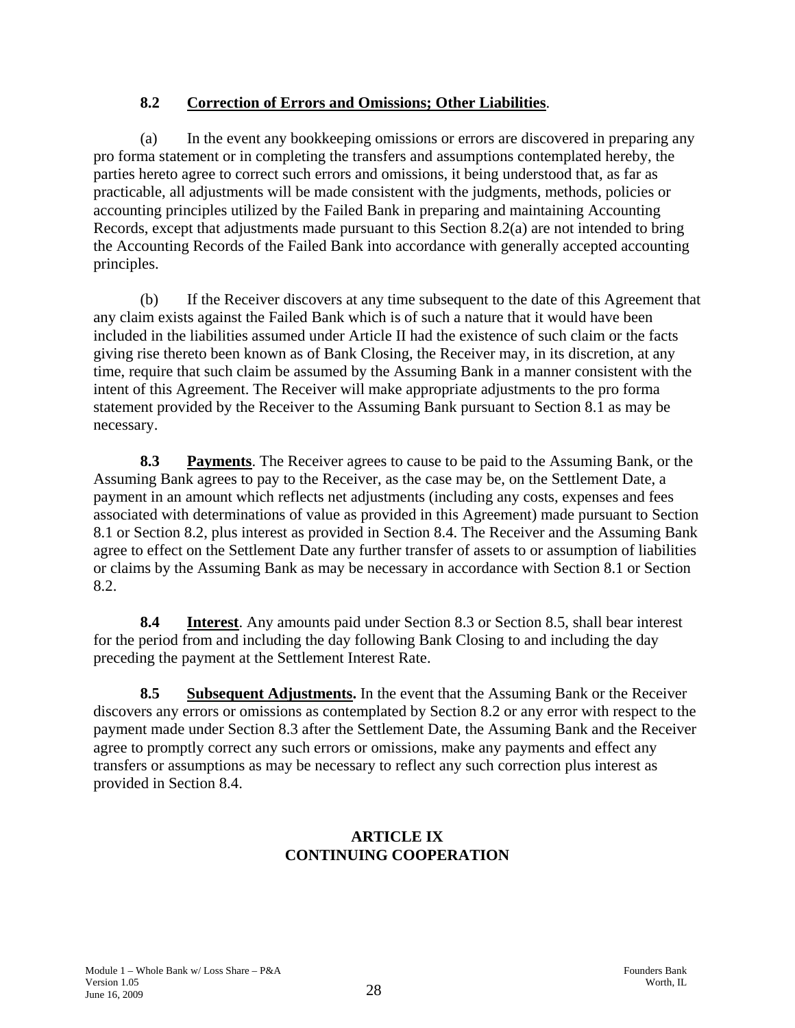## **8.2 Correction of Errors and Omissions; Other Liabilities**.

(a) In the event any bookkeeping omissions or errors are discovered in preparing any pro forma statement or in completing the transfers and assumptions contemplated hereby, the parties hereto agree to correct such errors and omissions, it being understood that, as far as practicable, all adjustments will be made consistent with the judgments, methods, policies or accounting principles utilized by the Failed Bank in preparing and maintaining Accounting Records, except that adjustments made pursuant to this Section 8.2(a) are not intended to bring the Accounting Records of the Failed Bank into accordance with generally accepted accounting principles.

(b) If the Receiver discovers at any time subsequent to the date of this Agreement that any claim exists against the Failed Bank which is of such a nature that it would have been included in the liabilities assumed under Article II had the existence of such claim or the facts giving rise thereto been known as of Bank Closing, the Receiver may, in its discretion, at any time, require that such claim be assumed by the Assuming Bank in a manner consistent with the intent of this Agreement. The Receiver will make appropriate adjustments to the pro forma statement provided by the Receiver to the Assuming Bank pursuant to Section 8.1 as may be necessary.

**8.3 Payments**. The Receiver agrees to cause to be paid to the Assuming Bank, or the Assuming Bank agrees to pay to the Receiver, as the case may be, on the Settlement Date, a payment in an amount which reflects net adjustments (including any costs, expenses and fees associated with determinations of value as provided in this Agreement) made pursuant to Section 8.1 or Section 8.2, plus interest as provided in Section 8.4. The Receiver and the Assuming Bank agree to effect on the Settlement Date any further transfer of assets to or assumption of liabilities or claims by the Assuming Bank as may be necessary in accordance with Section 8.1 or Section 8.2.

**8.4 Interest**. Any amounts paid under Section 8.3 or Section 8.5, shall bear interest for the period from and including the day following Bank Closing to and including the day preceding the payment at the Settlement Interest Rate.

**8.5 Subsequent Adjustments.** In the event that the Assuming Bank or the Receiver discovers any errors or omissions as contemplated by Section 8.2 or any error with respect to the payment made under Section 8.3 after the Settlement Date, the Assuming Bank and the Receiver agree to promptly correct any such errors or omissions, make any payments and effect any transfers or assumptions as may be necessary to reflect any such correction plus interest as provided in Section 8.4.

## **ARTICLE IX CONTINUING COOPERATION**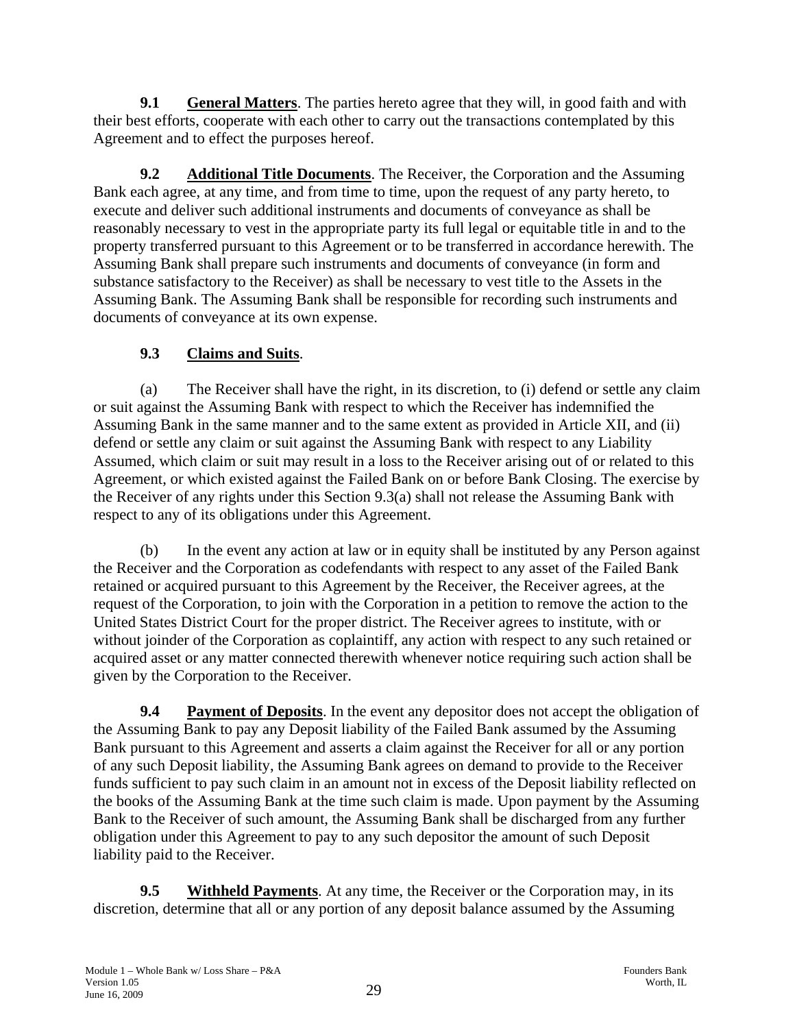**9.1** General Matters. The parties hereto agree that they will, in good faith and with their best efforts, cooperate with each other to carry out the transactions contemplated by this Agreement and to effect the purposes hereof.

**9.2 Additional Title Documents**. The Receiver, the Corporation and the Assuming Bank each agree, at any time, and from time to time, upon the request of any party hereto, to execute and deliver such additional instruments and documents of conveyance as shall be reasonably necessary to vest in the appropriate party its full legal or equitable title in and to the property transferred pursuant to this Agreement or to be transferred in accordance herewith. The Assuming Bank shall prepare such instruments and documents of conveyance (in form and substance satisfactory to the Receiver) as shall be necessary to vest title to the Assets in the Assuming Bank. The Assuming Bank shall be responsible for recording such instruments and documents of conveyance at its own expense.

# **9.3 Claims and Suits**.

(a) The Receiver shall have the right, in its discretion, to (i) defend or settle any claim or suit against the Assuming Bank with respect to which the Receiver has indemnified the Assuming Bank in the same manner and to the same extent as provided in Article XII, and (ii) defend or settle any claim or suit against the Assuming Bank with respect to any Liability Assumed, which claim or suit may result in a loss to the Receiver arising out of or related to this Agreement, or which existed against the Failed Bank on or before Bank Closing. The exercise by the Receiver of any rights under this Section 9.3(a) shall not release the Assuming Bank with respect to any of its obligations under this Agreement.

(b) In the event any action at law or in equity shall be instituted by any Person against the Receiver and the Corporation as codefendants with respect to any asset of the Failed Bank retained or acquired pursuant to this Agreement by the Receiver, the Receiver agrees, at the request of the Corporation, to join with the Corporation in a petition to remove the action to the United States District Court for the proper district. The Receiver agrees to institute, with or without joinder of the Corporation as coplaintiff, any action with respect to any such retained or acquired asset or any matter connected therewith whenever notice requiring such action shall be given by the Corporation to the Receiver.

**9.4 Payment of Deposits**. In the event any depositor does not accept the obligation of the Assuming Bank to pay any Deposit liability of the Failed Bank assumed by the Assuming Bank pursuant to this Agreement and asserts a claim against the Receiver for all or any portion of any such Deposit liability, the Assuming Bank agrees on demand to provide to the Receiver funds sufficient to pay such claim in an amount not in excess of the Deposit liability reflected on the books of the Assuming Bank at the time such claim is made. Upon payment by the Assuming Bank to the Receiver of such amount, the Assuming Bank shall be discharged from any further obligation under this Agreement to pay to any such depositor the amount of such Deposit liability paid to the Receiver.

**9.5 Withheld Payments**. At any time, the Receiver or the Corporation may, in its discretion, determine that all or any portion of any deposit balance assumed by the Assuming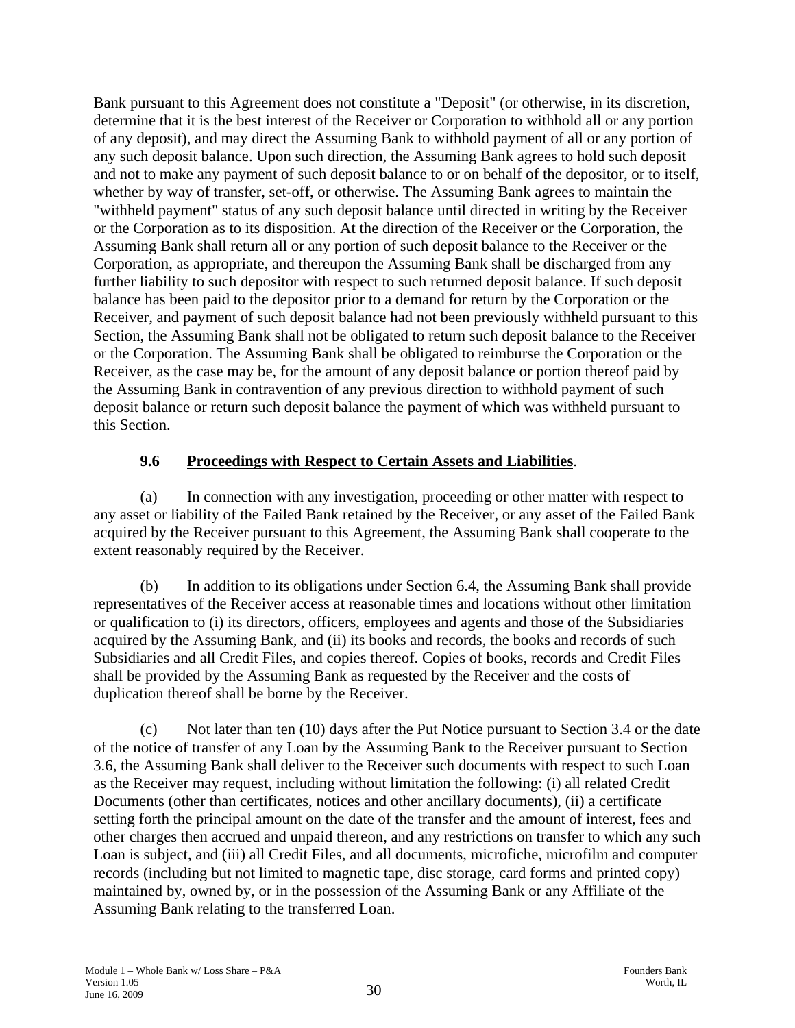Bank pursuant to this Agreement does not constitute a "Deposit" (or otherwise, in its discretion, determine that it is the best interest of the Receiver or Corporation to withhold all or any portion of any deposit), and may direct the Assuming Bank to withhold payment of all or any portion of any such deposit balance. Upon such direction, the Assuming Bank agrees to hold such deposit and not to make any payment of such deposit balance to or on behalf of the depositor, or to itself, whether by way of transfer, set-off, or otherwise. The Assuming Bank agrees to maintain the "withheld payment" status of any such deposit balance until directed in writing by the Receiver or the Corporation as to its disposition. At the direction of the Receiver or the Corporation, the Assuming Bank shall return all or any portion of such deposit balance to the Receiver or the Corporation, as appropriate, and thereupon the Assuming Bank shall be discharged from any further liability to such depositor with respect to such returned deposit balance. If such deposit balance has been paid to the depositor prior to a demand for return by the Corporation or the Receiver, and payment of such deposit balance had not been previously withheld pursuant to this Section, the Assuming Bank shall not be obligated to return such deposit balance to the Receiver or the Corporation. The Assuming Bank shall be obligated to reimburse the Corporation or the Receiver, as the case may be, for the amount of any deposit balance or portion thereof paid by the Assuming Bank in contravention of any previous direction to withhold payment of such deposit balance or return such deposit balance the payment of which was withheld pursuant to this Section.

### **9.6 Proceedings with Respect to Certain Assets and Liabilities**.

(a) In connection with any investigation, proceeding or other matter with respect to any asset or liability of the Failed Bank retained by the Receiver, or any asset of the Failed Bank acquired by the Receiver pursuant to this Agreement, the Assuming Bank shall cooperate to the extent reasonably required by the Receiver.

(b) In addition to its obligations under Section 6.4, the Assuming Bank shall provide representatives of the Receiver access at reasonable times and locations without other limitation or qualification to (i) its directors, officers, employees and agents and those of the Subsidiaries acquired by the Assuming Bank, and (ii) its books and records, the books and records of such Subsidiaries and all Credit Files, and copies thereof. Copies of books, records and Credit Files shall be provided by the Assuming Bank as requested by the Receiver and the costs of duplication thereof shall be borne by the Receiver.

(c) Not later than ten (10) days after the Put Notice pursuant to Section 3.4 or the date of the notice of transfer of any Loan by the Assuming Bank to the Receiver pursuant to Section 3.6, the Assuming Bank shall deliver to the Receiver such documents with respect to such Loan as the Receiver may request, including without limitation the following: (i) all related Credit Documents (other than certificates, notices and other ancillary documents), (ii) a certificate setting forth the principal amount on the date of the transfer and the amount of interest, fees and other charges then accrued and unpaid thereon, and any restrictions on transfer to which any such Loan is subject, and (iii) all Credit Files, and all documents, microfiche, microfilm and computer records (including but not limited to magnetic tape, disc storage, card forms and printed copy) maintained by, owned by, or in the possession of the Assuming Bank or any Affiliate of the Assuming Bank relating to the transferred Loan.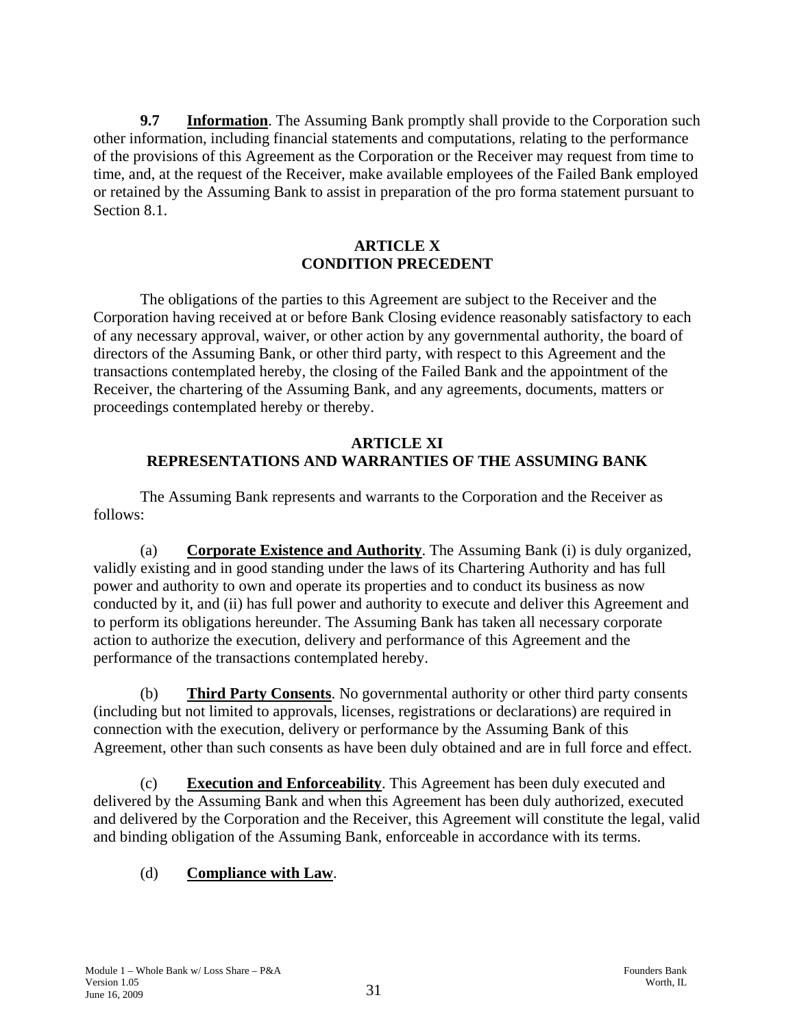**9.7** Information. The Assuming Bank promptly shall provide to the Corporation such other information, including financial statements and computations, relating to the performance of the provisions of this Agreement as the Corporation or the Receiver may request from time to time, and, at the request of the Receiver, make available employees of the Failed Bank employed or retained by the Assuming Bank to assist in preparation of the pro forma statement pursuant to Section 8.1.

### **ARTICLE X CONDITION PRECEDENT**

The obligations of the parties to this Agreement are subject to the Receiver and the Corporation having received at or before Bank Closing evidence reasonably satisfactory to each of any necessary approval, waiver, or other action by any governmental authority, the board of directors of the Assuming Bank, or other third party, with respect to this Agreement and the transactions contemplated hereby, the closing of the Failed Bank and the appointment of the Receiver, the chartering of the Assuming Bank, and any agreements, documents, matters or proceedings contemplated hereby or thereby.

## **ARTICLE XI REPRESENTATIONS AND WARRANTIES OF THE ASSUMING BANK**

The Assuming Bank represents and warrants to the Corporation and the Receiver as follows:

(a) **Corporate Existence and Authority**. The Assuming Bank (i) is duly organized, validly existing and in good standing under the laws of its Chartering Authority and has full power and authority to own and operate its properties and to conduct its business as now conducted by it, and (ii) has full power and authority to execute and deliver this Agreement and to perform its obligations hereunder. The Assuming Bank has taken all necessary corporate action to authorize the execution, delivery and performance of this Agreement and the performance of the transactions contemplated hereby.

(b) **Third Party Consents**. No governmental authority or other third party consents (including but not limited to approvals, licenses, registrations or declarations) are required in connection with the execution, delivery or performance by the Assuming Bank of this Agreement, other than such consents as have been duly obtained and are in full force and effect.

(c) **Execution and Enforceability**. This Agreement has been duly executed and delivered by the Assuming Bank and when this Agreement has been duly authorized, executed and delivered by the Corporation and the Receiver, this Agreement will constitute the legal, valid and binding obligation of the Assuming Bank, enforceable in accordance with its terms.

## (d) **Compliance with Law**.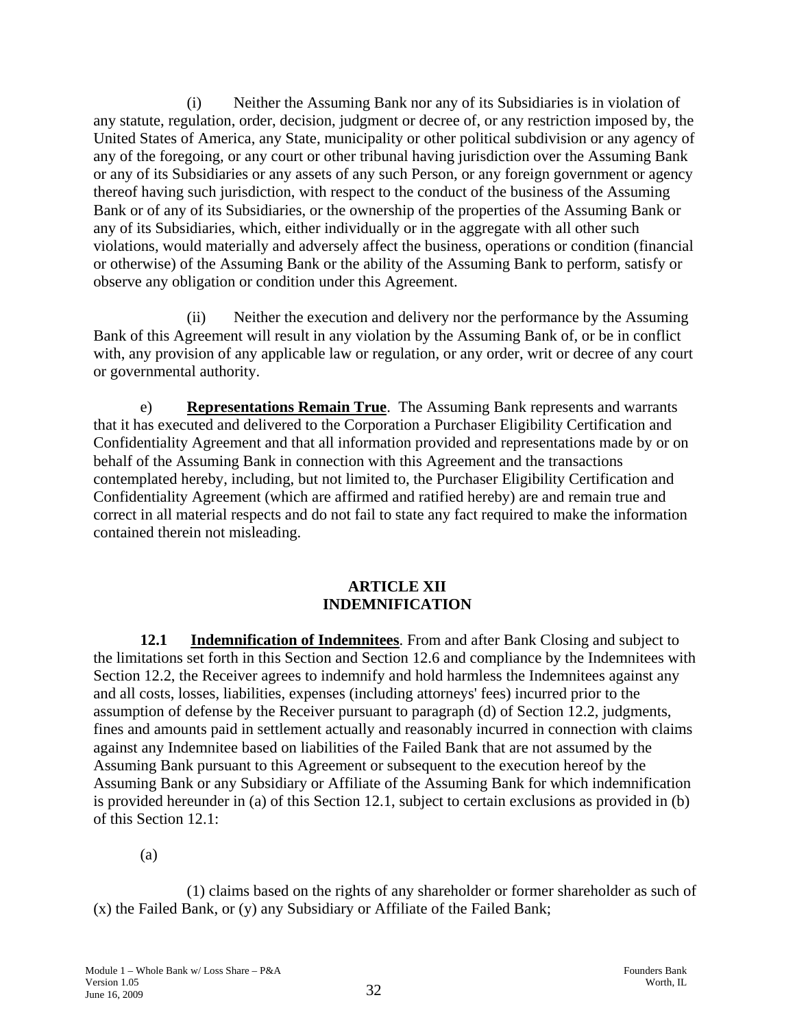(i) Neither the Assuming Bank nor any of its Subsidiaries is in violation of any statute, regulation, order, decision, judgment or decree of, or any restriction imposed by, the United States of America, any State, municipality or other political subdivision or any agency of any of the foregoing, or any court or other tribunal having jurisdiction over the Assuming Bank or any of its Subsidiaries or any assets of any such Person, or any foreign government or agency thereof having such jurisdiction, with respect to the conduct of the business of the Assuming Bank or of any of its Subsidiaries, or the ownership of the properties of the Assuming Bank or any of its Subsidiaries, which, either individually or in the aggregate with all other such violations, would materially and adversely affect the business, operations or condition (financial or otherwise) of the Assuming Bank or the ability of the Assuming Bank to perform, satisfy or observe any obligation or condition under this Agreement.

(ii) Neither the execution and delivery nor the performance by the Assuming Bank of this Agreement will result in any violation by the Assuming Bank of, or be in conflict with, any provision of any applicable law or regulation, or any order, writ or decree of any court or governmental authority.

e) **Representations Remain True**. The Assuming Bank represents and warrants that it has executed and delivered to the Corporation a Purchaser Eligibility Certification and Confidentiality Agreement and that all information provided and representations made by or on behalf of the Assuming Bank in connection with this Agreement and the transactions contemplated hereby, including, but not limited to, the Purchaser Eligibility Certification and Confidentiality Agreement (which are affirmed and ratified hereby) are and remain true and correct in all material respects and do not fail to state any fact required to make the information contained therein not misleading.

#### **ARTICLE XII INDEMNIFICATION**

**12.1 Indemnification of Indemnitees**. From and after Bank Closing and subject to the limitations set forth in this Section and Section 12.6 and compliance by the Indemnitees with Section 12.2, the Receiver agrees to indemnify and hold harmless the Indemnitees against any and all costs, losses, liabilities, expenses (including attorneys' fees) incurred prior to the assumption of defense by the Receiver pursuant to paragraph (d) of Section 12.2, judgments, fines and amounts paid in settlement actually and reasonably incurred in connection with claims against any Indemnitee based on liabilities of the Failed Bank that are not assumed by the Assuming Bank pursuant to this Agreement or subsequent to the execution hereof by the Assuming Bank or any Subsidiary or Affiliate of the Assuming Bank for which indemnification is provided hereunder in (a) of this Section 12.1, subject to certain exclusions as provided in (b) of this Section 12.1:

(a)

(1) claims based on the rights of any shareholder or former shareholder as such of (x) the Failed Bank, or (y) any Subsidiary or Affiliate of the Failed Bank;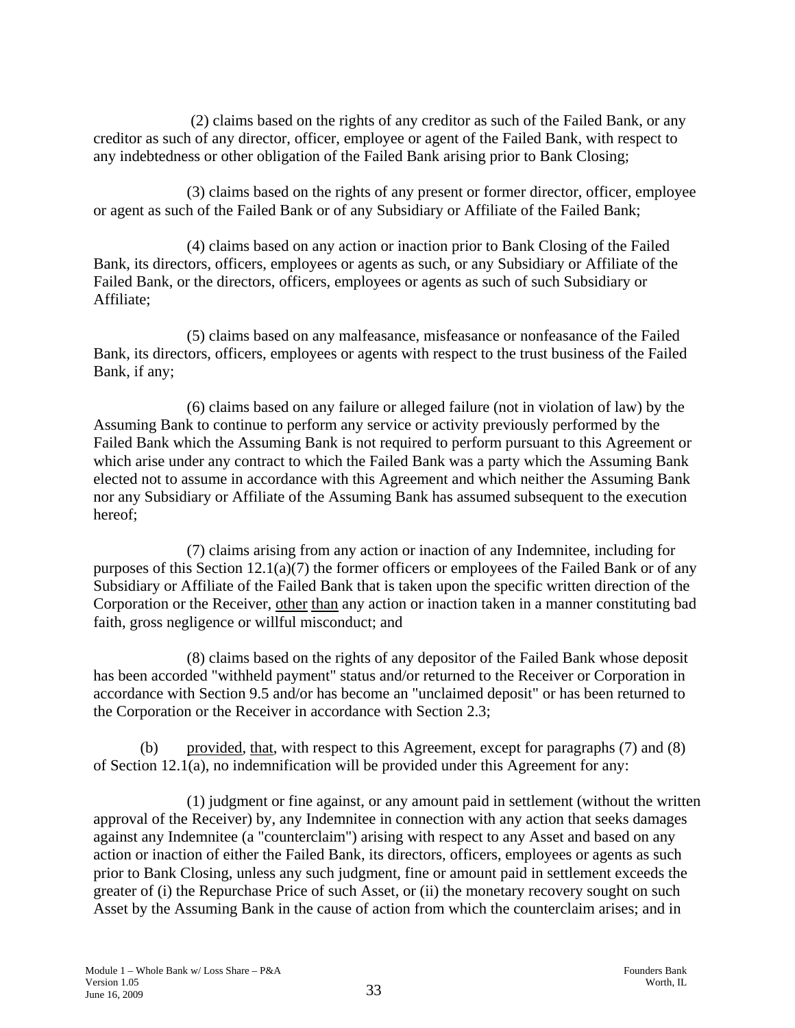(2) claims based on the rights of any creditor as such of the Failed Bank, or any creditor as such of any director, officer, employee or agent of the Failed Bank, with respect to any indebtedness or other obligation of the Failed Bank arising prior to Bank Closing;

(3) claims based on the rights of any present or former director, officer, employee or agent as such of the Failed Bank or of any Subsidiary or Affiliate of the Failed Bank;

(4) claims based on any action or inaction prior to Bank Closing of the Failed Bank, its directors, officers, employees or agents as such, or any Subsidiary or Affiliate of the Failed Bank, or the directors, officers, employees or agents as such of such Subsidiary or Affiliate;

(5) claims based on any malfeasance, misfeasance or nonfeasance of the Failed Bank, its directors, officers, employees or agents with respect to the trust business of the Failed Bank, if any;

(6) claims based on any failure or alleged failure (not in violation of law) by the Assuming Bank to continue to perform any service or activity previously performed by the Failed Bank which the Assuming Bank is not required to perform pursuant to this Agreement or which arise under any contract to which the Failed Bank was a party which the Assuming Bank elected not to assume in accordance with this Agreement and which neither the Assuming Bank nor any Subsidiary or Affiliate of the Assuming Bank has assumed subsequent to the execution hereof;

(7) claims arising from any action or inaction of any Indemnitee, including for purposes of this Section 12.1(a)(7) the former officers or employees of the Failed Bank or of any Subsidiary or Affiliate of the Failed Bank that is taken upon the specific written direction of the Corporation or the Receiver, other than any action or inaction taken in a manner constituting bad faith, gross negligence or willful misconduct; and

(8) claims based on the rights of any depositor of the Failed Bank whose deposit has been accorded "withheld payment" status and/or returned to the Receiver or Corporation in accordance with Section 9.5 and/or has become an "unclaimed deposit" or has been returned to the Corporation or the Receiver in accordance with Section 2.3;

(b) provided, that, with respect to this Agreement, except for paragraphs (7) and (8) of Section 12.1(a), no indemnification will be provided under this Agreement for any:

(1) judgment or fine against, or any amount paid in settlement (without the written approval of the Receiver) by, any Indemnitee in connection with any action that seeks damages against any Indemnitee (a "counterclaim") arising with respect to any Asset and based on any action or inaction of either the Failed Bank, its directors, officers, employees or agents as such prior to Bank Closing, unless any such judgment, fine or amount paid in settlement exceeds the greater of (i) the Repurchase Price of such Asset, or (ii) the monetary recovery sought on such Asset by the Assuming Bank in the cause of action from which the counterclaim arises; and in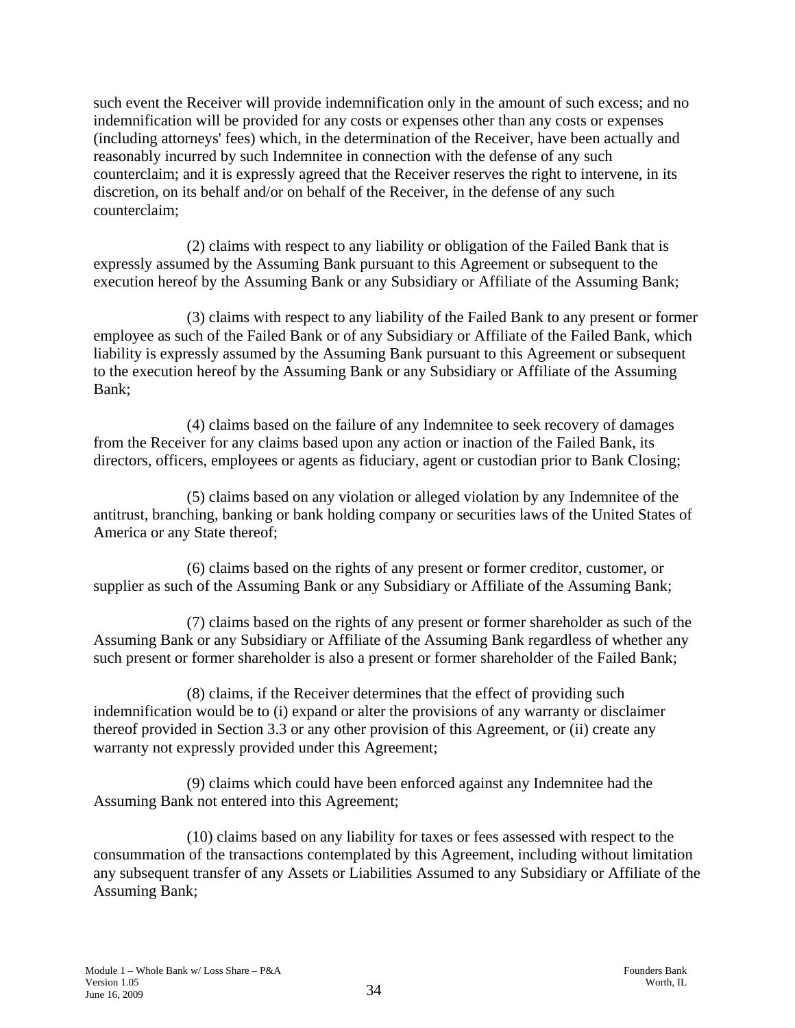such event the Receiver will provide indemnification only in the amount of such excess; and no indemnification will be provided for any costs or expenses other than any costs or expenses (including attorneys' fees) which, in the determination of the Receiver, have been actually and reasonably incurred by such Indemnitee in connection with the defense of any such counterclaim; and it is expressly agreed that the Receiver reserves the right to intervene, in its discretion, on its behalf and/or on behalf of the Receiver, in the defense of any such counterclaim;

(2) claims with respect to any liability or obligation of the Failed Bank that is expressly assumed by the Assuming Bank pursuant to this Agreement or subsequent to the execution hereof by the Assuming Bank or any Subsidiary or Affiliate of the Assuming Bank;

(3) claims with respect to any liability of the Failed Bank to any present or former employee as such of the Failed Bank or of any Subsidiary or Affiliate of the Failed Bank, which liability is expressly assumed by the Assuming Bank pursuant to this Agreement or subsequent to the execution hereof by the Assuming Bank or any Subsidiary or Affiliate of the Assuming Bank;

(4) claims based on the failure of any Indemnitee to seek recovery of damages from the Receiver for any claims based upon any action or inaction of the Failed Bank, its directors, officers, employees or agents as fiduciary, agent or custodian prior to Bank Closing;

(5) claims based on any violation or alleged violation by any Indemnitee of the antitrust, branching, banking or bank holding company or securities laws of the United States of America or any State thereof;

(6) claims based on the rights of any present or former creditor, customer, or supplier as such of the Assuming Bank or any Subsidiary or Affiliate of the Assuming Bank;

(7) claims based on the rights of any present or former shareholder as such of the Assuming Bank or any Subsidiary or Affiliate of the Assuming Bank regardless of whether any such present or former shareholder is also a present or former shareholder of the Failed Bank;

(8) claims, if the Receiver determines that the effect of providing such indemnification would be to (i) expand or alter the provisions of any warranty or disclaimer thereof provided in Section 3.3 or any other provision of this Agreement, or (ii) create any warranty not expressly provided under this Agreement;

(9) claims which could have been enforced against any Indemnitee had the Assuming Bank not entered into this Agreement;

(10) claims based on any liability for taxes or fees assessed with respect to the consummation of the transactions contemplated by this Agreement, including without limitation any subsequent transfer of any Assets or Liabilities Assumed to any Subsidiary or Affiliate of the Assuming Bank;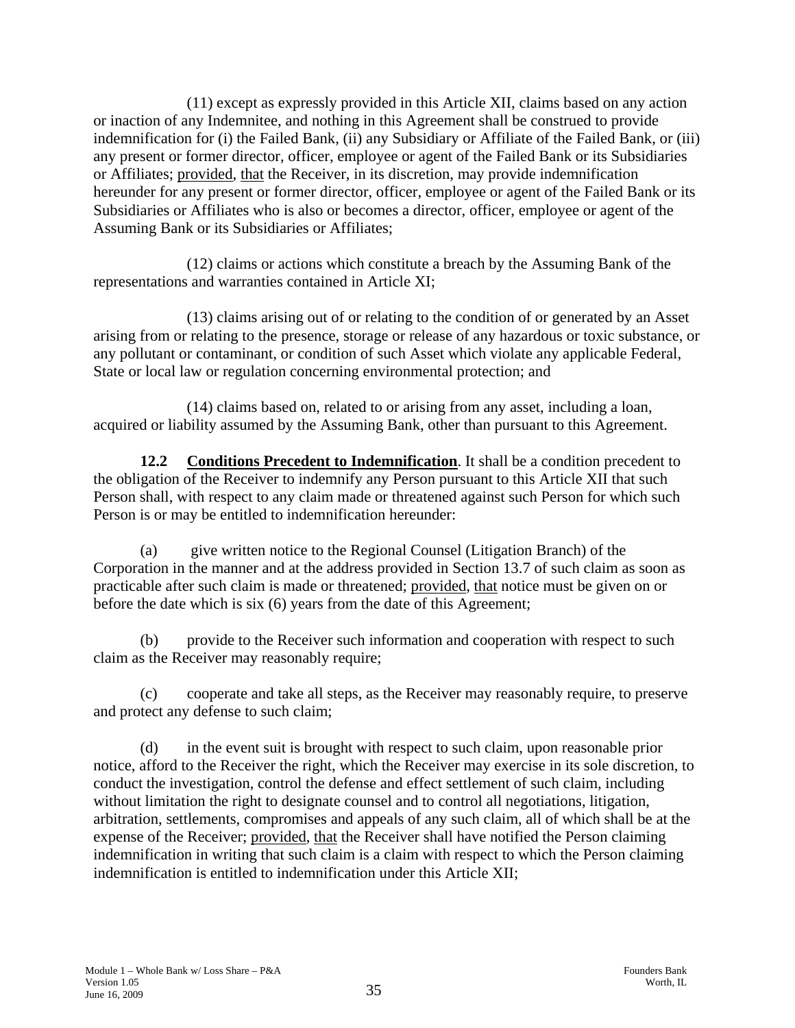(11) except as expressly provided in this Article XII, claims based on any action or inaction of any Indemnitee, and nothing in this Agreement shall be construed to provide indemnification for (i) the Failed Bank, (ii) any Subsidiary or Affiliate of the Failed Bank, or (iii) any present or former director, officer, employee or agent of the Failed Bank or its Subsidiaries or Affiliates; provided, that the Receiver, in its discretion, may provide indemnification hereunder for any present or former director, officer, employee or agent of the Failed Bank or its Subsidiaries or Affiliates who is also or becomes a director, officer, employee or agent of the Assuming Bank or its Subsidiaries or Affiliates;

(12) claims or actions which constitute a breach by the Assuming Bank of the representations and warranties contained in Article XI;

(13) claims arising out of or relating to the condition of or generated by an Asset arising from or relating to the presence, storage or release of any hazardous or toxic substance, or any pollutant or contaminant, or condition of such Asset which violate any applicable Federal, State or local law or regulation concerning environmental protection; and

(14) claims based on, related to or arising from any asset, including a loan, acquired or liability assumed by the Assuming Bank, other than pursuant to this Agreement.

**12.2 Conditions Precedent to Indemnification**. It shall be a condition precedent to the obligation of the Receiver to indemnify any Person pursuant to this Article XII that such Person shall, with respect to any claim made or threatened against such Person for which such Person is or may be entitled to indemnification hereunder:

(a) give written notice to the Regional Counsel (Litigation Branch) of the Corporation in the manner and at the address provided in Section 13.7 of such claim as soon as practicable after such claim is made or threatened; provided, that notice must be given on or before the date which is six (6) years from the date of this Agreement;

(b) provide to the Receiver such information and cooperation with respect to such claim as the Receiver may reasonably require;

(c) cooperate and take all steps, as the Receiver may reasonably require, to preserve and protect any defense to such claim;

(d) in the event suit is brought with respect to such claim, upon reasonable prior notice, afford to the Receiver the right, which the Receiver may exercise in its sole discretion, to conduct the investigation, control the defense and effect settlement of such claim, including without limitation the right to designate counsel and to control all negotiations, litigation, arbitration, settlements, compromises and appeals of any such claim, all of which shall be at the expense of the Receiver; provided, that the Receiver shall have notified the Person claiming indemnification in writing that such claim is a claim with respect to which the Person claiming indemnification is entitled to indemnification under this Article XII;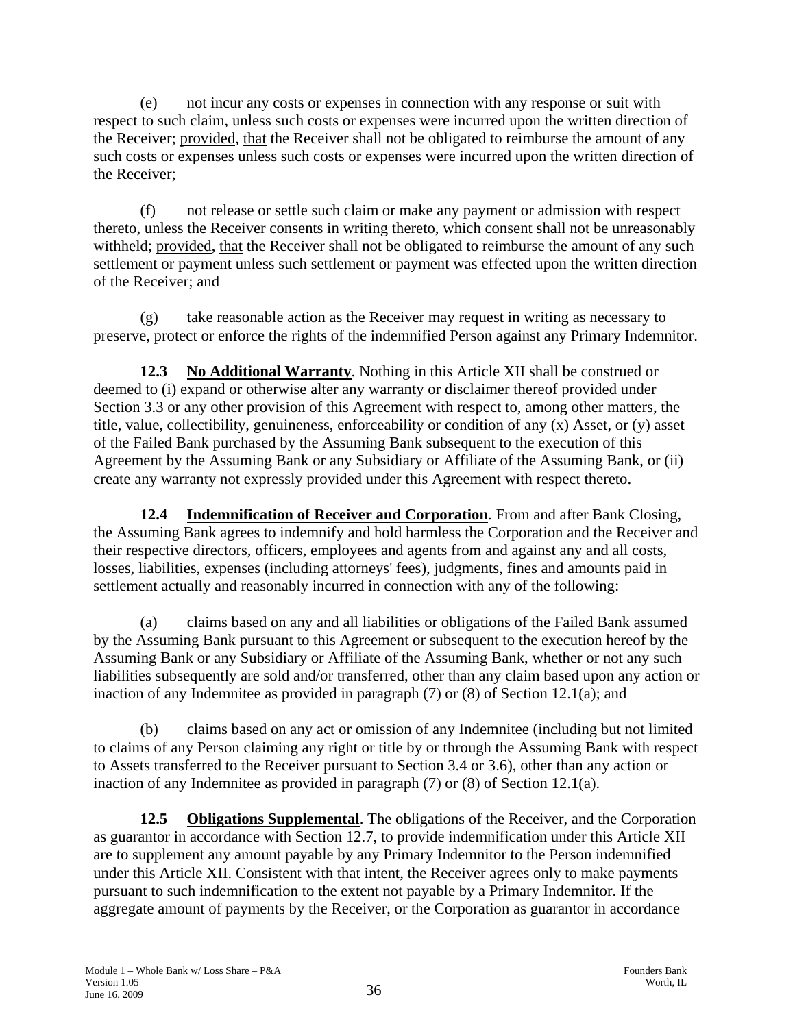(e) not incur any costs or expenses in connection with any response or suit with respect to such claim, unless such costs or expenses were incurred upon the written direction of the Receiver; provided, that the Receiver shall not be obligated to reimburse the amount of any such costs or expenses unless such costs or expenses were incurred upon the written direction of the Receiver;

(f) not release or settle such claim or make any payment or admission with respect thereto, unless the Receiver consents in writing thereto, which consent shall not be unreasonably withheld; provided, that the Receiver shall not be obligated to reimburse the amount of any such settlement or payment unless such settlement or payment was effected upon the written direction of the Receiver; and

(g) take reasonable action as the Receiver may request in writing as necessary to preserve, protect or enforce the rights of the indemnified Person against any Primary Indemnitor.

**12.3 No Additional Warranty**. Nothing in this Article XII shall be construed or deemed to (i) expand or otherwise alter any warranty or disclaimer thereof provided under Section 3.3 or any other provision of this Agreement with respect to, among other matters, the title, value, collectibility, genuineness, enforceability or condition of any (x) Asset, or (y) asset of the Failed Bank purchased by the Assuming Bank subsequent to the execution of this Agreement by the Assuming Bank or any Subsidiary or Affiliate of the Assuming Bank, or (ii) create any warranty not expressly provided under this Agreement with respect thereto.

**12.4 Indemnification of Receiver and Corporation**. From and after Bank Closing, the Assuming Bank agrees to indemnify and hold harmless the Corporation and the Receiver and their respective directors, officers, employees and agents from and against any and all costs, losses, liabilities, expenses (including attorneys' fees), judgments, fines and amounts paid in settlement actually and reasonably incurred in connection with any of the following:

(a) claims based on any and all liabilities or obligations of the Failed Bank assumed by the Assuming Bank pursuant to this Agreement or subsequent to the execution hereof by the Assuming Bank or any Subsidiary or Affiliate of the Assuming Bank, whether or not any such liabilities subsequently are sold and/or transferred, other than any claim based upon any action or inaction of any Indemnitee as provided in paragraph (7) or (8) of Section 12.1(a); and

(b) claims based on any act or omission of any Indemnitee (including but not limited to claims of any Person claiming any right or title by or through the Assuming Bank with respect to Assets transferred to the Receiver pursuant to Section 3.4 or 3.6), other than any action or inaction of any Indemnitee as provided in paragraph (7) or (8) of Section 12.1(a).

**12.5 Obligations Supplemental**. The obligations of the Receiver, and the Corporation as guarantor in accordance with Section 12.7, to provide indemnification under this Article XII are to supplement any amount payable by any Primary Indemnitor to the Person indemnified under this Article XII. Consistent with that intent, the Receiver agrees only to make payments pursuant to such indemnification to the extent not payable by a Primary Indemnitor. If the aggregate amount of payments by the Receiver, or the Corporation as guarantor in accordance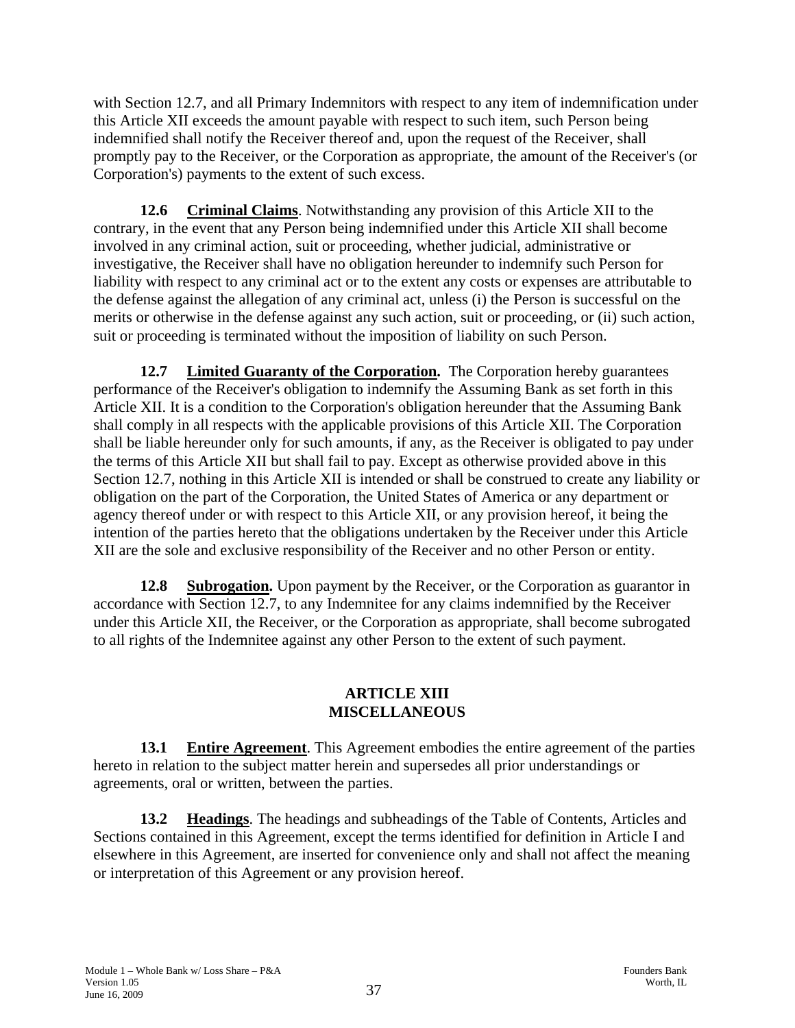with Section 12.7, and all Primary Indemnitors with respect to any item of indemnification under this Article XII exceeds the amount payable with respect to such item, such Person being indemnified shall notify the Receiver thereof and, upon the request of the Receiver, shall promptly pay to the Receiver, or the Corporation as appropriate, the amount of the Receiver's (or Corporation's) payments to the extent of such excess.

**12.6 Criminal Claims**. Notwithstanding any provision of this Article XII to the contrary, in the event that any Person being indemnified under this Article XII shall become involved in any criminal action, suit or proceeding, whether judicial, administrative or investigative, the Receiver shall have no obligation hereunder to indemnify such Person for liability with respect to any criminal act or to the extent any costs or expenses are attributable to the defense against the allegation of any criminal act, unless (i) the Person is successful on the merits or otherwise in the defense against any such action, suit or proceeding, or (ii) such action, suit or proceeding is terminated without the imposition of liability on such Person.

**12.7 Limited Guaranty of the Corporation.** The Corporation hereby guarantees performance of the Receiver's obligation to indemnify the Assuming Bank as set forth in this Article XII. It is a condition to the Corporation's obligation hereunder that the Assuming Bank shall comply in all respects with the applicable provisions of this Article XII. The Corporation shall be liable hereunder only for such amounts, if any, as the Receiver is obligated to pay under the terms of this Article XII but shall fail to pay. Except as otherwise provided above in this Section 12.7, nothing in this Article XII is intended or shall be construed to create any liability or obligation on the part of the Corporation, the United States of America or any department or agency thereof under or with respect to this Article XII, or any provision hereof, it being the intention of the parties hereto that the obligations undertaken by the Receiver under this Article XII are the sole and exclusive responsibility of the Receiver and no other Person or entity.

**12.8 Subrogation.** Upon payment by the Receiver, or the Corporation as guarantor in accordance with Section 12.7, to any Indemnitee for any claims indemnified by the Receiver under this Article XII, the Receiver, or the Corporation as appropriate, shall become subrogated to all rights of the Indemnitee against any other Person to the extent of such payment.

### **ARTICLE XIII MISCELLANEOUS**

**13.1** Entire Agreement. This Agreement embodies the entire agreement of the parties hereto in relation to the subject matter herein and supersedes all prior understandings or agreements, oral or written, between the parties.

**13.2 Headings**. The headings and subheadings of the Table of Contents, Articles and Sections contained in this Agreement, except the terms identified for definition in Article I and elsewhere in this Agreement, are inserted for convenience only and shall not affect the meaning or interpretation of this Agreement or any provision hereof.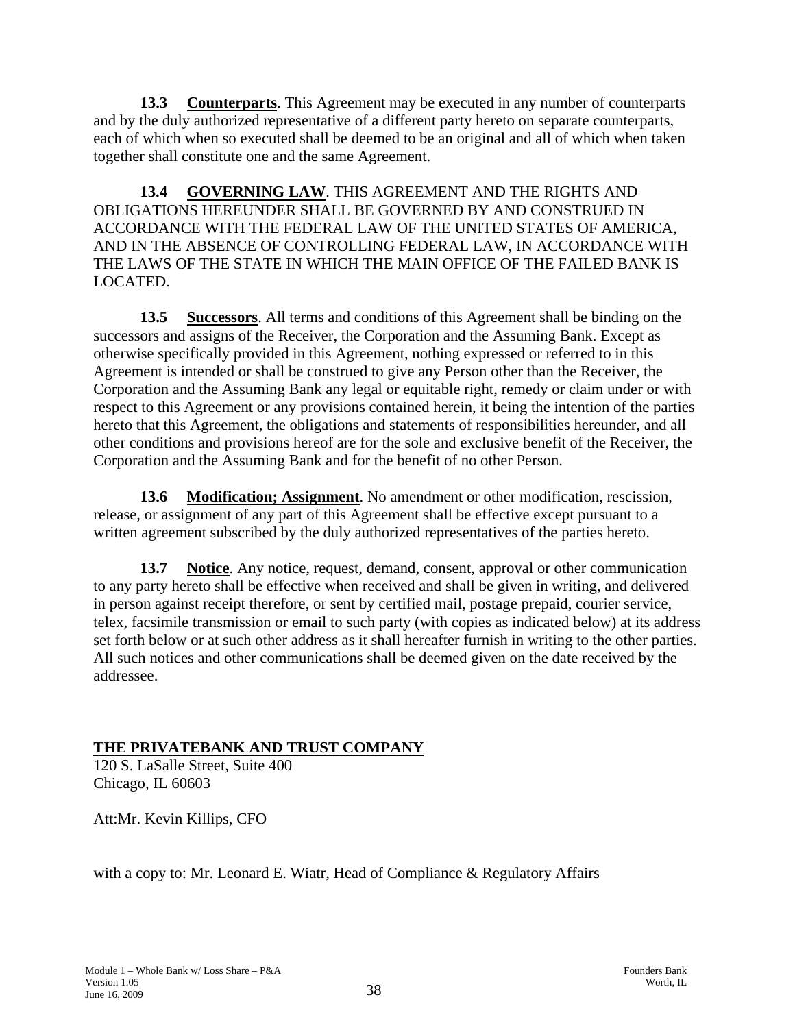**13.3** Counterparts. This Agreement may be executed in any number of counterparts and by the duly authorized representative of a different party hereto on separate counterparts, each of which when so executed shall be deemed to be an original and all of which when taken together shall constitute one and the same Agreement.

13.4 **GOVERNING LAW.** THIS AGREEMENT AND THE RIGHTS AND OBLIGATIONS HEREUNDER SHALL BE GOVERNED BY AND CONSTRUED IN ACCORDANCE WITH THE FEDERAL LAW OF THE UNITED STATES OF AMERICA, AND IN THE ABSENCE OF CONTROLLING FEDERAL LAW, IN ACCORDANCE WITH THE LAWS OF THE STATE IN WHICH THE MAIN OFFICE OF THE FAILED BANK IS LOCATED.

 **13.5 Successors**. All terms and conditions of this Agreement shall be binding on the successors and assigns of the Receiver, the Corporation and the Assuming Bank. Except as otherwise specifically provided in this Agreement, nothing expressed or referred to in this Agreement is intended or shall be construed to give any Person other than the Receiver, the Corporation and the Assuming Bank any legal or equitable right, remedy or claim under or with respect to this Agreement or any provisions contained herein, it being the intention of the parties hereto that this Agreement, the obligations and statements of responsibilities hereunder, and all other conditions and provisions hereof are for the sole and exclusive benefit of the Receiver, the Corporation and the Assuming Bank and for the benefit of no other Person.

**13.6 Modification; Assignment**. No amendment or other modification, rescission, release, or assignment of any part of this Agreement shall be effective except pursuant to a written agreement subscribed by the duly authorized representatives of the parties hereto.

**13.7 Notice**. Any notice, request, demand, consent, approval or other communication to any party hereto shall be effective when received and shall be given in writing, and delivered in person against receipt therefore, or sent by certified mail, postage prepaid, courier service, telex, facsimile transmission or email to such party (with copies as indicated below) at its address set forth below or at such other address as it shall hereafter furnish in writing to the other parties. All such notices and other communications shall be deemed given on the date received by the addressee.

## **THE PRIVATEBANK AND TRUST COMPANY**

120 S. LaSalle Street, Suite 400 Chicago, IL 60603

Att:Mr. Kevin Killips, CFO

with a copy to: Mr. Leonard E. Wiatr, Head of Compliance & Regulatory Affairs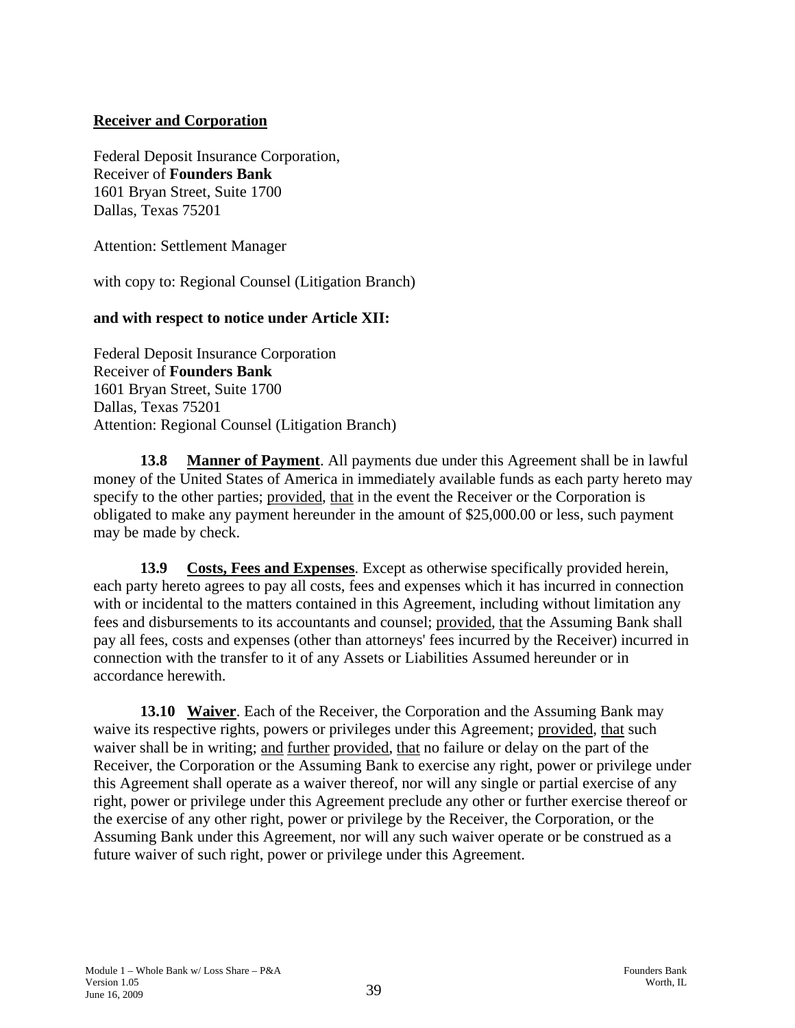### **Receiver and Corporation**

Federal Deposit Insurance Corporation, Receiver of **Founders Bank**  1601 Bryan Street, Suite 1700 Dallas, Texas 75201

Attention: Settlement Manager

with copy to: Regional Counsel (Litigation Branch)

### **and with respect to notice under Article XII:**

Federal Deposit Insurance Corporation Receiver of **Founders Bank**  1601 Bryan Street, Suite 1700 Dallas, Texas 75201 Attention: Regional Counsel (Litigation Branch)

 **13.8 Manner of Payment**. All payments due under this Agreement shall be in lawful money of the United States of America in immediately available funds as each party hereto may specify to the other parties; provided, that in the event the Receiver or the Corporation is obligated to make any payment hereunder in the amount of \$25,000.00 or less, such payment may be made by check.

**13.9 Costs, Fees and Expenses**. Except as otherwise specifically provided herein, each party hereto agrees to pay all costs, fees and expenses which it has incurred in connection with or incidental to the matters contained in this Agreement, including without limitation any fees and disbursements to its accountants and counsel; provided, that the Assuming Bank shall pay all fees, costs and expenses (other than attorneys' fees incurred by the Receiver) incurred in connection with the transfer to it of any Assets or Liabilities Assumed hereunder or in accordance herewith.

**13.10 Waiver**. Each of the Receiver, the Corporation and the Assuming Bank may waive its respective rights, powers or privileges under this Agreement; provided, that such waiver shall be in writing; and further provided, that no failure or delay on the part of the Receiver, the Corporation or the Assuming Bank to exercise any right, power or privilege under this Agreement shall operate as a waiver thereof, nor will any single or partial exercise of any right, power or privilege under this Agreement preclude any other or further exercise thereof or the exercise of any other right, power or privilege by the Receiver, the Corporation, or the Assuming Bank under this Agreement, nor will any such waiver operate or be construed as a future waiver of such right, power or privilege under this Agreement.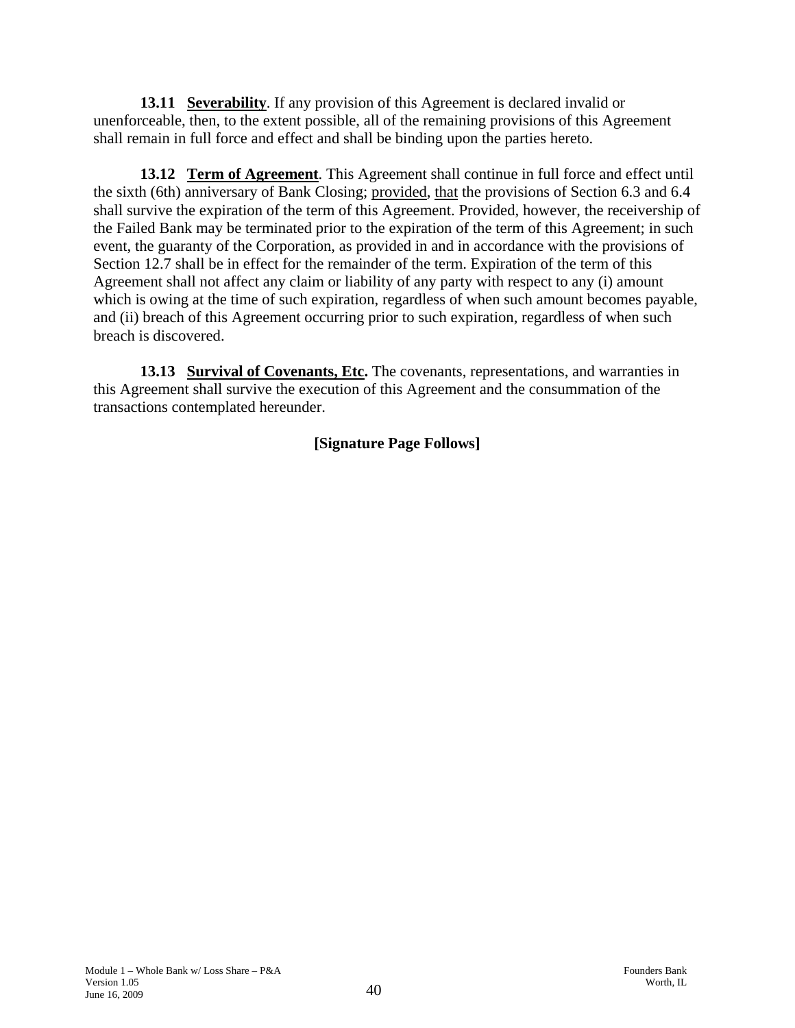**13.11 Severability**. If any provision of this Agreement is declared invalid or unenforceable, then, to the extent possible, all of the remaining provisions of this Agreement shall remain in full force and effect and shall be binding upon the parties hereto.

**13.12 Term of Agreement**. This Agreement shall continue in full force and effect until the sixth (6th) anniversary of Bank Closing; provided, that the provisions of Section 6.3 and 6.4 shall survive the expiration of the term of this Agreement. Provided, however, the receivership of the Failed Bank may be terminated prior to the expiration of the term of this Agreement; in such event, the guaranty of the Corporation, as provided in and in accordance with the provisions of Section 12.7 shall be in effect for the remainder of the term. Expiration of the term of this Agreement shall not affect any claim or liability of any party with respect to any (i) amount which is owing at the time of such expiration, regardless of when such amount becomes payable, and (ii) breach of this Agreement occurring prior to such expiration, regardless of when such breach is discovered.

**13.13 Survival of Covenants, Etc.** The covenants, representations, and warranties in this Agreement shall survive the execution of this Agreement and the consummation of the transactions contemplated hereunder.

# **[Signature Page Follows]**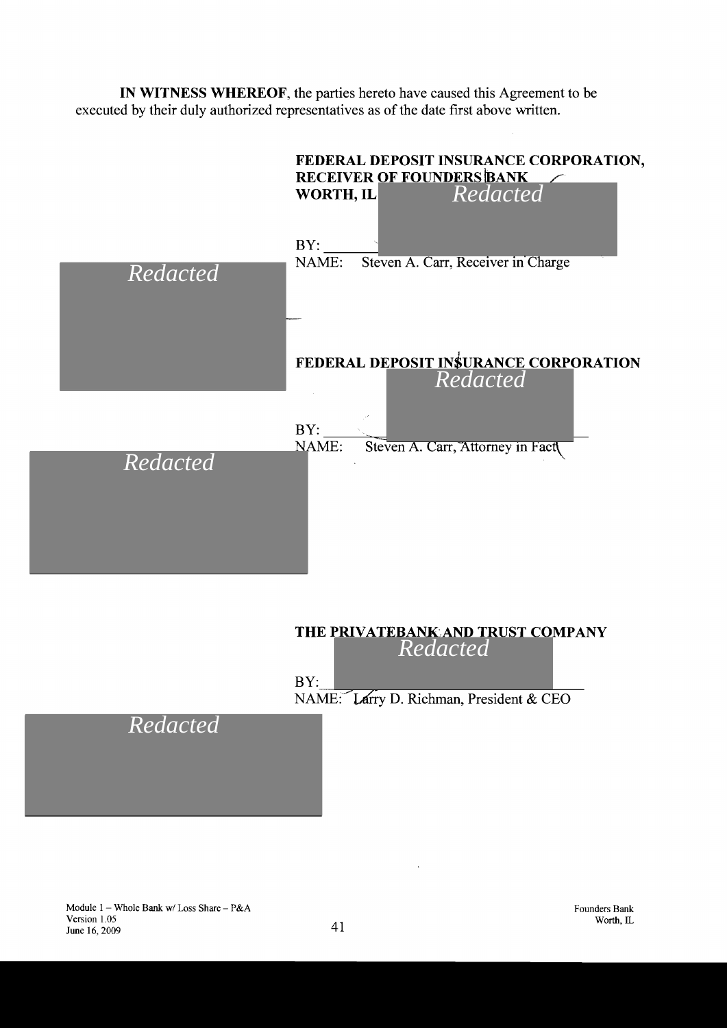**IN WITNESS WHEREOF,** the parties hereto have caused this Agreement to be executed by their duly authorized representatives as of the date first above written.

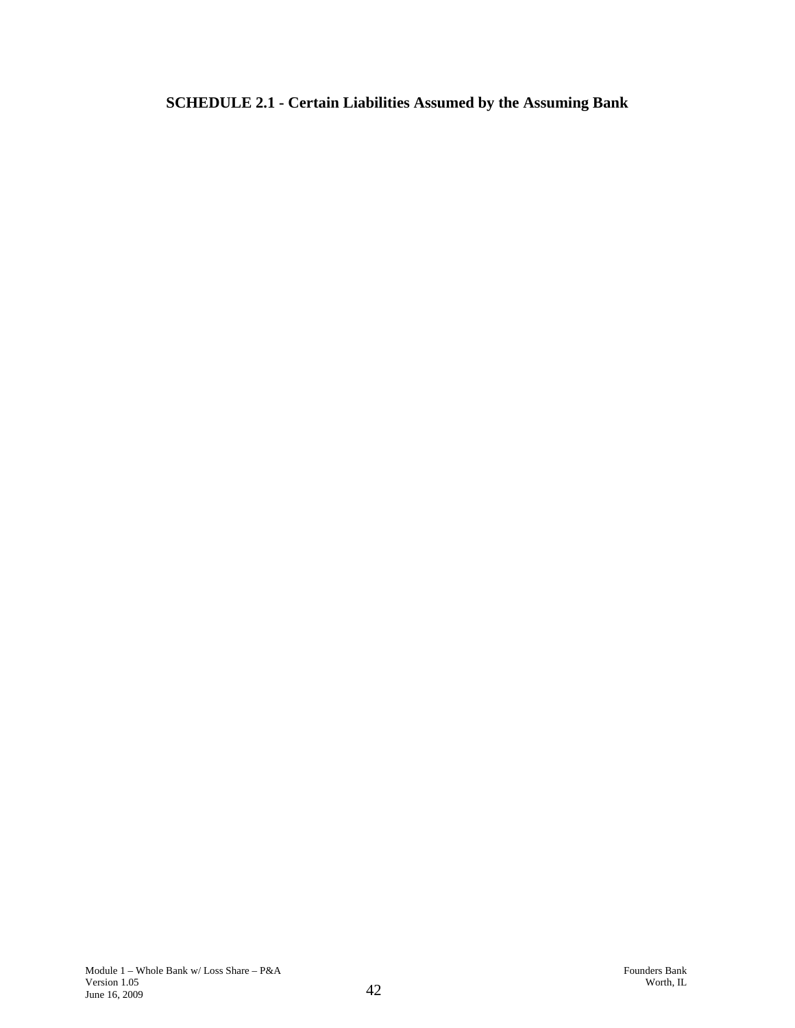**SCHEDULE 2.1 - Certain Liabilities Assumed by the Assuming Bank**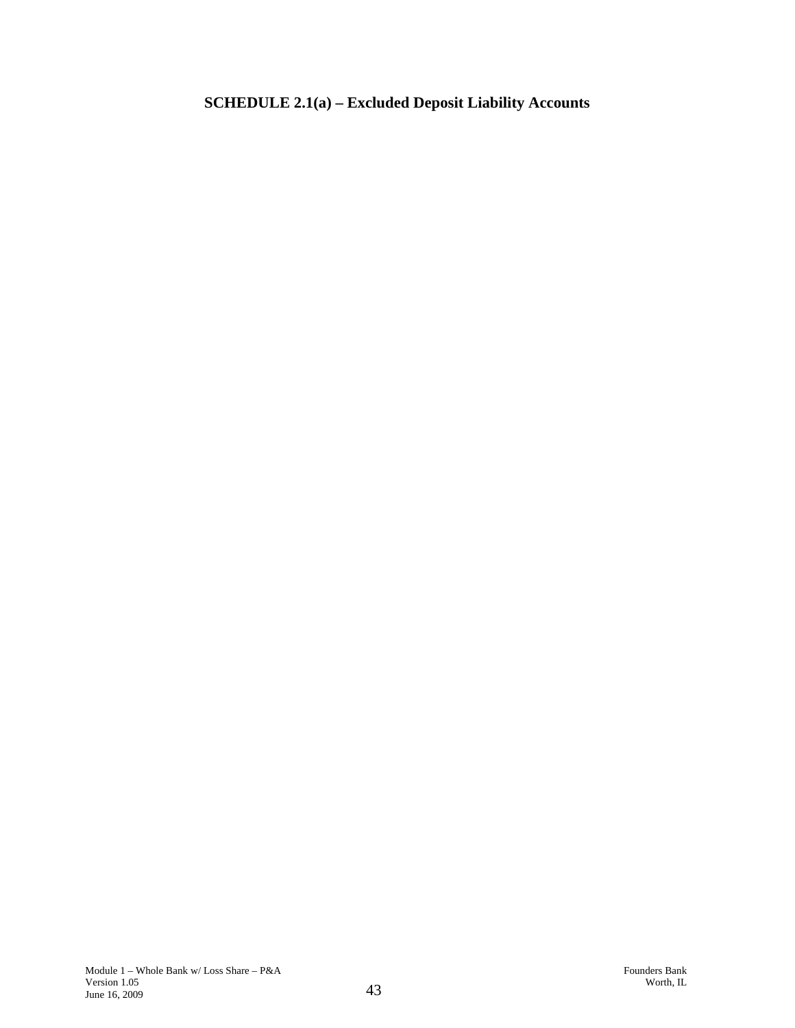# **SCHEDULE 2.1(a) – Excluded Deposit Liability Accounts**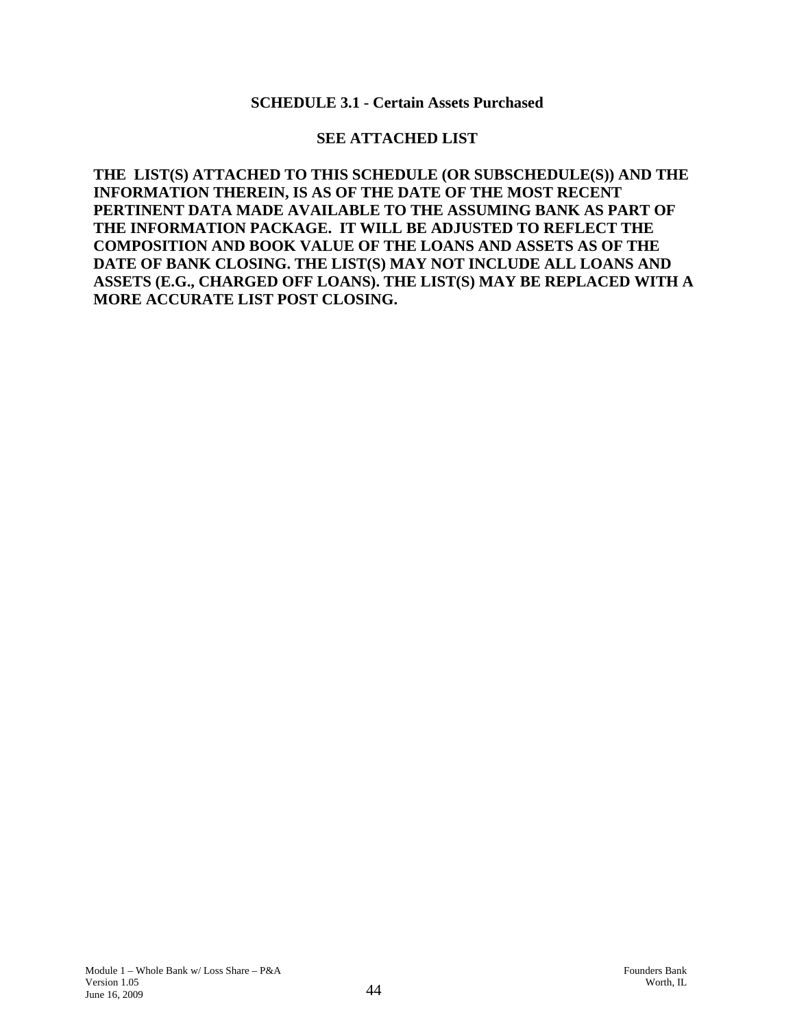#### **SCHEDULE 3.1 - Certain Assets Purchased**

#### **SEE ATTACHED LIST**

THE LIST(S) ATTACHED TO THIS SCHEDULE (OR SUBSCHEDULE(S)) AND THE **INFORMATION THEREIN, IS AS OF THE DATE OF THE MOST RECENT PERTINENT DATA MADE AVAILABLE TO THE ASSUMING BANK AS PART OF THE INFORMATION PACKAGE. IT WILL BE ADJUSTED TO REFLECT THE COMPOSITION AND BOOK VALUE OF THE LOANS AND ASSETS AS OF THE DATE OF BANK CLOSING. THE LIST(S) MAY NOT INCLUDE ALL LOANS AND ASSETS (E.G., CHARGED OFF LOANS). THE LIST(S) MAY BE REPLACED WITH A MORE ACCURATE LIST POST CLOSING.**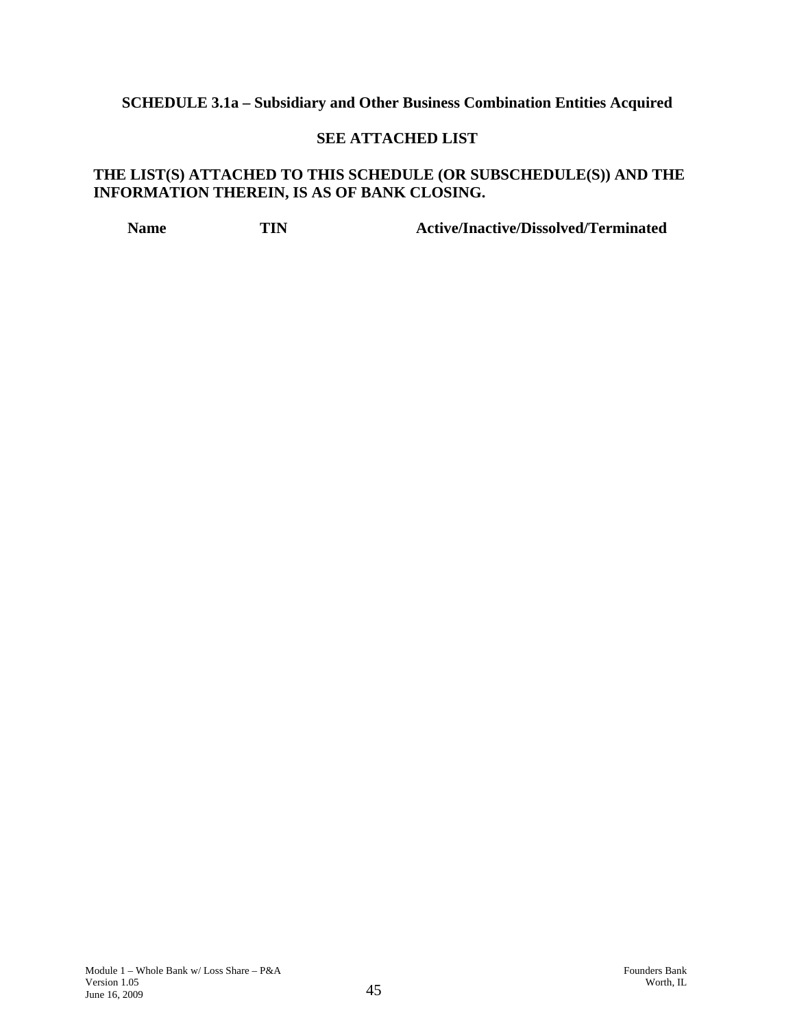### **SCHEDULE 3.1a – Subsidiary and Other Business Combination Entities Acquired**

### **SEE ATTACHED LIST**

## **THE LIST(S) ATTACHED TO THIS SCHEDULE (OR SUBSCHEDULE(S)) AND THE INFORMATION THEREIN, IS AS OF BANK CLOSING.**

**Name TIN Active/Inactive/Dissolved/Terminated**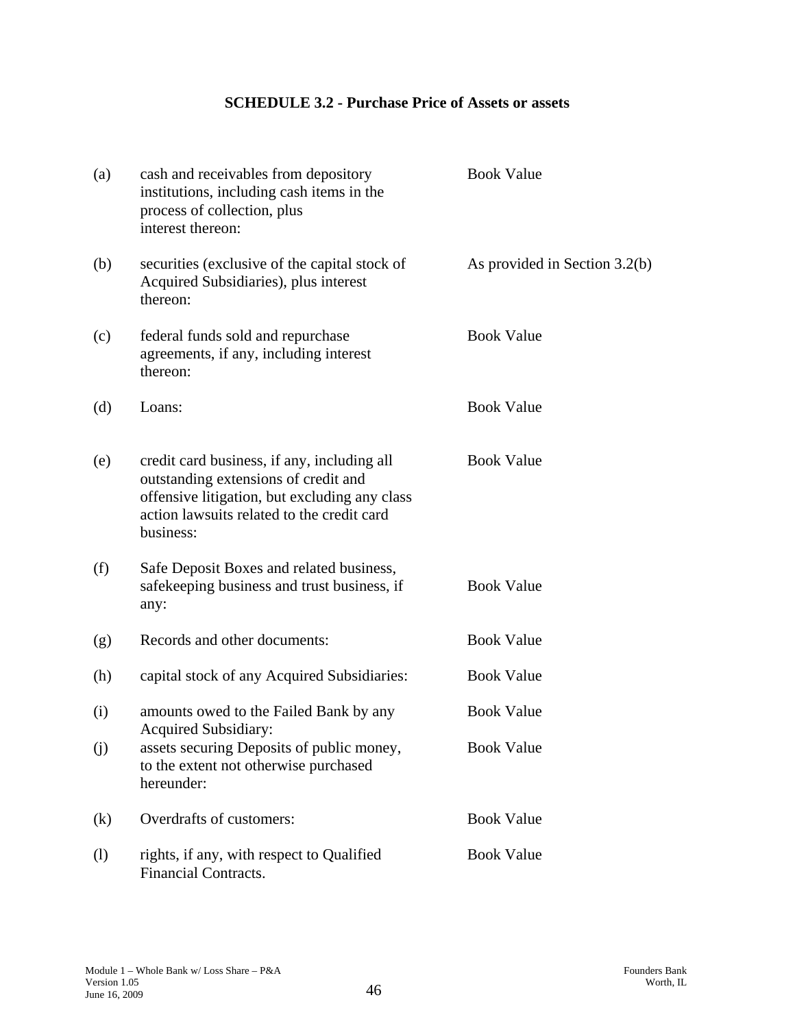# **SCHEDULE 3.2 - Purchase Price of Assets or assets**

| (a) | cash and receivables from depository<br>institutions, including cash items in the<br>process of collection, plus<br>interest thereon:                                                           | <b>Book Value</b>               |
|-----|-------------------------------------------------------------------------------------------------------------------------------------------------------------------------------------------------|---------------------------------|
| (b) | securities (exclusive of the capital stock of<br>Acquired Subsidiaries), plus interest<br>thereon:                                                                                              | As provided in Section $3.2(b)$ |
| (c) | federal funds sold and repurchase<br>agreements, if any, including interest<br>thereon:                                                                                                         | <b>Book Value</b>               |
| (d) | Loans:                                                                                                                                                                                          | <b>Book Value</b>               |
| (e) | credit card business, if any, including all<br>outstanding extensions of credit and<br>offensive litigation, but excluding any class<br>action lawsuits related to the credit card<br>business: | <b>Book Value</b>               |
| (f) | Safe Deposit Boxes and related business,<br>safekeeping business and trust business, if<br>any:                                                                                                 | <b>Book Value</b>               |
| (g) | Records and other documents:                                                                                                                                                                    | <b>Book Value</b>               |
| (h) | capital stock of any Acquired Subsidiaries:                                                                                                                                                     | <b>Book Value</b>               |
| (i) | amounts owed to the Failed Bank by any                                                                                                                                                          | <b>Book Value</b>               |
| (j) | <b>Acquired Subsidiary:</b><br>assets securing Deposits of public money,<br>to the extent not otherwise purchased<br>hereunder:                                                                 | <b>Book Value</b>               |
| (k) | Overdrafts of customers:                                                                                                                                                                        | <b>Book Value</b>               |
| (1) | rights, if any, with respect to Qualified<br><b>Financial Contracts.</b>                                                                                                                        | <b>Book Value</b>               |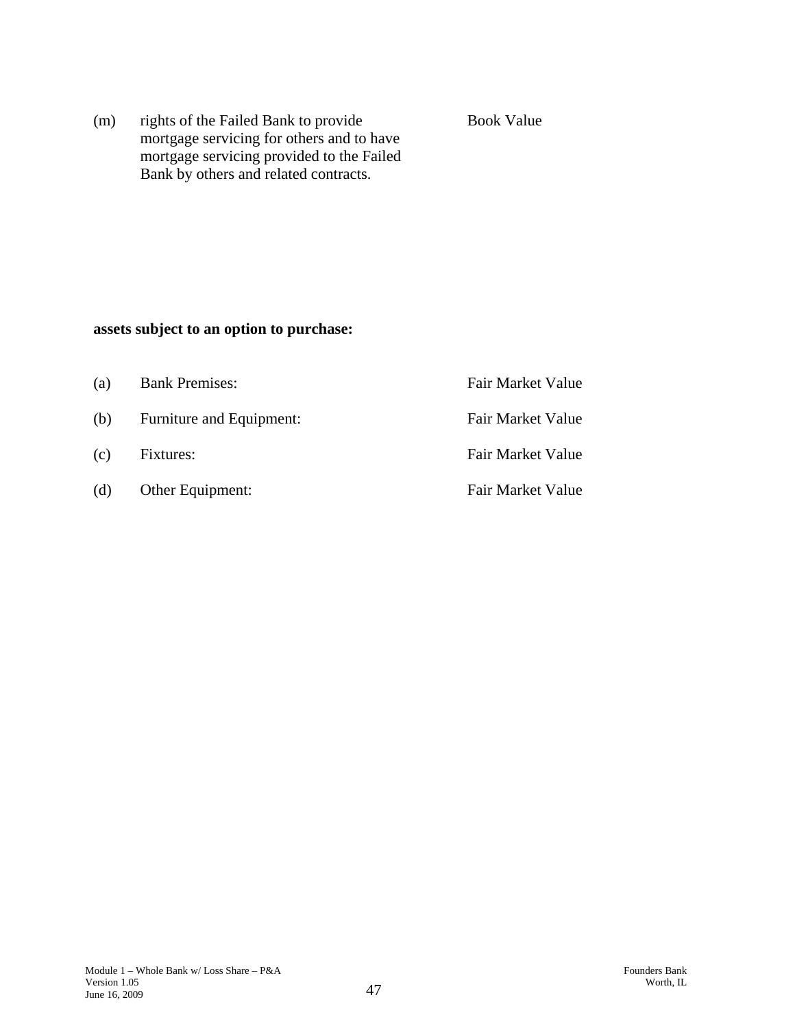(m) rights of the Failed Bank to provide Book Value mortgage servicing for others and to have mortgage servicing provided to the Failed Bank by others and related contracts.

#### **assets subject to an option to purchase:**

(a) Bank Premises: Fair Market Value (b) Furniture and Equipment: Fair Market Value (c) Fixtures: Fair Market Value (d) Other Equipment: Fair Market Value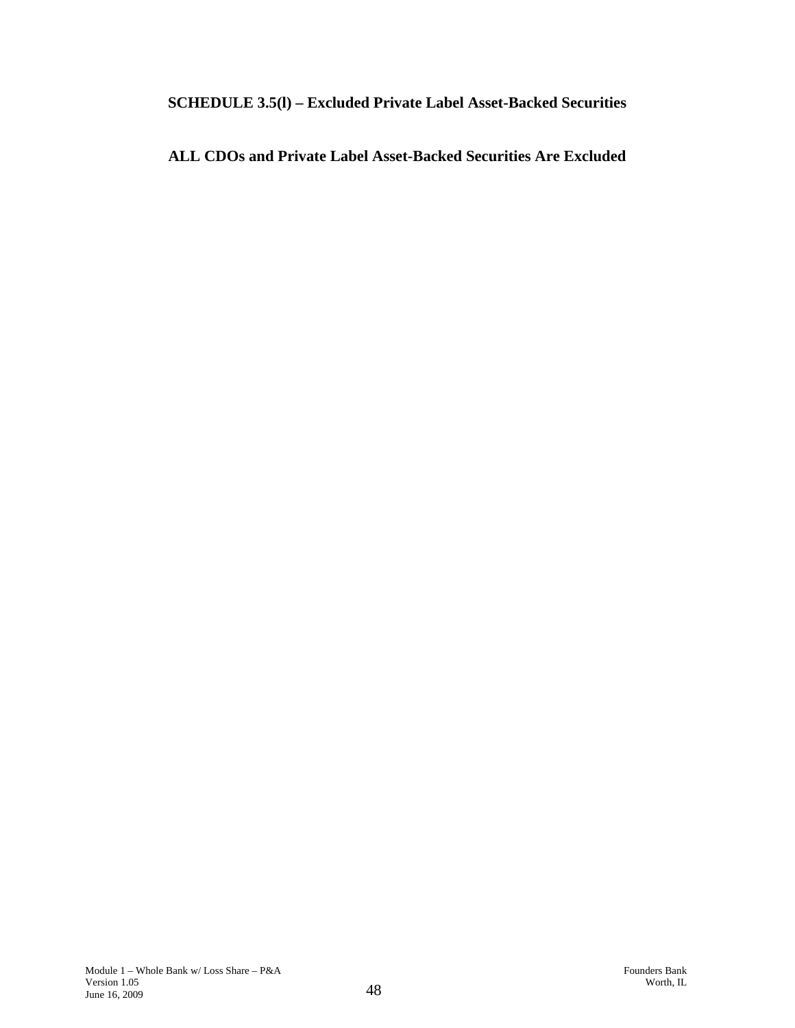# **SCHEDULE 3.5(l) – Excluded Private Label Asset-Backed Securities**

## **ALL CDOs and Private Label Asset-Backed Securities Are Excluded**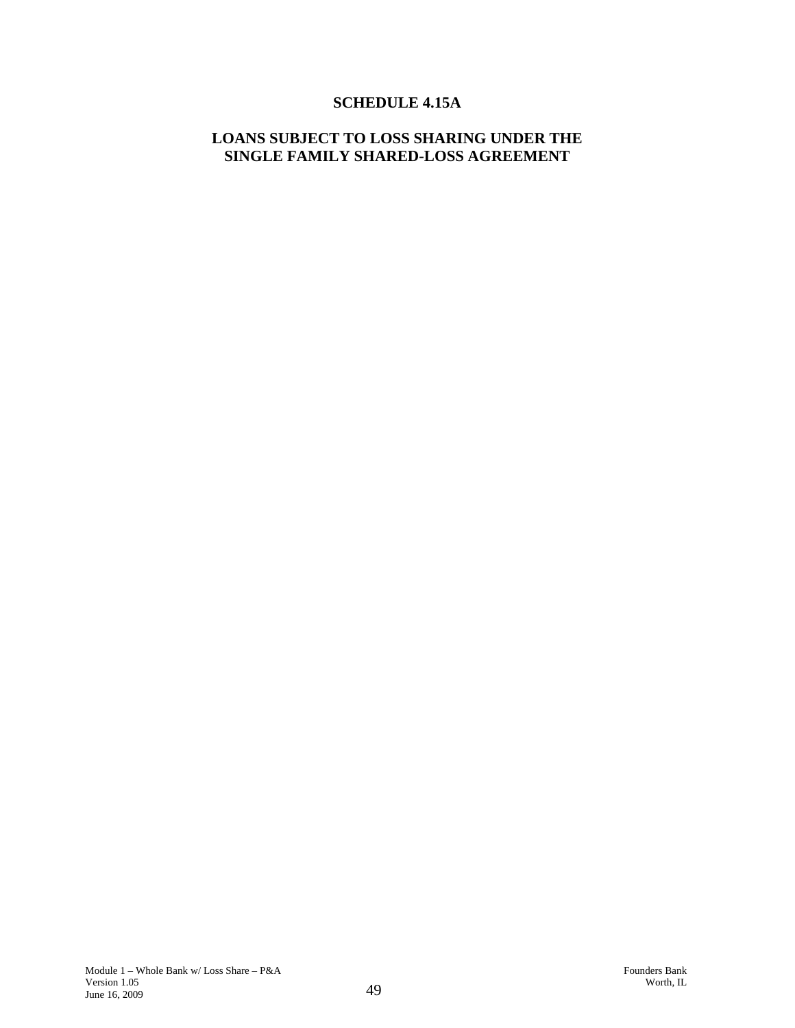### **SCHEDULE 4.15A**

### **LOANS SUBJECT TO LOSS SHARING UNDER THE SINGLE FAMILY SHARED-LOSS AGREEMENT**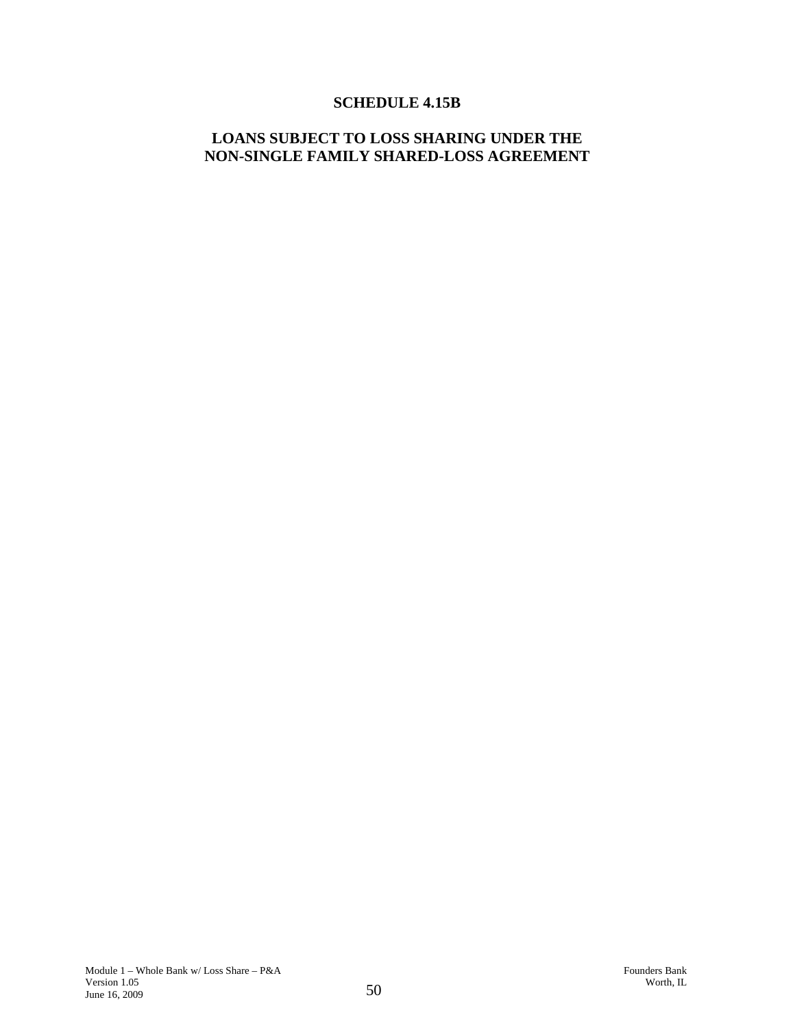### **SCHEDULE 4.15B**

### **LOANS SUBJECT TO LOSS SHARING UNDER THE NON-SINGLE FAMILY SHARED-LOSS AGREEMENT**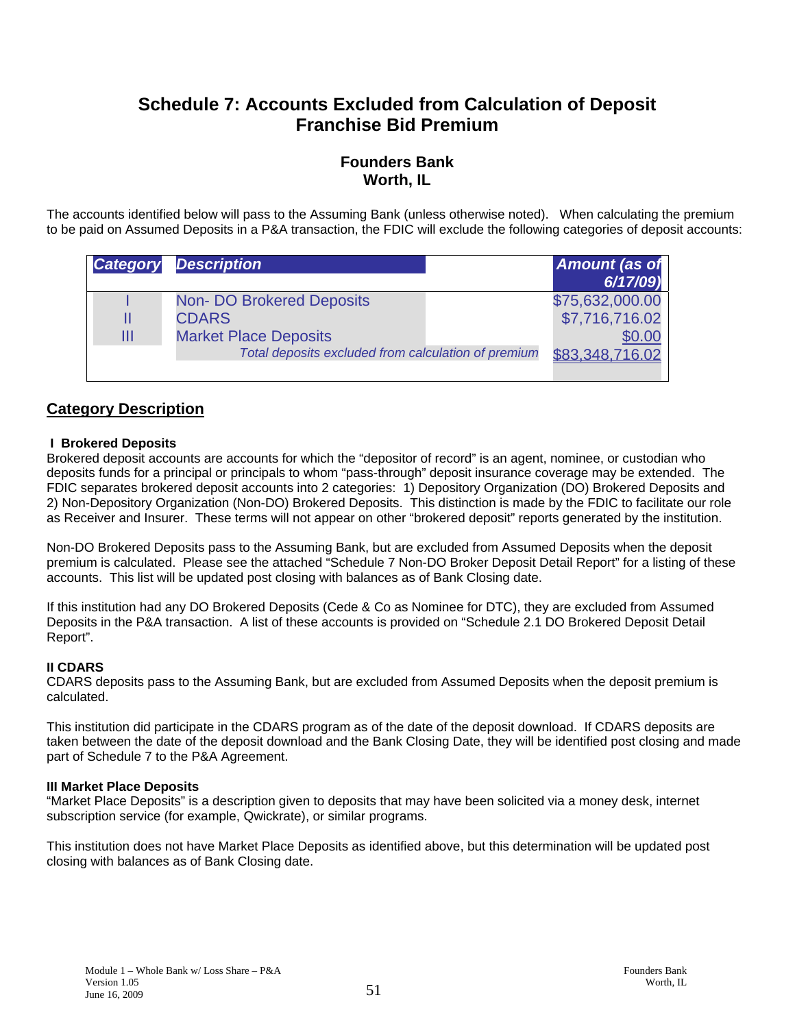# **Schedule 7: Accounts Excluded from Calculation of Deposit Franchise Bid Premium**

# **Founders Bank Worth, IL**

The accounts identified below will pass to the Assuming Bank (unless otherwise noted). When calculating the premium to be paid on Assumed Deposits in a P&A transaction, the FDIC will exclude the following categories of deposit accounts:

| <b>Category</b> | <b>Description</b>                                  | <b>Amount (as of</b> |
|-----------------|-----------------------------------------------------|----------------------|
|                 |                                                     | 6/17/09              |
|                 | <b>Non-DO Brokered Deposits</b>                     | \$75,632,000.00      |
|                 | <b>CDARS</b>                                        | \$7,716,716.02       |
| Ш               | <b>Market Place Deposits</b>                        | \$0.00               |
|                 | Total deposits excluded from calculation of premium | \$83,348,716.02      |
|                 |                                                     |                      |

## **Category Description**

#### **I Brokered Deposits**

Brokered deposit accounts are accounts for which the "depositor of record" is an agent, nominee, or custodian who deposits funds for a principal or principals to whom "pass-through" deposit insurance coverage may be extended. The FDIC separates brokered deposit accounts into 2 categories: 1) Depository Organization (DO) Brokered Deposits and 2) Non-Depository Organization (Non-DO) Brokered Deposits. This distinction is made by the FDIC to facilitate our role as Receiver and Insurer. These terms will not appear on other "brokered deposit" reports generated by the institution.

Non-DO Brokered Deposits pass to the Assuming Bank, but are excluded from Assumed Deposits when the deposit premium is calculated. Please see the attached "Schedule 7 Non-DO Broker Deposit Detail Report" for a listing of these accounts. This list will be updated post closing with balances as of Bank Closing date.

If this institution had any DO Brokered Deposits (Cede & Co as Nominee for DTC), they are excluded from Assumed Deposits in the P&A transaction. A list of these accounts is provided on "Schedule 2.1 DO Brokered Deposit Detail Report".

#### **II CDARS**

CDARS deposits pass to the Assuming Bank, but are excluded from Assumed Deposits when the deposit premium is calculated.

This institution did participate in the CDARS program as of the date of the deposit download. If CDARS deposits are taken between the date of the deposit download and the Bank Closing Date, they will be identified post closing and made part of Schedule 7 to the P&A Agreement.

#### **III Market Place Deposits**

"Market Place Deposits" is a description given to deposits that may have been solicited via a money desk, internet subscription service (for example, Qwickrate), or similar programs.

This institution does not have Market Place Deposits as identified above, but this determination will be updated post closing with balances as of Bank Closing date.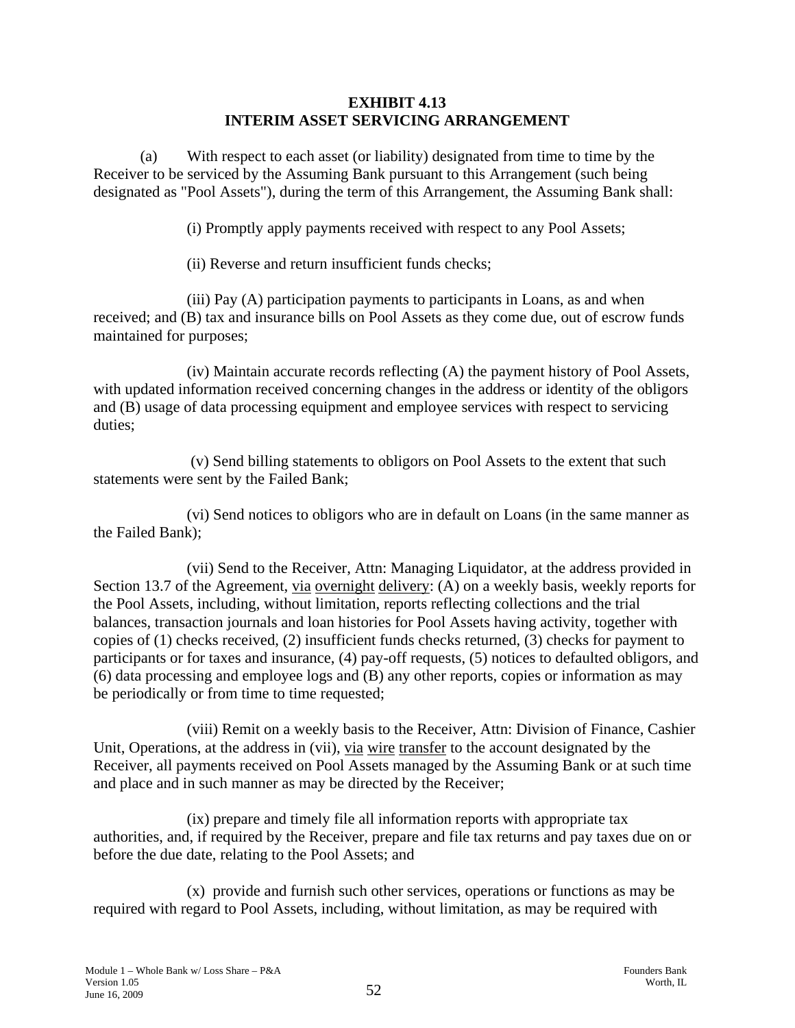### **EXHIBIT 4.13 INTERIM ASSET SERVICING ARRANGEMENT**

(a) With respect to each asset (or liability) designated from time to time by the Receiver to be serviced by the Assuming Bank pursuant to this Arrangement (such being designated as "Pool Assets"), during the term of this Arrangement, the Assuming Bank shall:

(i) Promptly apply payments received with respect to any Pool Assets;

(ii) Reverse and return insufficient funds checks;

(iii) Pay (A) participation payments to participants in Loans, as and when received; and (B) tax and insurance bills on Pool Assets as they come due, out of escrow funds maintained for purposes;

(iv) Maintain accurate records reflecting (A) the payment history of Pool Assets, with updated information received concerning changes in the address or identity of the obligors and (B) usage of data processing equipment and employee services with respect to servicing duties;

 (v) Send billing statements to obligors on Pool Assets to the extent that such statements were sent by the Failed Bank;

(vi) Send notices to obligors who are in default on Loans (in the same manner as the Failed Bank);

(vii) Send to the Receiver, Attn: Managing Liquidator, at the address provided in Section 13.7 of the Agreement, via overnight delivery: (A) on a weekly basis, weekly reports for the Pool Assets, including, without limitation, reports reflecting collections and the trial balances, transaction journals and loan histories for Pool Assets having activity, together with copies of (1) checks received, (2) insufficient funds checks returned, (3) checks for payment to participants or for taxes and insurance, (4) pay-off requests, (5) notices to defaulted obligors, and (6) data processing and employee logs and (B) any other reports, copies or information as may be periodically or from time to time requested;

(viii) Remit on a weekly basis to the Receiver, Attn: Division of Finance, Cashier Unit, Operations, at the address in (vii), via wire transfer to the account designated by the Receiver, all payments received on Pool Assets managed by the Assuming Bank or at such time and place and in such manner as may be directed by the Receiver;

(ix) prepare and timely file all information reports with appropriate tax authorities, and, if required by the Receiver, prepare and file tax returns and pay taxes due on or before the due date, relating to the Pool Assets; and

(x) provide and furnish such other services, operations or functions as may be required with regard to Pool Assets, including, without limitation, as may be required with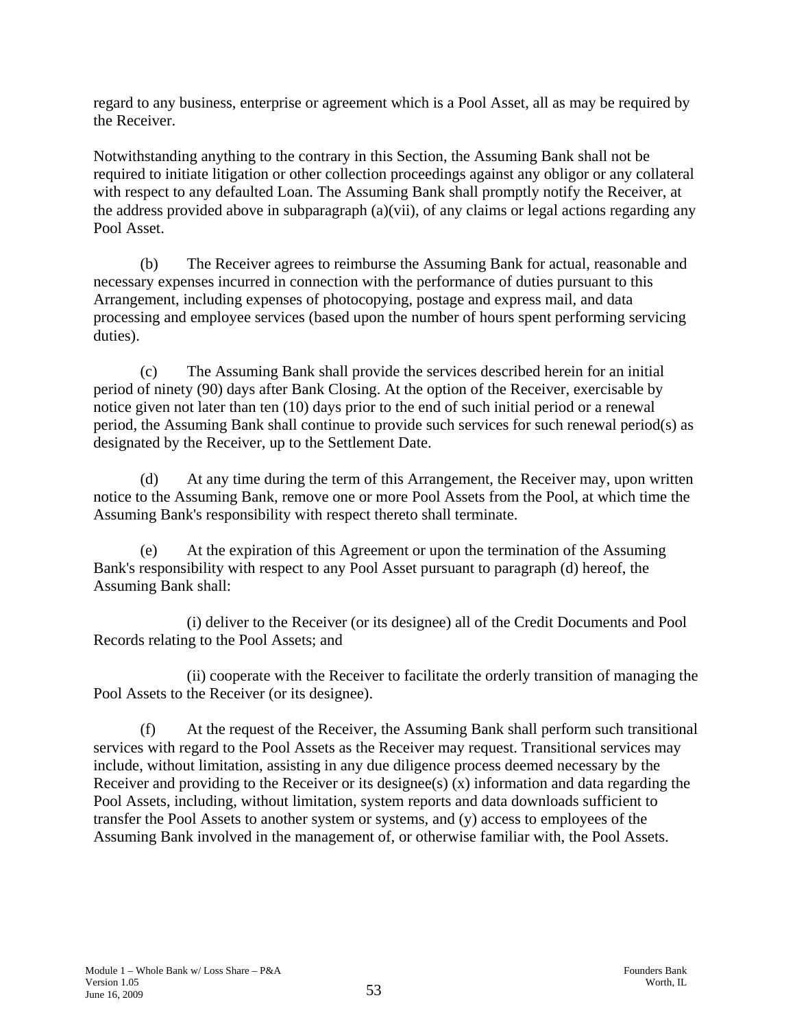regard to any business, enterprise or agreement which is a Pool Asset, all as may be required by the Receiver.

Notwithstanding anything to the contrary in this Section, the Assuming Bank shall not be required to initiate litigation or other collection proceedings against any obligor or any collateral with respect to any defaulted Loan. The Assuming Bank shall promptly notify the Receiver, at the address provided above in subparagraph (a)(vii), of any claims or legal actions regarding any Pool Asset.

(b) The Receiver agrees to reimburse the Assuming Bank for actual, reasonable and necessary expenses incurred in connection with the performance of duties pursuant to this Arrangement, including expenses of photocopying, postage and express mail, and data processing and employee services (based upon the number of hours spent performing servicing duties).

(c) The Assuming Bank shall provide the services described herein for an initial period of ninety (90) days after Bank Closing. At the option of the Receiver, exercisable by notice given not later than ten (10) days prior to the end of such initial period or a renewal period, the Assuming Bank shall continue to provide such services for such renewal period(s) as designated by the Receiver, up to the Settlement Date.

(d) At any time during the term of this Arrangement, the Receiver may, upon written notice to the Assuming Bank, remove one or more Pool Assets from the Pool, at which time the Assuming Bank's responsibility with respect thereto shall terminate.

(e) At the expiration of this Agreement or upon the termination of the Assuming Bank's responsibility with respect to any Pool Asset pursuant to paragraph (d) hereof, the Assuming Bank shall:

(i) deliver to the Receiver (or its designee) all of the Credit Documents and Pool Records relating to the Pool Assets; and

(ii) cooperate with the Receiver to facilitate the orderly transition of managing the Pool Assets to the Receiver (or its designee).

(f) At the request of the Receiver, the Assuming Bank shall perform such transitional services with regard to the Pool Assets as the Receiver may request. Transitional services may include, without limitation, assisting in any due diligence process deemed necessary by the Receiver and providing to the Receiver or its designee(s) (x) information and data regarding the Pool Assets, including, without limitation, system reports and data downloads sufficient to transfer the Pool Assets to another system or systems, and (y) access to employees of the Assuming Bank involved in the management of, or otherwise familiar with, the Pool Assets.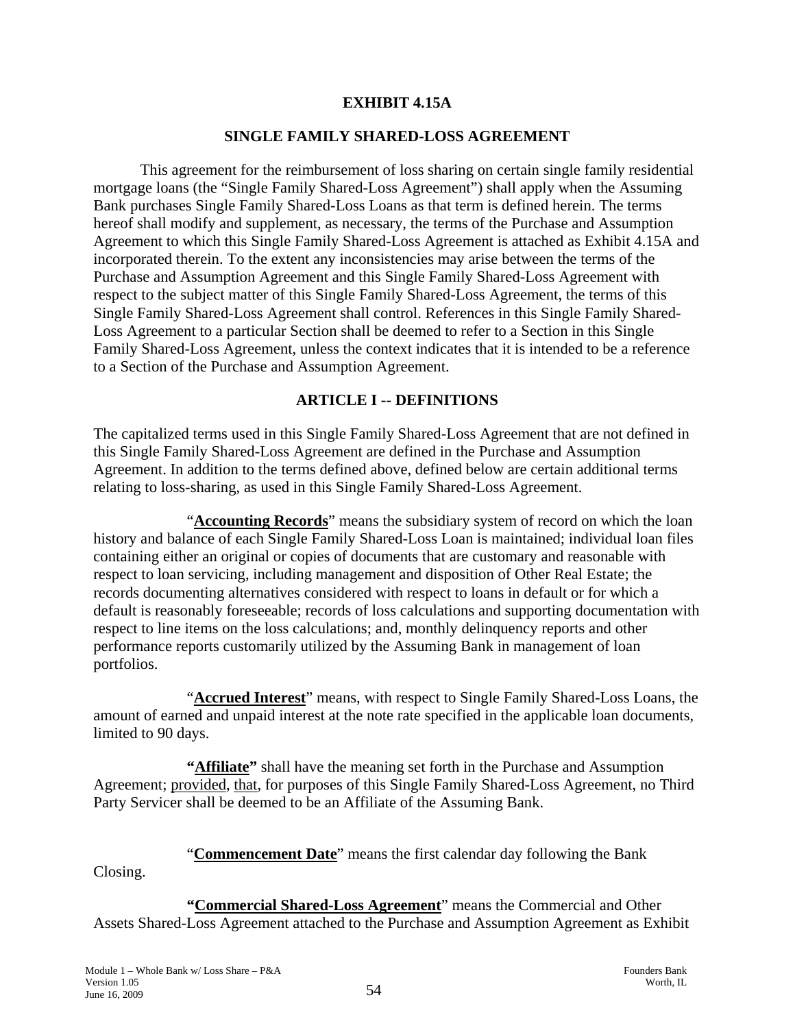### **EXHIBIT 4.15A**

#### **SINGLE FAMILY SHARED-LOSS AGREEMENT**

This agreement for the reimbursement of loss sharing on certain single family residential mortgage loans (the "Single Family Shared-Loss Agreement") shall apply when the Assuming Bank purchases Single Family Shared-Loss Loans as that term is defined herein. The terms hereof shall modify and supplement, as necessary, the terms of the Purchase and Assumption Agreement to which this Single Family Shared-Loss Agreement is attached as Exhibit 4.15A and incorporated therein. To the extent any inconsistencies may arise between the terms of the Purchase and Assumption Agreement and this Single Family Shared-Loss Agreement with respect to the subject matter of this Single Family Shared-Loss Agreement, the terms of this Single Family Shared-Loss Agreement shall control. References in this Single Family Shared-Loss Agreement to a particular Section shall be deemed to refer to a Section in this Single Family Shared-Loss Agreement, unless the context indicates that it is intended to be a reference to a Section of the Purchase and Assumption Agreement.

### **ARTICLE I -- DEFINITIONS**

The capitalized terms used in this Single Family Shared-Loss Agreement that are not defined in this Single Family Shared-Loss Agreement are defined in the Purchase and Assumption Agreement. In addition to the terms defined above, defined below are certain additional terms relating to loss-sharing, as used in this Single Family Shared-Loss Agreement.

"**Accounting Records**" means the subsidiary system of record on which the loan history and balance of each Single Family Shared-Loss Loan is maintained; individual loan files containing either an original or copies of documents that are customary and reasonable with respect to loan servicing, including management and disposition of Other Real Estate; the records documenting alternatives considered with respect to loans in default or for which a default is reasonably foreseeable; records of loss calculations and supporting documentation with respect to line items on the loss calculations; and, monthly delinquency reports and other performance reports customarily utilized by the Assuming Bank in management of loan portfolios.

"**Accrued Interest**" means, with respect to Single Family Shared-Loss Loans, the amount of earned and unpaid interest at the note rate specified in the applicable loan documents, limited to 90 days.

**"Affiliate"** shall have the meaning set forth in the Purchase and Assumption Agreement; provided, that, for purposes of this Single Family Shared-Loss Agreement, no Third Party Servicer shall be deemed to be an Affiliate of the Assuming Bank.

"**Commencement Date**" means the first calendar day following the Bank

Closing.

**"Commercial Shared-Loss Agreement**" means the Commercial and Other Assets Shared-Loss Agreement attached to the Purchase and Assumption Agreement as Exhibit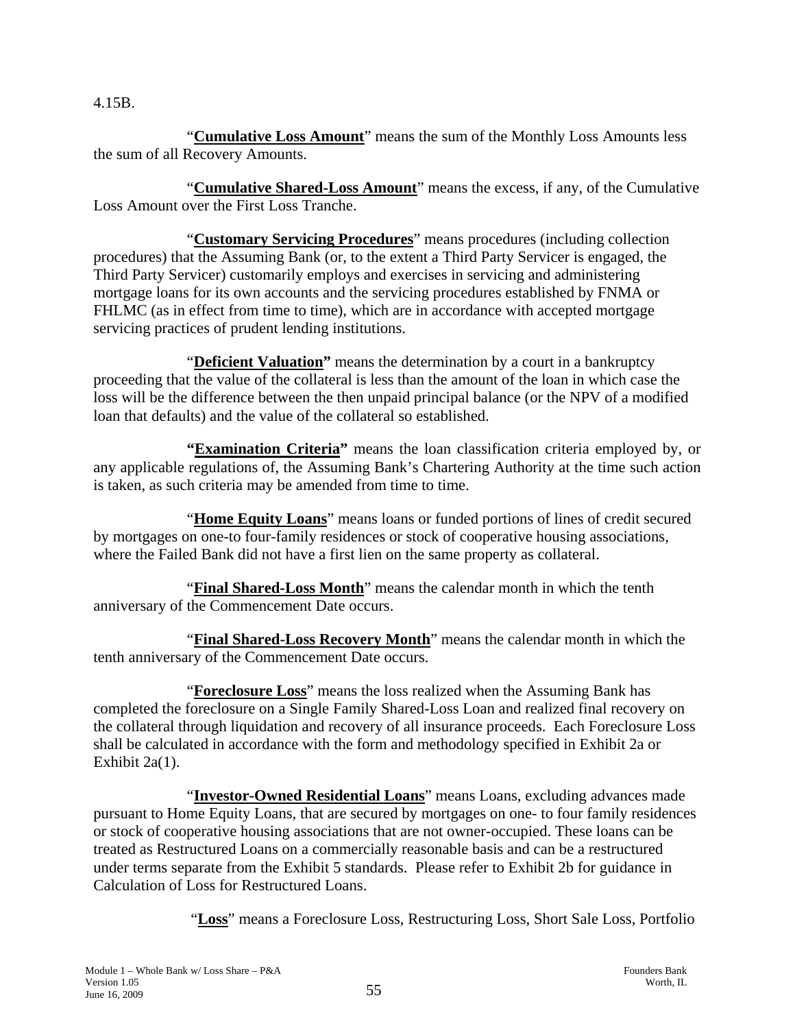4.15B.

"**Cumulative Loss Amount**" means the sum of the Monthly Loss Amounts less the sum of all Recovery Amounts.

"**Cumulative Shared-Loss Amount**" means the excess, if any, of the Cumulative Loss Amount over the First Loss Tranche.

"**Customary Servicing Procedures**" means procedures (including collection procedures) that the Assuming Bank (or, to the extent a Third Party Servicer is engaged, the Third Party Servicer) customarily employs and exercises in servicing and administering mortgage loans for its own accounts and the servicing procedures established by FNMA or FHLMC (as in effect from time to time), which are in accordance with accepted mortgage servicing practices of prudent lending institutions.

"**Deficient Valuation"** means the determination by a court in a bankruptcy proceeding that the value of the collateral is less than the amount of the loan in which case the loss will be the difference between the then unpaid principal balance (or the NPV of a modified loan that defaults) and the value of the collateral so established.

**"Examination Criteria"** means the loan classification criteria employed by, or any applicable regulations of, the Assuming Bank's Chartering Authority at the time such action is taken, as such criteria may be amended from time to time.

"**Home Equity Loans**" means loans or funded portions of lines of credit secured by mortgages on one-to four-family residences or stock of cooperative housing associations, where the Failed Bank did not have a first lien on the same property as collateral.

"**Final Shared-Loss Month**" means the calendar month in which the tenth anniversary of the Commencement Date occurs.

"**Final Shared-Loss Recovery Month**" means the calendar month in which the tenth anniversary of the Commencement Date occurs.

"**Foreclosure Loss**" means the loss realized when the Assuming Bank has completed the foreclosure on a Single Family Shared-Loss Loan and realized final recovery on the collateral through liquidation and recovery of all insurance proceeds. Each Foreclosure Loss shall be calculated in accordance with the form and methodology specified in Exhibit 2a or Exhibit 2a(1).

"**Investor-Owned Residential Loans**" means Loans, excluding advances made pursuant to Home Equity Loans, that are secured by mortgages on one- to four family residences or stock of cooperative housing associations that are not owner-occupied. These loans can be treated as Restructured Loans on a commercially reasonable basis and can be a restructured under terms separate from the Exhibit 5 standards. Please refer to Exhibit 2b for guidance in Calculation of Loss for Restructured Loans.

"**Loss**" means a Foreclosure Loss, Restructuring Loss, Short Sale Loss, Portfolio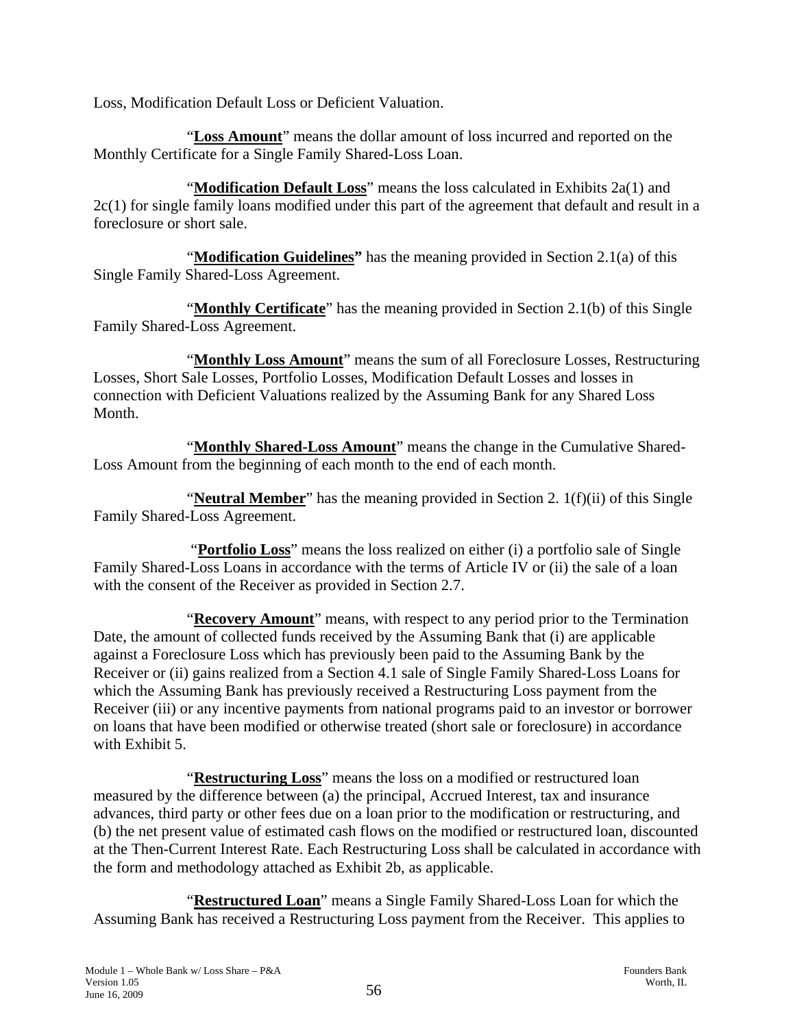Loss, Modification Default Loss or Deficient Valuation.

"**Loss Amount**" means the dollar amount of loss incurred and reported on the Monthly Certificate for a Single Family Shared-Loss Loan.

"**Modification Default Loss**" means the loss calculated in Exhibits 2a(1) and 2c(1) for single family loans modified under this part of the agreement that default and result in a foreclosure or short sale.

"**Modification Guidelines**" has the meaning provided in Section 2.1(a) of this Single Family Shared-Loss Agreement.

"**Monthly Certificate**" has the meaning provided in Section 2.1(b) of this Single Family Shared-Loss Agreement.

"**Monthly Loss Amount**" means the sum of all Foreclosure Losses, Restructuring Losses, Short Sale Losses, Portfolio Losses, Modification Default Losses and losses in connection with Deficient Valuations realized by the Assuming Bank for any Shared Loss Month.

"**Monthly Shared-Loss Amount**" means the change in the Cumulative Shared-Loss Amount from the beginning of each month to the end of each month.

**"Neutral Member**" has the meaning provided in Section 2. 1(f)(ii) of this Single Family Shared-Loss Agreement.

"**Portfolio Loss**" means the loss realized on either (i) a portfolio sale of Single Family Shared-Loss Loans in accordance with the terms of Article IV or (ii) the sale of a loan with the consent of the Receiver as provided in Section 2.7.

"**Recovery Amount**" means, with respect to any period prior to the Termination Date, the amount of collected funds received by the Assuming Bank that (i) are applicable against a Foreclosure Loss which has previously been paid to the Assuming Bank by the Receiver or (ii) gains realized from a Section 4.1 sale of Single Family Shared-Loss Loans for which the Assuming Bank has previously received a Restructuring Loss payment from the Receiver (iii) or any incentive payments from national programs paid to an investor or borrower on loans that have been modified or otherwise treated (short sale or foreclosure) in accordance with Exhibit 5.

"**Restructuring Loss**" means the loss on a modified or restructured loan measured by the difference between (a) the principal, Accrued Interest, tax and insurance advances, third party or other fees due on a loan prior to the modification or restructuring, and (b) the net present value of estimated cash flows on the modified or restructured loan, discounted at the Then-Current Interest Rate. Each Restructuring Loss shall be calculated in accordance with the form and methodology attached as Exhibit 2b, as applicable.

"**Restructured Loan**" means a Single Family Shared-Loss Loan for which the Assuming Bank has received a Restructuring Loss payment from the Receiver. This applies to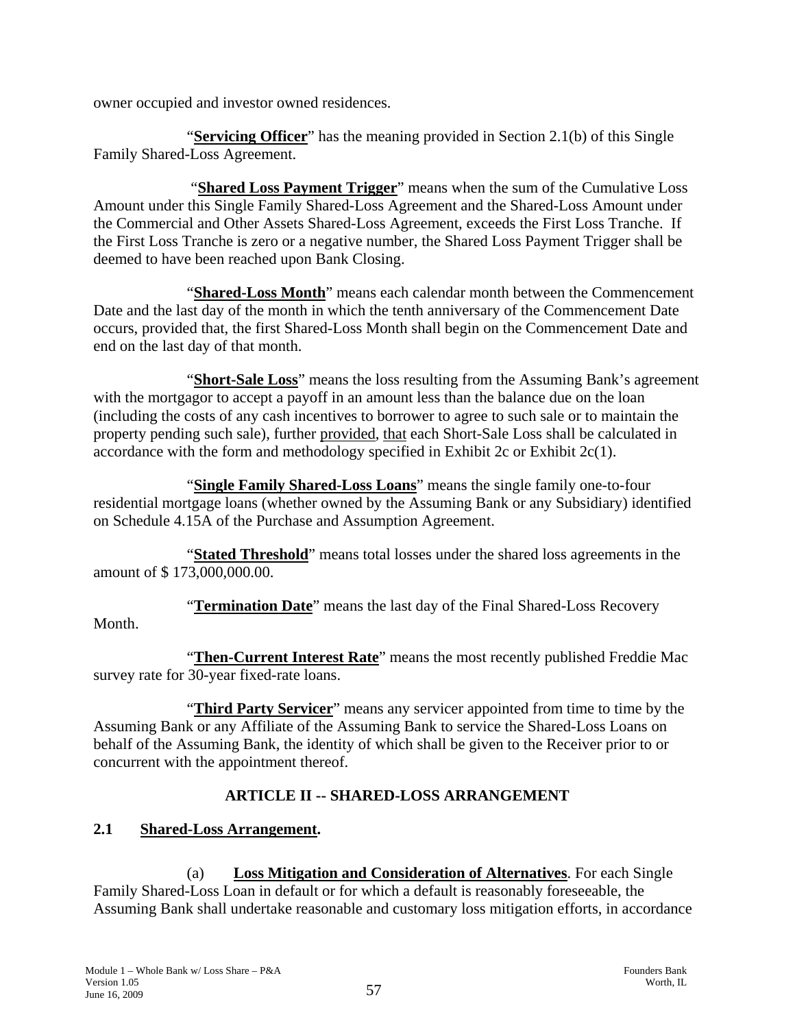owner occupied and investor owned residences.

"**Servicing Officer**" has the meaning provided in Section 2.1(b) of this Single Family Shared-Loss Agreement.

"**Shared Loss Payment Trigger**" means when the sum of the Cumulative Loss Amount under this Single Family Shared-Loss Agreement and the Shared-Loss Amount under the Commercial and Other Assets Shared-Loss Agreement, exceeds the First Loss Tranche. If the First Loss Tranche is zero or a negative number, the Shared Loss Payment Trigger shall be deemed to have been reached upon Bank Closing.

"**Shared-Loss Month**" means each calendar month between the Commencement Date and the last day of the month in which the tenth anniversary of the Commencement Date occurs, provided that, the first Shared-Loss Month shall begin on the Commencement Date and end on the last day of that month.

"**Short-Sale Loss**" means the loss resulting from the Assuming Bank's agreement with the mortgagor to accept a payoff in an amount less than the balance due on the loan (including the costs of any cash incentives to borrower to agree to such sale or to maintain the property pending such sale), further provided, that each Short-Sale Loss shall be calculated in accordance with the form and methodology specified in Exhibit 2c or Exhibit  $2c(1)$ .

"**Single Family Shared-Loss Loans**" means the single family one-to-four residential mortgage loans (whether owned by the Assuming Bank or any Subsidiary) identified on Schedule 4.15A of the Purchase and Assumption Agreement.

"**Stated Threshold**" means total losses under the shared loss agreements in the amount of \$ 173,000,000.00.

"**Termination Date**" means the last day of the Final Shared-Loss Recovery Month.

"**Then-Current Interest Rate**" means the most recently published Freddie Mac survey rate for 30-year fixed-rate loans.

"**Third Party Servicer**" means any servicer appointed from time to time by the Assuming Bank or any Affiliate of the Assuming Bank to service the Shared-Loss Loans on behalf of the Assuming Bank, the identity of which shall be given to the Receiver prior to or concurrent with the appointment thereof.

## **ARTICLE II -- SHARED-LOSS ARRANGEMENT**

## **2.1 Shared-Loss Arrangement.**

(a) **Loss Mitigation and Consideration of Alternatives**. For each Single Family Shared-Loss Loan in default or for which a default is reasonably foreseeable, the Assuming Bank shall undertake reasonable and customary loss mitigation efforts, in accordance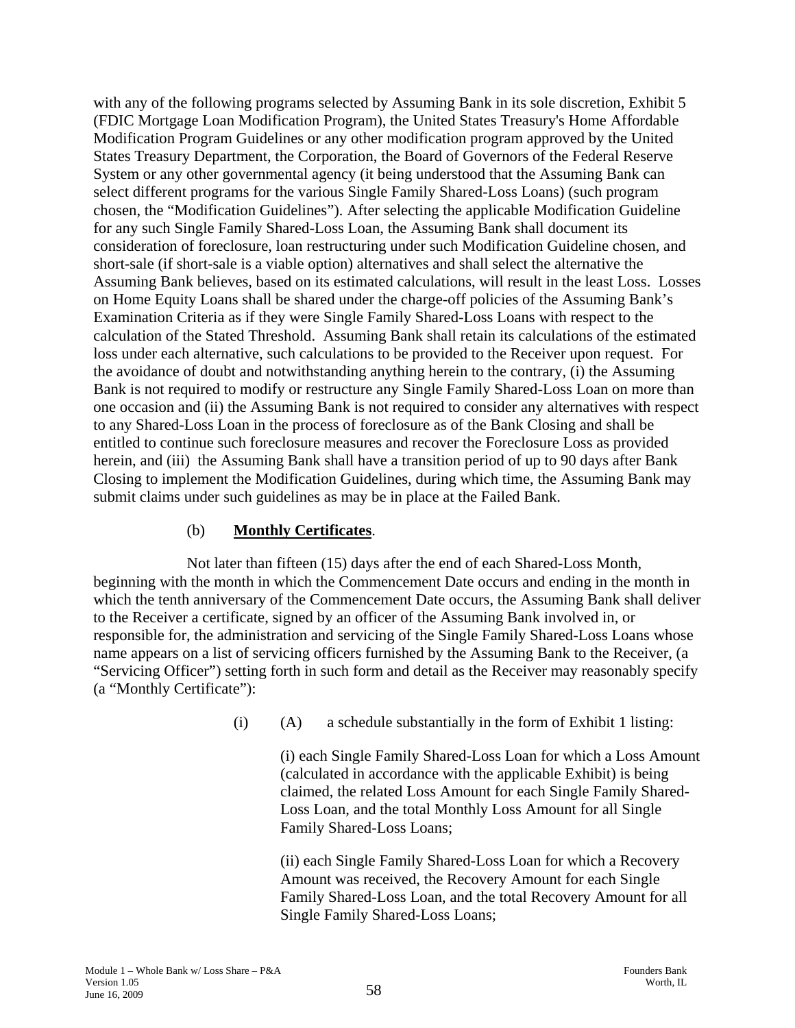with any of the following programs selected by Assuming Bank in its sole discretion, Exhibit 5 (FDIC Mortgage Loan Modification Program), the United States Treasury's Home Affordable Modification Program Guidelines or any other modification program approved by the United States Treasury Department, the Corporation, the Board of Governors of the Federal Reserve System or any other governmental agency (it being understood that the Assuming Bank can select different programs for the various Single Family Shared-Loss Loans) (such program chosen, the "Modification Guidelines"). After selecting the applicable Modification Guideline for any such Single Family Shared-Loss Loan, the Assuming Bank shall document its consideration of foreclosure, loan restructuring under such Modification Guideline chosen, and short-sale (if short-sale is a viable option) alternatives and shall select the alternative the Assuming Bank believes, based on its estimated calculations, will result in the least Loss. Losses on Home Equity Loans shall be shared under the charge-off policies of the Assuming Bank's Examination Criteria as if they were Single Family Shared-Loss Loans with respect to the calculation of the Stated Threshold. Assuming Bank shall retain its calculations of the estimated loss under each alternative, such calculations to be provided to the Receiver upon request. For the avoidance of doubt and notwithstanding anything herein to the contrary, (i) the Assuming Bank is not required to modify or restructure any Single Family Shared-Loss Loan on more than one occasion and (ii) the Assuming Bank is not required to consider any alternatives with respect to any Shared-Loss Loan in the process of foreclosure as of the Bank Closing and shall be entitled to continue such foreclosure measures and recover the Foreclosure Loss as provided herein, and (iii) the Assuming Bank shall have a transition period of up to 90 days after Bank Closing to implement the Modification Guidelines, during which time, the Assuming Bank may submit claims under such guidelines as may be in place at the Failed Bank.

### (b) **Monthly Certificates**.

Not later than fifteen (15) days after the end of each Shared-Loss Month, beginning with the month in which the Commencement Date occurs and ending in the month in which the tenth anniversary of the Commencement Date occurs, the Assuming Bank shall deliver to the Receiver a certificate, signed by an officer of the Assuming Bank involved in, or responsible for, the administration and servicing of the Single Family Shared-Loss Loans whose name appears on a list of servicing officers furnished by the Assuming Bank to the Receiver, (a "Servicing Officer") setting forth in such form and detail as the Receiver may reasonably specify (a "Monthly Certificate"):

 $(i)$  (A) a schedule substantially in the form of Exhibit 1 listing:

(i) each Single Family Shared-Loss Loan for which a Loss Amount (calculated in accordance with the applicable Exhibit) is being claimed, the related Loss Amount for each Single Family Shared-Loss Loan, and the total Monthly Loss Amount for all Single Family Shared-Loss Loans;

(ii) each Single Family Shared-Loss Loan for which a Recovery Amount was received, the Recovery Amount for each Single Family Shared-Loss Loan, and the total Recovery Amount for all Single Family Shared-Loss Loans;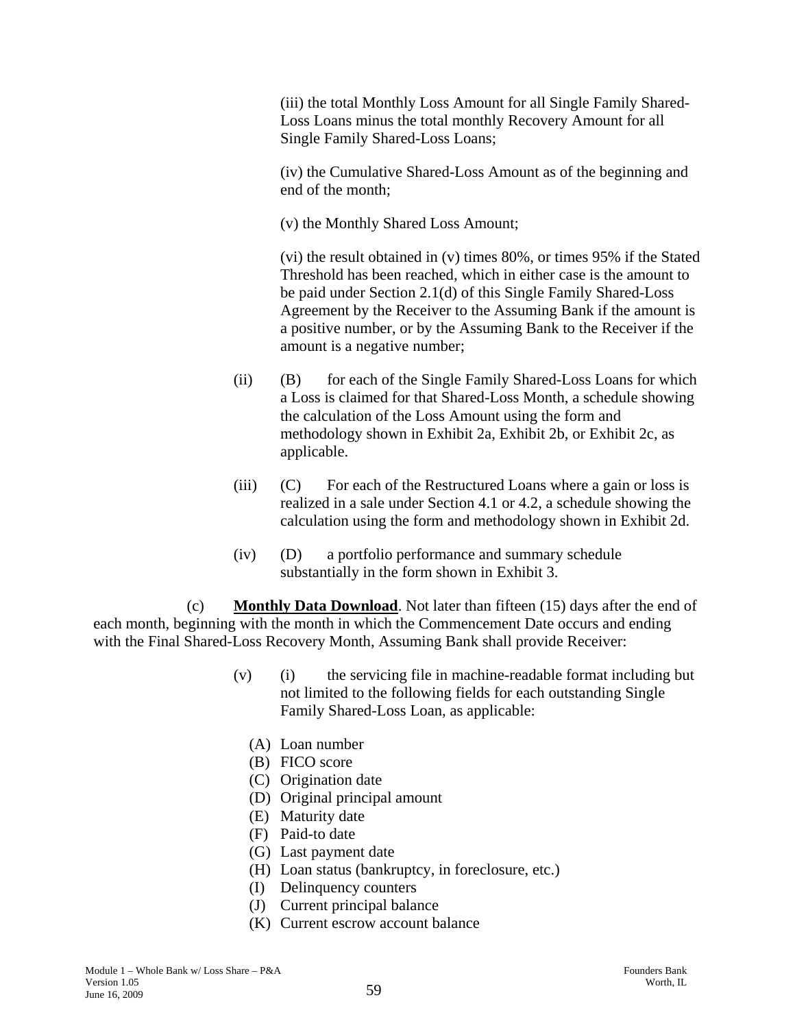(iii) the total Monthly Loss Amount for all Single Family Shared-Loss Loans minus the total monthly Recovery Amount for all Single Family Shared-Loss Loans;

(iv) the Cumulative Shared-Loss Amount as of the beginning and end of the month;

(v) the Monthly Shared Loss Amount;

(vi) the result obtained in (v) times 80%, or times 95% if the Stated Threshold has been reached, which in either case is the amount to be paid under Section 2.1(d) of this Single Family Shared-Loss Agreement by the Receiver to the Assuming Bank if the amount is a positive number, or by the Assuming Bank to the Receiver if the amount is a negative number;

- (ii) (B) for each of the Single Family Shared-Loss Loans for which a Loss is claimed for that Shared-Loss Month, a schedule showing the calculation of the Loss Amount using the form and methodology shown in Exhibit 2a, Exhibit 2b, or Exhibit 2c, as applicable.
- (iii) (C) For each of the Restructured Loans where a gain or loss is realized in a sale under Section 4.1 or 4.2, a schedule showing the calculation using the form and methodology shown in Exhibit 2d.
- (iv) (D) a portfolio performance and summary schedule substantially in the form shown in Exhibit 3.

(c) **Monthly Data Download**. Not later than fifteen (15) days after the end of each month, beginning with the month in which the Commencement Date occurs and ending with the Final Shared-Loss Recovery Month, Assuming Bank shall provide Receiver:

- $(v)$  (i) the servicing file in machine-readable format including but not limited to the following fields for each outstanding Single Family Shared-Loss Loan, as applicable:
	- (A) Loan number
	- (B) FICO score
	- (C) Origination date
	- (D) Original principal amount
	- (E) Maturity date
	- (F) Paid-to date
	- (G) Last payment date
	- (H) Loan status (bankruptcy, in foreclosure, etc.)
	- (I) Delinquency counters
	- (J) Current principal balance
	- (K) Current escrow account balance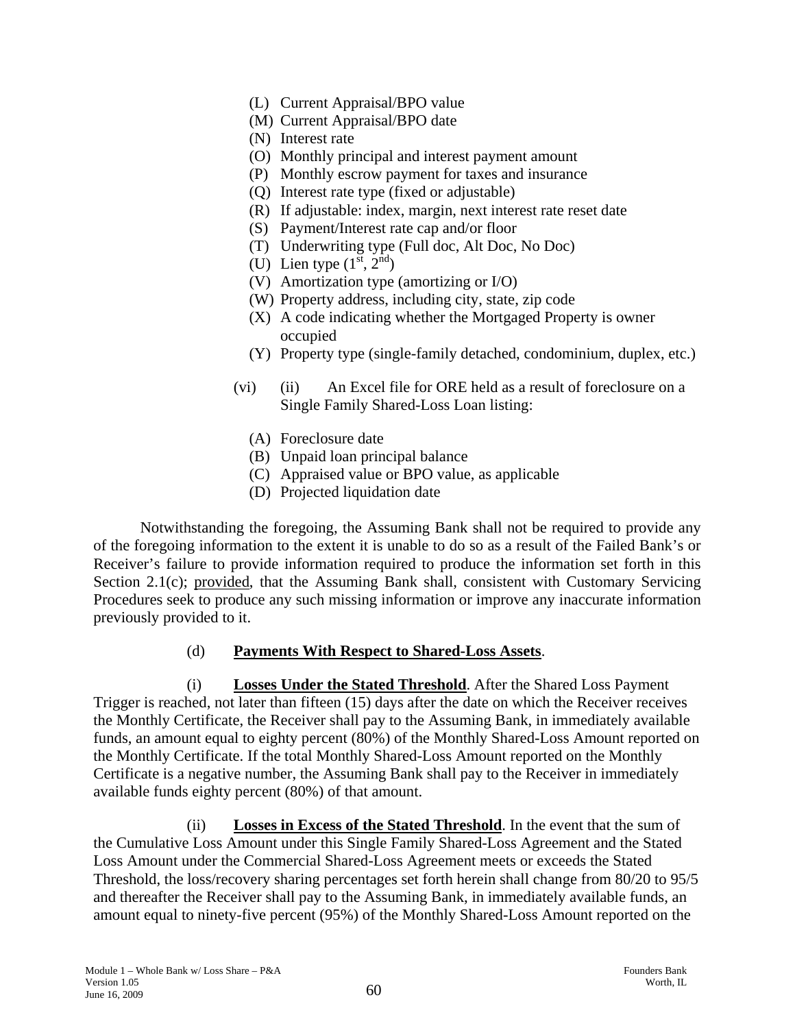- (L) Current Appraisal/BPO value
- (M) Current Appraisal/BPO date
- (N) Interest rate
- (O) Monthly principal and interest payment amount
- (P) Monthly escrow payment for taxes and insurance
- (Q) Interest rate type (fixed or adjustable)
- (R) If adjustable: index, margin, next interest rate reset date
- (S) Payment/Interest rate cap and/or floor
- (T) Underwriting type (Full doc, Alt Doc, No Doc)
- (U) Lien type  $(1<sup>st</sup>, 2<sup>nd</sup>)$
- (V) Amortization type (amortizing or I/O)
- (W) Property address, including city, state, zip code
- (X) A code indicating whether the Mortgaged Property is owner occupied
- (Y) Property type (single-family detached, condominium, duplex, etc.)
- (vi) (ii) An Excel file for ORE held as a result of foreclosure on a Single Family Shared-Loss Loan listing:
	- (A) Foreclosure date
	- (B) Unpaid loan principal balance
	- (C) Appraised value or BPO value, as applicable
	- (D) Projected liquidation date

Notwithstanding the foregoing, the Assuming Bank shall not be required to provide any of the foregoing information to the extent it is unable to do so as a result of the Failed Bank's or Receiver's failure to provide information required to produce the information set forth in this Section 2.1(c); provided, that the Assuming Bank shall, consistent with Customary Servicing Procedures seek to produce any such missing information or improve any inaccurate information previously provided to it.

#### (d) **Payments With Respect to Shared-Loss Assets**.

(i) **Losses Under the Stated Threshold**. After the Shared Loss Payment Trigger is reached, not later than fifteen (15) days after the date on which the Receiver receives the Monthly Certificate, the Receiver shall pay to the Assuming Bank, in immediately available funds, an amount equal to eighty percent (80%) of the Monthly Shared-Loss Amount reported on the Monthly Certificate. If the total Monthly Shared-Loss Amount reported on the Monthly Certificate is a negative number, the Assuming Bank shall pay to the Receiver in immediately available funds eighty percent (80%) of that amount.

(ii) **Losses in Excess of the Stated Threshold**. In the event that the sum of the Cumulative Loss Amount under this Single Family Shared-Loss Agreement and the Stated Loss Amount under the Commercial Shared-Loss Agreement meets or exceeds the Stated Threshold, the loss/recovery sharing percentages set forth herein shall change from 80/20 to 95/5 and thereafter the Receiver shall pay to the Assuming Bank, in immediately available funds, an amount equal to ninety-five percent (95%) of the Monthly Shared-Loss Amount reported on the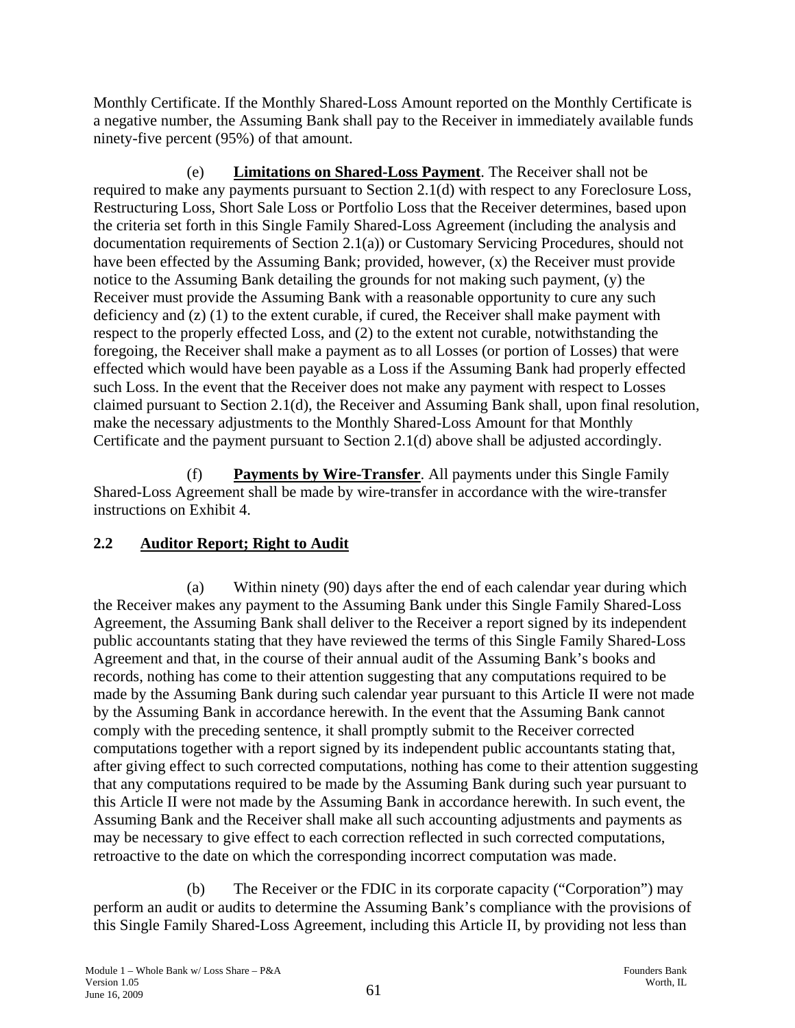Monthly Certificate. If the Monthly Shared-Loss Amount reported on the Monthly Certificate is a negative number, the Assuming Bank shall pay to the Receiver in immediately available funds ninety-five percent (95%) of that amount.

(e) **Limitations on Shared-Loss Payment**. The Receiver shall not be required to make any payments pursuant to Section 2.1(d) with respect to any Foreclosure Loss, Restructuring Loss, Short Sale Loss or Portfolio Loss that the Receiver determines, based upon the criteria set forth in this Single Family Shared-Loss Agreement (including the analysis and documentation requirements of Section 2.1(a)) or Customary Servicing Procedures, should not have been effected by the Assuming Bank; provided, however, (x) the Receiver must provide notice to the Assuming Bank detailing the grounds for not making such payment, (y) the Receiver must provide the Assuming Bank with a reasonable opportunity to cure any such deficiency and (z) (1) to the extent curable, if cured, the Receiver shall make payment with respect to the properly effected Loss, and (2) to the extent not curable, notwithstanding the foregoing, the Receiver shall make a payment as to all Losses (or portion of Losses) that were effected which would have been payable as a Loss if the Assuming Bank had properly effected such Loss. In the event that the Receiver does not make any payment with respect to Losses claimed pursuant to Section 2.1(d), the Receiver and Assuming Bank shall, upon final resolution, make the necessary adjustments to the Monthly Shared-Loss Amount for that Monthly Certificate and the payment pursuant to Section 2.1(d) above shall be adjusted accordingly.

(f) **Payments by Wire-Transfer**. All payments under this Single Family Shared-Loss Agreement shall be made by wire-transfer in accordance with the wire-transfer instructions on Exhibit 4.

## **2.2 Auditor Report; Right to Audit**

(a) Within ninety (90) days after the end of each calendar year during which the Receiver makes any payment to the Assuming Bank under this Single Family Shared-Loss Agreement, the Assuming Bank shall deliver to the Receiver a report signed by its independent public accountants stating that they have reviewed the terms of this Single Family Shared-Loss Agreement and that, in the course of their annual audit of the Assuming Bank's books and records, nothing has come to their attention suggesting that any computations required to be made by the Assuming Bank during such calendar year pursuant to this Article II were not made by the Assuming Bank in accordance herewith. In the event that the Assuming Bank cannot comply with the preceding sentence, it shall promptly submit to the Receiver corrected computations together with a report signed by its independent public accountants stating that, after giving effect to such corrected computations, nothing has come to their attention suggesting that any computations required to be made by the Assuming Bank during such year pursuant to this Article II were not made by the Assuming Bank in accordance herewith. In such event, the Assuming Bank and the Receiver shall make all such accounting adjustments and payments as may be necessary to give effect to each correction reflected in such corrected computations, retroactive to the date on which the corresponding incorrect computation was made.

(b) The Receiver or the FDIC in its corporate capacity ("Corporation") may perform an audit or audits to determine the Assuming Bank's compliance with the provisions of this Single Family Shared-Loss Agreement, including this Article II, by providing not less than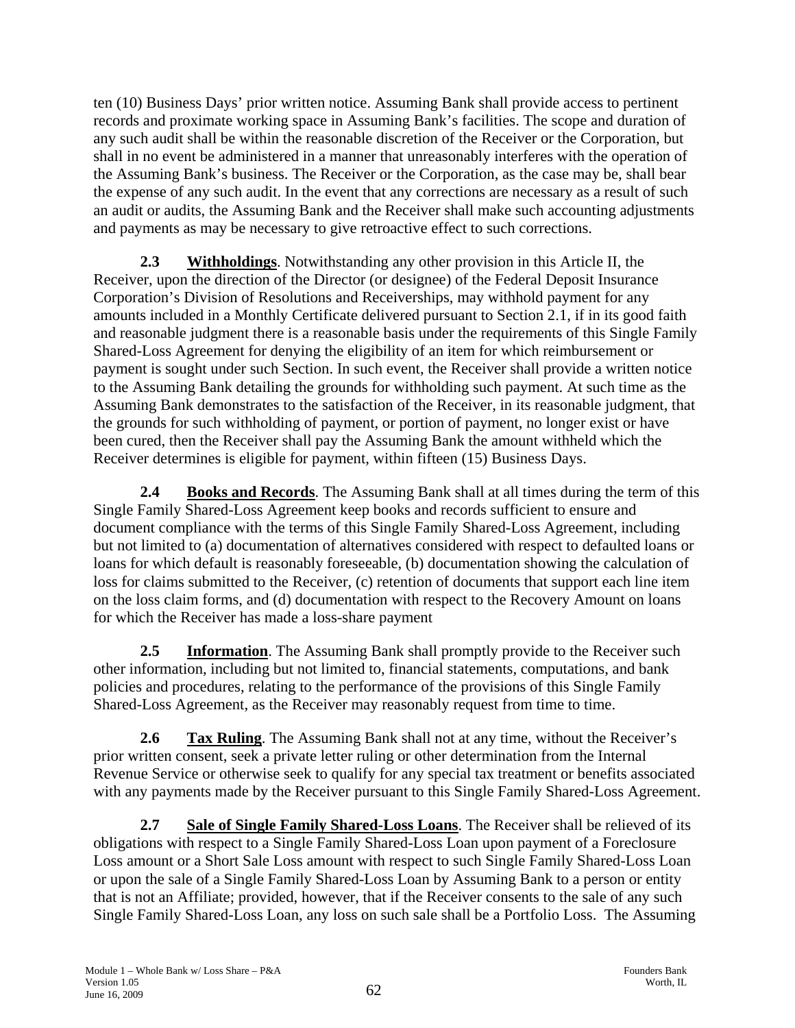ten (10) Business Days' prior written notice. Assuming Bank shall provide access to pertinent records and proximate working space in Assuming Bank's facilities. The scope and duration of any such audit shall be within the reasonable discretion of the Receiver or the Corporation, but shall in no event be administered in a manner that unreasonably interferes with the operation of the Assuming Bank's business. The Receiver or the Corporation, as the case may be, shall bear the expense of any such audit. In the event that any corrections are necessary as a result of such an audit or audits, the Assuming Bank and the Receiver shall make such accounting adjustments and payments as may be necessary to give retroactive effect to such corrections.

**2.3 Withholdings**. Notwithstanding any other provision in this Article II, the Receiver, upon the direction of the Director (or designee) of the Federal Deposit Insurance Corporation's Division of Resolutions and Receiverships, may withhold payment for any amounts included in a Monthly Certificate delivered pursuant to Section 2.1, if in its good faith and reasonable judgment there is a reasonable basis under the requirements of this Single Family Shared-Loss Agreement for denying the eligibility of an item for which reimbursement or payment is sought under such Section. In such event, the Receiver shall provide a written notice to the Assuming Bank detailing the grounds for withholding such payment. At such time as the Assuming Bank demonstrates to the satisfaction of the Receiver, in its reasonable judgment, that the grounds for such withholding of payment, or portion of payment, no longer exist or have been cured, then the Receiver shall pay the Assuming Bank the amount withheld which the Receiver determines is eligible for payment, within fifteen (15) Business Days.

**2.4 Books and Records**. The Assuming Bank shall at all times during the term of this Single Family Shared-Loss Agreement keep books and records sufficient to ensure and document compliance with the terms of this Single Family Shared-Loss Agreement, including but not limited to (a) documentation of alternatives considered with respect to defaulted loans or loans for which default is reasonably foreseeable, (b) documentation showing the calculation of loss for claims submitted to the Receiver, (c) retention of documents that support each line item on the loss claim forms, and (d) documentation with respect to the Recovery Amount on loans for which the Receiver has made a loss-share payment

**2.5 Information**. The Assuming Bank shall promptly provide to the Receiver such other information, including but not limited to, financial statements, computations, and bank policies and procedures, relating to the performance of the provisions of this Single Family Shared-Loss Agreement, as the Receiver may reasonably request from time to time.

**2.6 Tax Ruling**. The Assuming Bank shall not at any time, without the Receiver's prior written consent, seek a private letter ruling or other determination from the Internal Revenue Service or otherwise seek to qualify for any special tax treatment or benefits associated with any payments made by the Receiver pursuant to this Single Family Shared-Loss Agreement.

**2.7 Sale of Single Family Shared-Loss Loans**. The Receiver shall be relieved of its obligations with respect to a Single Family Shared-Loss Loan upon payment of a Foreclosure Loss amount or a Short Sale Loss amount with respect to such Single Family Shared-Loss Loan or upon the sale of a Single Family Shared-Loss Loan by Assuming Bank to a person or entity that is not an Affiliate; provided, however, that if the Receiver consents to the sale of any such Single Family Shared-Loss Loan, any loss on such sale shall be a Portfolio Loss. The Assuming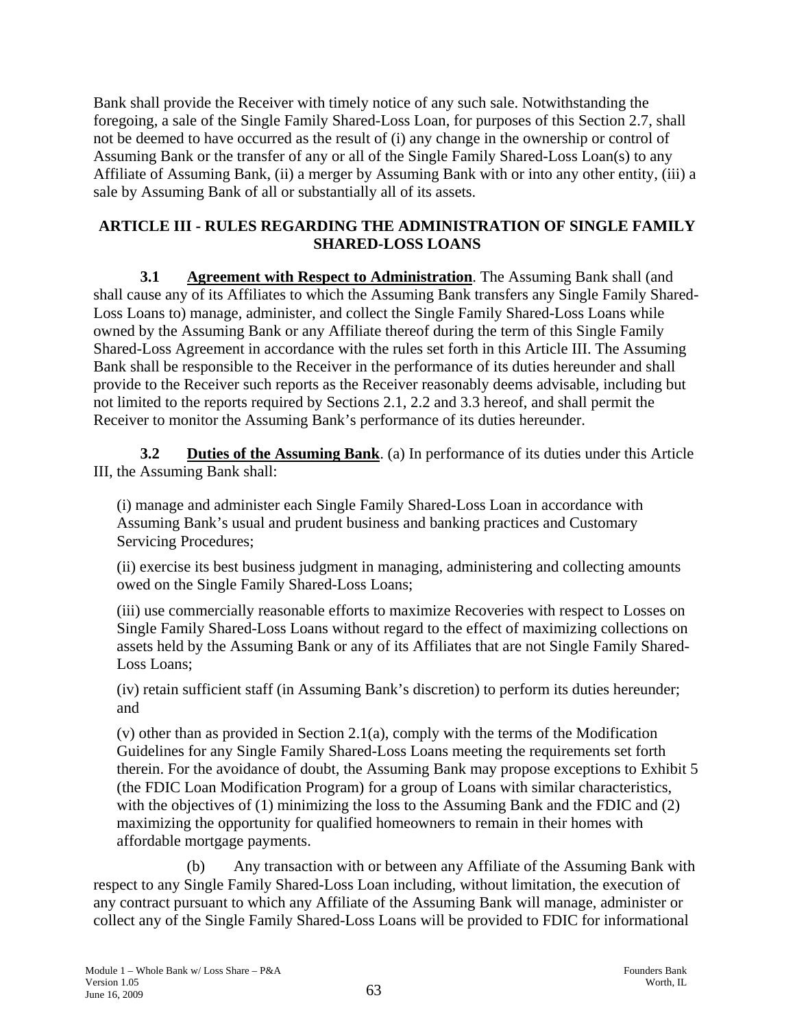Bank shall provide the Receiver with timely notice of any such sale. Notwithstanding the foregoing, a sale of the Single Family Shared-Loss Loan, for purposes of this Section 2.7, shall not be deemed to have occurred as the result of (i) any change in the ownership or control of Assuming Bank or the transfer of any or all of the Single Family Shared-Loss Loan(s) to any Affiliate of Assuming Bank, (ii) a merger by Assuming Bank with or into any other entity, (iii) a sale by Assuming Bank of all or substantially all of its assets.

### **ARTICLE III - RULES REGARDING THE ADMINISTRATION OF SINGLE FAMILY SHARED-LOSS LOANS**

**3.1 Agreement with Respect to Administration**. The Assuming Bank shall (and shall cause any of its Affiliates to which the Assuming Bank transfers any Single Family Shared-Loss Loans to) manage, administer, and collect the Single Family Shared-Loss Loans while owned by the Assuming Bank or any Affiliate thereof during the term of this Single Family Shared-Loss Agreement in accordance with the rules set forth in this Article III. The Assuming Bank shall be responsible to the Receiver in the performance of its duties hereunder and shall provide to the Receiver such reports as the Receiver reasonably deems advisable, including but not limited to the reports required by Sections 2.1, 2.2 and 3.3 hereof, and shall permit the Receiver to monitor the Assuming Bank's performance of its duties hereunder.

**3.2** Duties of the Assuming Bank. (a) In performance of its duties under this Article III, the Assuming Bank shall:

(i) manage and administer each Single Family Shared-Loss Loan in accordance with Assuming Bank's usual and prudent business and banking practices and Customary Servicing Procedures;

(ii) exercise its best business judgment in managing, administering and collecting amounts owed on the Single Family Shared-Loss Loans;

(iii) use commercially reasonable efforts to maximize Recoveries with respect to Losses on Single Family Shared-Loss Loans without regard to the effect of maximizing collections on assets held by the Assuming Bank or any of its Affiliates that are not Single Family Shared-Loss Loans;

(iv) retain sufficient staff (in Assuming Bank's discretion) to perform its duties hereunder; and

(v) other than as provided in Section 2.1(a), comply with the terms of the Modification Guidelines for any Single Family Shared-Loss Loans meeting the requirements set forth therein. For the avoidance of doubt, the Assuming Bank may propose exceptions to Exhibit 5 (the FDIC Loan Modification Program) for a group of Loans with similar characteristics, with the objectives of (1) minimizing the loss to the Assuming Bank and the FDIC and (2) maximizing the opportunity for qualified homeowners to remain in their homes with affordable mortgage payments.

(b) Any transaction with or between any Affiliate of the Assuming Bank with respect to any Single Family Shared-Loss Loan including, without limitation, the execution of any contract pursuant to which any Affiliate of the Assuming Bank will manage, administer or collect any of the Single Family Shared-Loss Loans will be provided to FDIC for informational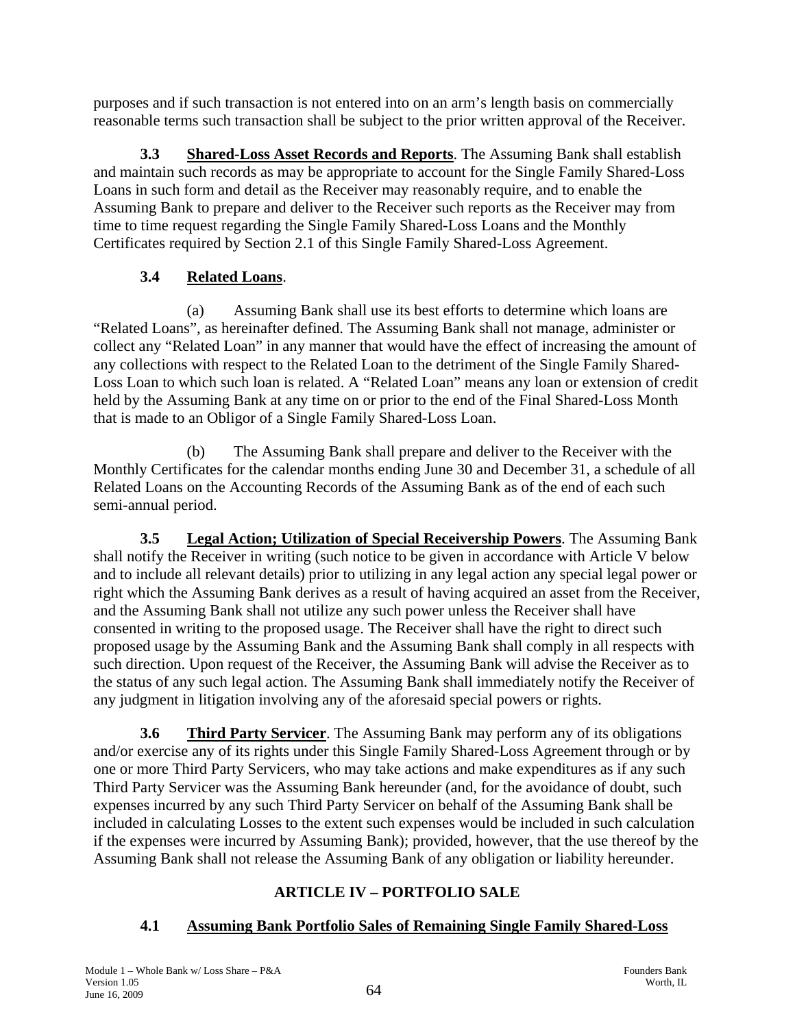purposes and if such transaction is not entered into on an arm's length basis on commercially reasonable terms such transaction shall be subject to the prior written approval of the Receiver.

**3.3 Shared-Loss Asset Records and Reports**. The Assuming Bank shall establish and maintain such records as may be appropriate to account for the Single Family Shared-Loss Loans in such form and detail as the Receiver may reasonably require, and to enable the Assuming Bank to prepare and deliver to the Receiver such reports as the Receiver may from time to time request regarding the Single Family Shared-Loss Loans and the Monthly Certificates required by Section 2.1 of this Single Family Shared-Loss Agreement.

# **3.4 Related Loans**.

(a) Assuming Bank shall use its best efforts to determine which loans are "Related Loans", as hereinafter defined. The Assuming Bank shall not manage, administer or collect any "Related Loan" in any manner that would have the effect of increasing the amount of any collections with respect to the Related Loan to the detriment of the Single Family Shared-Loss Loan to which such loan is related. A "Related Loan" means any loan or extension of credit held by the Assuming Bank at any time on or prior to the end of the Final Shared-Loss Month that is made to an Obligor of a Single Family Shared-Loss Loan.

(b) The Assuming Bank shall prepare and deliver to the Receiver with the Monthly Certificates for the calendar months ending June 30 and December 31, a schedule of all Related Loans on the Accounting Records of the Assuming Bank as of the end of each such semi-annual period.

**3.5 Legal Action; Utilization of Special Receivership Powers**. The Assuming Bank shall notify the Receiver in writing (such notice to be given in accordance with Article V below and to include all relevant details) prior to utilizing in any legal action any special legal power or right which the Assuming Bank derives as a result of having acquired an asset from the Receiver, and the Assuming Bank shall not utilize any such power unless the Receiver shall have consented in writing to the proposed usage. The Receiver shall have the right to direct such proposed usage by the Assuming Bank and the Assuming Bank shall comply in all respects with such direction. Upon request of the Receiver, the Assuming Bank will advise the Receiver as to the status of any such legal action. The Assuming Bank shall immediately notify the Receiver of any judgment in litigation involving any of the aforesaid special powers or rights.

**3.6** Third Party Servicer. The Assuming Bank may perform any of its obligations and/or exercise any of its rights under this Single Family Shared-Loss Agreement through or by one or more Third Party Servicers, who may take actions and make expenditures as if any such Third Party Servicer was the Assuming Bank hereunder (and, for the avoidance of doubt, such expenses incurred by any such Third Party Servicer on behalf of the Assuming Bank shall be included in calculating Losses to the extent such expenses would be included in such calculation if the expenses were incurred by Assuming Bank); provided, however, that the use thereof by the Assuming Bank shall not release the Assuming Bank of any obligation or liability hereunder.

# **ARTICLE IV – PORTFOLIO SALE**

# **4.1 Assuming Bank Portfolio Sales of Remaining Single Family Shared-Loss**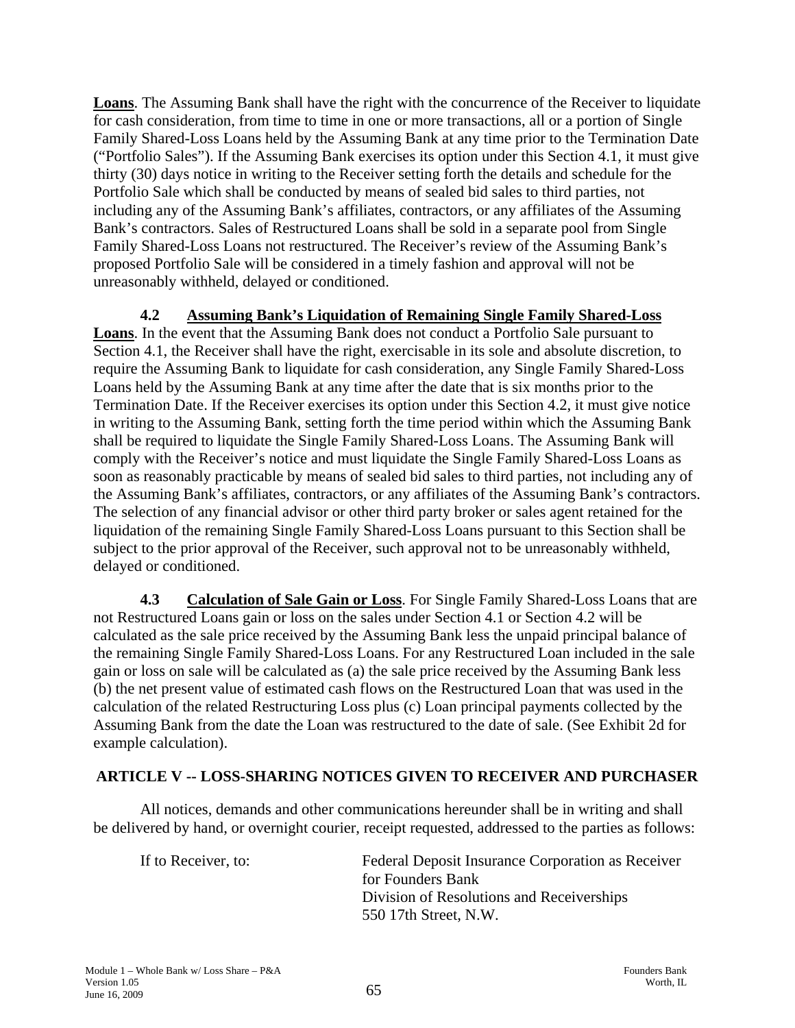**Loans**. The Assuming Bank shall have the right with the concurrence of the Receiver to liquidate for cash consideration, from time to time in one or more transactions, all or a portion of Single Family Shared-Loss Loans held by the Assuming Bank at any time prior to the Termination Date ("Portfolio Sales"). If the Assuming Bank exercises its option under this Section 4.1, it must give thirty (30) days notice in writing to the Receiver setting forth the details and schedule for the Portfolio Sale which shall be conducted by means of sealed bid sales to third parties, not including any of the Assuming Bank's affiliates, contractors, or any affiliates of the Assuming Bank's contractors. Sales of Restructured Loans shall be sold in a separate pool from Single Family Shared-Loss Loans not restructured. The Receiver's review of the Assuming Bank's proposed Portfolio Sale will be considered in a timely fashion and approval will not be unreasonably withheld, delayed or conditioned.

# **4.2 Assuming Bank's Liquidation of Remaining Single Family Shared-Loss**

**Loans**. In the event that the Assuming Bank does not conduct a Portfolio Sale pursuant to Section 4.1, the Receiver shall have the right, exercisable in its sole and absolute discretion, to require the Assuming Bank to liquidate for cash consideration, any Single Family Shared-Loss Loans held by the Assuming Bank at any time after the date that is six months prior to the Termination Date. If the Receiver exercises its option under this Section 4.2, it must give notice in writing to the Assuming Bank, setting forth the time period within which the Assuming Bank shall be required to liquidate the Single Family Shared-Loss Loans. The Assuming Bank will comply with the Receiver's notice and must liquidate the Single Family Shared-Loss Loans as soon as reasonably practicable by means of sealed bid sales to third parties, not including any of the Assuming Bank's affiliates, contractors, or any affiliates of the Assuming Bank's contractors. The selection of any financial advisor or other third party broker or sales agent retained for the liquidation of the remaining Single Family Shared-Loss Loans pursuant to this Section shall be subject to the prior approval of the Receiver, such approval not to be unreasonably withheld, delayed or conditioned.

**4.3 Calculation of Sale Gain or Loss**. For Single Family Shared-Loss Loans that are not Restructured Loans gain or loss on the sales under Section 4.1 or Section 4.2 will be calculated as the sale price received by the Assuming Bank less the unpaid principal balance of the remaining Single Family Shared-Loss Loans. For any Restructured Loan included in the sale gain or loss on sale will be calculated as (a) the sale price received by the Assuming Bank less (b) the net present value of estimated cash flows on the Restructured Loan that was used in the calculation of the related Restructuring Loss plus (c) Loan principal payments collected by the Assuming Bank from the date the Loan was restructured to the date of sale. (See Exhibit 2d for example calculation).

### **ARTICLE V -- LOSS-SHARING NOTICES GIVEN TO RECEIVER AND PURCHASER**

All notices, demands and other communications hereunder shall be in writing and shall be delivered by hand, or overnight courier, receipt requested, addressed to the parties as follows:

| If to Receiver, to: | Federal Deposit Insurance Corporation as Receiver |
|---------------------|---------------------------------------------------|
|                     | for Founders Bank                                 |
|                     | Division of Resolutions and Receiverships         |
|                     | 550 17th Street, N.W.                             |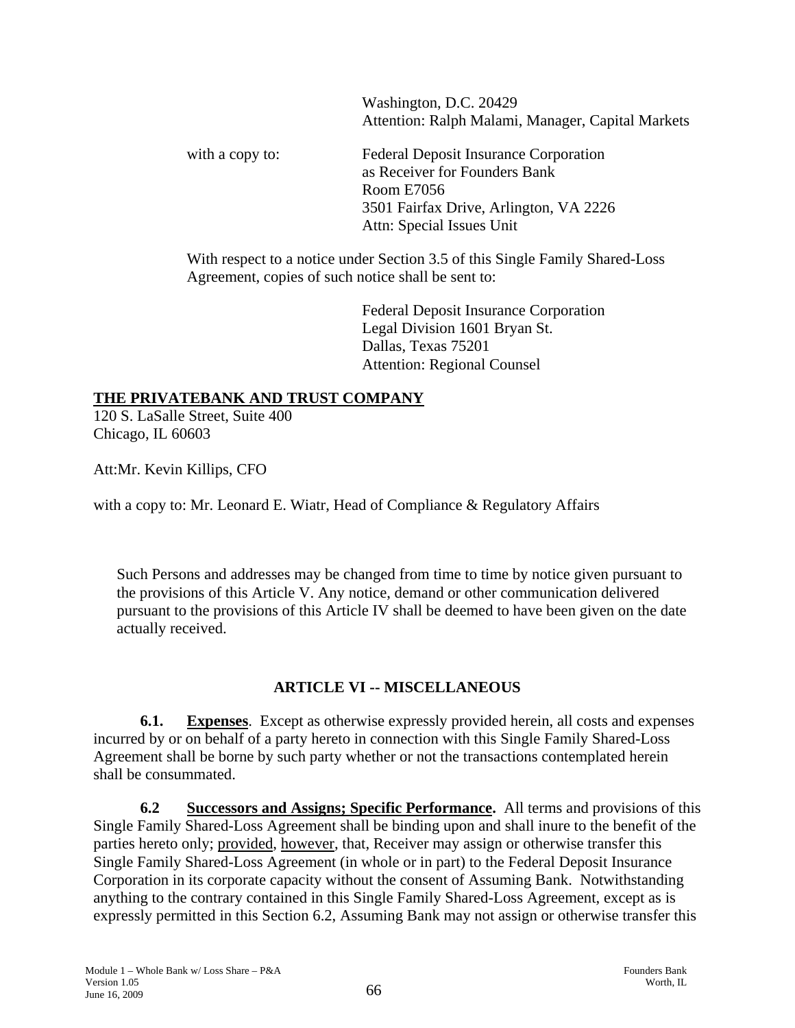Washington, D.C. 20429 Attention: Ralph Malami, Manager, Capital Markets

with a copy to: Federal Deposit Insurance Corporation as Receiver for Founders Bank Room E7056 3501 Fairfax Drive, Arlington, VA 2226 Attn: Special Issues Unit

With respect to a notice under Section 3.5 of this Single Family Shared-Loss Agreement, copies of such notice shall be sent to:

> Federal Deposit Insurance Corporation Legal Division 1601 Bryan St. Dallas, Texas 75201 Attention: Regional Counsel

### **THE PRIVATEBANK AND TRUST COMPANY**

120 S. LaSalle Street, Suite 400 Chicago, IL 60603

Att:Mr. Kevin Killips, CFO

with a copy to: Mr. Leonard E. Wiatr, Head of Compliance  $\&$  Regulatory Affairs

Such Persons and addresses may be changed from time to time by notice given pursuant to the provisions of this Article V. Any notice, demand or other communication delivered pursuant to the provisions of this Article IV shall be deemed to have been given on the date actually received.

## **ARTICLE VI -- MISCELLANEOUS**

**6.1. Expenses**. Except as otherwise expressly provided herein, all costs and expenses incurred by or on behalf of a party hereto in connection with this Single Family Shared-Loss Agreement shall be borne by such party whether or not the transactions contemplated herein shall be consummated.

**6.2 Successors and Assigns; Specific Performance.** All terms and provisions of this Single Family Shared-Loss Agreement shall be binding upon and shall inure to the benefit of the parties hereto only; provided, however, that, Receiver may assign or otherwise transfer this Single Family Shared-Loss Agreement (in whole or in part) to the Federal Deposit Insurance Corporation in its corporate capacity without the consent of Assuming Bank. Notwithstanding anything to the contrary contained in this Single Family Shared-Loss Agreement, except as is expressly permitted in this Section 6.2, Assuming Bank may not assign or otherwise transfer this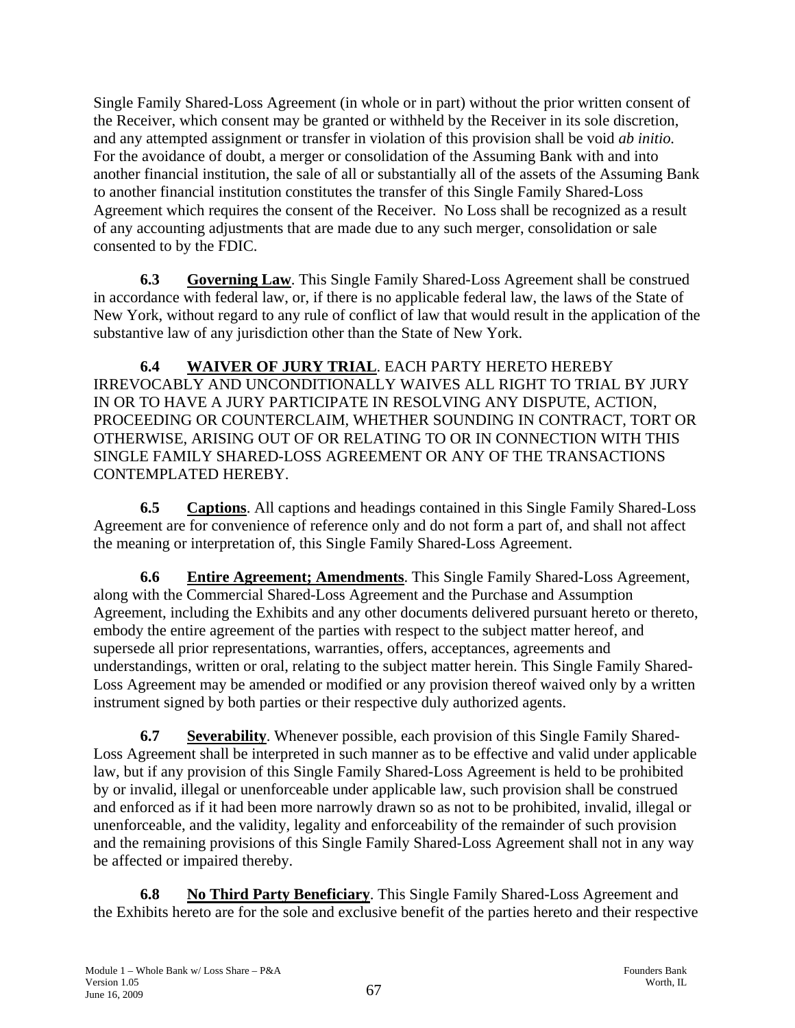Single Family Shared-Loss Agreement (in whole or in part) without the prior written consent of the Receiver, which consent may be granted or withheld by the Receiver in its sole discretion, and any attempted assignment or transfer in violation of this provision shall be void *ab initio.*  For the avoidance of doubt, a merger or consolidation of the Assuming Bank with and into another financial institution, the sale of all or substantially all of the assets of the Assuming Bank to another financial institution constitutes the transfer of this Single Family Shared-Loss Agreement which requires the consent of the Receiver. No Loss shall be recognized as a result of any accounting adjustments that are made due to any such merger, consolidation or sale consented to by the FDIC.

**6.3 Governing Law**. This Single Family Shared-Loss Agreement shall be construed in accordance with federal law, or, if there is no applicable federal law, the laws of the State of New York, without regard to any rule of conflict of law that would result in the application of the substantive law of any jurisdiction other than the State of New York.

**6.4 WAIVER OF JURY TRIAL**. EACH PARTY HERETO HEREBY IRREVOCABLY AND UNCONDITIONALLY WAIVES ALL RIGHT TO TRIAL BY JURY IN OR TO HAVE A JURY PARTICIPATE IN RESOLVING ANY DISPUTE, ACTION, PROCEEDING OR COUNTERCLAIM, WHETHER SOUNDING IN CONTRACT, TORT OR OTHERWISE, ARISING OUT OF OR RELATING TO OR IN CONNECTION WITH THIS SINGLE FAMILY SHARED-LOSS AGREEMENT OR ANY OF THE TRANSACTIONS CONTEMPLATED HEREBY.

**6.5 Captions**. All captions and headings contained in this Single Family Shared-Loss Agreement are for convenience of reference only and do not form a part of, and shall not affect the meaning or interpretation of, this Single Family Shared-Loss Agreement.

**6.6 Entire Agreement; Amendments**. This Single Family Shared-Loss Agreement, along with the Commercial Shared-Loss Agreement and the Purchase and Assumption Agreement, including the Exhibits and any other documents delivered pursuant hereto or thereto, embody the entire agreement of the parties with respect to the subject matter hereof, and supersede all prior representations, warranties, offers, acceptances, agreements and understandings, written or oral, relating to the subject matter herein. This Single Family Shared-Loss Agreement may be amended or modified or any provision thereof waived only by a written instrument signed by both parties or their respective duly authorized agents.

**6.7 Severability**. Whenever possible, each provision of this Single Family Shared-Loss Agreement shall be interpreted in such manner as to be effective and valid under applicable law, but if any provision of this Single Family Shared-Loss Agreement is held to be prohibited by or invalid, illegal or unenforceable under applicable law, such provision shall be construed and enforced as if it had been more narrowly drawn so as not to be prohibited, invalid, illegal or unenforceable, and the validity, legality and enforceability of the remainder of such provision and the remaining provisions of this Single Family Shared-Loss Agreement shall not in any way be affected or impaired thereby.

**6.8 No Third Party Beneficiary**. This Single Family Shared-Loss Agreement and the Exhibits hereto are for the sole and exclusive benefit of the parties hereto and their respective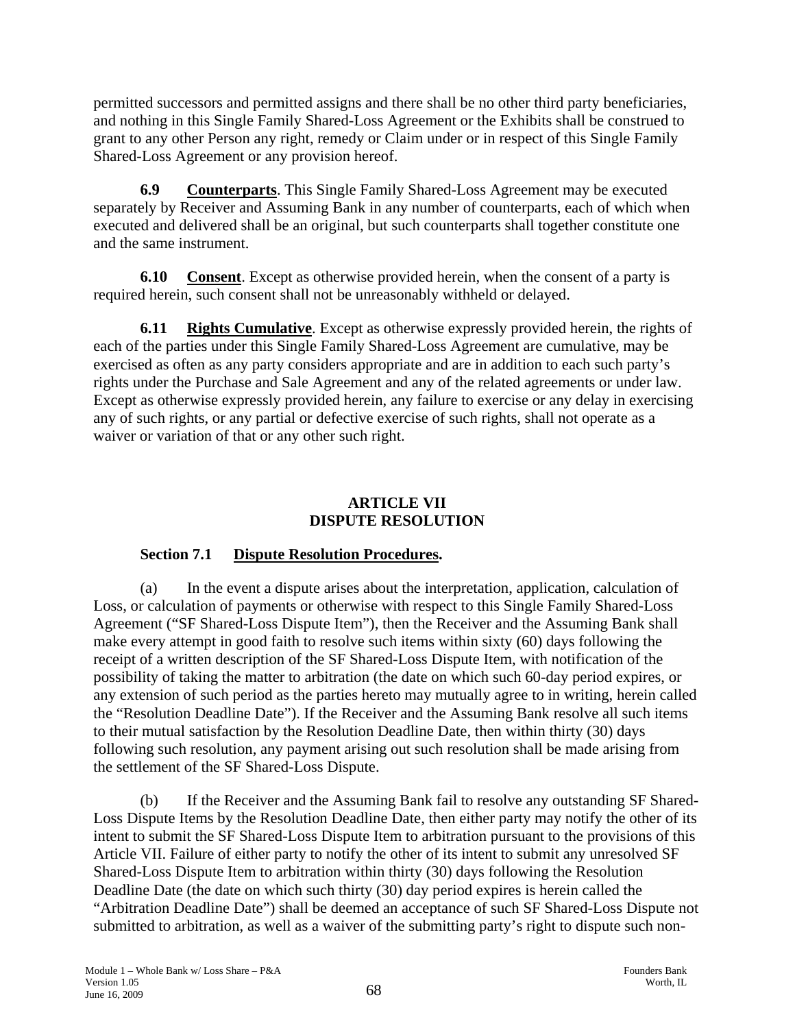permitted successors and permitted assigns and there shall be no other third party beneficiaries, and nothing in this Single Family Shared-Loss Agreement or the Exhibits shall be construed to grant to any other Person any right, remedy or Claim under or in respect of this Single Family Shared-Loss Agreement or any provision hereof.

**6.9 Counterparts**. This Single Family Shared-Loss Agreement may be executed separately by Receiver and Assuming Bank in any number of counterparts, each of which when executed and delivered shall be an original, but such counterparts shall together constitute one and the same instrument.

**6.10 Consent**. Except as otherwise provided herein, when the consent of a party is required herein, such consent shall not be unreasonably withheld or delayed.

**6.11 Rights Cumulative**. Except as otherwise expressly provided herein, the rights of each of the parties under this Single Family Shared-Loss Agreement are cumulative, may be exercised as often as any party considers appropriate and are in addition to each such party's rights under the Purchase and Sale Agreement and any of the related agreements or under law. Except as otherwise expressly provided herein, any failure to exercise or any delay in exercising any of such rights, or any partial or defective exercise of such rights, shall not operate as a waiver or variation of that or any other such right.

### **ARTICLE VII DISPUTE RESOLUTION**

# **Section 7.1 Dispute Resolution Procedures.**

(a) In the event a dispute arises about the interpretation, application, calculation of Loss, or calculation of payments or otherwise with respect to this Single Family Shared-Loss Agreement ("SF Shared-Loss Dispute Item"), then the Receiver and the Assuming Bank shall make every attempt in good faith to resolve such items within sixty (60) days following the receipt of a written description of the SF Shared-Loss Dispute Item, with notification of the possibility of taking the matter to arbitration (the date on which such 60-day period expires, or any extension of such period as the parties hereto may mutually agree to in writing, herein called the "Resolution Deadline Date"). If the Receiver and the Assuming Bank resolve all such items to their mutual satisfaction by the Resolution Deadline Date, then within thirty (30) days following such resolution, any payment arising out such resolution shall be made arising from the settlement of the SF Shared-Loss Dispute.

(b) If the Receiver and the Assuming Bank fail to resolve any outstanding SF Shared-Loss Dispute Items by the Resolution Deadline Date, then either party may notify the other of its intent to submit the SF Shared-Loss Dispute Item to arbitration pursuant to the provisions of this Article VII. Failure of either party to notify the other of its intent to submit any unresolved SF Shared-Loss Dispute Item to arbitration within thirty (30) days following the Resolution Deadline Date (the date on which such thirty (30) day period expires is herein called the "Arbitration Deadline Date") shall be deemed an acceptance of such SF Shared-Loss Dispute not submitted to arbitration, as well as a waiver of the submitting party's right to dispute such non-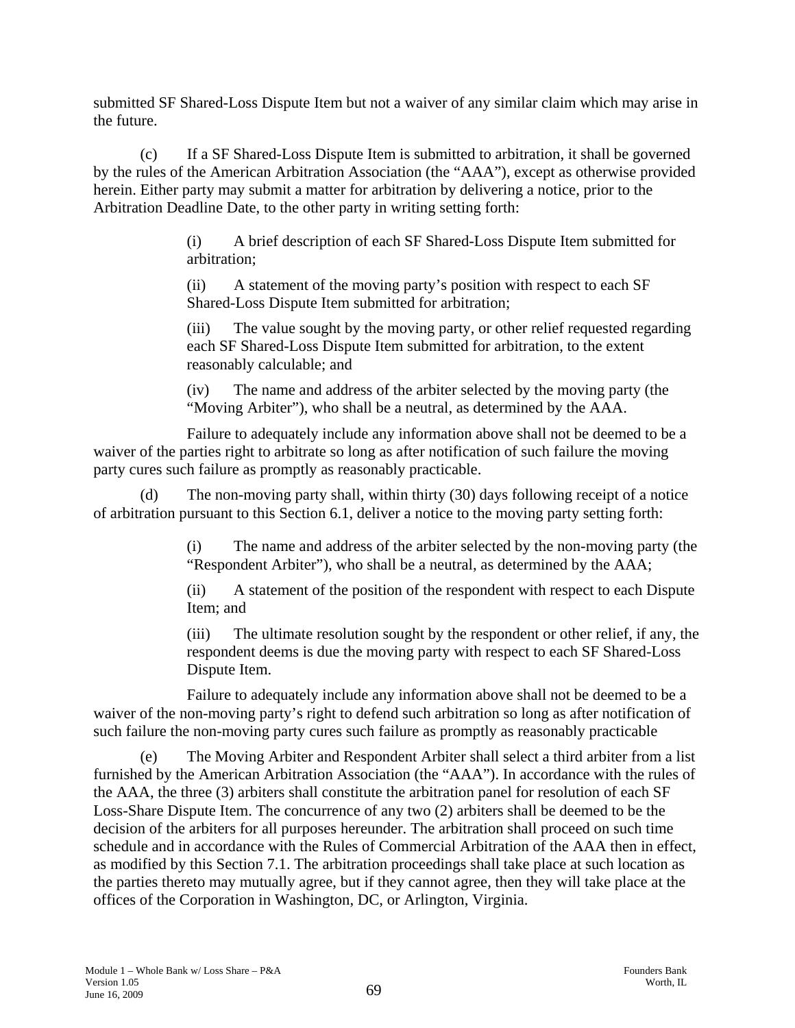submitted SF Shared-Loss Dispute Item but not a waiver of any similar claim which may arise in the future.

(c) If a SF Shared-Loss Dispute Item is submitted to arbitration, it shall be governed by the rules of the American Arbitration Association (the "AAA"), except as otherwise provided herein. Either party may submit a matter for arbitration by delivering a notice, prior to the Arbitration Deadline Date, to the other party in writing setting forth:

> (i) A brief description of each SF Shared-Loss Dispute Item submitted for arbitration;

(ii) A statement of the moving party's position with respect to each SF Shared-Loss Dispute Item submitted for arbitration;

(iii) The value sought by the moving party, or other relief requested regarding each SF Shared-Loss Dispute Item submitted for arbitration, to the extent reasonably calculable; and

(iv) The name and address of the arbiter selected by the moving party (the "Moving Arbiter"), who shall be a neutral, as determined by the AAA.

Failure to adequately include any information above shall not be deemed to be a waiver of the parties right to arbitrate so long as after notification of such failure the moving party cures such failure as promptly as reasonably practicable.

(d) The non-moving party shall, within thirty (30) days following receipt of a notice of arbitration pursuant to this Section 6.1, deliver a notice to the moving party setting forth:

> (i) The name and address of the arbiter selected by the non-moving party (the "Respondent Arbiter"), who shall be a neutral, as determined by the AAA;

> (ii) A statement of the position of the respondent with respect to each Dispute Item; and

> (iii) The ultimate resolution sought by the respondent or other relief, if any, the respondent deems is due the moving party with respect to each SF Shared-Loss Dispute Item.

Failure to adequately include any information above shall not be deemed to be a waiver of the non-moving party's right to defend such arbitration so long as after notification of such failure the non-moving party cures such failure as promptly as reasonably practicable

The Moving Arbiter and Respondent Arbiter shall select a third arbiter from a list furnished by the American Arbitration Association (the "AAA"). In accordance with the rules of the AAA, the three (3) arbiters shall constitute the arbitration panel for resolution of each SF Loss-Share Dispute Item. The concurrence of any two (2) arbiters shall be deemed to be the decision of the arbiters for all purposes hereunder. The arbitration shall proceed on such time schedule and in accordance with the Rules of Commercial Arbitration of the AAA then in effect, as modified by this Section 7.1. The arbitration proceedings shall take place at such location as the parties thereto may mutually agree, but if they cannot agree, then they will take place at the offices of the Corporation in Washington, DC, or Arlington, Virginia.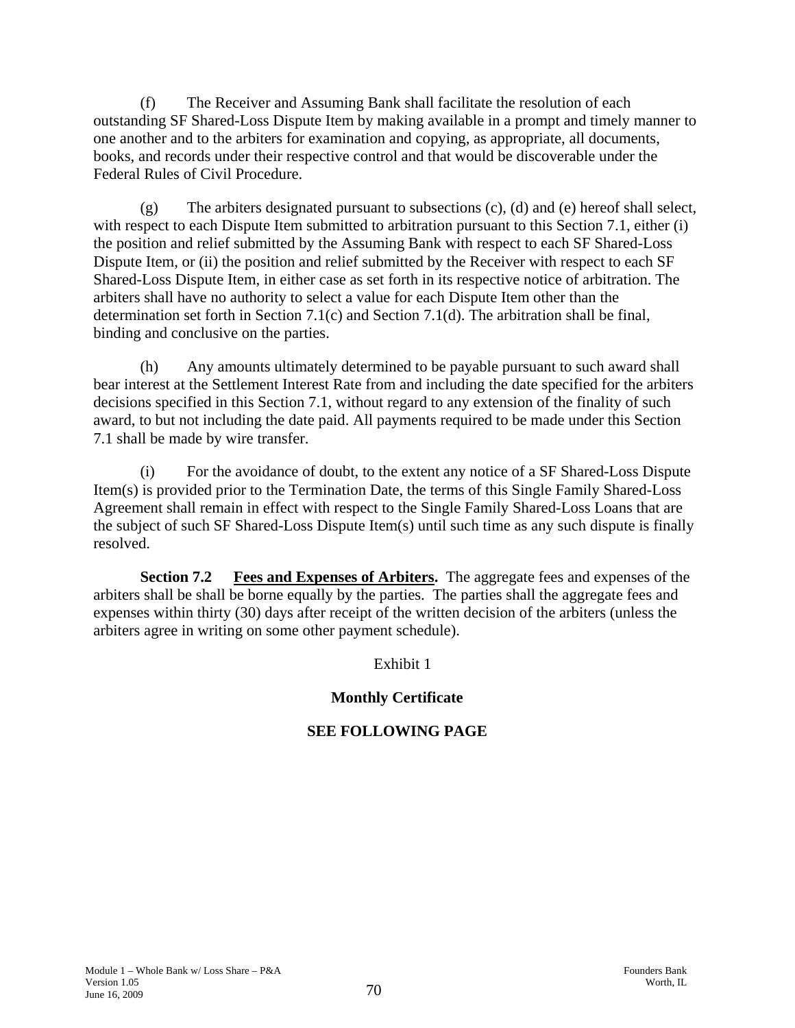(f) The Receiver and Assuming Bank shall facilitate the resolution of each outstanding SF Shared-Loss Dispute Item by making available in a prompt and timely manner to one another and to the arbiters for examination and copying, as appropriate, all documents, books, and records under their respective control and that would be discoverable under the Federal Rules of Civil Procedure.

 $(g)$  The arbiters designated pursuant to subsections  $(c)$ ,  $(d)$  and  $(e)$  hereof shall select, with respect to each Dispute Item submitted to arbitration pursuant to this Section 7.1, either (i) the position and relief submitted by the Assuming Bank with respect to each SF Shared-Loss Dispute Item, or (ii) the position and relief submitted by the Receiver with respect to each SF Shared-Loss Dispute Item, in either case as set forth in its respective notice of arbitration. The arbiters shall have no authority to select a value for each Dispute Item other than the determination set forth in Section 7.1(c) and Section 7.1(d). The arbitration shall be final, binding and conclusive on the parties.

(h) Any amounts ultimately determined to be payable pursuant to such award shall bear interest at the Settlement Interest Rate from and including the date specified for the arbiters decisions specified in this Section 7.1, without regard to any extension of the finality of such award, to but not including the date paid. All payments required to be made under this Section 7.1 shall be made by wire transfer.

(i) For the avoidance of doubt, to the extent any notice of a SF Shared-Loss Dispute Item(s) is provided prior to the Termination Date, the terms of this Single Family Shared-Loss Agreement shall remain in effect with respect to the Single Family Shared-Loss Loans that are the subject of such SF Shared-Loss Dispute Item(s) until such time as any such dispute is finally resolved.

**Section 7.2** Frees and Expenses of Arbiters. The aggregate fees and expenses of the arbiters shall be shall be borne equally by the parties. The parties shall the aggregate fees and expenses within thirty (30) days after receipt of the written decision of the arbiters (unless the arbiters agree in writing on some other payment schedule).

Exhibit 1

## **Monthly Certificate**

## **SEE FOLLOWING PAGE**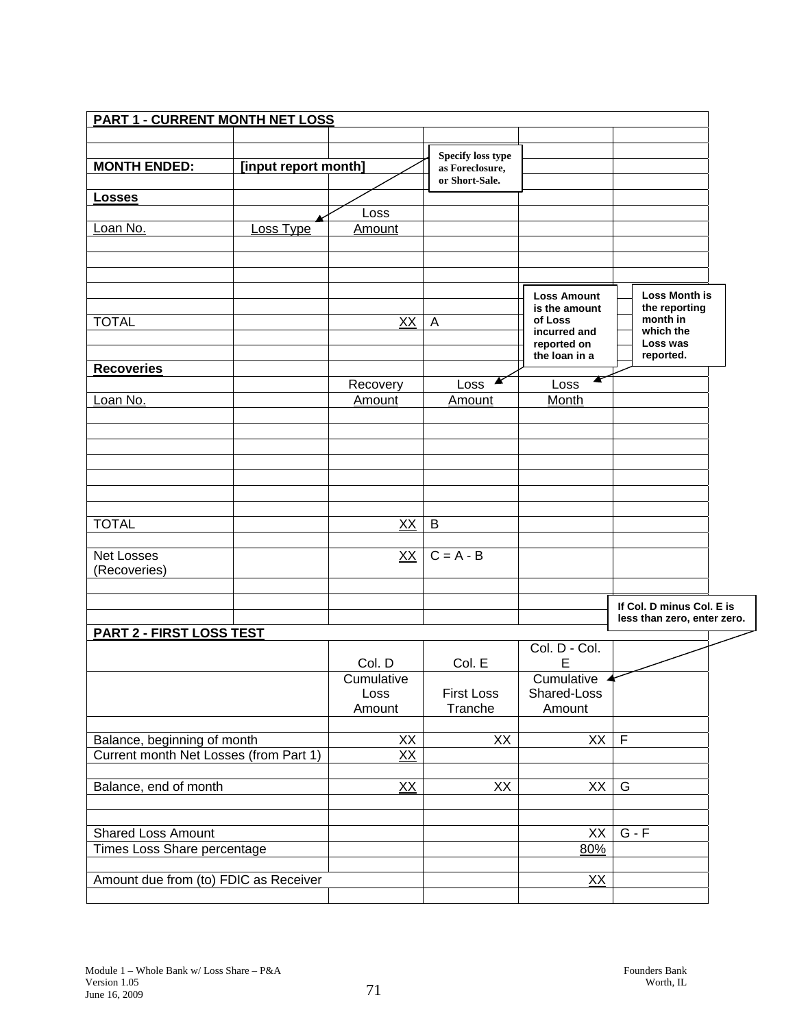| <b>PART 1 - CURRENT MONTH NET LOSS</b> |                      |                      |                                   |                         |                             |
|----------------------------------------|----------------------|----------------------|-----------------------------------|-------------------------|-----------------------------|
|                                        |                      |                      |                                   |                         |                             |
|                                        |                      |                      | <b>Specify loss type</b>          |                         |                             |
| <b>MONTH ENDED:</b>                    | [input report month] |                      | as Foreclosure,<br>or Short-Sale. |                         |                             |
| <b>Losses</b>                          |                      |                      |                                   |                         |                             |
|                                        |                      | Loss                 |                                   |                         |                             |
| Loan No.                               | Loss Type            | Amount               |                                   |                         |                             |
|                                        |                      |                      |                                   |                         |                             |
|                                        |                      |                      |                                   |                         |                             |
|                                        |                      |                      |                                   |                         |                             |
|                                        |                      |                      |                                   | <b>Loss Amount</b>      | <b>Loss Month is</b>        |
|                                        |                      |                      |                                   | is the amount           | the reporting               |
| <b>TOTAL</b>                           |                      | XX                   | A                                 | of Loss<br>incurred and | month in<br>which the       |
|                                        |                      |                      |                                   | reported on             | Loss was                    |
|                                        |                      |                      |                                   | the loan in a           | reported.                   |
| <b>Recoveries</b>                      |                      |                      | $Loss \nightharpoonup$            | ×                       |                             |
| Loan No.                               |                      | Recovery             |                                   | Loss                    |                             |
|                                        |                      | Amount               | Amount                            | Month                   |                             |
|                                        |                      |                      |                                   |                         |                             |
|                                        |                      |                      |                                   |                         |                             |
|                                        |                      |                      |                                   |                         |                             |
|                                        |                      |                      |                                   |                         |                             |
|                                        |                      |                      |                                   |                         |                             |
|                                        |                      |                      |                                   |                         |                             |
| <b>TOTAL</b>                           |                      | XX                   | $\mathsf B$                       |                         |                             |
|                                        |                      |                      |                                   |                         |                             |
| <b>Net Losses</b>                      |                      | XX                   | $C = A - B$                       |                         |                             |
| (Recoveries)                           |                      |                      |                                   |                         |                             |
|                                        |                      |                      |                                   |                         |                             |
|                                        |                      |                      |                                   |                         | If Col. D minus Col. E is   |
|                                        |                      |                      |                                   |                         | less than zero, enter zero. |
| <b>PART 2 - FIRST LOSS TEST</b>        |                      |                      |                                   |                         |                             |
|                                        |                      |                      |                                   | Col. D - Col.           |                             |
|                                        |                      | Col. D<br>Cumulative | Col. E                            | Е<br>Cumulative         |                             |
|                                        |                      |                      | <b>First Loss</b>                 |                         |                             |
|                                        |                      | Loss<br>Amount       | Tranche                           | Shared-Loss<br>Amount   |                             |
|                                        |                      |                      |                                   |                         |                             |
| Balance, beginning of month            |                      | XX                   | XX                                | XX                      | $\mathsf F$                 |
| Current month Net Losses (from Part 1) |                      | XX                   |                                   |                         |                             |
|                                        |                      |                      |                                   |                         |                             |
| Balance, end of month                  |                      | XX                   | XX                                | XX                      | G                           |
|                                        |                      |                      |                                   |                         |                             |
|                                        |                      |                      |                                   |                         |                             |
| Shared Loss Amount                     |                      |                      |                                   | XX                      | $G - F$                     |
| Times Loss Share percentage            |                      |                      |                                   | 80%                     |                             |
|                                        |                      |                      |                                   |                         |                             |
| Amount due from (to) FDIC as Receiver  |                      |                      |                                   | <u>XX</u>               |                             |
|                                        |                      |                      |                                   |                         |                             |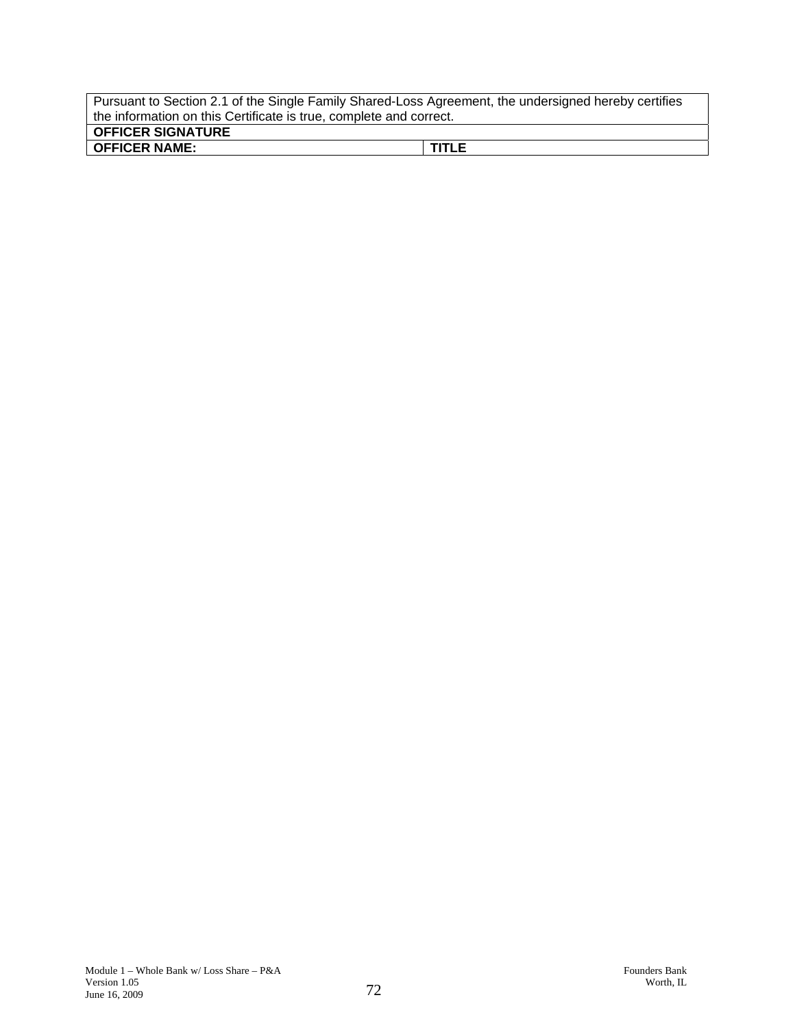| Pursuant to Section 2.1 of the Single Family Shared-Loss Agreement, the undersigned hereby certifies |  |  |  |
|------------------------------------------------------------------------------------------------------|--|--|--|
| the information on this Certificate is true, complete and correct.                                   |  |  |  |
| <b>OFFICER SIGNATURE</b>                                                                             |  |  |  |
| <b>TITLE</b><br><b>OFFICER NAME:</b>                                                                 |  |  |  |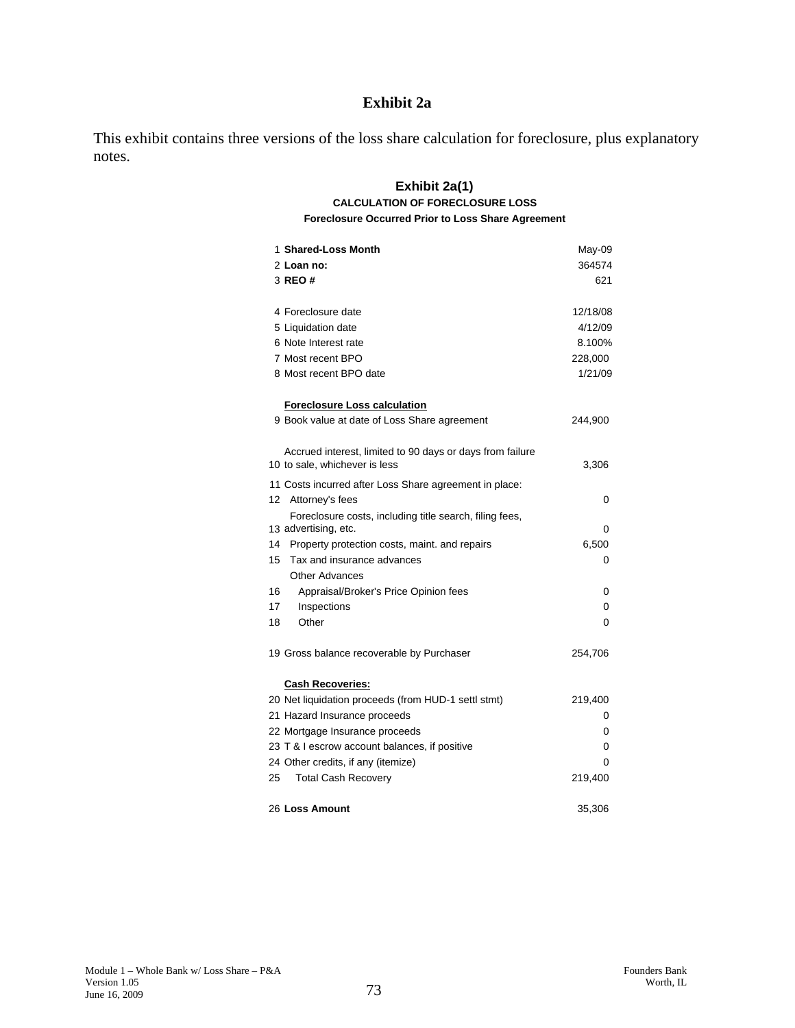### **Exhibit 2a**

This exhibit contains three versions of the loss share calculation for foreclosure, plus explanatory notes.

#### **Exhibit 2a(1) CALCULATION OF FORECLOSURE LOSS Foreclosure Occurred Prior to Loss Share Agreement**

|    | 1 Shared-Loss Month                                                                        | May-09   |
|----|--------------------------------------------------------------------------------------------|----------|
|    | 2 Loan no:                                                                                 | 364574   |
|    | 3 REO #                                                                                    | 621      |
|    |                                                                                            |          |
|    | 4 Foreclosure date                                                                         | 12/18/08 |
|    | 5 Liquidation date                                                                         | 4/12/09  |
|    | 6 Note Interest rate                                                                       | 8.100%   |
|    | 7 Most recent BPO                                                                          | 228,000  |
|    | 8 Most recent BPO date                                                                     | 1/21/09  |
|    | <b>Foreclosure Loss calculation</b>                                                        |          |
|    | 9 Book value at date of Loss Share agreement                                               | 244,900  |
|    |                                                                                            |          |
|    | Accrued interest, limited to 90 days or days from failure<br>10 to sale, whichever is less |          |
|    |                                                                                            | 3,306    |
|    | 11 Costs incurred after Loss Share agreement in place:                                     |          |
| 12 | Attorney's fees                                                                            | 0        |
|    | Foreclosure costs, including title search, filing fees,                                    |          |
|    | 13 advertising, etc.                                                                       | 0        |
| 14 | Property protection costs, maint. and repairs                                              | 6,500    |
| 15 | Tax and insurance advances                                                                 | 0        |
|    | <b>Other Advances</b>                                                                      |          |
| 16 | Appraisal/Broker's Price Opinion fees                                                      | 0        |
| 17 | Inspections                                                                                | 0        |
| 18 | Other                                                                                      | 0        |
|    | 19 Gross balance recoverable by Purchaser                                                  | 254,706  |
|    | <b>Cash Recoveries:</b>                                                                    |          |
|    | 20 Net liquidation proceeds (from HUD-1 settl stmt)                                        | 219,400  |
|    | 21 Hazard Insurance proceeds                                                               | 0        |
|    | 22 Mortgage Insurance proceeds                                                             | 0        |
|    | 23 T & I escrow account balances, if positive                                              | 0        |
|    | 24 Other credits, if any (itemize)                                                         | 0        |
| 25 | <b>Total Cash Recovery</b>                                                                 | 219,400  |
|    |                                                                                            |          |
|    | 26 Loss Amount                                                                             | 35,306   |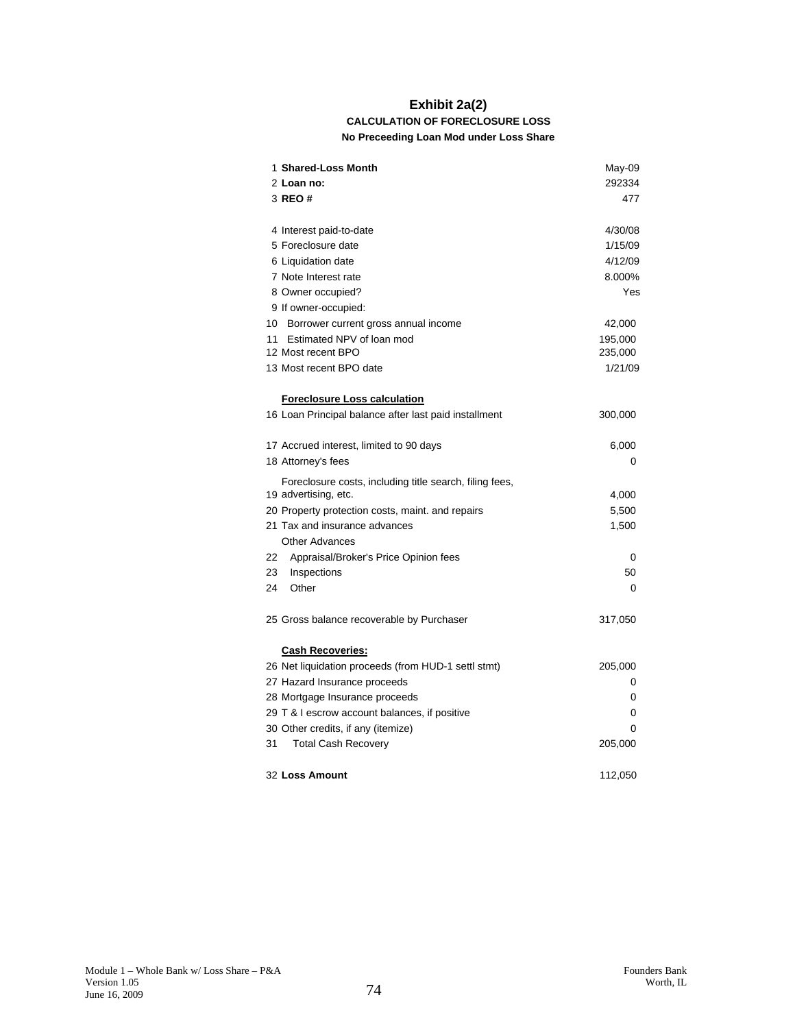### **Exhibit 2a(2)**

#### **CALCULATION OF FORECLOSURE LOSS**

#### **No Preceeding Loan Mod under Loss Share**

| 1 Shared-Loss Month                                                             | May-09  |
|---------------------------------------------------------------------------------|---------|
| 2 Loan no:                                                                      | 292334  |
| 3 REO #                                                                         | 477     |
| 4 Interest paid-to-date                                                         | 4/30/08 |
| 5 Foreclosure date                                                              | 1/15/09 |
| 6 Liquidation date                                                              | 4/12/09 |
| 7 Note Interest rate                                                            | 8.000%  |
| 8 Owner occupied?                                                               | Yes     |
| 9 If owner-occupied:                                                            |         |
| 10<br>Borrower current gross annual income                                      | 42,000  |
| 11<br>Estimated NPV of loan mod                                                 | 195,000 |
| 12 Most recent BPO                                                              | 235,000 |
| 13 Most recent BPO date                                                         | 1/21/09 |
| <b>Foreclosure Loss calculation</b>                                             |         |
| 16 Loan Principal balance after last paid installment                           | 300,000 |
| 17 Accrued interest, limited to 90 days                                         | 6,000   |
| 18 Attorney's fees                                                              | 0       |
| Foreclosure costs, including title search, filing fees,<br>19 advertising, etc. | 4,000   |
| 20 Property protection costs, maint. and repairs                                | 5,500   |
| 21 Tax and insurance advances                                                   | 1,500   |
| <b>Other Advances</b>                                                           |         |
| 22<br>Appraisal/Broker's Price Opinion fees                                     | 0       |
| 23<br>Inspections                                                               | 50      |
| 24<br>Other                                                                     | 0       |
| 25 Gross balance recoverable by Purchaser                                       | 317,050 |
| <b>Cash Recoveries:</b>                                                         |         |
| 26 Net liquidation proceeds (from HUD-1 settl stmt)                             | 205,000 |
| 27 Hazard Insurance proceeds                                                    | 0       |
| 28 Mortgage Insurance proceeds                                                  | 0       |
| 29 T & I escrow account balances, if positive                                   | 0       |
| 30 Other credits, if any (itemize)                                              | 0       |
| 31<br><b>Total Cash Recovery</b>                                                | 205,000 |
| 32 Loss Amount                                                                  | 112,050 |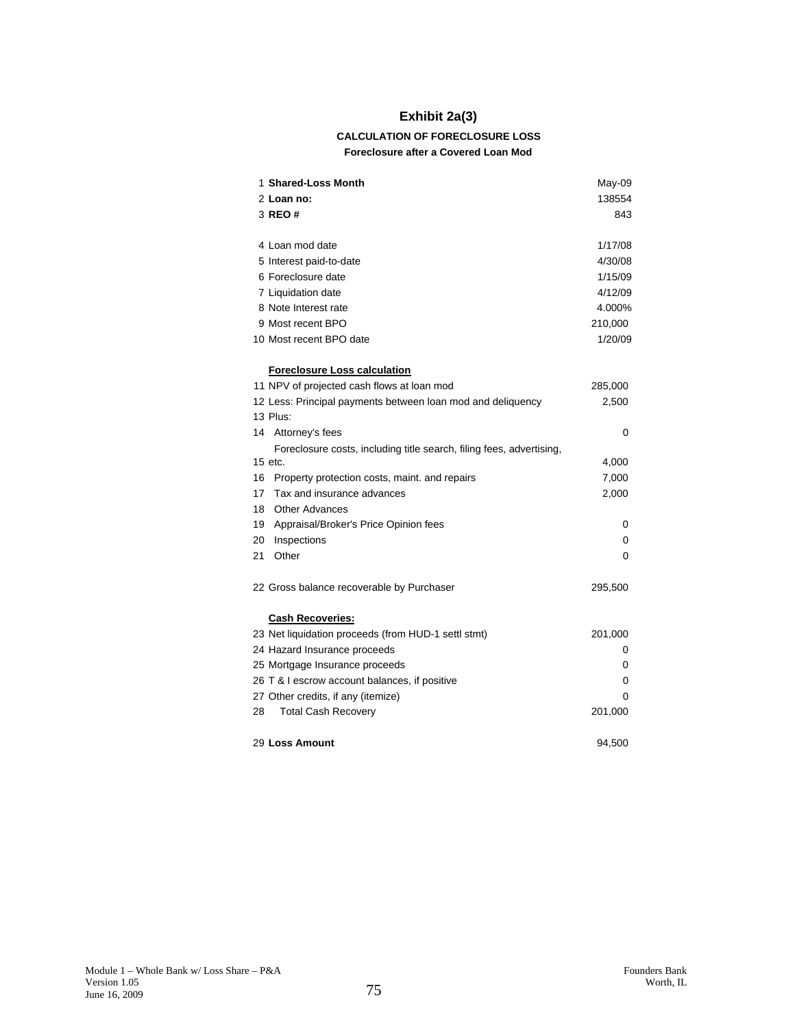## **Exhibit 2a(3)**

#### **CALCULATION OF FORECLOSURE LOSS Foreclosure after a Covered Loan Mod**

| 1 Shared-Loss Month                                                  | May-09  |
|----------------------------------------------------------------------|---------|
| 2 Loan no:                                                           | 138554  |
| 3 REO #                                                              | 843     |
|                                                                      |         |
| 4 Loan mod date                                                      | 1/17/08 |
| 5 Interest paid-to-date                                              | 4/30/08 |
| 6 Foreclosure date                                                   | 1/15/09 |
| 7 Liquidation date                                                   | 4/12/09 |
| 8 Note Interest rate                                                 | 4.000%  |
| 9 Most recent BPO                                                    | 210,000 |
| 10 Most recent BPO date                                              | 1/20/09 |
|                                                                      |         |
| <b>Foreclosure Loss calculation</b>                                  |         |
| 11 NPV of projected cash flows at loan mod                           | 285,000 |
| 12 Less: Principal payments between loan mod and deliquency          | 2,500   |
| 13 Plus:                                                             |         |
| 14<br>Attorney's fees                                                | 0       |
| Foreclosure costs, including title search, filing fees, advertising, |         |
| 15 etc.                                                              | 4,000   |
| 16<br>Property protection costs, maint. and repairs                  | 7,000   |
| 17<br>Tax and insurance advances                                     | 2,000   |
| 18<br><b>Other Advances</b>                                          |         |
| 19<br>Appraisal/Broker's Price Opinion fees                          | 0       |
| 20<br>Inspections                                                    | 0       |
| Other<br>21                                                          | 0       |
|                                                                      |         |
| 22 Gross balance recoverable by Purchaser                            | 295,500 |
|                                                                      |         |
| <b>Cash Recoveries:</b>                                              |         |
| 23 Net liquidation proceeds (from HUD-1 settl stmt)                  | 201,000 |
| 24 Hazard Insurance proceeds                                         | 0       |
| 25 Mortgage Insurance proceeds                                       | 0       |
| 26 T & I escrow account balances, if positive                        | 0       |
| 27 Other credits, if any (itemize)                                   | 0       |
| 28<br><b>Total Cash Recovery</b>                                     | 201,000 |
|                                                                      |         |
| 29 Loss Amount                                                       | 94,500  |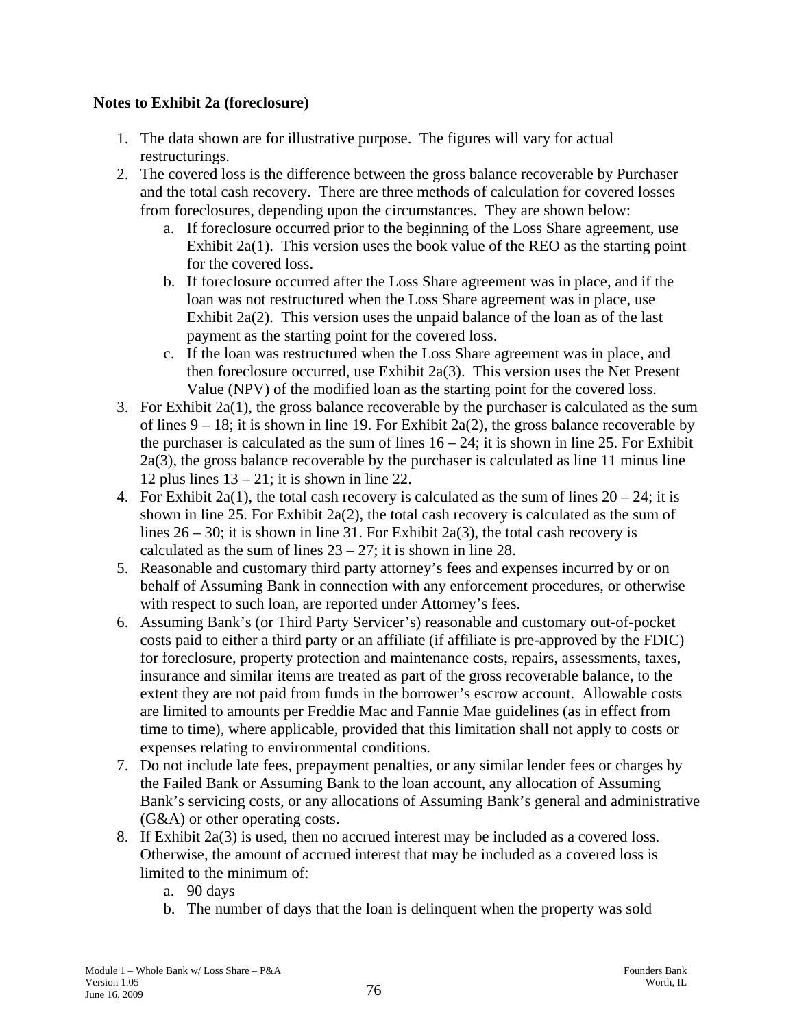## **Notes to Exhibit 2a (foreclosure)**

- 1. The data shown are for illustrative purpose. The figures will vary for actual restructurings.
- 2. The covered loss is the difference between the gross balance recoverable by Purchaser and the total cash recovery. There are three methods of calculation for covered losses from foreclosures, depending upon the circumstances. They are shown below:
	- a. If foreclosure occurred prior to the beginning of the Loss Share agreement, use Exhibit 2a(1). This version uses the book value of the REO as the starting point for the covered loss.
	- b. If foreclosure occurred after the Loss Share agreement was in place, and if the loan was not restructured when the Loss Share agreement was in place, use Exhibit 2a(2). This version uses the unpaid balance of the loan as of the last payment as the starting point for the covered loss.
	- c. If the loan was restructured when the Loss Share agreement was in place, and then foreclosure occurred, use Exhibit 2a(3). This version uses the Net Present Value (NPV) of the modified loan as the starting point for the covered loss.
- 3. For Exhibit  $2a(1)$ , the gross balance recoverable by the purchaser is calculated as the sum of lines  $9 - 18$ ; it is shown in line 19. For Exhibit 2a(2), the gross balance recoverable by the purchaser is calculated as the sum of lines  $16 - 24$ ; it is shown in line 25. For Exhibit 2a(3), the gross balance recoverable by the purchaser is calculated as line 11 minus line 12 plus lines  $13 - 21$ ; it is shown in line 22.
- 4. For Exhibit 2a(1), the total cash recovery is calculated as the sum of lines  $20 24$ ; it is shown in line 25. For Exhibit 2a(2), the total cash recovery is calculated as the sum of lines  $26 - 30$ ; it is shown in line 31. For Exhibit 2a(3), the total cash recovery is calculated as the sum of lines  $23 - 27$ ; it is shown in line 28.
- 5. Reasonable and customary third party attorney's fees and expenses incurred by or on behalf of Assuming Bank in connection with any enforcement procedures, or otherwise with respect to such loan, are reported under Attorney's fees.
- 6. Assuming Bank's (or Third Party Servicer's) reasonable and customary out-of-pocket costs paid to either a third party or an affiliate (if affiliate is pre-approved by the FDIC) for foreclosure, property protection and maintenance costs, repairs, assessments, taxes, insurance and similar items are treated as part of the gross recoverable balance, to the extent they are not paid from funds in the borrower's escrow account. Allowable costs are limited to amounts per Freddie Mac and Fannie Mae guidelines (as in effect from time to time), where applicable, provided that this limitation shall not apply to costs or expenses relating to environmental conditions.
- 7. Do not include late fees, prepayment penalties, or any similar lender fees or charges by the Failed Bank or Assuming Bank to the loan account, any allocation of Assuming Bank's servicing costs, or any allocations of Assuming Bank's general and administrative (G&A) or other operating costs.
- 8. If Exhibit  $2a(3)$  is used, then no accrued interest may be included as a covered loss. Otherwise, the amount of accrued interest that may be included as a covered loss is limited to the minimum of:
	- a. 90 days
	- b. The number of days that the loan is delinquent when the property was sold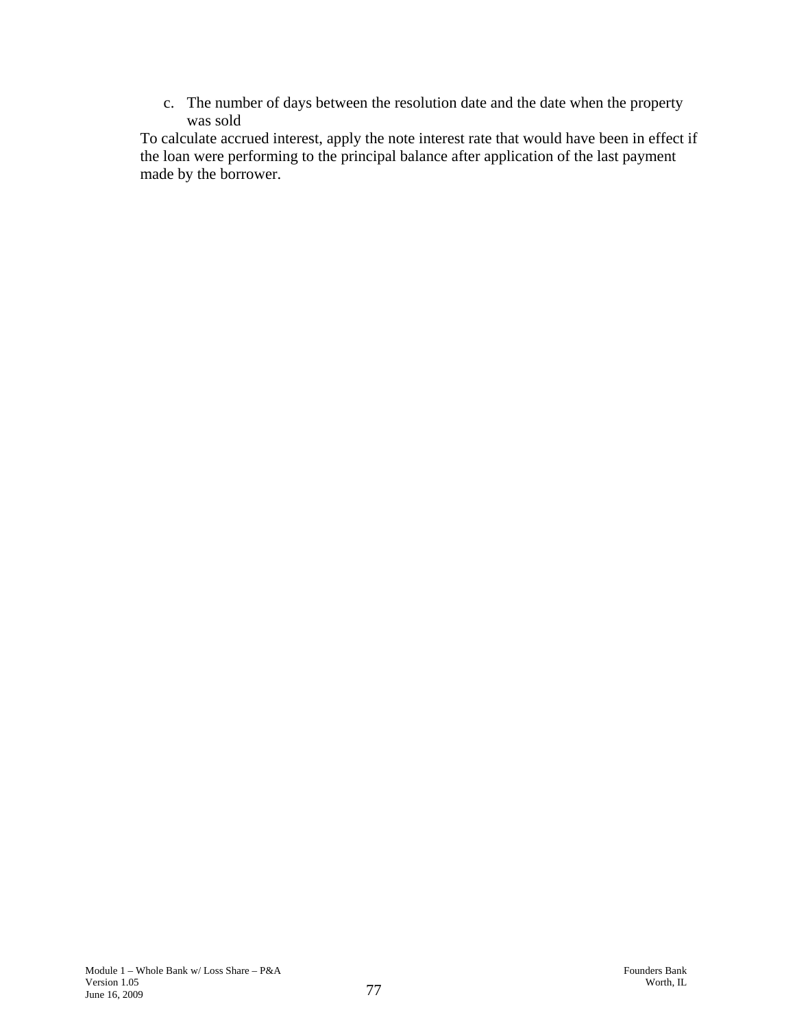c. The number of days between the resolution date and the date when the property was sold

To calculate accrued interest, apply the note interest rate that would have been in effect if the loan were performing to the principal balance after application of the last payment made by the borrower.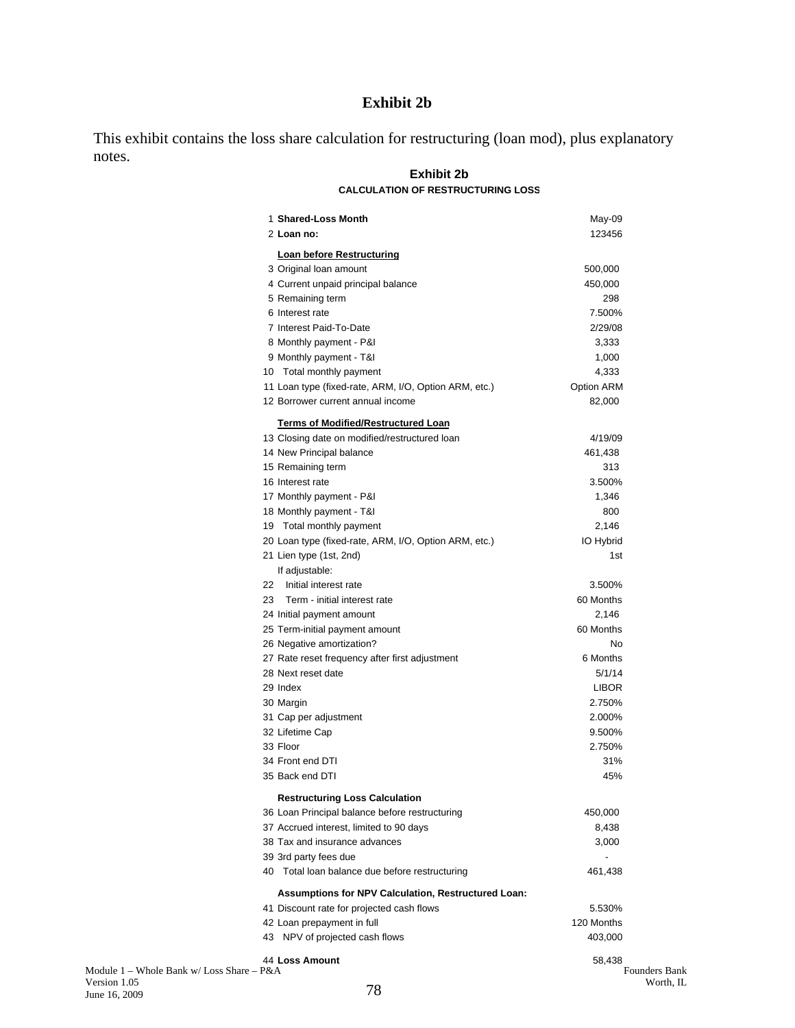# **Exhibit 2b**

This exhibit contains the loss share calculation for restructuring (loan mod), plus explanatory notes.

### **Exhibit 2b CALCULATION OF RESTRUCTURING LOSS**

|       | 1 Shared-Loss Month                                                               | May-09               |
|-------|-----------------------------------------------------------------------------------|----------------------|
|       | 2 Loan no:                                                                        | 123456               |
|       | <b>Loan before Restructuring</b>                                                  |                      |
|       | 3 Original loan amount                                                            | 500,000              |
|       | 4 Current unpaid principal balance                                                |                      |
|       | 5 Remaining term                                                                  | 450,000<br>298       |
|       | 6 Interest rate                                                                   | 7.500%               |
|       | 7 Interest Paid-To-Date                                                           | 2/29/08              |
|       |                                                                                   |                      |
|       | 8 Monthly payment - P&I<br>9 Monthly payment - T&I                                | 3,333<br>1,000       |
|       |                                                                                   |                      |
|       | 10 Total monthly payment<br>11 Loan type (fixed-rate, ARM, I/O, Option ARM, etc.) | 4,333                |
|       | 12 Borrower current annual income                                                 | Option ARM<br>82,000 |
|       |                                                                                   |                      |
|       | <b>Terms of Modified/Restructured Loan</b>                                        |                      |
|       | 13 Closing date on modified/restructured loan                                     | 4/19/09              |
|       | 14 New Principal balance                                                          | 461,438              |
|       | 15 Remaining term                                                                 | 313                  |
|       | 16 Interest rate                                                                  | 3.500%               |
|       | 17 Monthly payment - P&I                                                          | 1,346                |
|       | 18 Monthly payment - T&I                                                          | 800                  |
|       | 19 Total monthly payment                                                          | 2,146                |
|       | 20 Loan type (fixed-rate, ARM, I/O, Option ARM, etc.)                             | IO Hybrid            |
|       | 21 Lien type (1st, 2nd)                                                           | 1st                  |
|       | If adjustable:                                                                    |                      |
|       | 22 Initial interest rate                                                          | 3.500%               |
| 23    | Term - initial interest rate                                                      | 60 Months            |
|       | 24 Initial payment amount                                                         | 2,146                |
|       | 25 Term-initial payment amount                                                    | 60 Months            |
|       | 26 Negative amortization?                                                         | No                   |
|       | 27 Rate reset frequency after first adjustment                                    | 6 Months             |
|       | 28 Next reset date                                                                | 5/1/14               |
|       | 29 Index                                                                          | <b>LIBOR</b>         |
|       | 30 Margin                                                                         | 2.750%               |
|       | 31 Cap per adjustment                                                             | 2.000%               |
|       | 32 Lifetime Cap                                                                   | 9.500%               |
|       | 33 Floor                                                                          | 2.750%               |
|       | 34 Front end DTI                                                                  | 31%                  |
|       | 35 Back end DTI                                                                   | 45%                  |
|       | <b>Restructuring Loss Calculation</b>                                             |                      |
|       | 36 Loan Principal balance before restructuring                                    | 450,000              |
|       | 37 Accrued interest, limited to 90 days                                           | 8,438                |
|       | 38 Tax and insurance advances                                                     | 3,000                |
|       | 39 3rd party fees due                                                             |                      |
|       | 40 Total loan balance due before restructuring                                    | 461,438              |
|       |                                                                                   |                      |
|       | <b>Assumptions for NPV Calculation, Restructured Loan:</b>                        |                      |
|       | 41 Discount rate for projected cash flows                                         | 5.530%               |
|       | 42 Loan prepayment in full                                                        | 120 Months           |
| 43    | NPV of projected cash flows                                                       | 403,000              |
|       | 44 Loss Amount                                                                    | 58,438               |
| - P&A |                                                                                   | <b>Founders Bank</b> |
|       |                                                                                   | Worth, IL            |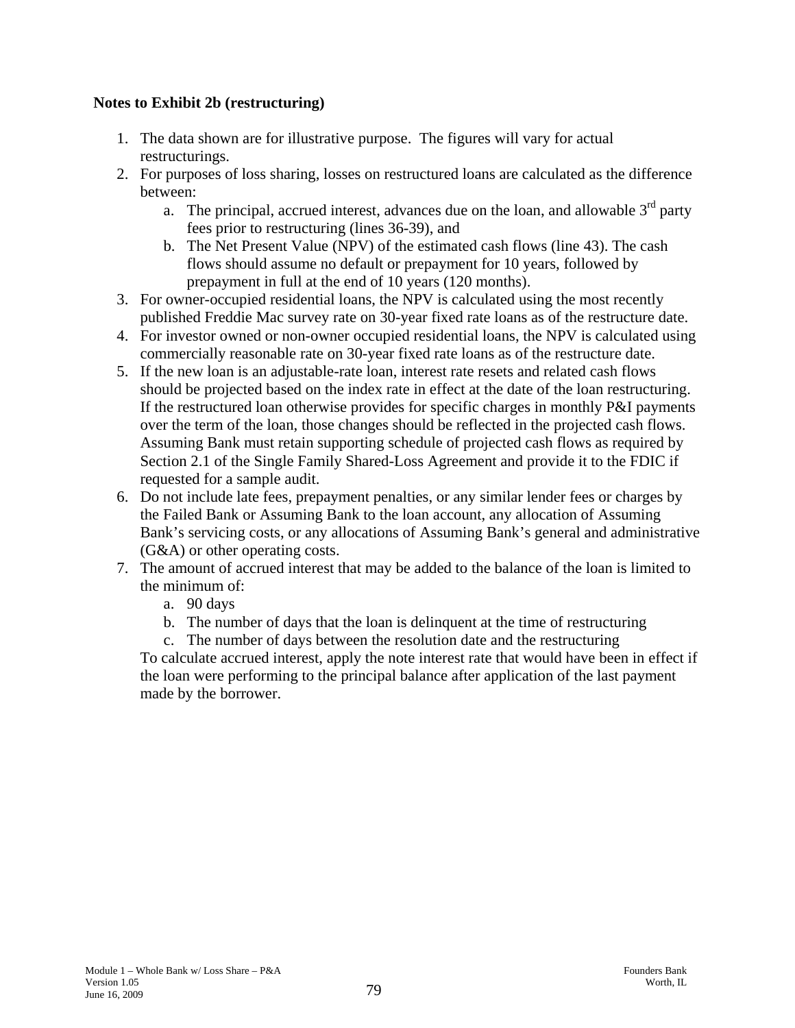## **Notes to Exhibit 2b (restructuring)**

- 1. The data shown are for illustrative purpose. The figures will vary for actual restructurings.
- 2. For purposes of loss sharing, losses on restructured loans are calculated as the difference between:
	- a. The principal, accrued interest, advances due on the loan, and allowable  $3<sup>rd</sup>$  party fees prior to restructuring (lines 36-39), and
	- b. The Net Present Value (NPV) of the estimated cash flows (line 43). The cash flows should assume no default or prepayment for 10 years, followed by prepayment in full at the end of 10 years (120 months).
- 3. For owner-occupied residential loans, the NPV is calculated using the most recently published Freddie Mac survey rate on 30-year fixed rate loans as of the restructure date.
- 4. For investor owned or non-owner occupied residential loans, the NPV is calculated using commercially reasonable rate on 30-year fixed rate loans as of the restructure date.
- 5. If the new loan is an adjustable-rate loan, interest rate resets and related cash flows should be projected based on the index rate in effect at the date of the loan restructuring. If the restructured loan otherwise provides for specific charges in monthly P&I payments over the term of the loan, those changes should be reflected in the projected cash flows. Assuming Bank must retain supporting schedule of projected cash flows as required by Section 2.1 of the Single Family Shared-Loss Agreement and provide it to the FDIC if requested for a sample audit.
- 6. Do not include late fees, prepayment penalties, or any similar lender fees or charges by the Failed Bank or Assuming Bank to the loan account, any allocation of Assuming Bank's servicing costs, or any allocations of Assuming Bank's general and administrative (G&A) or other operating costs.
- 7. The amount of accrued interest that may be added to the balance of the loan is limited to the minimum of:
	- a. 90 days
	- b. The number of days that the loan is delinquent at the time of restructuring

c. The number of days between the resolution date and the restructuring To calculate accrued interest, apply the note interest rate that would have been in effect if the loan were performing to the principal balance after application of the last payment made by the borrower.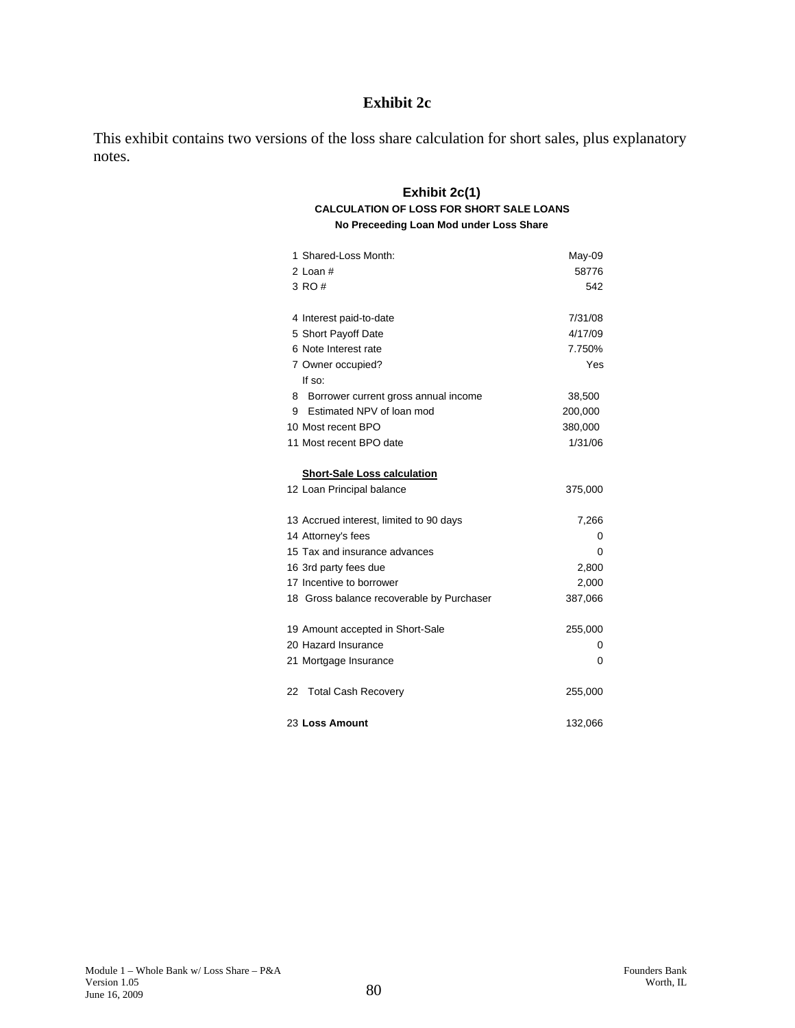### **Exhibit 2c**

This exhibit contains two versions of the loss share calculation for short sales, plus explanatory notes.

#### **Exhibit 2c(1) CALCULATION OF LOSS FOR SHORT SALE LOANS No Preceeding Loan Mod under Loss Share**

| 1 Shared-Loss Month:<br>2 Loan #<br>3 RO # | May-09<br>58776<br>542 |
|--------------------------------------------|------------------------|
| 4 Interest paid-to-date                    | 7/31/08                |
| 5 Short Payoff Date                        | 4/17/09                |
| 6 Note Interest rate                       | 7.750%                 |
| 7 Owner occupied?                          | Yes                    |
| If so:                                     |                        |
| Borrower current gross annual income<br>8  | 38,500                 |
| Estimated NPV of loan mod<br>9             | 200,000                |
| 10 Most recent BPO                         | 380,000                |
| 11 Most recent BPO date                    | 1/31/06                |
| <b>Short-Sale Loss calculation</b>         |                        |
| 12 Loan Principal balance                  | 375,000                |
| 13 Accrued interest, limited to 90 days    | 7,266                  |
| 14 Attorney's fees                         | 0                      |
| 15 Tax and insurance advances              | 0                      |
| 16 3rd party fees due                      | 2,800                  |
| 17 Incentive to borrower                   | 2,000                  |
| 18 Gross balance recoverable by Purchaser  | 387,066                |
| 19 Amount accepted in Short-Sale           | 255,000                |
| 20 Hazard Insurance                        | 0                      |
| 21 Mortgage Insurance                      | 0                      |
| 22 Total Cash Recovery                     | 255,000                |
| 23 Loss Amount                             | 132,066                |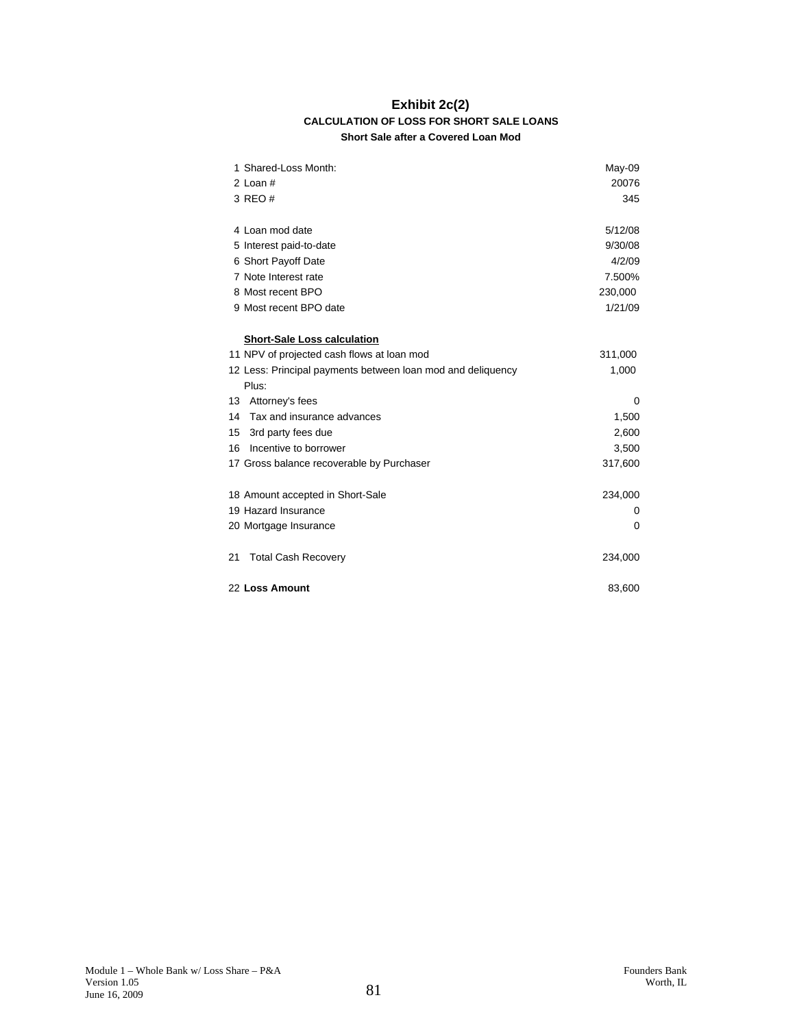#### **Exhibit 2c(2) CALCULATION OF LOSS FOR SHORT SALE LOANS Short Sale after a Covered Loan Mod**

| 1 Shared-Loss Month:                                        | May-09  |
|-------------------------------------------------------------|---------|
| 2 Loan $#$                                                  | 20076   |
| 3 REO #                                                     | 345     |
|                                                             |         |
| 4 Loan mod date                                             | 5/12/08 |
| 5 Interest paid-to-date                                     | 9/30/08 |
| 6 Short Payoff Date                                         | 4/2/09  |
| 7 Note Interest rate                                        | 7.500%  |
| 8 Most recent BPO                                           | 230,000 |
| 9 Most recent BPO date                                      | 1/21/09 |
|                                                             |         |
| <b>Short-Sale Loss calculation</b>                          |         |
| 11 NPV of projected cash flows at loan mod                  | 311,000 |
| 12 Less: Principal payments between loan mod and deliquency | 1,000   |
| Plus:                                                       |         |
| 13<br>Attorney's fees                                       | 0       |
| Tax and insurance advances<br>14                            | 1,500   |
| 15<br>3rd party fees due                                    | 2,600   |
| Incentive to borrower<br>16                                 | 3,500   |
| 17 Gross balance recoverable by Purchaser                   | 317,600 |
|                                                             |         |
| 18 Amount accepted in Short-Sale                            | 234,000 |
| 19 Hazard Insurance                                         | 0       |
| 20 Mortgage Insurance                                       | 0       |
|                                                             |         |
| <b>Total Cash Recovery</b><br>21                            | 234,000 |
|                                                             |         |
| 22 Loss Amount                                              | 83,600  |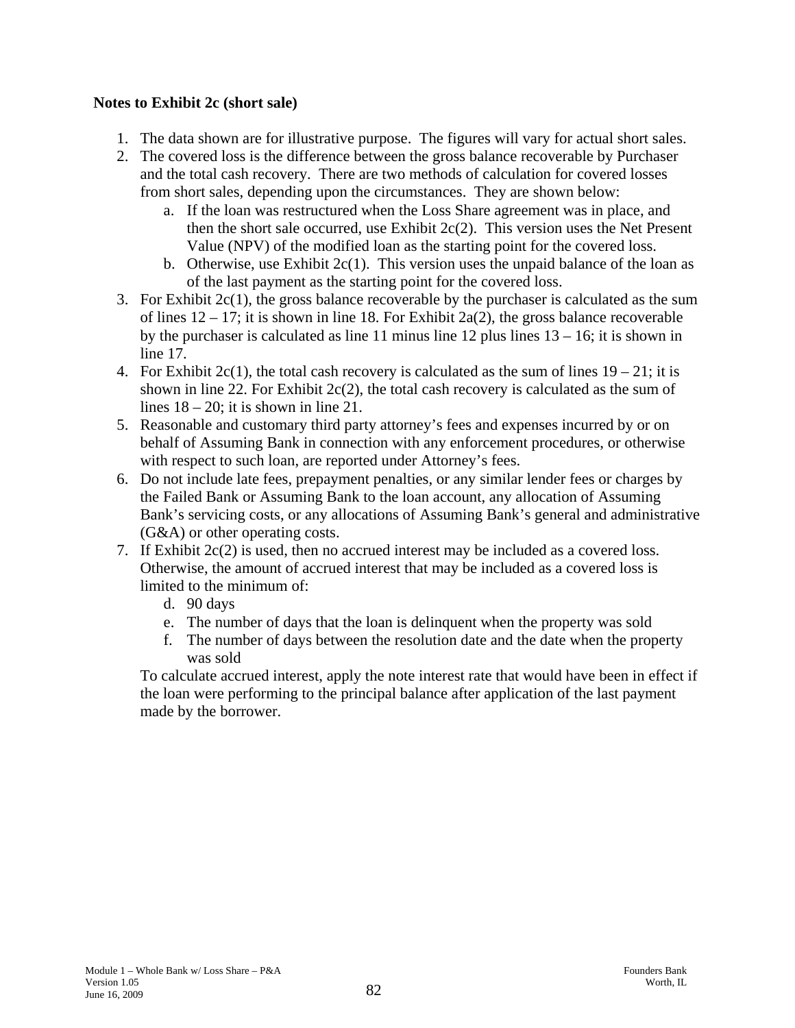## **Notes to Exhibit 2c (short sale)**

- 1. The data shown are for illustrative purpose. The figures will vary for actual short sales.
- 2. The covered loss is the difference between the gross balance recoverable by Purchaser and the total cash recovery. There are two methods of calculation for covered losses from short sales, depending upon the circumstances. They are shown below:
	- a. If the loan was restructured when the Loss Share agreement was in place, and then the short sale occurred, use Exhibit  $2c(2)$ . This version uses the Net Present Value (NPV) of the modified loan as the starting point for the covered loss.
	- b. Otherwise, use Exhibit  $2c(1)$ . This version uses the unpaid balance of the loan as of the last payment as the starting point for the covered loss.
- 3. For Exhibit  $2c(1)$ , the gross balance recoverable by the purchaser is calculated as the sum of lines  $12 - 17$ ; it is shown in line 18. For Exhibit 2a(2), the gross balance recoverable by the purchaser is calculated as line 11 minus line 12 plus lines 13 – 16; it is shown in line 17.
- 4. For Exhibit 2c(1), the total cash recovery is calculated as the sum of lines  $19 21$ ; it is shown in line 22. For Exhibit  $2c(2)$ , the total cash recovery is calculated as the sum of lines  $18 - 20$ ; it is shown in line 21.
- 5. Reasonable and customary third party attorney's fees and expenses incurred by or on behalf of Assuming Bank in connection with any enforcement procedures, or otherwise with respect to such loan, are reported under Attorney's fees.
- 6. Do not include late fees, prepayment penalties, or any similar lender fees or charges by the Failed Bank or Assuming Bank to the loan account, any allocation of Assuming Bank's servicing costs, or any allocations of Assuming Bank's general and administrative (G&A) or other operating costs.
- 7. If Exhibit  $2c(2)$  is used, then no accrued interest may be included as a covered loss. Otherwise, the amount of accrued interest that may be included as a covered loss is limited to the minimum of:
	- d. 90 days
	- e. The number of days that the loan is delinquent when the property was sold
	- f. The number of days between the resolution date and the date when the property was sold

To calculate accrued interest, apply the note interest rate that would have been in effect if the loan were performing to the principal balance after application of the last payment made by the borrower.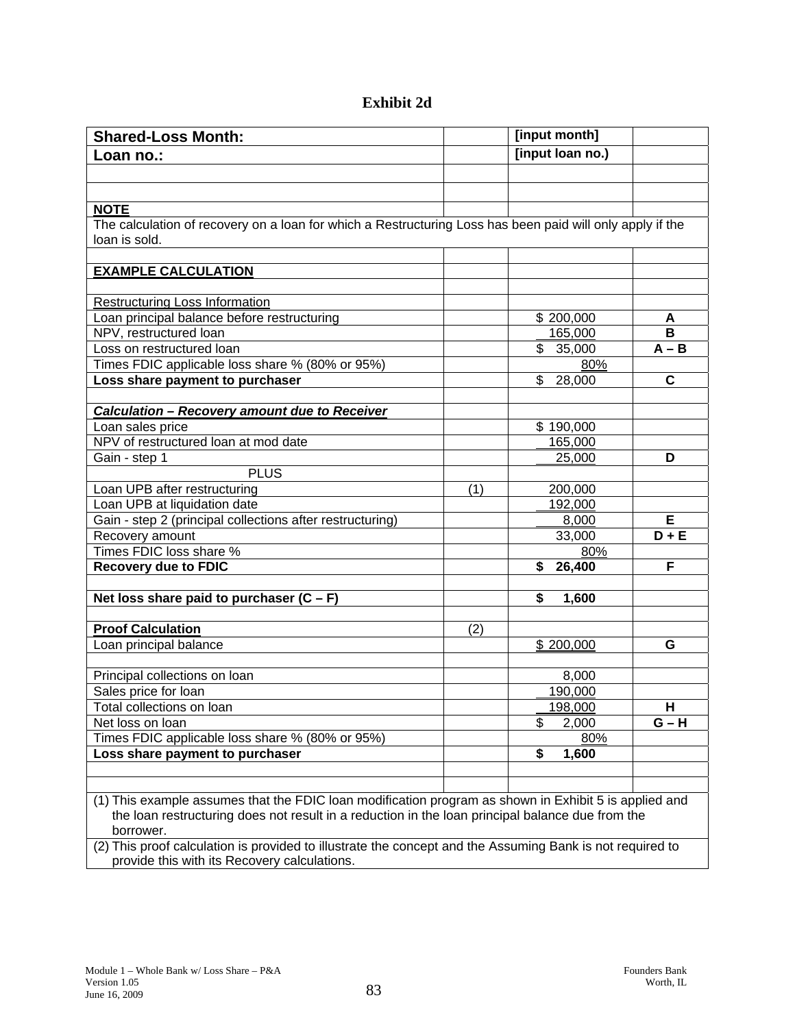# **Exhibit 2d**

| <b>Shared-Loss Month:</b>                                                                                              |     |                    |         |
|------------------------------------------------------------------------------------------------------------------------|-----|--------------------|---------|
| Loan no.:                                                                                                              |     | [input loan no.)   |         |
|                                                                                                                        |     |                    |         |
|                                                                                                                        |     |                    |         |
| <b>NOTE</b>                                                                                                            |     |                    |         |
| The calculation of recovery on a loan for which a Restructuring Loss has been paid will only apply if the              |     |                    |         |
| loan is sold.                                                                                                          |     |                    |         |
|                                                                                                                        |     |                    |         |
| <b>EXAMPLE CALCULATION</b>                                                                                             |     |                    |         |
|                                                                                                                        |     |                    |         |
| <b>Restructuring Loss Information</b>                                                                                  |     |                    |         |
| Loan principal balance before restructuring                                                                            |     | \$200,000          | A       |
| NPV, restructured loan                                                                                                 |     | 165,000            | в       |
| Loss on restructured loan                                                                                              |     | \$35,000           | $A - B$ |
| Times FDIC applicable loss share % (80% or 95%)                                                                        |     | 80%                |         |
| Loss share payment to purchaser                                                                                        |     | \$28,000           | C       |
|                                                                                                                        |     |                    |         |
| Calculation - Recovery amount due to Receiver                                                                          |     |                    |         |
| Loan sales price                                                                                                       |     | \$190,000          |         |
| NPV of restructured loan at mod date                                                                                   |     | 165,000            |         |
| Gain - step 1                                                                                                          |     | 25,000             | D       |
| <b>PLUS</b>                                                                                                            |     |                    |         |
| Loan UPB after restructuring                                                                                           | (1) | 200,000<br>192,000 |         |
| Loan UPB at liquidation date<br>Gain - step 2 (principal collections after restructuring)                              |     | 8,000              | Е       |
| Recovery amount                                                                                                        |     | 33,000             | $D + E$ |
| Times FDIC loss share %                                                                                                |     | 80%                |         |
| <b>Recovery due to FDIC</b>                                                                                            |     | 26,400<br>\$       | F       |
|                                                                                                                        |     |                    |         |
| Net loss share paid to purchaser $(C - F)$                                                                             |     | 1,600<br>\$        |         |
|                                                                                                                        |     |                    |         |
| <b>Proof Calculation</b>                                                                                               | (2) |                    |         |
| Loan principal balance                                                                                                 |     | \$200,000          | G       |
|                                                                                                                        |     |                    |         |
| Principal collections on loan                                                                                          |     | 8,000              |         |
| Sales price for loan                                                                                                   |     | 190,000            |         |
| Total collections on loan                                                                                              |     | 198,000            | H       |
| Net loss on loan                                                                                                       |     | \$<br>2,000        | $G - H$ |
| Times FDIC applicable loss share % (80% or 95%)                                                                        |     | 80%                |         |
| Loss share payment to purchaser                                                                                        |     | 1,600<br>\$        |         |
|                                                                                                                        |     |                    |         |
|                                                                                                                        |     |                    |         |
| (1) This example assumes that the FDIC loan modification program as shown in Exhibit 5 is applied and                  |     |                    |         |
| the loan restructuring does not result in a reduction in the loan principal balance due from the                       |     |                    |         |
| borrower.<br>(2) This proof calculation is provided to illustrate the concept and the Assuming Bank is not required to |     |                    |         |
| provide this with its Recovery calculations.                                                                           |     |                    |         |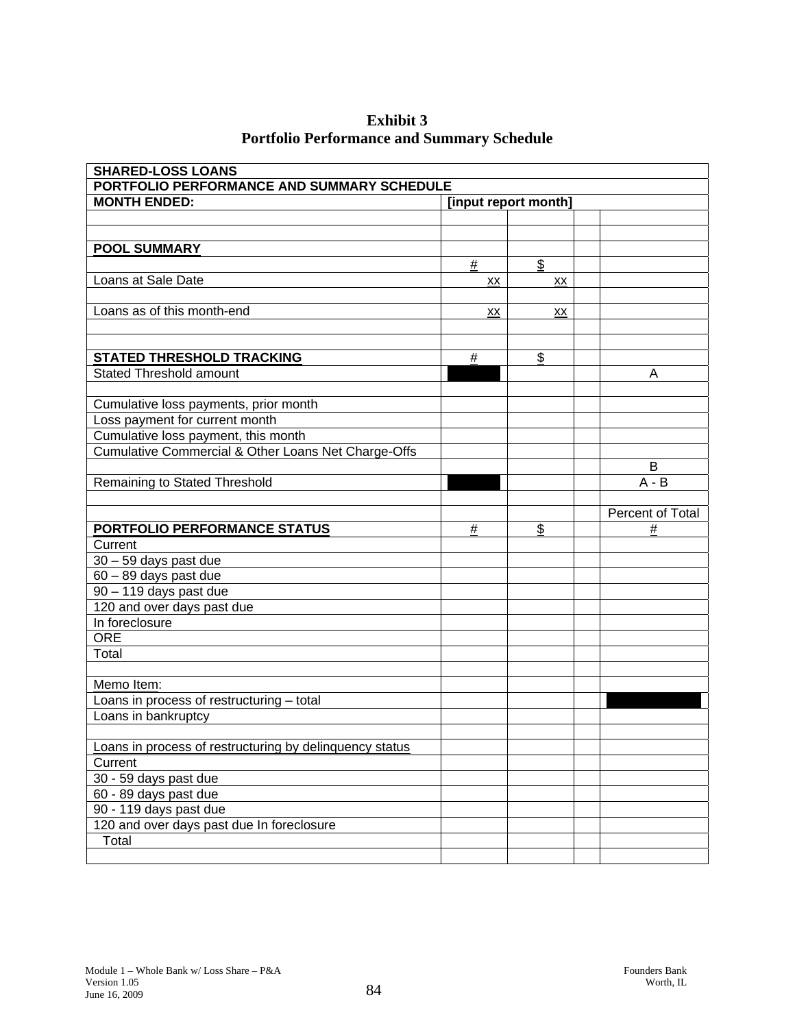| <b>SHARED-LOSS LOANS</b><br>PORTFOLIO PERFORMANCE AND SUMMARY SCHEDULE |      |    |                  |  |
|------------------------------------------------------------------------|------|----|------------------|--|
| <b>MONTH ENDED:</b><br>[input report month]                            |      |    |                  |  |
|                                                                        |      |    |                  |  |
|                                                                        |      |    |                  |  |
| <b>POOL SUMMARY</b>                                                    |      |    |                  |  |
|                                                                        | $\#$ | \$ |                  |  |
| Loans at Sale Date                                                     | XX   | XX |                  |  |
|                                                                        |      |    |                  |  |
| Loans as of this month-end                                             | XX   | XX |                  |  |
| <b>STATED THRESHOLD TRACKING</b>                                       | $\#$ | \$ |                  |  |
| <b>Stated Threshold amount</b>                                         |      |    | A                |  |
|                                                                        |      |    |                  |  |
| Cumulative loss payments, prior month                                  |      |    |                  |  |
| Loss payment for current month                                         |      |    |                  |  |
| Cumulative loss payment, this month                                    |      |    |                  |  |
| Cumulative Commercial & Other Loans Net Charge-Offs                    |      |    |                  |  |
|                                                                        |      |    | B                |  |
| Remaining to Stated Threshold                                          |      |    | $A - B$          |  |
|                                                                        |      |    |                  |  |
|                                                                        |      |    | Percent of Total |  |
| <b>PORTFOLIO PERFORMANCE STATUS</b>                                    | $\#$ | \$ | $\#$             |  |
| Current                                                                |      |    |                  |  |
| $30 - 59$ days past due                                                |      |    |                  |  |
| $60 - 89$ days past due                                                |      |    |                  |  |
| $90 - 119$ days past due                                               |      |    |                  |  |
| 120 and over days past due                                             |      |    |                  |  |
| In foreclosure                                                         |      |    |                  |  |
| <b>ORE</b>                                                             |      |    |                  |  |
| Total                                                                  |      |    |                  |  |
|                                                                        |      |    |                  |  |
| Memo Item:                                                             |      |    |                  |  |
| Loans in process of restructuring - total                              |      |    |                  |  |
| Loans in bankruptcy                                                    |      |    |                  |  |
|                                                                        |      |    |                  |  |
| Loans in process of restructuring by delinguency status                |      |    |                  |  |
| Current                                                                |      |    |                  |  |
| 30 - 59 days past due                                                  |      |    |                  |  |
| 60 - 89 days past due                                                  |      |    |                  |  |
| 90 - 119 days past due                                                 |      |    |                  |  |
| 120 and over days past due In foreclosure                              |      |    |                  |  |
| Total                                                                  |      |    |                  |  |
|                                                                        |      |    |                  |  |

# **Exhibit 3 Portfolio Performance and Summary Schedule**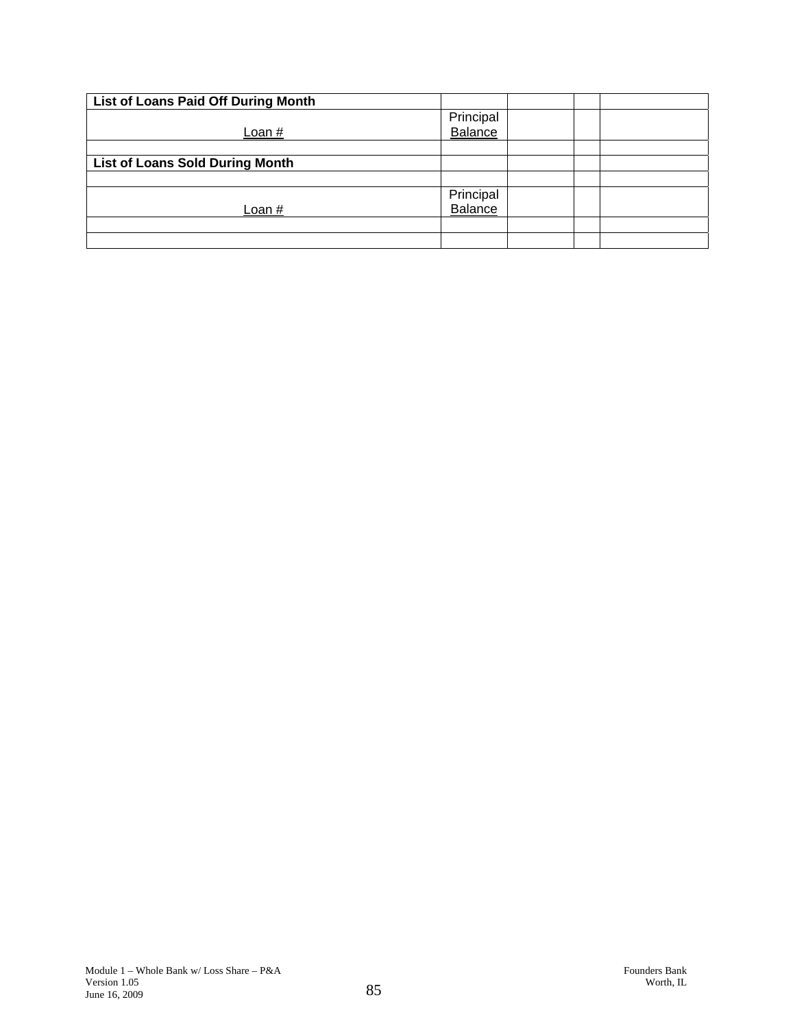| List of Loans Paid Off During Month    |                      |  |  |
|----------------------------------------|----------------------|--|--|
|                                        | Principal            |  |  |
| Loan #                                 | <b>Balance</b>       |  |  |
|                                        |                      |  |  |
| <b>List of Loans Sold During Month</b> |                      |  |  |
|                                        |                      |  |  |
|                                        | Principal<br>Balance |  |  |
| Loan #                                 |                      |  |  |
|                                        |                      |  |  |
|                                        |                      |  |  |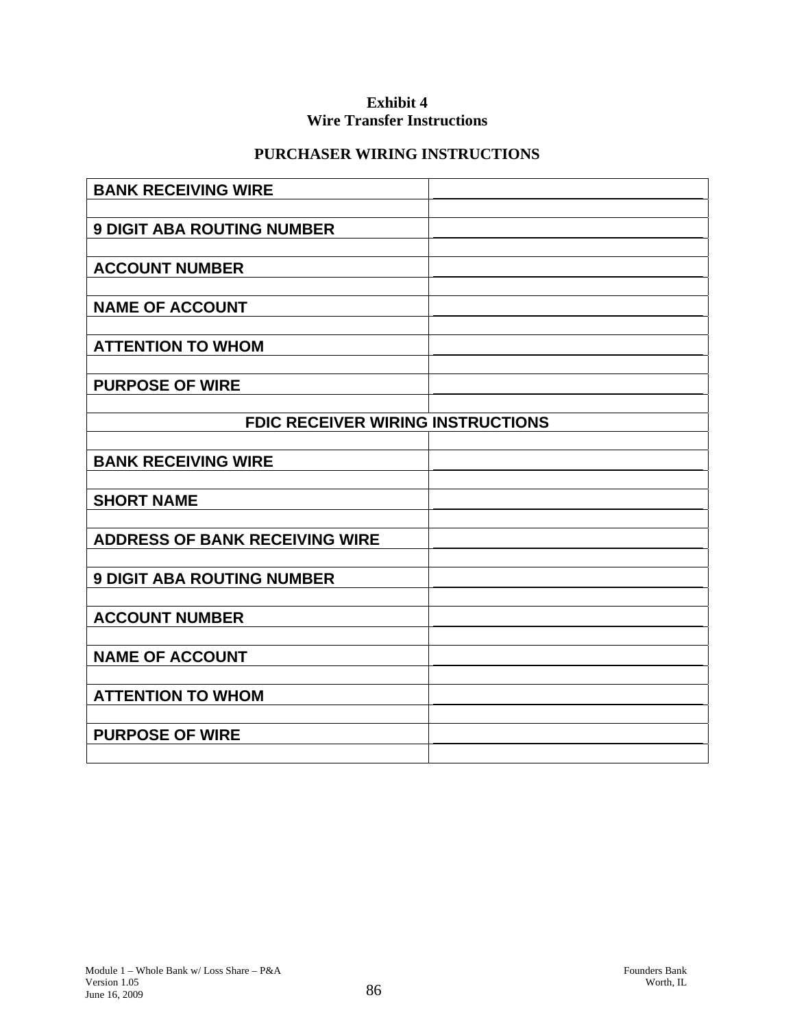## **Exhibit 4 Wire Transfer Instructions**

# **PURCHASER WIRING INSTRUCTIONS**

| <b>BANK RECEIVING WIRE</b>            |  |
|---------------------------------------|--|
|                                       |  |
| <b>9 DIGIT ABA ROUTING NUMBER</b>     |  |
|                                       |  |
| <b>ACCOUNT NUMBER</b>                 |  |
|                                       |  |
| <b>NAME OF ACCOUNT</b>                |  |
|                                       |  |
| <b>ATTENTION TO WHOM</b>              |  |
| <b>PURPOSE OF WIRE</b>                |  |
|                                       |  |
| FDIC RECEIVER WIRING INSTRUCTIONS     |  |
|                                       |  |
| <b>BANK RECEIVING WIRE</b>            |  |
|                                       |  |
| <b>SHORT NAME</b>                     |  |
|                                       |  |
| <b>ADDRESS OF BANK RECEIVING WIRE</b> |  |
|                                       |  |
| <b>9 DIGIT ABA ROUTING NUMBER</b>     |  |
|                                       |  |
| <b>ACCOUNT NUMBER</b>                 |  |
|                                       |  |
| <b>NAME OF ACCOUNT</b>                |  |
| <b>ATTENTION TO WHOM</b>              |  |
|                                       |  |
| <b>PURPOSE OF WIRE</b>                |  |
|                                       |  |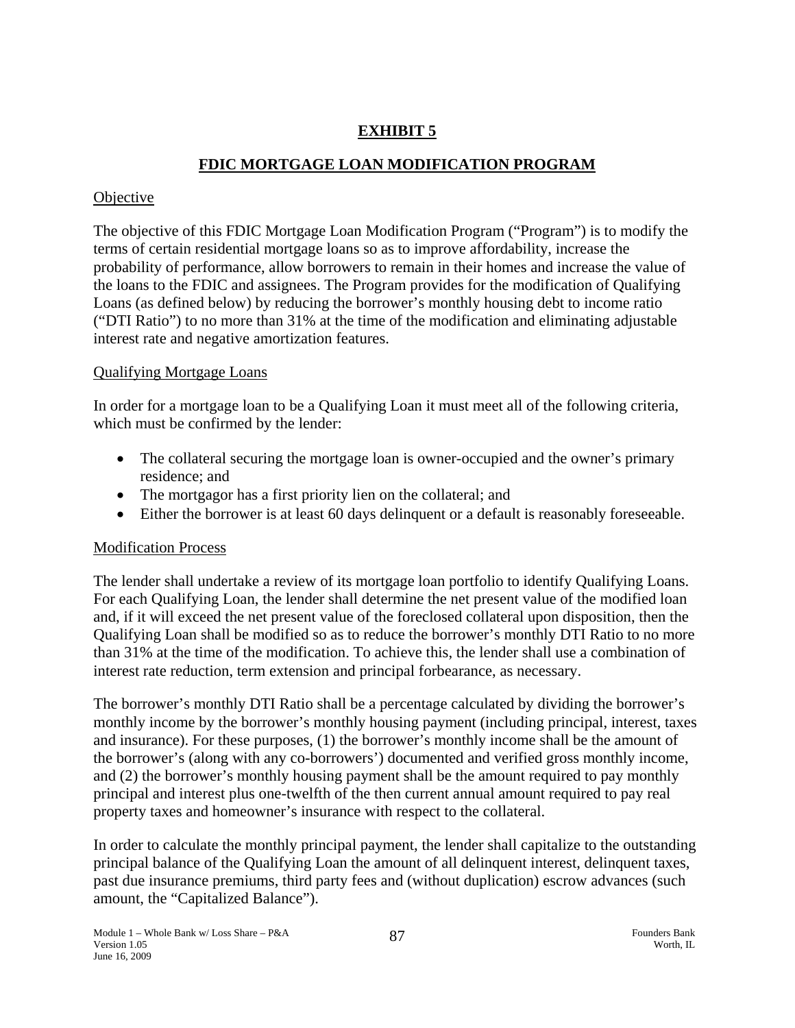# **EXHIBIT 5**

# **FDIC MORTGAGE LOAN MODIFICATION PROGRAM**

# **Objective**

The objective of this FDIC Mortgage Loan Modification Program ("Program") is to modify the terms of certain residential mortgage loans so as to improve affordability, increase the probability of performance, allow borrowers to remain in their homes and increase the value of the loans to the FDIC and assignees. The Program provides for the modification of Qualifying Loans (as defined below) by reducing the borrower's monthly housing debt to income ratio ("DTI Ratio") to no more than 31% at the time of the modification and eliminating adjustable interest rate and negative amortization features.

# Qualifying Mortgage Loans

In order for a mortgage loan to be a Qualifying Loan it must meet all of the following criteria, which must be confirmed by the lender:

- The collateral securing the mortgage loan is owner-occupied and the owner's primary residence; and
- The mortgagor has a first priority lien on the collateral; and
- Either the borrower is at least 60 days delinquent or a default is reasonably foreseeable.

# Modification Process

The lender shall undertake a review of its mortgage loan portfolio to identify Qualifying Loans. For each Qualifying Loan, the lender shall determine the net present value of the modified loan and, if it will exceed the net present value of the foreclosed collateral upon disposition, then the Qualifying Loan shall be modified so as to reduce the borrower's monthly DTI Ratio to no more than 31% at the time of the modification. To achieve this, the lender shall use a combination of interest rate reduction, term extension and principal forbearance, as necessary.

The borrower's monthly DTI Ratio shall be a percentage calculated by dividing the borrower's monthly income by the borrower's monthly housing payment (including principal, interest, taxes and insurance). For these purposes, (1) the borrower's monthly income shall be the amount of the borrower's (along with any co-borrowers') documented and verified gross monthly income, and (2) the borrower's monthly housing payment shall be the amount required to pay monthly principal and interest plus one-twelfth of the then current annual amount required to pay real property taxes and homeowner's insurance with respect to the collateral.

In order to calculate the monthly principal payment, the lender shall capitalize to the outstanding principal balance of the Qualifying Loan the amount of all delinquent interest, delinquent taxes, past due insurance premiums, third party fees and (without duplication) escrow advances (such amount, the "Capitalized Balance").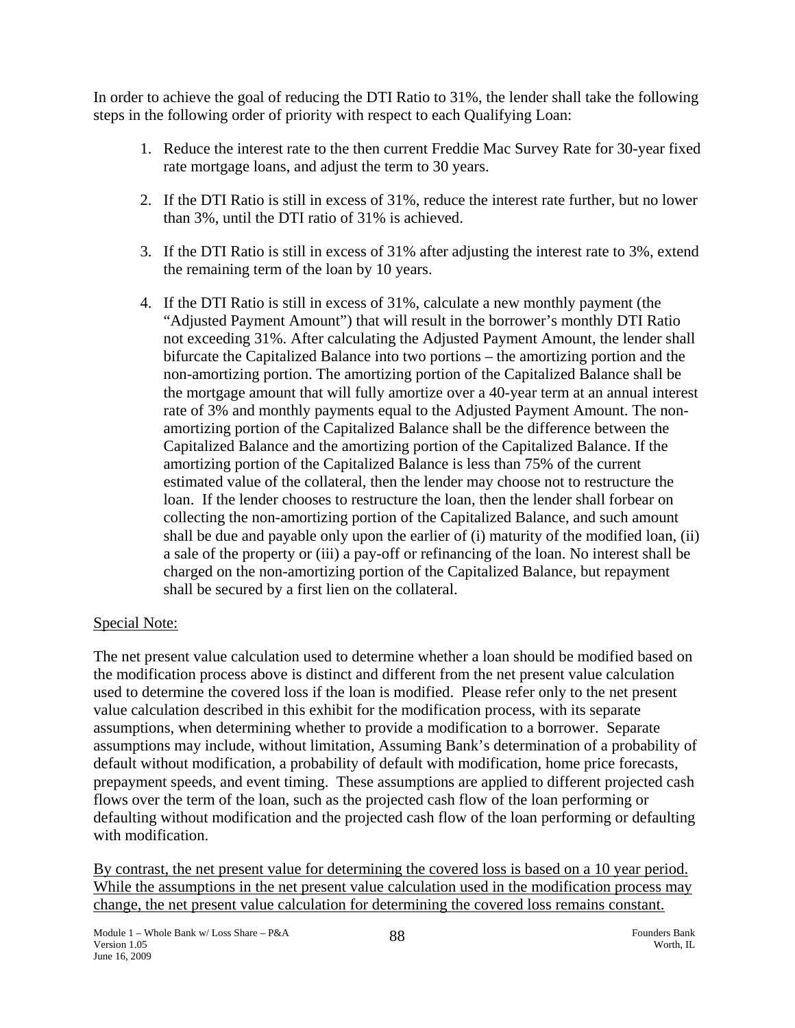In order to achieve the goal of reducing the DTI Ratio to 31%, the lender shall take the following steps in the following order of priority with respect to each Qualifying Loan:

- 1. Reduce the interest rate to the then current Freddie Mac Survey Rate for 30-year fixed rate mortgage loans, and adjust the term to 30 years.
- 2. If the DTI Ratio is still in excess of 31%, reduce the interest rate further, but no lower than 3%, until the DTI ratio of 31% is achieved.
- 3. If the DTI Ratio is still in excess of 31% after adjusting the interest rate to 3%, extend the remaining term of the loan by 10 years.
- 4. If the DTI Ratio is still in excess of 31%, calculate a new monthly payment (the "Adjusted Payment Amount") that will result in the borrower's monthly DTI Ratio not exceeding 31%. After calculating the Adjusted Payment Amount, the lender shall bifurcate the Capitalized Balance into two portions – the amortizing portion and the non-amortizing portion. The amortizing portion of the Capitalized Balance shall be the mortgage amount that will fully amortize over a 40-year term at an annual interest rate of 3% and monthly payments equal to the Adjusted Payment Amount. The nonamortizing portion of the Capitalized Balance shall be the difference between the Capitalized Balance and the amortizing portion of the Capitalized Balance. If the amortizing portion of the Capitalized Balance is less than 75% of the current estimated value of the collateral, then the lender may choose not to restructure the loan. If the lender chooses to restructure the loan, then the lender shall forbear on collecting the non-amortizing portion of the Capitalized Balance, and such amount shall be due and payable only upon the earlier of (i) maturity of the modified loan, (ii) a sale of the property or (iii) a pay-off or refinancing of the loan. No interest shall be charged on the non-amortizing portion of the Capitalized Balance, but repayment shall be secured by a first lien on the collateral.

## Special Note:

The net present value calculation used to determine whether a loan should be modified based on the modification process above is distinct and different from the net present value calculation used to determine the covered loss if the loan is modified. Please refer only to the net present value calculation described in this exhibit for the modification process, with its separate assumptions, when determining whether to provide a modification to a borrower. Separate assumptions may include, without limitation, Assuming Bank's determination of a probability of default without modification, a probability of default with modification, home price forecasts, prepayment speeds, and event timing. These assumptions are applied to different projected cash flows over the term of the loan, such as the projected cash flow of the loan performing or defaulting without modification and the projected cash flow of the loan performing or defaulting with modification.

change, the net present value calculation for determining the covered loss remains constant.<br>
Module 1 – Whole Bank w/ Loss Share – P&A 88 Founders Bank Worth, IL By contrast, the net present value for determining the covered loss is based on a 10 year period. While the assumptions in the net present value calculation used in the modification process may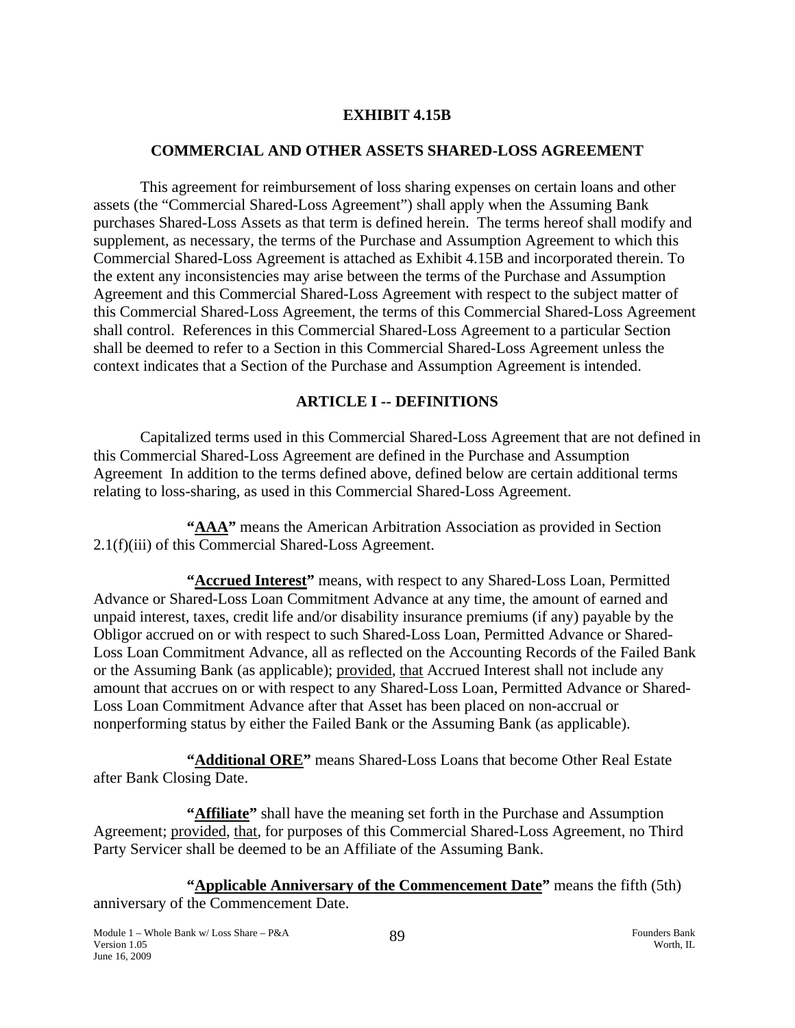### **EXHIBIT 4.15B**

### **COMMERCIAL AND OTHER ASSETS SHARED-LOSS AGREEMENT**

This agreement for reimbursement of loss sharing expenses on certain loans and other assets (the "Commercial Shared-Loss Agreement") shall apply when the Assuming Bank purchases Shared-Loss Assets as that term is defined herein. The terms hereof shall modify and supplement, as necessary, the terms of the Purchase and Assumption Agreement to which this Commercial Shared-Loss Agreement is attached as Exhibit 4.15B and incorporated therein. To the extent any inconsistencies may arise between the terms of the Purchase and Assumption Agreement and this Commercial Shared-Loss Agreement with respect to the subject matter of this Commercial Shared-Loss Agreement, the terms of this Commercial Shared-Loss Agreement shall control. References in this Commercial Shared-Loss Agreement to a particular Section shall be deemed to refer to a Section in this Commercial Shared-Loss Agreement unless the context indicates that a Section of the Purchase and Assumption Agreement is intended.

## **ARTICLE I -- DEFINITIONS**

Capitalized terms used in this Commercial Shared-Loss Agreement that are not defined in this Commercial Shared-Loss Agreement are defined in the Purchase and Assumption Agreement In addition to the terms defined above, defined below are certain additional terms relating to loss-sharing, as used in this Commercial Shared-Loss Agreement.

**"AAA"** means the American Arbitration Association as provided in Section 2.1(f)(iii) of this Commercial Shared-Loss Agreement.

**"Accrued Interest"** means, with respect to any Shared-Loss Loan, Permitted Advance or Shared-Loss Loan Commitment Advance at any time, the amount of earned and unpaid interest, taxes, credit life and/or disability insurance premiums (if any) payable by the Obligor accrued on or with respect to such Shared-Loss Loan, Permitted Advance or Shared-Loss Loan Commitment Advance, all as reflected on the Accounting Records of the Failed Bank or the Assuming Bank (as applicable); provided, that Accrued Interest shall not include any amount that accrues on or with respect to any Shared-Loss Loan, Permitted Advance or Shared-Loss Loan Commitment Advance after that Asset has been placed on non-accrual or nonperforming status by either the Failed Bank or the Assuming Bank (as applicable).

"**Additional ORE**" means Shared-Loss Loans that become Other Real Estate after Bank Closing Date.

"**Affiliate**" shall have the meaning set forth in the Purchase and Assumption Agreement; provided, that, for purposes of this Commercial Shared-Loss Agreement, no Third Party Servicer shall be deemed to be an Affiliate of the Assuming Bank.

**Examplicable Anniversary of the Commencement Date**" means the fifth (5th) anniversary of the Commencement Date.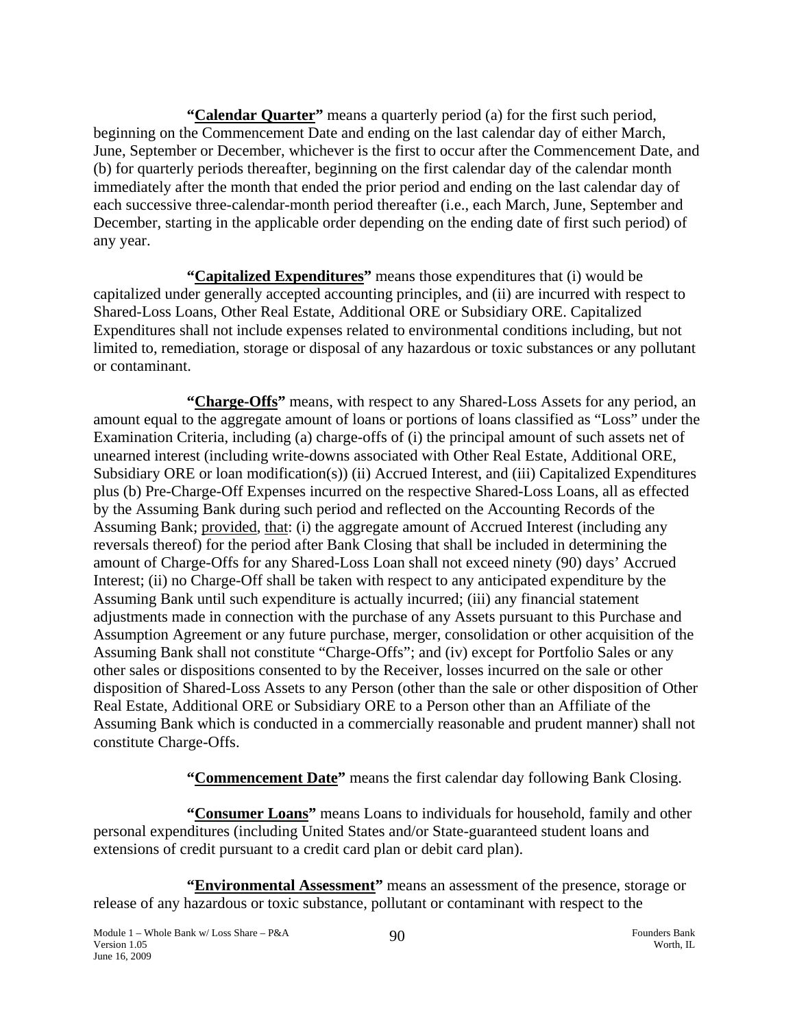"Calendar Quarter" means a quarterly period (a) for the first such period, beginning on the Commencement Date and ending on the last calendar day of either March, June, September or December, whichever is the first to occur after the Commencement Date, and (b) for quarterly periods thereafter, beginning on the first calendar day of the calendar month immediately after the month that ended the prior period and ending on the last calendar day of each successive three-calendar-month period thereafter (i.e., each March, June, September and December, starting in the applicable order depending on the ending date of first such period) of any year.

**"Capitalized Expenditures"** means those expenditures that (i) would be capitalized under generally accepted accounting principles, and (ii) are incurred with respect to Shared-Loss Loans, Other Real Estate, Additional ORE or Subsidiary ORE. Capitalized Expenditures shall not include expenses related to environmental conditions including, but not limited to, remediation, storage or disposal of any hazardous or toxic substances or any pollutant or contaminant.

**"Charge-Offs"** means, with respect to any Shared-Loss Assets for any period, an amount equal to the aggregate amount of loans or portions of loans classified as "Loss" under the Examination Criteria, including (a) charge-offs of (i) the principal amount of such assets net of unearned interest (including write-downs associated with Other Real Estate, Additional ORE, Subsidiary ORE or loan modification(s)) (ii) Accrued Interest, and (iii) Capitalized Expenditures plus (b) Pre-Charge-Off Expenses incurred on the respective Shared-Loss Loans, all as effected by the Assuming Bank during such period and reflected on the Accounting Records of the Assuming Bank; provided, that: (i) the aggregate amount of Accrued Interest (including any reversals thereof) for the period after Bank Closing that shall be included in determining the amount of Charge-Offs for any Shared-Loss Loan shall not exceed ninety (90) days' Accrued Interest; (ii) no Charge-Off shall be taken with respect to any anticipated expenditure by the Assuming Bank until such expenditure is actually incurred; (iii) any financial statement adjustments made in connection with the purchase of any Assets pursuant to this Purchase and Assumption Agreement or any future purchase, merger, consolidation or other acquisition of the Assuming Bank shall not constitute "Charge-Offs"; and (iv) except for Portfolio Sales or any other sales or dispositions consented to by the Receiver, losses incurred on the sale or other disposition of Shared-Loss Assets to any Person (other than the sale or other disposition of Other Real Estate, Additional ORE or Subsidiary ORE to a Person other than an Affiliate of the Assuming Bank which is conducted in a commercially reasonable and prudent manner) shall not constitute Charge-Offs.

**"Commencement Date"** means the first calendar day following Bank Closing.

**"Consumer Loans"** means Loans to individuals for household, family and other personal expenditures (including United States and/or State-guaranteed student loans and extensions of credit pursuant to a credit card plan or debit card plan).

**"Environmental Assessment"** means an assessment of the presence, storage or release of any hazardous or toxic substance, pollutant or contaminant with respect to the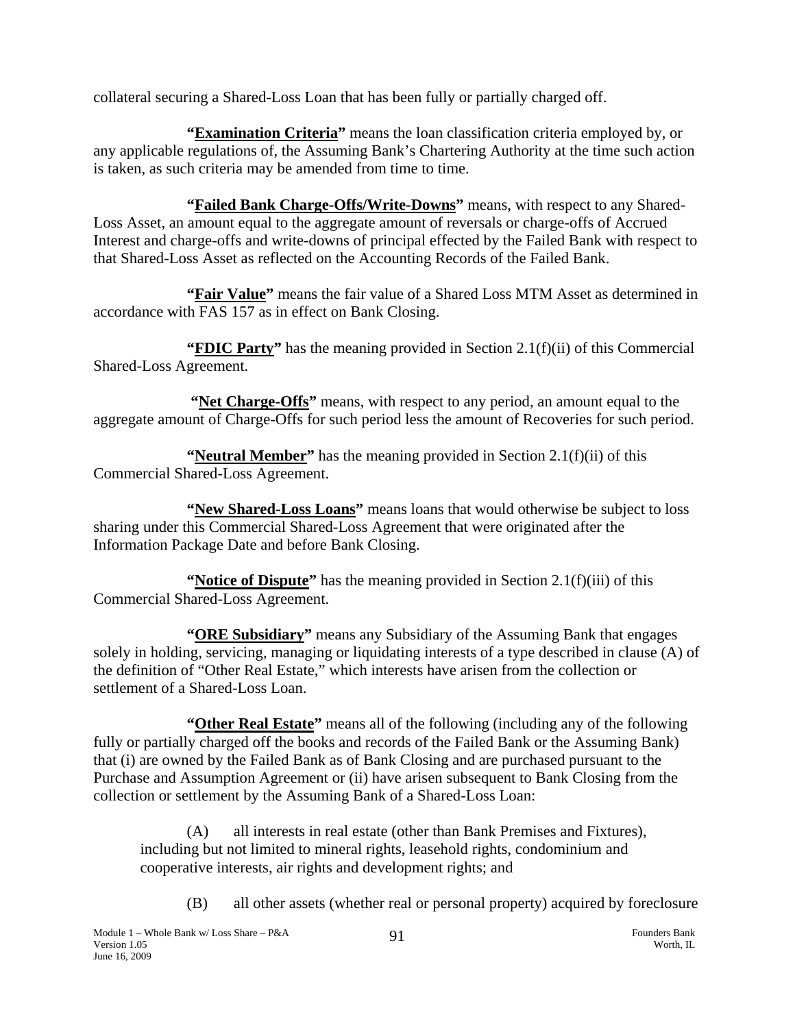collateral securing a Shared-Loss Loan that has been fully or partially charged off.

**"Examination Criteria"** means the loan classification criteria employed by, or any applicable regulations of, the Assuming Bank's Chartering Authority at the time such action is taken, as such criteria may be amended from time to time.

"Failed Bank Charge-Offs/Write-Downs" means, with respect to any Shared-Loss Asset, an amount equal to the aggregate amount of reversals or charge-offs of Accrued Interest and charge-offs and write-downs of principal effected by the Failed Bank with respect to that Shared-Loss Asset as reflected on the Accounting Records of the Failed Bank.

**"Fair Value"** means the fair value of a Shared Loss MTM Asset as determined in accordance with FAS 157 as in effect on Bank Closing.

**"FDIC Party"** has the meaning provided in Section 2.1(f)(ii) of this Commercial Shared-Loss Agreement.

**"Net Charge-Offs"** means, with respect to any period, an amount equal to the aggregate amount of Charge-Offs for such period less the amount of Recoveries for such period.

 Commercial Shared-Loss Agreement. **"Neutral Member"** has the meaning provided in Section 2.1(f)(ii) of this

**"New Shared-Loss Loans"** means loans that would otherwise be subject to loss sharing under this Commercial Shared-Loss Agreement that were originated after the Information Package Date and before Bank Closing.

**"Notice of Dispute"** has the meaning provided in Section 2.1(f)(iii) of this Commercial Shared-Loss Agreement.

**"ORE Subsidiary"** means any Subsidiary of the Assuming Bank that engages solely in holding, servicing, managing or liquidating interests of a type described in clause (A) of the definition of "Other Real Estate," which interests have arisen from the collection or settlement of a Shared-Loss Loan.

**"Other Real Estate"** means all of the following (including any of the following fully or partially charged off the books and records of the Failed Bank or the Assuming Bank) that (i) are owned by the Failed Bank as of Bank Closing and are purchased pursuant to the Purchase and Assumption Agreement or (ii) have arisen subsequent to Bank Closing from the collection or settlement by the Assuming Bank of a Shared-Loss Loan:

(A) all interests in real estate (other than Bank Premises and Fixtures), including but not limited to mineral rights, leasehold rights, condominium and cooperative interests, air rights and development rights; and

(B) all other assets (whether real or personal property) acquired by foreclosure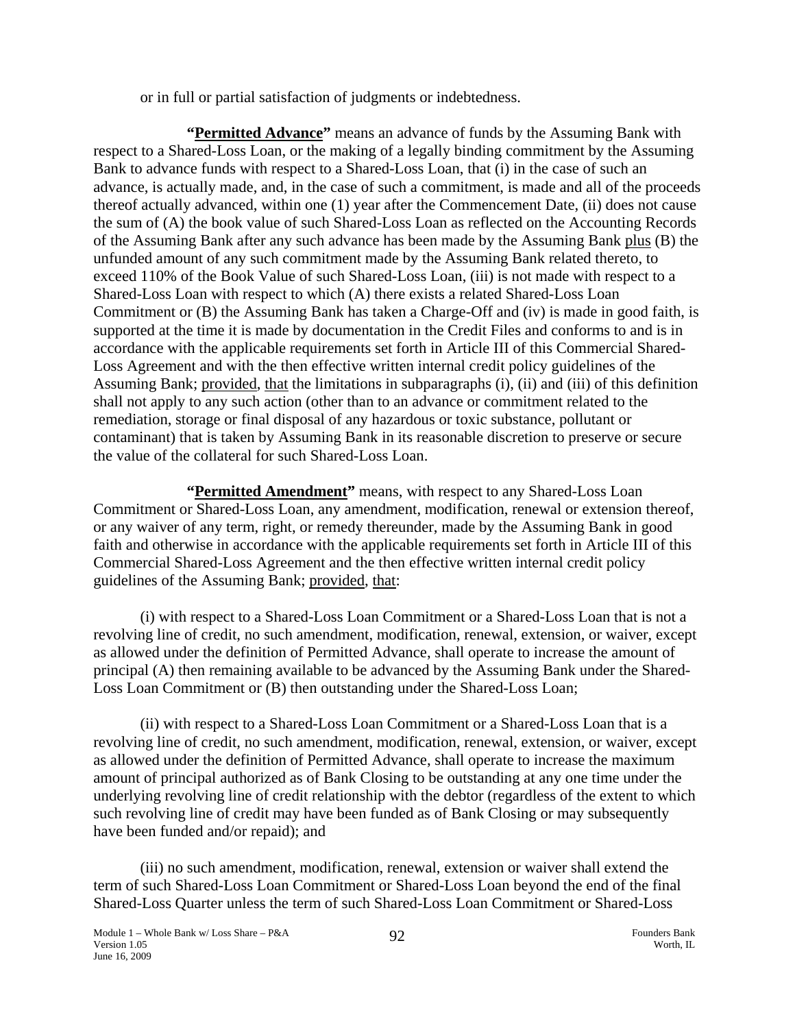or in full or partial satisfaction of judgments or indebtedness.

**"Permitted Advance"** means an advance of funds by the Assuming Bank with respect to a Shared-Loss Loan, or the making of a legally binding commitment by the Assuming Bank to advance funds with respect to a Shared-Loss Loan, that (i) in the case of such an advance, is actually made, and, in the case of such a commitment, is made and all of the proceeds thereof actually advanced, within one (1) year after the Commencement Date, (ii) does not cause the sum of (A) the book value of such Shared-Loss Loan as reflected on the Accounting Records of the Assuming Bank after any such advance has been made by the Assuming Bank plus (B) the unfunded amount of any such commitment made by the Assuming Bank related thereto, to exceed 110% of the Book Value of such Shared-Loss Loan, (iii) is not made with respect to a Shared-Loss Loan with respect to which (A) there exists a related Shared-Loss Loan Commitment or (B) the Assuming Bank has taken a Charge-Off and (iv) is made in good faith, is supported at the time it is made by documentation in the Credit Files and conforms to and is in accordance with the applicable requirements set forth in Article III of this Commercial Shared-Loss Agreement and with the then effective written internal credit policy guidelines of the Assuming Bank; provided, that the limitations in subparagraphs (i), (ii) and (iii) of this definition shall not apply to any such action (other than to an advance or commitment related to the remediation, storage or final disposal of any hazardous or toxic substance, pollutant or contaminant) that is taken by Assuming Bank in its reasonable discretion to preserve or secure the value of the collateral for such Shared-Loss Loan.

**"Permitted Amendment"** means, with respect to any Shared-Loss Loan Commitment or Shared-Loss Loan, any amendment, modification, renewal or extension thereof, or any waiver of any term, right, or remedy thereunder, made by the Assuming Bank in good faith and otherwise in accordance with the applicable requirements set forth in Article III of this Commercial Shared-Loss Agreement and the then effective written internal credit policy guidelines of the Assuming Bank; provided, that:

(i) with respect to a Shared-Loss Loan Commitment or a Shared-Loss Loan that is not a revolving line of credit, no such amendment, modification, renewal, extension, or waiver, except as allowed under the definition of Permitted Advance, shall operate to increase the amount of principal (A) then remaining available to be advanced by the Assuming Bank under the Shared-Loss Loan Commitment or (B) then outstanding under the Shared-Loss Loan;

(ii) with respect to a Shared-Loss Loan Commitment or a Shared-Loss Loan that is a revolving line of credit, no such amendment, modification, renewal, extension, or waiver, except as allowed under the definition of Permitted Advance, shall operate to increase the maximum amount of principal authorized as of Bank Closing to be outstanding at any one time under the underlying revolving line of credit relationship with the debtor (regardless of the extent to which such revolving line of credit may have been funded as of Bank Closing or may subsequently have been funded and/or repaid); and

(iii) no such amendment, modification, renewal, extension or waiver shall extend the term of such Shared-Loss Loan Commitment or Shared-Loss Loan beyond the end of the final Shared-Loss Quarter unless the term of such Shared-Loss Loan Commitment or Shared-Loss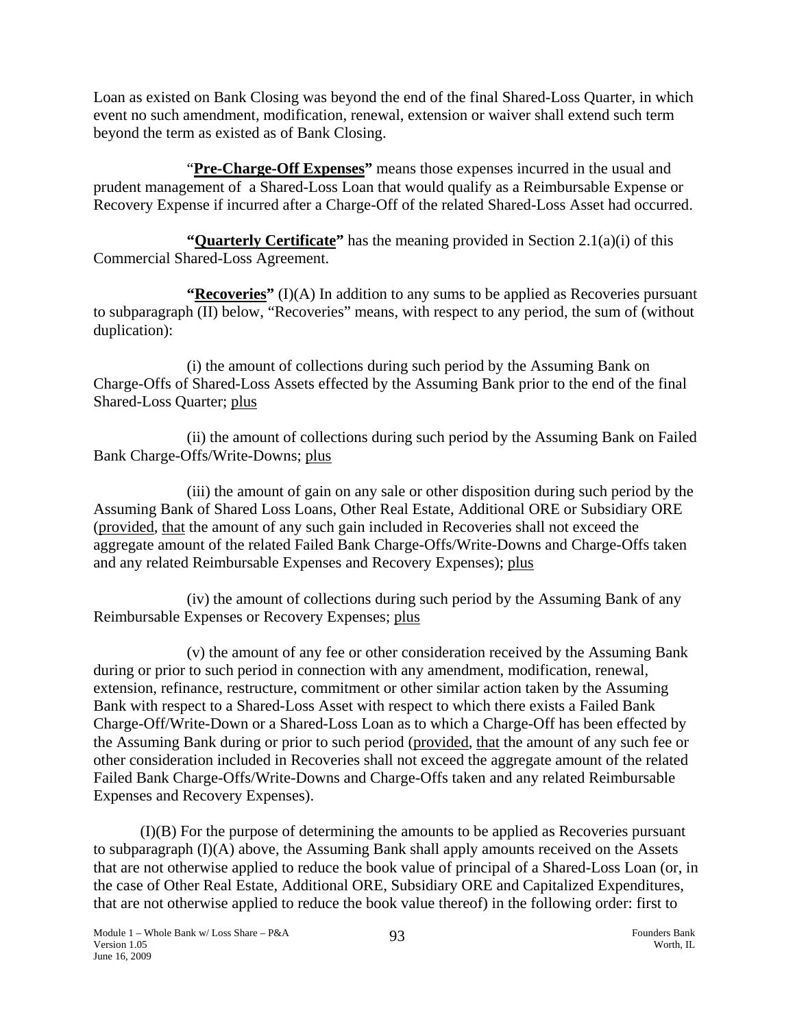Loan as existed on Bank Closing was beyond the end of the final Shared-Loss Quarter, in which event no such amendment, modification, renewal, extension or waiver shall extend such term beyond the term as existed as of Bank Closing.

"**Pre-Charge-Off Expenses"** means those expenses incurred in the usual and prudent management of a Shared-Loss Loan that would qualify as a Reimbursable Expense or Recovery Expense if incurred after a Charge-Off of the related Shared-Loss Asset had occurred.

**"Quarterly Certificate"** has the meaning provided in Section 2.1(a)(i) of this Commercial Shared-Loss Agreement.

**"Recoveries"** (I)(A) In addition to any sums to be applied as Recoveries pursuant to subparagraph (II) below, "Recoveries" means, with respect to any period, the sum of (without duplication):

**Shared-Loss Quarter; plus** (i) the amount of collections during such period by the Assuming Bank on Charge-Offs of Shared-Loss Assets effected by the Assuming Bank prior to the end of the final

(ii) the amount of collections during such period by the Assuming Bank on Failed Bank Charge-Offs/Write-Downs; plus

(iii) the amount of gain on any sale or other disposition during such period by the Assuming Bank of Shared Loss Loans, Other Real Estate, Additional ORE or Subsidiary ORE (provided, that the amount of any such gain included in Recoveries shall not exceed the aggregate amount of the related Failed Bank Charge-Offs/Write-Downs and Charge-Offs taken and any related Reimbursable Expenses and Recovery Expenses); plus

(iv) the amount of collections during such period by the Assuming Bank of any Reimbursable Expenses or Recovery Expenses; plus

(v) the amount of any fee or other consideration received by the Assuming Bank during or prior to such period in connection with any amendment, modification, renewal, extension, refinance, restructure, commitment or other similar action taken by the Assuming Bank with respect to a Shared-Loss Asset with respect to which there exists a Failed Bank Charge-Off/Write-Down or a Shared-Loss Loan as to which a Charge-Off has been effected by the Assuming Bank during or prior to such period (provided, that the amount of any such fee or other consideration included in Recoveries shall not exceed the aggregate amount of the related Failed Bank Charge-Offs/Write-Downs and Charge-Offs taken and any related Reimbursable Expenses and Recovery Expenses).

(I)(B) For the purpose of determining the amounts to be applied as Recoveries pursuant to subparagraph (I)(A) above, the Assuming Bank shall apply amounts received on the Assets that are not otherwise applied to reduce the book value of principal of a Shared-Loss Loan (or, in the case of Other Real Estate, Additional ORE, Subsidiary ORE and Capitalized Expenditures, that are not otherwise applied to reduce the book value thereof) in the following order: first to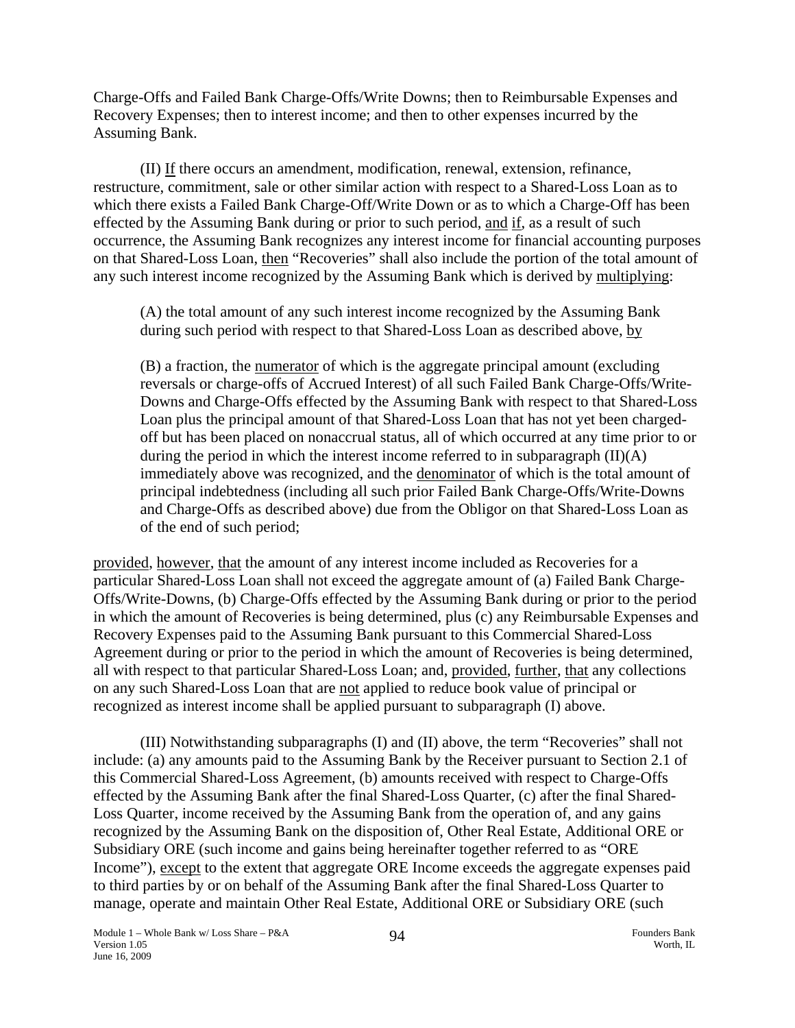Charge-Offs and Failed Bank Charge-Offs/Write Downs; then to Reimbursable Expenses and Recovery Expenses; then to interest income; and then to other expenses incurred by the Assuming Bank.

(II) If there occurs an amendment, modification, renewal, extension, refinance, restructure, commitment, sale or other similar action with respect to a Shared-Loss Loan as to which there exists a Failed Bank Charge-Off/Write Down or as to which a Charge-Off has been effected by the Assuming Bank during or prior to such period, and if, as a result of such occurrence, the Assuming Bank recognizes any interest income for financial accounting purposes on that Shared-Loss Loan, then "Recoveries" shall also include the portion of the total amount of any such interest income recognized by the Assuming Bank which is derived by multiplying:

(A) the total amount of any such interest income recognized by the Assuming Bank during such period with respect to that Shared-Loss Loan as described above, by

(B) a fraction, the numerator of which is the aggregate principal amount (excluding reversals or charge-offs of Accrued Interest) of all such Failed Bank Charge-Offs/Write-Downs and Charge-Offs effected by the Assuming Bank with respect to that Shared-Loss Loan plus the principal amount of that Shared-Loss Loan that has not yet been chargedoff but has been placed on nonaccrual status, all of which occurred at any time prior to or during the period in which the interest income referred to in subparagraph (II)(A) immediately above was recognized, and the denominator of which is the total amount of principal indebtedness (including all such prior Failed Bank Charge-Offs/Write-Downs and Charge-Offs as described above) due from the Obligor on that Shared-Loss Loan as of the end of such period;

provided, however, that the amount of any interest income included as Recoveries for a particular Shared-Loss Loan shall not exceed the aggregate amount of (a) Failed Bank Charge-Offs/Write-Downs, (b) Charge-Offs effected by the Assuming Bank during or prior to the period in which the amount of Recoveries is being determined, plus (c) any Reimbursable Expenses and Recovery Expenses paid to the Assuming Bank pursuant to this Commercial Shared-Loss Agreement during or prior to the period in which the amount of Recoveries is being determined, all with respect to that particular Shared-Loss Loan; and, provided, further, that any collections on any such Shared-Loss Loan that are not applied to reduce book value of principal or recognized as interest income shall be applied pursuant to subparagraph (I) above.

(III) Notwithstanding subparagraphs (I) and (II) above, the term "Recoveries" shall not include: (a) any amounts paid to the Assuming Bank by the Receiver pursuant to Section 2.1 of this Commercial Shared-Loss Agreement, (b) amounts received with respect to Charge-Offs effected by the Assuming Bank after the final Shared-Loss Quarter, (c) after the final Shared-Loss Quarter, income received by the Assuming Bank from the operation of, and any gains recognized by the Assuming Bank on the disposition of, Other Real Estate, Additional ORE or Subsidiary ORE (such income and gains being hereinafter together referred to as "ORE Income"), except to the extent that aggregate ORE Income exceeds the aggregate expenses paid to third parties by or on behalf of the Assuming Bank after the final Shared-Loss Quarter to manage, operate and maintain Other Real Estate, Additional ORE or Subsidiary ORE (such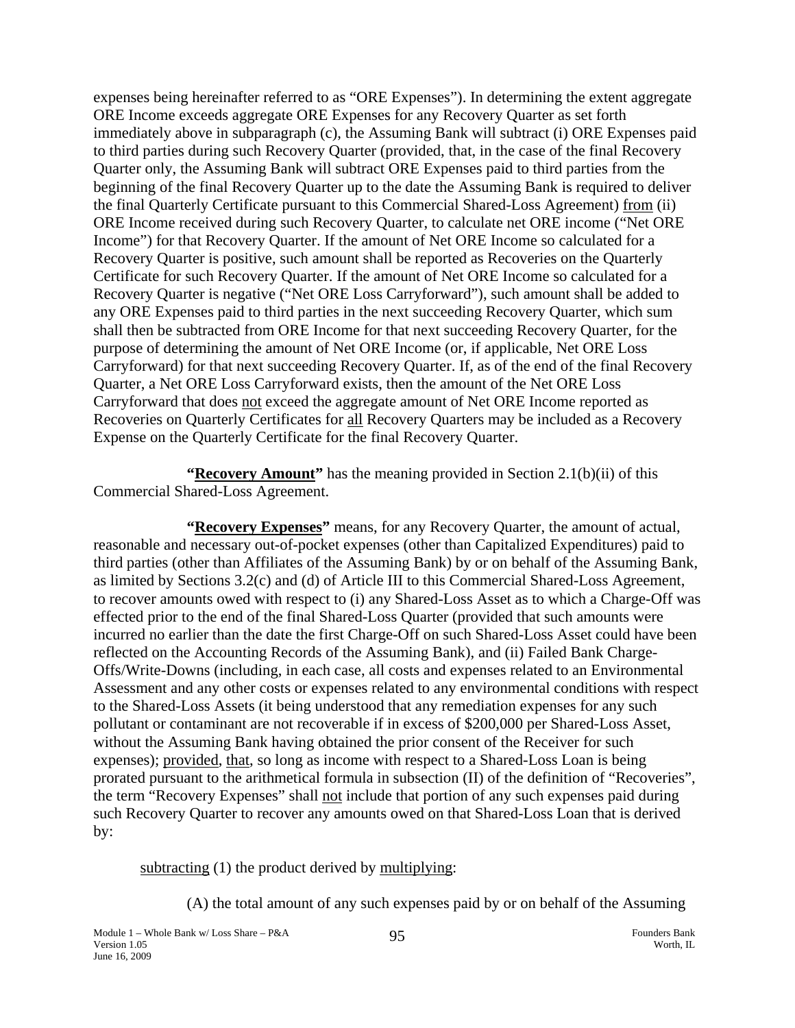expenses being hereinafter referred to as "ORE Expenses"). In determining the extent aggregate ORE Income exceeds aggregate ORE Expenses for any Recovery Quarter as set forth immediately above in subparagraph (c), the Assuming Bank will subtract (i) ORE Expenses paid to third parties during such Recovery Quarter (provided, that, in the case of the final Recovery Quarter only, the Assuming Bank will subtract ORE Expenses paid to third parties from the beginning of the final Recovery Quarter up to the date the Assuming Bank is required to deliver the final Quarterly Certificate pursuant to this Commercial Shared-Loss Agreement) from (ii) ORE Income received during such Recovery Quarter, to calculate net ORE income ("Net ORE Income") for that Recovery Quarter. If the amount of Net ORE Income so calculated for a Recovery Quarter is positive, such amount shall be reported as Recoveries on the Quarterly Certificate for such Recovery Quarter. If the amount of Net ORE Income so calculated for a Recovery Quarter is negative ("Net ORE Loss Carryforward"), such amount shall be added to any ORE Expenses paid to third parties in the next succeeding Recovery Quarter, which sum shall then be subtracted from ORE Income for that next succeeding Recovery Quarter, for the purpose of determining the amount of Net ORE Income (or, if applicable, Net ORE Loss Carryforward) for that next succeeding Recovery Quarter. If, as of the end of the final Recovery Quarter, a Net ORE Loss Carryforward exists, then the amount of the Net ORE Loss Carryforward that does not exceed the aggregate amount of Net ORE Income reported as Recoveries on Quarterly Certificates for all Recovery Quarters may be included as a Recovery Expense on the Quarterly Certificate for the final Recovery Quarter.

**"Recovery Amount"** has the meaning provided in Section 2.1(b)(ii) of this Commercial Shared-Loss Agreement.

**"Recovery Expenses"** means, for any Recovery Quarter, the amount of actual, reasonable and necessary out-of-pocket expenses (other than Capitalized Expenditures) paid to third parties (other than Affiliates of the Assuming Bank) by or on behalf of the Assuming Bank, as limited by Sections 3.2(c) and (d) of Article III to this Commercial Shared-Loss Agreement, to recover amounts owed with respect to (i) any Shared-Loss Asset as to which a Charge-Off was effected prior to the end of the final Shared-Loss Quarter (provided that such amounts were incurred no earlier than the date the first Charge-Off on such Shared-Loss Asset could have been reflected on the Accounting Records of the Assuming Bank), and (ii) Failed Bank Charge-Offs/Write-Downs (including, in each case, all costs and expenses related to an Environmental Assessment and any other costs or expenses related to any environmental conditions with respect to the Shared-Loss Assets (it being understood that any remediation expenses for any such pollutant or contaminant are not recoverable if in excess of \$200,000 per Shared-Loss Asset, without the Assuming Bank having obtained the prior consent of the Receiver for such expenses); provided, that, so long as income with respect to a Shared-Loss Loan is being prorated pursuant to the arithmetical formula in subsection (II) of the definition of "Recoveries", the term "Recovery Expenses" shall not include that portion of any such expenses paid during such Recovery Quarter to recover any amounts owed on that Shared-Loss Loan that is derived by:

subtracting (1) the product derived by multiplying:

(A) the total amount of any such expenses paid by or on behalf of the Assuming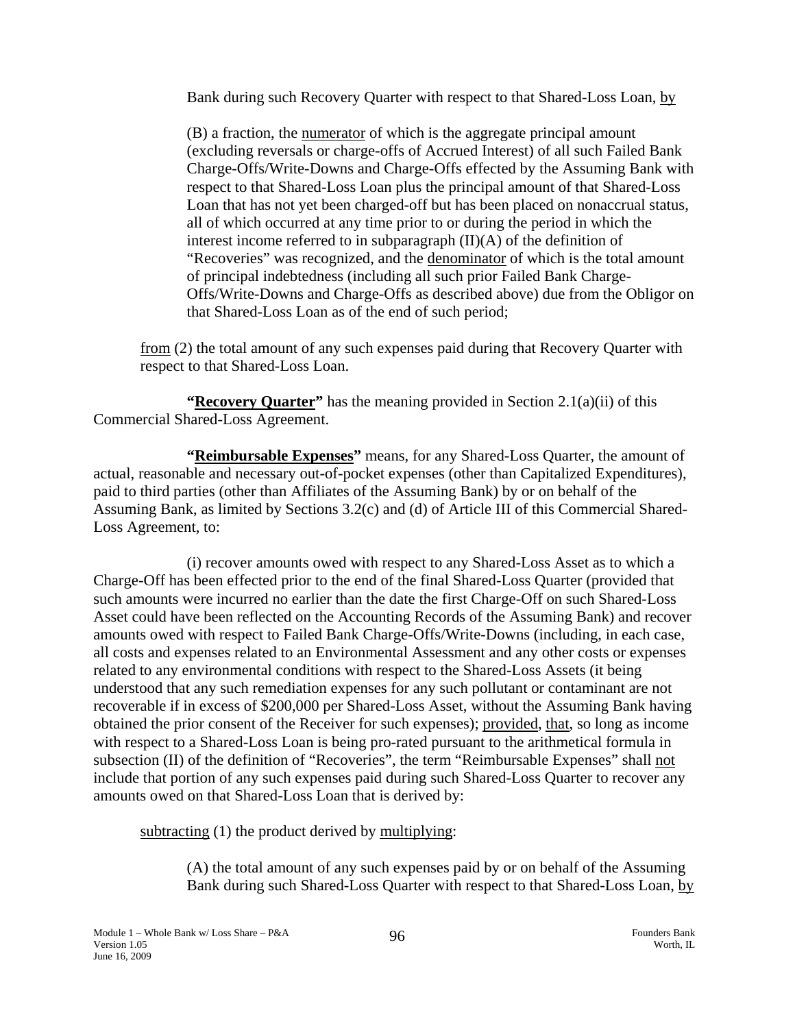Bank during such Recovery Quarter with respect to that Shared-Loss Loan, by

(B) a fraction, the numerator of which is the aggregate principal amount (excluding reversals or charge-offs of Accrued Interest) of all such Failed Bank Charge-Offs/Write-Downs and Charge-Offs effected by the Assuming Bank with respect to that Shared-Loss Loan plus the principal amount of that Shared-Loss Loan that has not yet been charged-off but has been placed on nonaccrual status, all of which occurred at any time prior to or during the period in which the interest income referred to in subparagraph  $(II)(A)$  of the definition of "Recoveries" was recognized, and the denominator of which is the total amount of principal indebtedness (including all such prior Failed Bank Charge-Offs/Write-Downs and Charge-Offs as described above) due from the Obligor on that Shared-Loss Loan as of the end of such period;

from (2) the total amount of any such expenses paid during that Recovery Quarter with respect to that Shared-Loss Loan.

**"Recovery Quarter"** has the meaning provided in Section 2.1(a)(ii) of this Commercial Shared-Loss Agreement.

**"Reimbursable Expenses"** means, for any Shared-Loss Quarter, the amount of actual, reasonable and necessary out-of-pocket expenses (other than Capitalized Expenditures), paid to third parties (other than Affiliates of the Assuming Bank) by or on behalf of the Assuming Bank, as limited by Sections 3.2(c) and (d) of Article III of this Commercial Shared-Loss Agreement, to:

(i) recover amounts owed with respect to any Shared-Loss Asset as to which a Charge-Off has been effected prior to the end of the final Shared-Loss Quarter (provided that such amounts were incurred no earlier than the date the first Charge-Off on such Shared-Loss Asset could have been reflected on the Accounting Records of the Assuming Bank) and recover amounts owed with respect to Failed Bank Charge-Offs/Write-Downs (including, in each case, all costs and expenses related to an Environmental Assessment and any other costs or expenses related to any environmental conditions with respect to the Shared-Loss Assets (it being understood that any such remediation expenses for any such pollutant or contaminant are not recoverable if in excess of \$200,000 per Shared-Loss Asset, without the Assuming Bank having obtained the prior consent of the Receiver for such expenses); provided, that, so long as income with respect to a Shared-Loss Loan is being pro-rated pursuant to the arithmetical formula in subsection (II) of the definition of "Recoveries", the term "Reimbursable Expenses" shall not include that portion of any such expenses paid during such Shared-Loss Quarter to recover any amounts owed on that Shared-Loss Loan that is derived by:

subtracting (1) the product derived by multiplying:

(A) the total amount of any such expenses paid by or on behalf of the Assuming Bank during such Shared-Loss Quarter with respect to that Shared-Loss Loan, by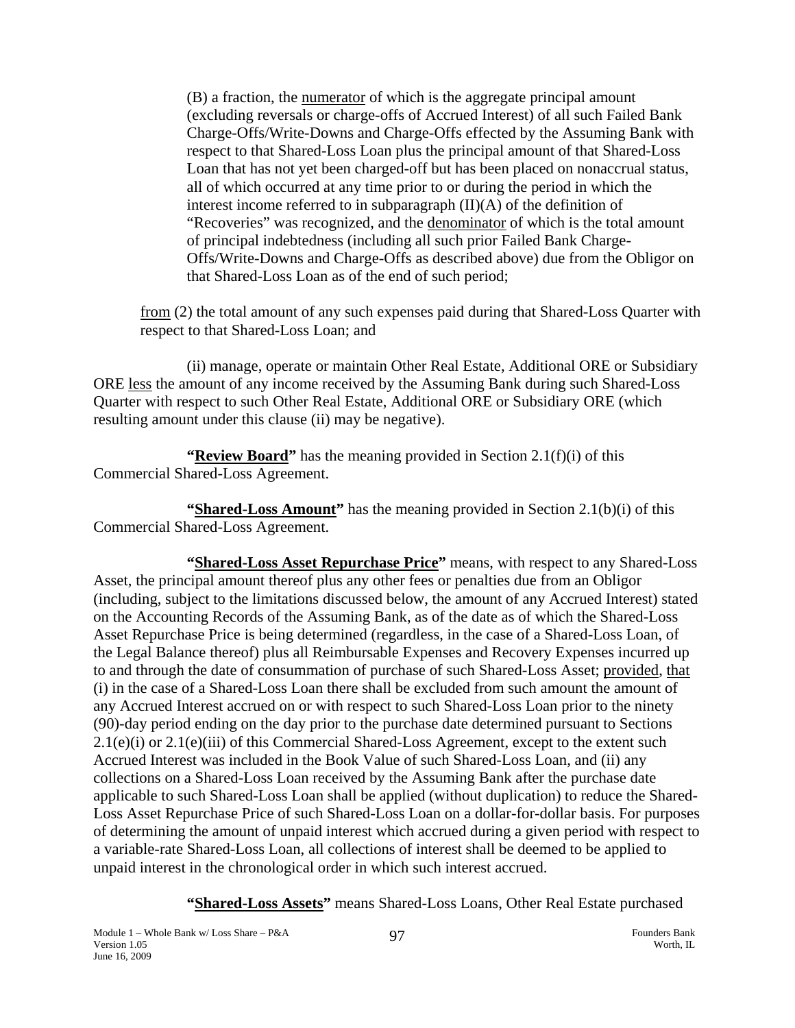(B) a fraction, the numerator of which is the aggregate principal amount (excluding reversals or charge-offs of Accrued Interest) of all such Failed Bank Charge-Offs/Write-Downs and Charge-Offs effected by the Assuming Bank with respect to that Shared-Loss Loan plus the principal amount of that Shared-Loss Loan that has not yet been charged-off but has been placed on nonaccrual status, all of which occurred at any time prior to or during the period in which the interest income referred to in subparagraph  $(II)(A)$  of the definition of "Recoveries" was recognized, and the denominator of which is the total amount of principal indebtedness (including all such prior Failed Bank Charge-Offs/Write-Downs and Charge-Offs as described above) due from the Obligor on that Shared-Loss Loan as of the end of such period;

from (2) the total amount of any such expenses paid during that Shared-Loss Quarter with respect to that Shared-Loss Loan; and

(ii) manage, operate or maintain Other Real Estate, Additional ORE or Subsidiary ORE less the amount of any income received by the Assuming Bank during such Shared-Loss Quarter with respect to such Other Real Estate, Additional ORE or Subsidiary ORE (which resulting amount under this clause (ii) may be negative).

**"Review Board"** has the meaning provided in Section 2.1(f)(i) of this Commercial Shared-Loss Agreement.

**"Shared-Loss Amount"** has the meaning provided in Section 2.1(b)(i) of this Commercial Shared-Loss Agreement.

**"Shared-Loss Asset Repurchase Price"** means, with respect to any Shared-Loss Asset, the principal amount thereof plus any other fees or penalties due from an Obligor (including, subject to the limitations discussed below, the amount of any Accrued Interest) stated on the Accounting Records of the Assuming Bank, as of the date as of which the Shared-Loss Asset Repurchase Price is being determined (regardless, in the case of a Shared-Loss Loan, of the Legal Balance thereof) plus all Reimbursable Expenses and Recovery Expenses incurred up to and through the date of consummation of purchase of such Shared-Loss Asset; provided, that (i) in the case of a Shared-Loss Loan there shall be excluded from such amount the amount of any Accrued Interest accrued on or with respect to such Shared-Loss Loan prior to the ninety (90)-day period ending on the day prior to the purchase date determined pursuant to Sections 2.1(e)(i) or 2.1(e)(iii) of this Commercial Shared-Loss Agreement, except to the extent such Accrued Interest was included in the Book Value of such Shared-Loss Loan, and (ii) any collections on a Shared-Loss Loan received by the Assuming Bank after the purchase date applicable to such Shared-Loss Loan shall be applied (without duplication) to reduce the Shared-Loss Asset Repurchase Price of such Shared-Loss Loan on a dollar-for-dollar basis. For purposes of determining the amount of unpaid interest which accrued during a given period with respect to a variable-rate Shared-Loss Loan, all collections of interest shall be deemed to be applied to unpaid interest in the chronological order in which such interest accrued.

**"Shared-Loss Assets"** means Shared-Loss Loans, Other Real Estate purchased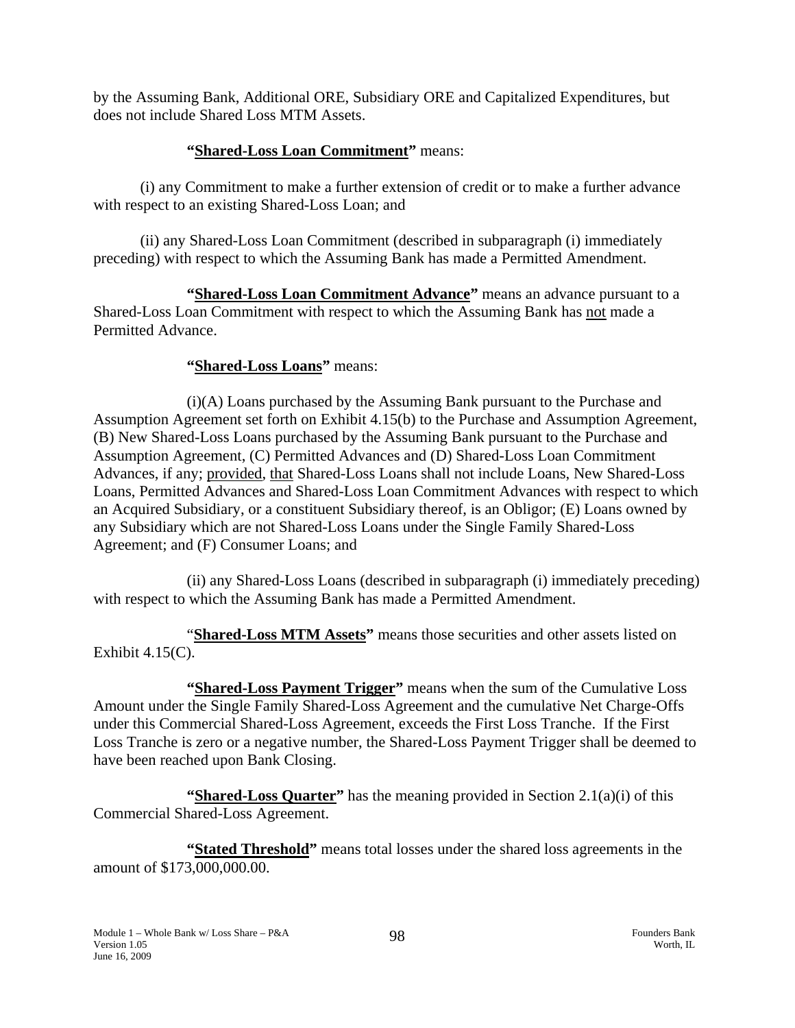by the Assuming Bank, Additional ORE, Subsidiary ORE and Capitalized Expenditures, but does not include Shared Loss MTM Assets.

# **"Shared-Loss Loan Commitment"** means:

(i) any Commitment to make a further extension of credit or to make a further advance with respect to an existing Shared-Loss Loan; and

(ii) any Shared-Loss Loan Commitment (described in subparagraph (i) immediately preceding) with respect to which the Assuming Bank has made a Permitted Amendment.

**"Shared-Loss Loan Commitment Advance"** means an advance pursuant to a Shared-Loss Loan Commitment with respect to which the Assuming Bank has not made a Permitted Advance.

## **"Shared-Loss Loans"** means:

(i)(A) Loans purchased by the Assuming Bank pursuant to the Purchase and Assumption Agreement set forth on Exhibit 4.15(b) to the Purchase and Assumption Agreement, (B) New Shared-Loss Loans purchased by the Assuming Bank pursuant to the Purchase and Assumption Agreement, (C) Permitted Advances and (D) Shared-Loss Loan Commitment Advances, if any; provided, that Shared-Loss Loans shall not include Loans, New Shared-Loss Loans, Permitted Advances and Shared-Loss Loan Commitment Advances with respect to which an Acquired Subsidiary, or a constituent Subsidiary thereof, is an Obligor; (E) Loans owned by any Subsidiary which are not Shared-Loss Loans under the Single Family Shared-Loss Agreement; and (F) Consumer Loans; and

(ii) any Shared-Loss Loans (described in subparagraph (i) immediately preceding) with respect to which the Assuming Bank has made a Permitted Amendment.

"**Shared-Loss MTM Assets"** means those securities and other assets listed on Exhibit  $4.15(C)$ .

**"Shared-Loss Payment Trigger"** means when the sum of the Cumulative Loss Amount under the Single Family Shared-Loss Agreement and the cumulative Net Charge-Offs under this Commercial Shared-Loss Agreement, exceeds the First Loss Tranche. If the First Loss Tranche is zero or a negative number, the Shared-Loss Payment Trigger shall be deemed to have been reached upon Bank Closing.

**"Shared-Loss Quarter"** has the meaning provided in Section 2.1(a)(i) of this Commercial Shared-Loss Agreement.

**"Stated Threshold"** means total losses under the shared loss agreements in the amount of \$173,000,000.00.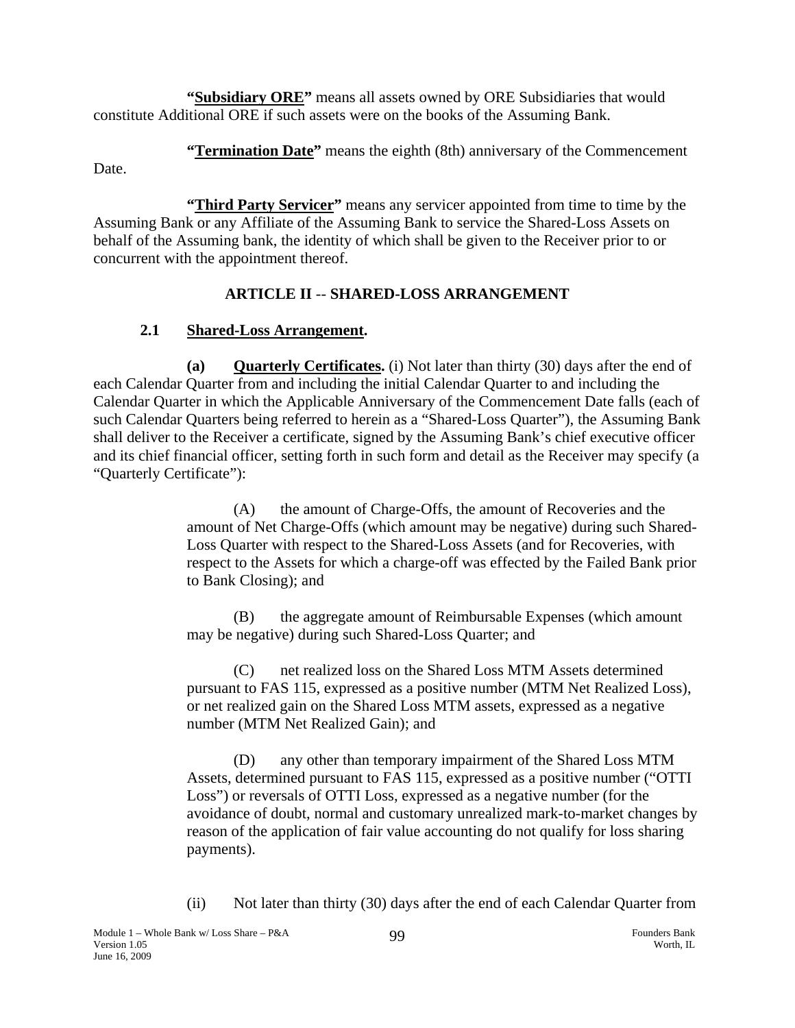**"Subsidiary ORE"** means all assets owned by ORE Subsidiaries that would constitute Additional ORE if such assets were on the books of the Assuming Bank.

**"Termination Date"** means the eighth (8th) anniversary of the Commencement Date.

**"Third Party Servicer"** means any servicer appointed from time to time by the Assuming Bank or any Affiliate of the Assuming Bank to service the Shared-Loss Assets on behalf of the Assuming bank, the identity of which shall be given to the Receiver prior to or concurrent with the appointment thereof.

## **ARTICLE II** -- **SHARED-LOSS ARRANGEMENT**

## **2.1 Shared-Loss Arrangement.**

**(a) Quarterly Certificates.** (i) Not later than thirty (30) days after the end of each Calendar Quarter from and including the initial Calendar Quarter to and including the Calendar Quarter in which the Applicable Anniversary of the Commencement Date falls (each of such Calendar Quarters being referred to herein as a "Shared-Loss Quarter"), the Assuming Bank shall deliver to the Receiver a certificate, signed by the Assuming Bank's chief executive officer and its chief financial officer, setting forth in such form and detail as the Receiver may specify (a "Quarterly Certificate"):

> (A) the amount of Charge-Offs, the amount of Recoveries and the amount of Net Charge-Offs (which amount may be negative) during such Shared-Loss Quarter with respect to the Shared-Loss Assets (and for Recoveries, with respect to the Assets for which a charge-off was effected by the Failed Bank prior to Bank Closing); and

(B) the aggregate amount of Reimbursable Expenses (which amount may be negative) during such Shared-Loss Quarter; and

(C) net realized loss on the Shared Loss MTM Assets determined pursuant to FAS 115, expressed as a positive number (MTM Net Realized Loss), or net realized gain on the Shared Loss MTM assets, expressed as a negative number (MTM Net Realized Gain); and

(D) any other than temporary impairment of the Shared Loss MTM Assets, determined pursuant to FAS 115, expressed as a positive number ("OTTI Loss") or reversals of OTTI Loss, expressed as a negative number (for the avoidance of doubt, normal and customary unrealized mark-to-market changes by reason of the application of fair value accounting do not qualify for loss sharing payments).

(ii) Not later than thirty (30) days after the end of each Calendar Quarter from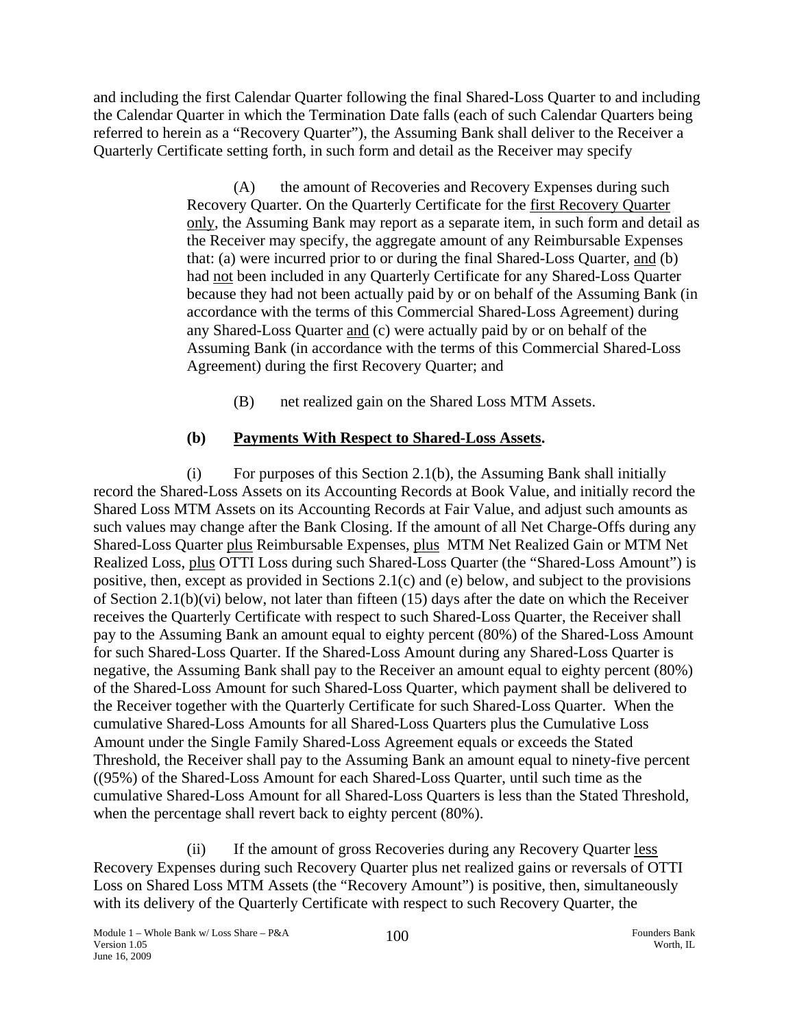and including the first Calendar Quarter following the final Shared-Loss Quarter to and including the Calendar Quarter in which the Termination Date falls (each of such Calendar Quarters being referred to herein as a "Recovery Quarter"), the Assuming Bank shall deliver to the Receiver a Quarterly Certificate setting forth, in such form and detail as the Receiver may specify

> (A) the amount of Recoveries and Recovery Expenses during such Recovery Quarter. On the Quarterly Certificate for the first Recovery Quarter only, the Assuming Bank may report as a separate item, in such form and detail as the Receiver may specify, the aggregate amount of any Reimbursable Expenses that: (a) were incurred prior to or during the final Shared-Loss Quarter, and (b) had not been included in any Quarterly Certificate for any Shared-Loss Quarter because they had not been actually paid by or on behalf of the Assuming Bank (in accordance with the terms of this Commercial Shared-Loss Agreement) during any Shared-Loss Quarter and (c) were actually paid by or on behalf of the Assuming Bank (in accordance with the terms of this Commercial Shared-Loss Agreement) during the first Recovery Quarter; and

(B) net realized gain on the Shared Loss MTM Assets.

## **(b) Payments With Respect to Shared-Loss Assets.**

(i) For purposes of this Section 2.1(b), the Assuming Bank shall initially record the Shared-Loss Assets on its Accounting Records at Book Value, and initially record the Shared Loss MTM Assets on its Accounting Records at Fair Value, and adjust such amounts as such values may change after the Bank Closing. If the amount of all Net Charge-Offs during any Shared-Loss Quarter plus Reimbursable Expenses, plus MTM Net Realized Gain or MTM Net Realized Loss, plus OTTI Loss during such Shared-Loss Quarter (the "Shared-Loss Amount") is positive, then, except as provided in Sections 2.1(c) and (e) below, and subject to the provisions of Section 2.1(b)(vi) below, not later than fifteen (15) days after the date on which the Receiver receives the Quarterly Certificate with respect to such Shared-Loss Quarter, the Receiver shall pay to the Assuming Bank an amount equal to eighty percent (80%) of the Shared-Loss Amount for such Shared-Loss Quarter. If the Shared-Loss Amount during any Shared-Loss Quarter is negative, the Assuming Bank shall pay to the Receiver an amount equal to eighty percent (80%) of the Shared-Loss Amount for such Shared-Loss Quarter, which payment shall be delivered to the Receiver together with the Quarterly Certificate for such Shared-Loss Quarter. When the cumulative Shared-Loss Amounts for all Shared-Loss Quarters plus the Cumulative Loss Amount under the Single Family Shared-Loss Agreement equals or exceeds the Stated Threshold, the Receiver shall pay to the Assuming Bank an amount equal to ninety-five percent ((95%) of the Shared-Loss Amount for each Shared-Loss Quarter, until such time as the cumulative Shared-Loss Amount for all Shared-Loss Quarters is less than the Stated Threshold, when the percentage shall revert back to eighty percent (80%).

(ii) If the amount of gross Recoveries during any Recovery Quarter less Recovery Expenses during such Recovery Quarter plus net realized gains or reversals of OTTI Loss on Shared Loss MTM Assets (the "Recovery Amount") is positive, then, simultaneously with its delivery of the Quarterly Certificate with respect to such Recovery Quarter, the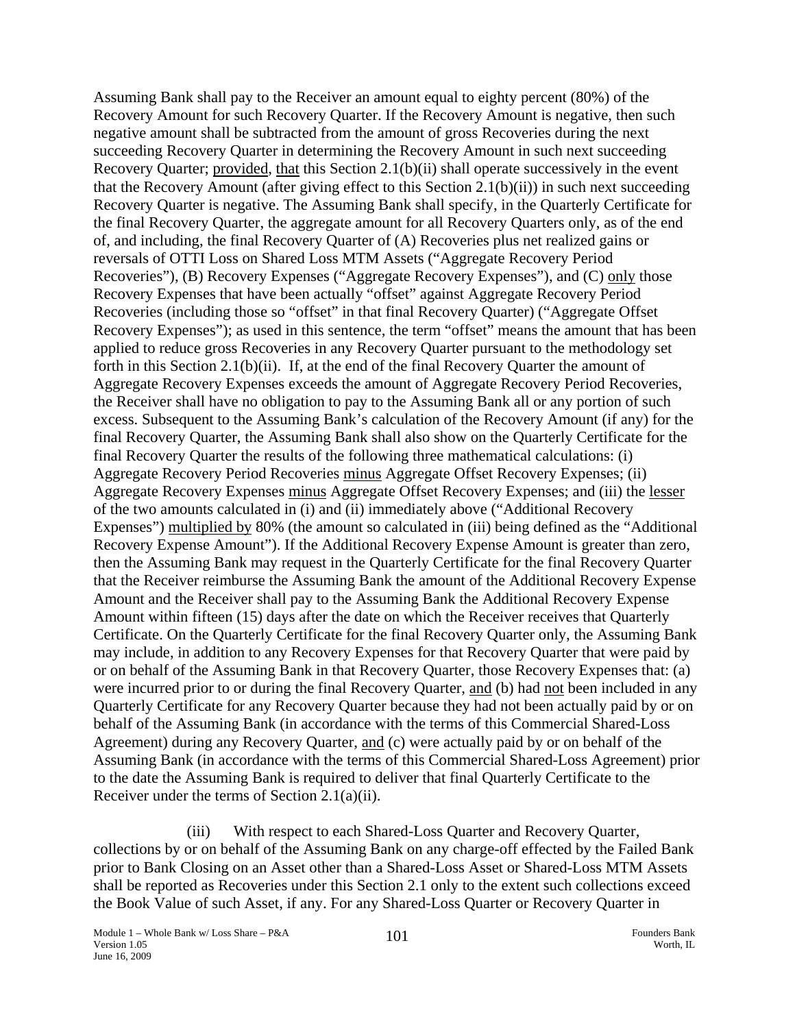Assuming Bank shall pay to the Receiver an amount equal to eighty percent (80%) of the Recovery Amount for such Recovery Quarter. If the Recovery Amount is negative, then such negative amount shall be subtracted from the amount of gross Recoveries during the next succeeding Recovery Quarter in determining the Recovery Amount in such next succeeding Recovery Quarter; provided, that this Section 2.1(b)(ii) shall operate successively in the event that the Recovery Amount (after giving effect to this Section 2.1(b)(ii)) in such next succeeding Recovery Quarter is negative. The Assuming Bank shall specify, in the Quarterly Certificate for the final Recovery Quarter, the aggregate amount for all Recovery Quarters only, as of the end of, and including, the final Recovery Quarter of (A) Recoveries plus net realized gains or reversals of OTTI Loss on Shared Loss MTM Assets ("Aggregate Recovery Period Recoveries"), (B) Recovery Expenses ("Aggregate Recovery Expenses"), and (C) only those Recovery Expenses that have been actually "offset" against Aggregate Recovery Period Recoveries (including those so "offset" in that final Recovery Quarter) ("Aggregate Offset Recovery Expenses"); as used in this sentence, the term "offset" means the amount that has been applied to reduce gross Recoveries in any Recovery Quarter pursuant to the methodology set forth in this Section 2.1(b)(ii). If, at the end of the final Recovery Quarter the amount of Aggregate Recovery Expenses exceeds the amount of Aggregate Recovery Period Recoveries, the Receiver shall have no obligation to pay to the Assuming Bank all or any portion of such excess. Subsequent to the Assuming Bank's calculation of the Recovery Amount (if any) for the final Recovery Quarter, the Assuming Bank shall also show on the Quarterly Certificate for the final Recovery Quarter the results of the following three mathematical calculations: (i) Aggregate Recovery Period Recoveries minus Aggregate Offset Recovery Expenses; (ii) Aggregate Recovery Expenses minus Aggregate Offset Recovery Expenses; and (iii) the lesser of the two amounts calculated in (i) and (ii) immediately above ("Additional Recovery Expenses") multiplied by 80% (the amount so calculated in (iii) being defined as the "Additional Recovery Expense Amount"). If the Additional Recovery Expense Amount is greater than zero, then the Assuming Bank may request in the Quarterly Certificate for the final Recovery Quarter that the Receiver reimburse the Assuming Bank the amount of the Additional Recovery Expense Amount and the Receiver shall pay to the Assuming Bank the Additional Recovery Expense Amount within fifteen (15) days after the date on which the Receiver receives that Quarterly Certificate. On the Quarterly Certificate for the final Recovery Quarter only, the Assuming Bank may include, in addition to any Recovery Expenses for that Recovery Quarter that were paid by or on behalf of the Assuming Bank in that Recovery Quarter, those Recovery Expenses that: (a) were incurred prior to or during the final Recovery Quarter, and (b) had not been included in any Quarterly Certificate for any Recovery Quarter because they had not been actually paid by or on behalf of the Assuming Bank (in accordance with the terms of this Commercial Shared-Loss Agreement) during any Recovery Quarter, and (c) were actually paid by or on behalf of the Assuming Bank (in accordance with the terms of this Commercial Shared-Loss Agreement) prior to the date the Assuming Bank is required to deliver that final Quarterly Certificate to the Receiver under the terms of Section 2.1(a)(ii).

(iii) With respect to each Shared-Loss Quarter and Recovery Quarter, collections by or on behalf of the Assuming Bank on any charge-off effected by the Failed Bank prior to Bank Closing on an Asset other than a Shared-Loss Asset or Shared-Loss MTM Assets shall be reported as Recoveries under this Section 2.1 only to the extent such collections exceed the Book Value of such Asset, if any. For any Shared-Loss Quarter or Recovery Quarter in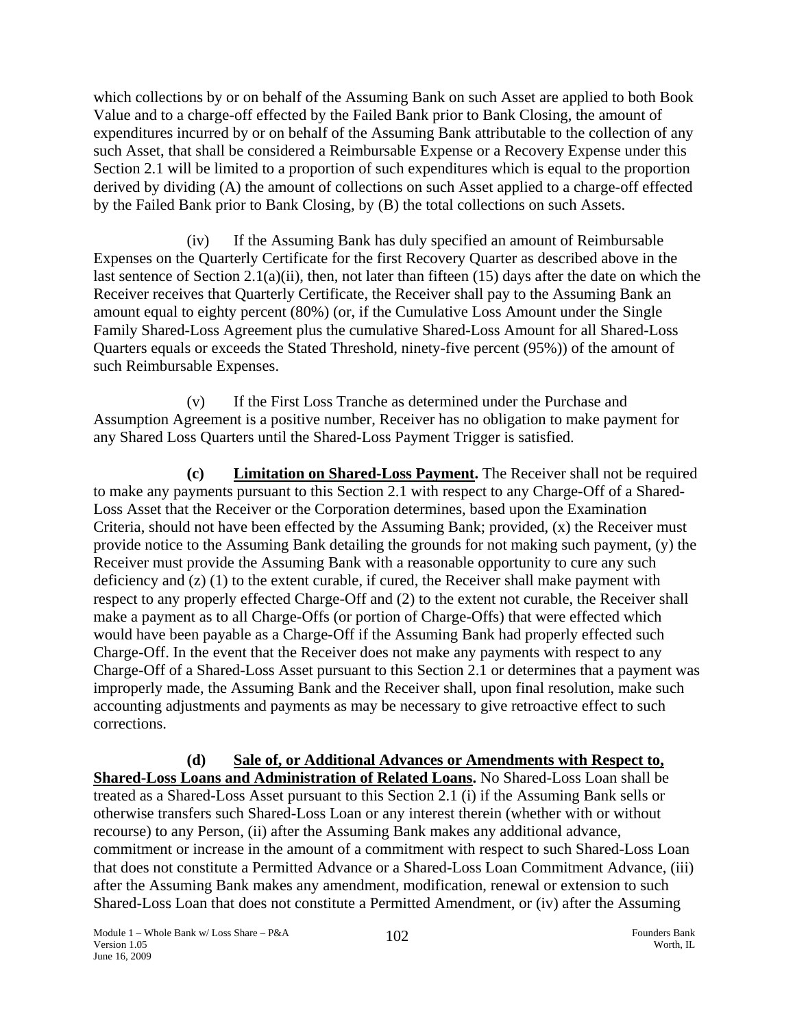which collections by or on behalf of the Assuming Bank on such Asset are applied to both Book Value and to a charge-off effected by the Failed Bank prior to Bank Closing, the amount of expenditures incurred by or on behalf of the Assuming Bank attributable to the collection of any such Asset, that shall be considered a Reimbursable Expense or a Recovery Expense under this Section 2.1 will be limited to a proportion of such expenditures which is equal to the proportion derived by dividing (A) the amount of collections on such Asset applied to a charge-off effected by the Failed Bank prior to Bank Closing, by (B) the total collections on such Assets.

(iv) If the Assuming Bank has duly specified an amount of Reimbursable Expenses on the Quarterly Certificate for the first Recovery Quarter as described above in the last sentence of Section 2.1(a)(ii), then, not later than fifteen (15) days after the date on which the Receiver receives that Quarterly Certificate, the Receiver shall pay to the Assuming Bank an amount equal to eighty percent (80%) (or, if the Cumulative Loss Amount under the Single Family Shared-Loss Agreement plus the cumulative Shared-Loss Amount for all Shared-Loss Quarters equals or exceeds the Stated Threshold, ninety-five percent (95%)) of the amount of such Reimbursable Expenses.

(v) If the First Loss Tranche as determined under the Purchase and Assumption Agreement is a positive number, Receiver has no obligation to make payment for any Shared Loss Quarters until the Shared-Loss Payment Trigger is satisfied.

**(c) Limitation on Shared-Loss Payment.** The Receiver shall not be required to make any payments pursuant to this Section 2.1 with respect to any Charge-Off of a Shared-Loss Asset that the Receiver or the Corporation determines, based upon the Examination Criteria, should not have been effected by the Assuming Bank; provided, (x) the Receiver must provide notice to the Assuming Bank detailing the grounds for not making such payment, (y) the Receiver must provide the Assuming Bank with a reasonable opportunity to cure any such deficiency and (z) (1) to the extent curable, if cured, the Receiver shall make payment with respect to any properly effected Charge-Off and (2) to the extent not curable, the Receiver shall make a payment as to all Charge-Offs (or portion of Charge-Offs) that were effected which would have been payable as a Charge-Off if the Assuming Bank had properly effected such Charge-Off. In the event that the Receiver does not make any payments with respect to any Charge-Off of a Shared-Loss Asset pursuant to this Section 2.1 or determines that a payment was improperly made, the Assuming Bank and the Receiver shall, upon final resolution, make such accounting adjustments and payments as may be necessary to give retroactive effect to such corrections.

**(d) Sale of, or Additional Advances or Amendments with Respect to, Shared-Loss Loans and Administration of Related Loans.** No Shared-Loss Loan shall be treated as a Shared-Loss Asset pursuant to this Section 2.1 (i) if the Assuming Bank sells or otherwise transfers such Shared-Loss Loan or any interest therein (whether with or without recourse) to any Person, (ii) after the Assuming Bank makes any additional advance, commitment or increase in the amount of a commitment with respect to such Shared-Loss Loan that does not constitute a Permitted Advance or a Shared-Loss Loan Commitment Advance, (iii) after the Assuming Bank makes any amendment, modification, renewal or extension to such Shared-Loss Loan that does not constitute a Permitted Amendment, or (iv) after the Assuming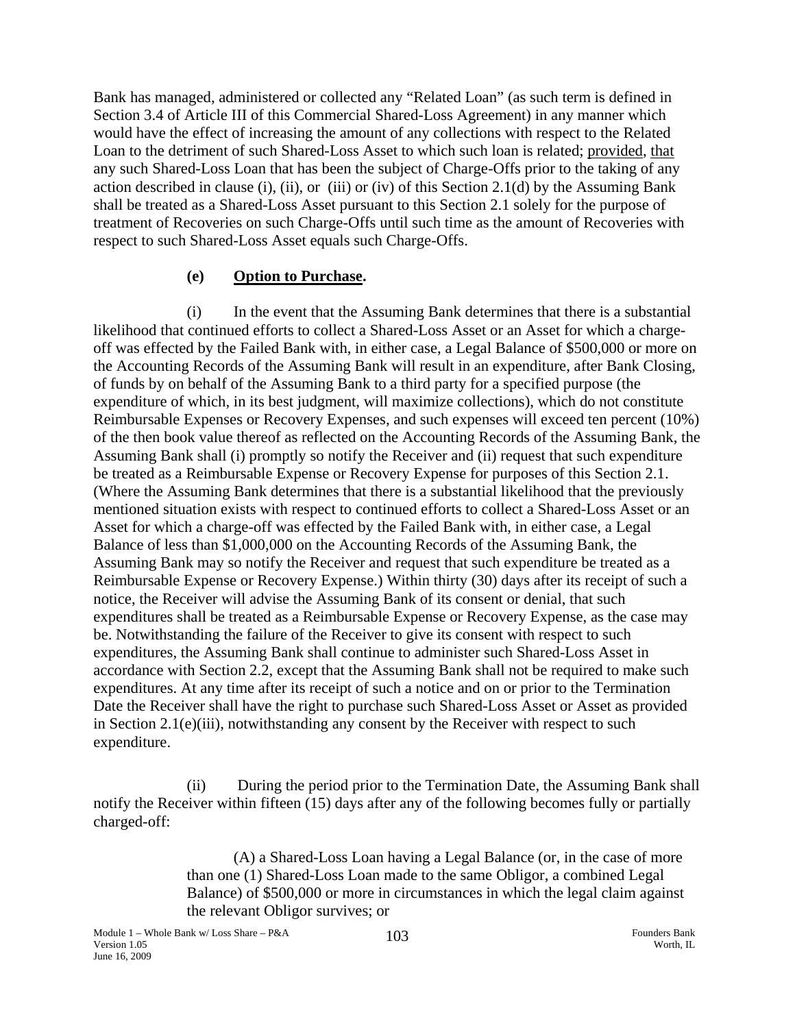Loan to the detriment of such Shared-Loss Asset to which such loan is related; provided, that Bank has managed, administered or collected any "Related Loan" (as such term is defined in Section 3.4 of Article III of this Commercial Shared-Loss Agreement) in any manner which would have the effect of increasing the amount of any collections with respect to the Related any such Shared-Loss Loan that has been the subject of Charge-Offs prior to the taking of any action described in clause (i), (ii), or (iii) or (iv) of this Section 2.1(d) by the Assuming Bank shall be treated as a Shared-Loss Asset pursuant to this Section 2.1 solely for the purpose of treatment of Recoveries on such Charge-Offs until such time as the amount of Recoveries with respect to such Shared-Loss Asset equals such Charge-Offs.

### **(e) Option to Purchase.**

(i) In the event that the Assuming Bank determines that there is a substantial likelihood that continued efforts to collect a Shared-Loss Asset or an Asset for which a chargeoff was effected by the Failed Bank with, in either case, a Legal Balance of \$500,000 or more on the Accounting Records of the Assuming Bank will result in an expenditure, after Bank Closing, of funds by on behalf of the Assuming Bank to a third party for a specified purpose (the expenditure of which, in its best judgment, will maximize collections), which do not constitute Reimbursable Expenses or Recovery Expenses, and such expenses will exceed ten percent (10%) of the then book value thereof as reflected on the Accounting Records of the Assuming Bank, the Assuming Bank shall (i) promptly so notify the Receiver and (ii) request that such expenditure be treated as a Reimbursable Expense or Recovery Expense for purposes of this Section 2.1. (Where the Assuming Bank determines that there is a substantial likelihood that the previously mentioned situation exists with respect to continued efforts to collect a Shared-Loss Asset or an Asset for which a charge-off was effected by the Failed Bank with, in either case, a Legal Balance of less than \$1,000,000 on the Accounting Records of the Assuming Bank, the Assuming Bank may so notify the Receiver and request that such expenditure be treated as a Reimbursable Expense or Recovery Expense.) Within thirty (30) days after its receipt of such a notice, the Receiver will advise the Assuming Bank of its consent or denial, that such expenditures shall be treated as a Reimbursable Expense or Recovery Expense, as the case may be. Notwithstanding the failure of the Receiver to give its consent with respect to such expenditures, the Assuming Bank shall continue to administer such Shared-Loss Asset in accordance with Section 2.2, except that the Assuming Bank shall not be required to make such expenditures. At any time after its receipt of such a notice and on or prior to the Termination Date the Receiver shall have the right to purchase such Shared-Loss Asset or Asset as provided in Section 2.1(e)(iii), notwithstanding any consent by the Receiver with respect to such expenditure.

(ii) During the period prior to the Termination Date, the Assuming Bank shall notify the Receiver within fifteen (15) days after any of the following becomes fully or partially charged-off:

> (A) a Shared-Loss Loan having a Legal Balance (or, in the case of more than one (1) Shared-Loss Loan made to the same Obligor, a combined Legal Balance) of \$500,000 or more in circumstances in which the legal claim against the relevant Obligor survives; or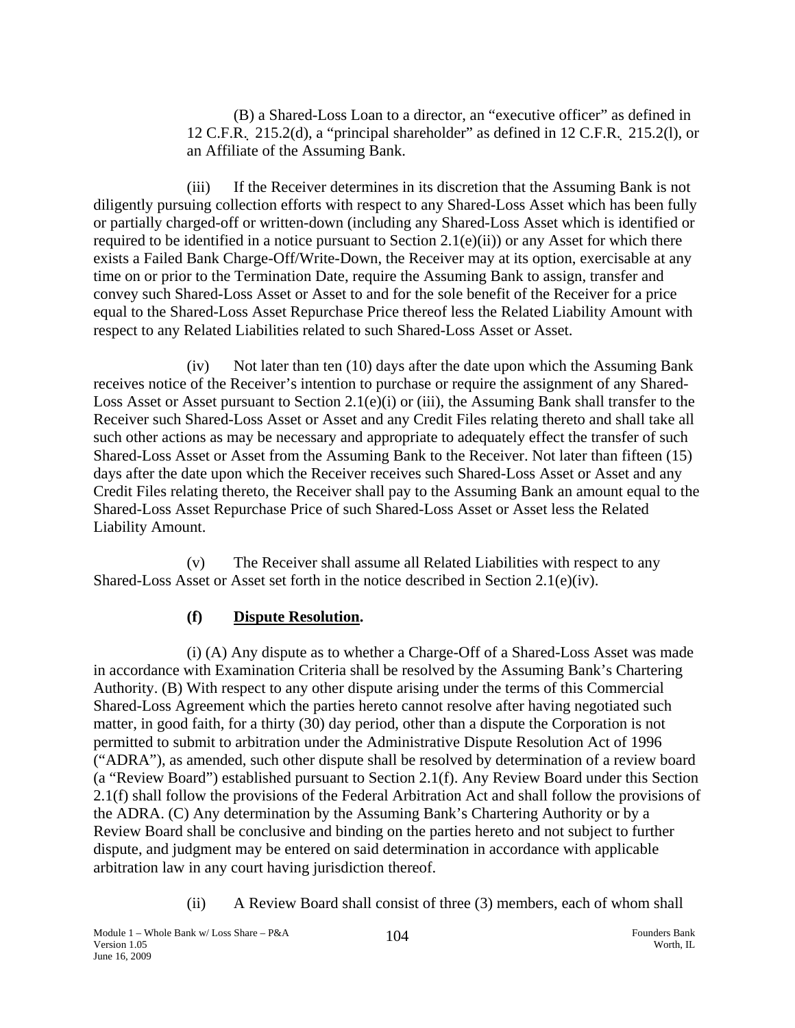(B) a Shared-Loss Loan to a director, an "executive officer" as defined in 12 C.F.R. 215.2(d), a "principal shareholder" as defined in 12 C.F.R. 215.2(l), or an Affiliate of the Assuming Bank.

(iii) If the Receiver determines in its discretion that the Assuming Bank is not diligently pursuing collection efforts with respect to any Shared-Loss Asset which has been fully or partially charged-off or written-down (including any Shared-Loss Asset which is identified or required to be identified in a notice pursuant to Section  $2.1(e)(ii)$  or any Asset for which there exists a Failed Bank Charge-Off/Write-Down, the Receiver may at its option, exercisable at any time on or prior to the Termination Date, require the Assuming Bank to assign, transfer and convey such Shared-Loss Asset or Asset to and for the sole benefit of the Receiver for a price equal to the Shared-Loss Asset Repurchase Price thereof less the Related Liability Amount with respect to any Related Liabilities related to such Shared-Loss Asset or Asset.

(iv) Not later than ten (10) days after the date upon which the Assuming Bank receives notice of the Receiver's intention to purchase or require the assignment of any Shared-Loss Asset or Asset pursuant to Section 2.1(e)(i) or (iii), the Assuming Bank shall transfer to the Receiver such Shared-Loss Asset or Asset and any Credit Files relating thereto and shall take all such other actions as may be necessary and appropriate to adequately effect the transfer of such Shared-Loss Asset or Asset from the Assuming Bank to the Receiver. Not later than fifteen (15) days after the date upon which the Receiver receives such Shared-Loss Asset or Asset and any Credit Files relating thereto, the Receiver shall pay to the Assuming Bank an amount equal to the Shared-Loss Asset Repurchase Price of such Shared-Loss Asset or Asset less the Related Liability Amount.

(v) The Receiver shall assume all Related Liabilities with respect to any Shared-Loss Asset or Asset set forth in the notice described in Section 2.1(e)(iv).

## **(f) Dispute Resolution.**

(i) (A) Any dispute as to whether a Charge-Off of a Shared-Loss Asset was made in accordance with Examination Criteria shall be resolved by the Assuming Bank's Chartering Authority. (B) With respect to any other dispute arising under the terms of this Commercial Shared-Loss Agreement which the parties hereto cannot resolve after having negotiated such matter, in good faith, for a thirty (30) day period, other than a dispute the Corporation is not permitted to submit to arbitration under the Administrative Dispute Resolution Act of 1996 ("ADRA"), as amended, such other dispute shall be resolved by determination of a review board (a "Review Board") established pursuant to Section 2.1(f). Any Review Board under this Section 2.1(f) shall follow the provisions of the Federal Arbitration Act and shall follow the provisions of the ADRA. (C) Any determination by the Assuming Bank's Chartering Authority or by a Review Board shall be conclusive and binding on the parties hereto and not subject to further dispute, and judgment may be entered on said determination in accordance with applicable arbitration law in any court having jurisdiction thereof.

(ii) A Review Board shall consist of three (3) members, each of whom shall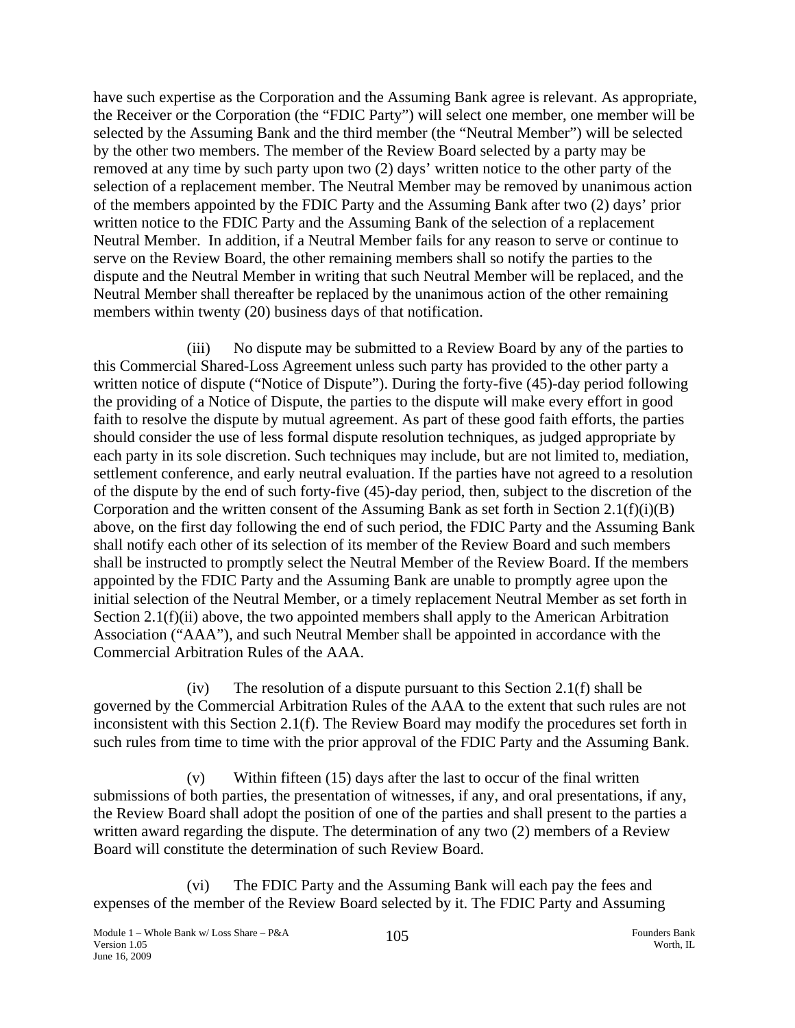have such expertise as the Corporation and the Assuming Bank agree is relevant. As appropriate, the Receiver or the Corporation (the "FDIC Party") will select one member, one member will be selected by the Assuming Bank and the third member (the "Neutral Member") will be selected by the other two members. The member of the Review Board selected by a party may be removed at any time by such party upon two (2) days' written notice to the other party of the selection of a replacement member. The Neutral Member may be removed by unanimous action of the members appointed by the FDIC Party and the Assuming Bank after two (2) days' prior written notice to the FDIC Party and the Assuming Bank of the selection of a replacement Neutral Member. In addition, if a Neutral Member fails for any reason to serve or continue to serve on the Review Board, the other remaining members shall so notify the parties to the dispute and the Neutral Member in writing that such Neutral Member will be replaced, and the Neutral Member shall thereafter be replaced by the unanimous action of the other remaining members within twenty (20) business days of that notification.

(iii) No dispute may be submitted to a Review Board by any of the parties to this Commercial Shared-Loss Agreement unless such party has provided to the other party a written notice of dispute ("Notice of Dispute"). During the forty-five (45)-day period following the providing of a Notice of Dispute, the parties to the dispute will make every effort in good faith to resolve the dispute by mutual agreement. As part of these good faith efforts, the parties should consider the use of less formal dispute resolution techniques, as judged appropriate by each party in its sole discretion. Such techniques may include, but are not limited to, mediation, settlement conference, and early neutral evaluation. If the parties have not agreed to a resolution of the dispute by the end of such forty-five (45)-day period, then, subject to the discretion of the Corporation and the written consent of the Assuming Bank as set forth in Section 2.1(f)(i)(B) above, on the first day following the end of such period, the FDIC Party and the Assuming Bank shall notify each other of its selection of its member of the Review Board and such members shall be instructed to promptly select the Neutral Member of the Review Board. If the members appointed by the FDIC Party and the Assuming Bank are unable to promptly agree upon the initial selection of the Neutral Member, or a timely replacement Neutral Member as set forth in Section 2.1(f)(ii) above, the two appointed members shall apply to the American Arbitration Association ("AAA"), and such Neutral Member shall be appointed in accordance with the Commercial Arbitration Rules of the AAA.

(iv) The resolution of a dispute pursuant to this Section 2.1(f) shall be governed by the Commercial Arbitration Rules of the AAA to the extent that such rules are not inconsistent with this Section 2.1(f). The Review Board may modify the procedures set forth in such rules from time to time with the prior approval of the FDIC Party and the Assuming Bank.

(v) Within fifteen (15) days after the last to occur of the final written submissions of both parties, the presentation of witnesses, if any, and oral presentations, if any, the Review Board shall adopt the position of one of the parties and shall present to the parties a written award regarding the dispute. The determination of any two (2) members of a Review Board will constitute the determination of such Review Board.

(vi) The FDIC Party and the Assuming Bank will each pay the fees and expenses of the member of the Review Board selected by it. The FDIC Party and Assuming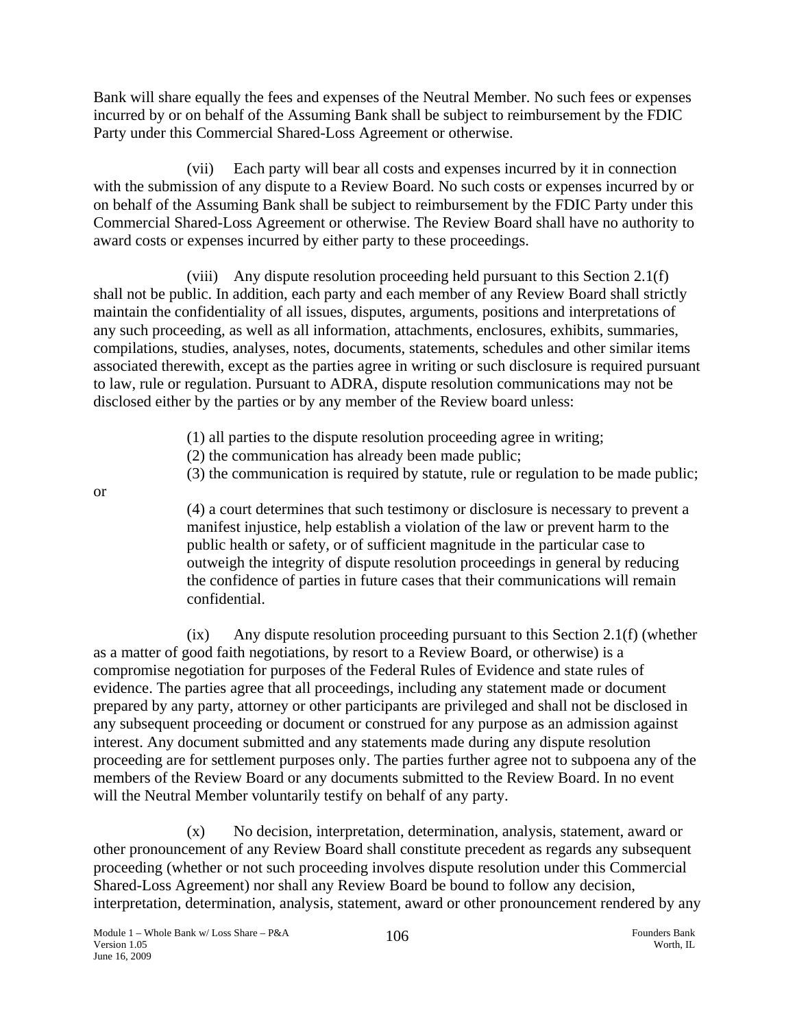Bank will share equally the fees and expenses of the Neutral Member. No such fees or expenses incurred by or on behalf of the Assuming Bank shall be subject to reimbursement by the FDIC Party under this Commercial Shared-Loss Agreement or otherwise.

(vii) Each party will bear all costs and expenses incurred by it in connection with the submission of any dispute to a Review Board. No such costs or expenses incurred by or on behalf of the Assuming Bank shall be subject to reimbursement by the FDIC Party under this Commercial Shared-Loss Agreement or otherwise. The Review Board shall have no authority to award costs or expenses incurred by either party to these proceedings.

(viii) Any dispute resolution proceeding held pursuant to this Section 2.1(f) shall not be public. In addition, each party and each member of any Review Board shall strictly maintain the confidentiality of all issues, disputes, arguments, positions and interpretations of any such proceeding, as well as all information, attachments, enclosures, exhibits, summaries, compilations, studies, analyses, notes, documents, statements, schedules and other similar items associated therewith, except as the parties agree in writing or such disclosure is required pursuant to law, rule or regulation. Pursuant to ADRA, dispute resolution communications may not be disclosed either by the parties or by any member of the Review board unless:

- (1) all parties to the dispute resolution proceeding agree in writing;
- (2) the communication has already been made public;
- (3) the communication is required by statute, rule or regulation to be made public;

or

(4) a court determines that such testimony or disclosure is necessary to prevent a manifest injustice, help establish a violation of the law or prevent harm to the public health or safety, or of sufficient magnitude in the particular case to outweigh the integrity of dispute resolution proceedings in general by reducing the confidence of parties in future cases that their communications will remain confidential.

(ix) Any dispute resolution proceeding pursuant to this Section 2.1(f) (whether as a matter of good faith negotiations, by resort to a Review Board, or otherwise) is a compromise negotiation for purposes of the Federal Rules of Evidence and state rules of evidence. The parties agree that all proceedings, including any statement made or document prepared by any party, attorney or other participants are privileged and shall not be disclosed in any subsequent proceeding or document or construed for any purpose as an admission against interest. Any document submitted and any statements made during any dispute resolution proceeding are for settlement purposes only. The parties further agree not to subpoena any of the members of the Review Board or any documents submitted to the Review Board. In no event will the Neutral Member voluntarily testify on behalf of any party.

(x) No decision, interpretation, determination, analysis, statement, award or other pronouncement of any Review Board shall constitute precedent as regards any subsequent proceeding (whether or not such proceeding involves dispute resolution under this Commercial Shared-Loss Agreement) nor shall any Review Board be bound to follow any decision, interpretation, determination, analysis, statement, award or other pronouncement rendered by any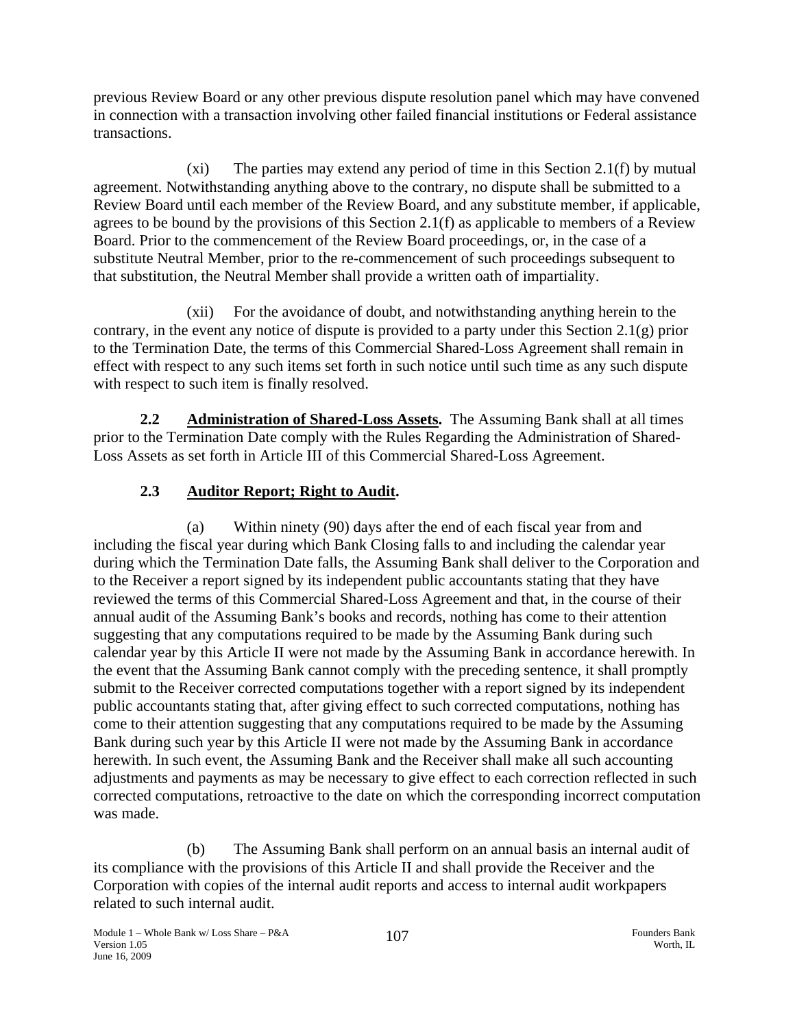previous Review Board or any other previous dispute resolution panel which may have convened in connection with a transaction involving other failed financial institutions or Federal assistance transactions.

(xi) The parties may extend any period of time in this Section 2.1(f) by mutual agreement. Notwithstanding anything above to the contrary, no dispute shall be submitted to a Review Board until each member of the Review Board, and any substitute member, if applicable, agrees to be bound by the provisions of this Section 2.1(f) as applicable to members of a Review Board. Prior to the commencement of the Review Board proceedings, or, in the case of a substitute Neutral Member, prior to the re-commencement of such proceedings subsequent to that substitution, the Neutral Member shall provide a written oath of impartiality.

(xii) For the avoidance of doubt, and notwithstanding anything herein to the contrary, in the event any notice of dispute is provided to a party under this Section 2.1(g) prior to the Termination Date, the terms of this Commercial Shared-Loss Agreement shall remain in effect with respect to any such items set forth in such notice until such time as any such dispute with respect to such item is finally resolved.

**2.2 Administration of Shared-Loss Assets.** The Assuming Bank shall at all times prior to the Termination Date comply with the Rules Regarding the Administration of Shared-Loss Assets as set forth in Article III of this Commercial Shared-Loss Agreement.

# **2.3 Auditor Report; Right to Audit.**

(a) Within ninety (90) days after the end of each fiscal year from and including the fiscal year during which Bank Closing falls to and including the calendar year during which the Termination Date falls, the Assuming Bank shall deliver to the Corporation and to the Receiver a report signed by its independent public accountants stating that they have reviewed the terms of this Commercial Shared-Loss Agreement and that, in the course of their annual audit of the Assuming Bank's books and records, nothing has come to their attention suggesting that any computations required to be made by the Assuming Bank during such calendar year by this Article II were not made by the Assuming Bank in accordance herewith. In the event that the Assuming Bank cannot comply with the preceding sentence, it shall promptly submit to the Receiver corrected computations together with a report signed by its independent public accountants stating that, after giving effect to such corrected computations, nothing has come to their attention suggesting that any computations required to be made by the Assuming Bank during such year by this Article II were not made by the Assuming Bank in accordance herewith. In such event, the Assuming Bank and the Receiver shall make all such accounting adjustments and payments as may be necessary to give effect to each correction reflected in such corrected computations, retroactive to the date on which the corresponding incorrect computation was made.

(b) The Assuming Bank shall perform on an annual basis an internal audit of its compliance with the provisions of this Article II and shall provide the Receiver and the Corporation with copies of the internal audit reports and access to internal audit workpapers related to such internal audit.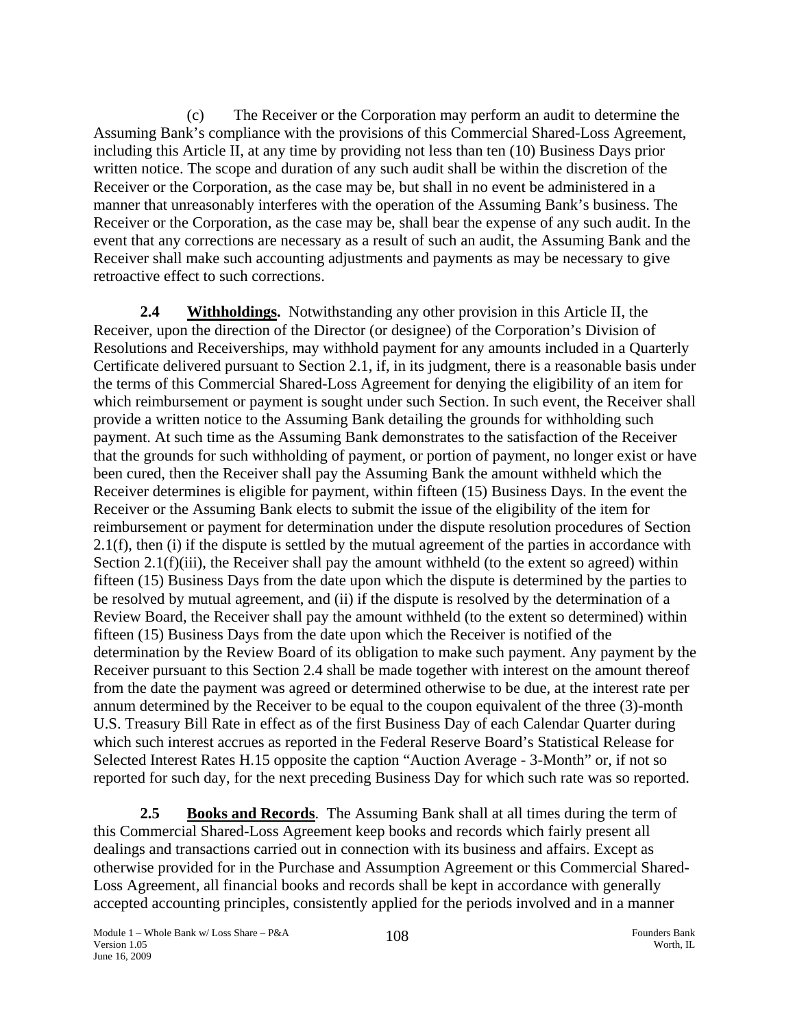(c) The Receiver or the Corporation may perform an audit to determine the Assuming Bank's compliance with the provisions of this Commercial Shared-Loss Agreement, including this Article II, at any time by providing not less than ten (10) Business Days prior written notice. The scope and duration of any such audit shall be within the discretion of the Receiver or the Corporation, as the case may be, but shall in no event be administered in a manner that unreasonably interferes with the operation of the Assuming Bank's business. The Receiver or the Corporation, as the case may be, shall bear the expense of any such audit. In the event that any corrections are necessary as a result of such an audit, the Assuming Bank and the Receiver shall make such accounting adjustments and payments as may be necessary to give retroactive effect to such corrections.

**2.4 Withholdings.** Notwithstanding any other provision in this Article II, the Receiver, upon the direction of the Director (or designee) of the Corporation's Division of Resolutions and Receiverships, may withhold payment for any amounts included in a Quarterly Certificate delivered pursuant to Section 2.1, if, in its judgment, there is a reasonable basis under the terms of this Commercial Shared-Loss Agreement for denying the eligibility of an item for which reimbursement or payment is sought under such Section. In such event, the Receiver shall provide a written notice to the Assuming Bank detailing the grounds for withholding such payment. At such time as the Assuming Bank demonstrates to the satisfaction of the Receiver that the grounds for such withholding of payment, or portion of payment, no longer exist or have been cured, then the Receiver shall pay the Assuming Bank the amount withheld which the Receiver determines is eligible for payment, within fifteen (15) Business Days. In the event the Receiver or the Assuming Bank elects to submit the issue of the eligibility of the item for reimbursement or payment for determination under the dispute resolution procedures of Section 2.1(f), then (i) if the dispute is settled by the mutual agreement of the parties in accordance with Section 2.1(f)(iii), the Receiver shall pay the amount withheld (to the extent so agreed) within fifteen (15) Business Days from the date upon which the dispute is determined by the parties to be resolved by mutual agreement, and (ii) if the dispute is resolved by the determination of a Review Board, the Receiver shall pay the amount withheld (to the extent so determined) within fifteen (15) Business Days from the date upon which the Receiver is notified of the determination by the Review Board of its obligation to make such payment. Any payment by the Receiver pursuant to this Section 2.4 shall be made together with interest on the amount thereof from the date the payment was agreed or determined otherwise to be due, at the interest rate per annum determined by the Receiver to be equal to the coupon equivalent of the three (3)-month U.S. Treasury Bill Rate in effect as of the first Business Day of each Calendar Quarter during which such interest accrues as reported in the Federal Reserve Board's Statistical Release for Selected Interest Rates H.15 opposite the caption "Auction Average - 3-Month" or, if not so reported for such day, for the next preceding Business Day for which such rate was so reported.

2.5 Books and Records. The Assuming Bank shall at all times during the term of this Commercial Shared-Loss Agreement keep books and records which fairly present all dealings and transactions carried out in connection with its business and affairs. Except as otherwise provided for in the Purchase and Assumption Agreement or this Commercial Shared-Loss Agreement, all financial books and records shall be kept in accordance with generally accepted accounting principles, consistently applied for the periods involved and in a manner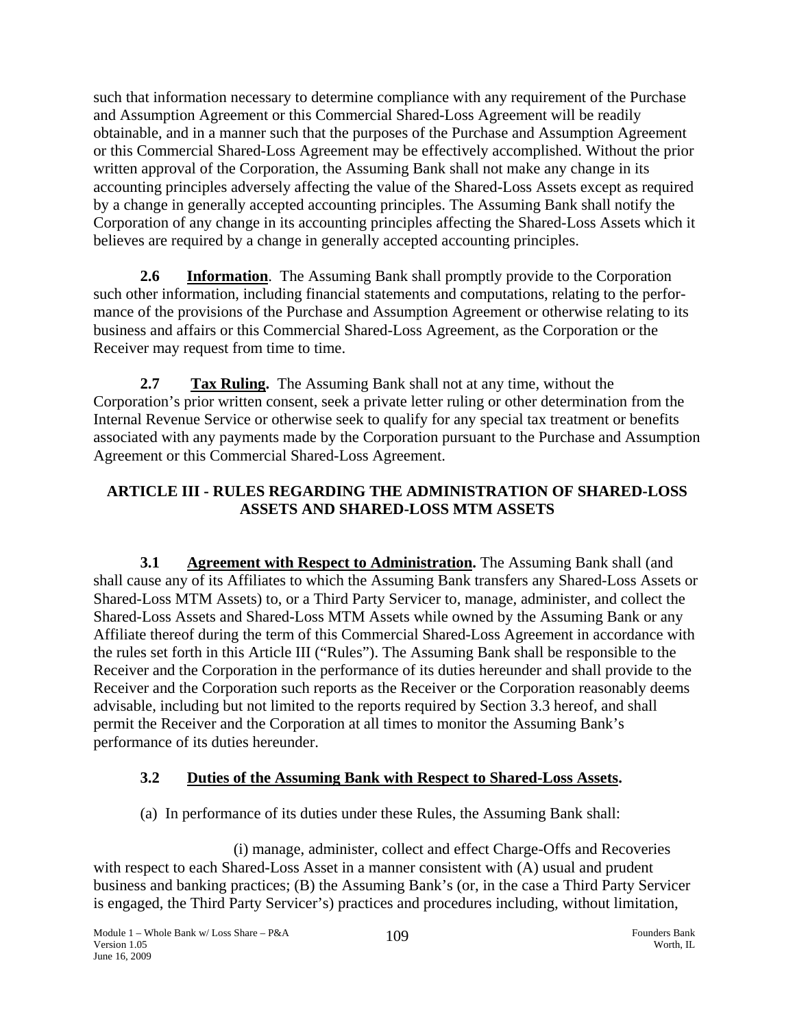such that information necessary to determine compliance with any requirement of the Purchase and Assumption Agreement or this Commercial Shared-Loss Agreement will be readily obtainable, and in a manner such that the purposes of the Purchase and Assumption Agreement or this Commercial Shared-Loss Agreement may be effectively accomplished. Without the prior written approval of the Corporation, the Assuming Bank shall not make any change in its accounting principles adversely affecting the value of the Shared-Loss Assets except as required by a change in generally accepted accounting principles. The Assuming Bank shall notify the Corporation of any change in its accounting principles affecting the Shared-Loss Assets which it believes are required by a change in generally accepted accounting principles.

**2.6 Information.** The Assuming Bank shall promptly provide to the Corporation such other information, including financial statements and computations, relating to the performance of the provisions of the Purchase and Assumption Agreement or otherwise relating to its business and affairs or this Commercial Shared-Loss Agreement, as the Corporation or the Receiver may request from time to time.

**2.7 Tax Ruling.** The Assuming Bank shall not at any time, without the Corporation's prior written consent, seek a private letter ruling or other determination from the Internal Revenue Service or otherwise seek to qualify for any special tax treatment or benefits associated with any payments made by the Corporation pursuant to the Purchase and Assumption Agreement or this Commercial Shared-Loss Agreement.

## **ARTICLE III - RULES REGARDING THE ADMINISTRATION OF SHARED-LOSS ASSETS AND SHARED-LOSS MTM ASSETS**

**3.1** Agreement with Respect to Administration. The Assuming Bank shall (and shall cause any of its Affiliates to which the Assuming Bank transfers any Shared-Loss Assets or Shared-Loss MTM Assets) to, or a Third Party Servicer to, manage, administer, and collect the Shared-Loss Assets and Shared-Loss MTM Assets while owned by the Assuming Bank or any Affiliate thereof during the term of this Commercial Shared-Loss Agreement in accordance with the rules set forth in this Article III ("Rules"). The Assuming Bank shall be responsible to the Receiver and the Corporation in the performance of its duties hereunder and shall provide to the Receiver and the Corporation such reports as the Receiver or the Corporation reasonably deems advisable, including but not limited to the reports required by Section 3.3 hereof, and shall permit the Receiver and the Corporation at all times to monitor the Assuming Bank's performance of its duties hereunder.

# **3.2 Duties of the Assuming Bank with Respect to Shared-Loss Assets.**

(a) In performance of its duties under these Rules, the Assuming Bank shall:

(i) manage, administer, collect and effect Charge-Offs and Recoveries with respect to each Shared-Loss Asset in a manner consistent with (A) usual and prudent business and banking practices; (B) the Assuming Bank's (or, in the case a Third Party Servicer is engaged, the Third Party Servicer's) practices and procedures including, without limitation,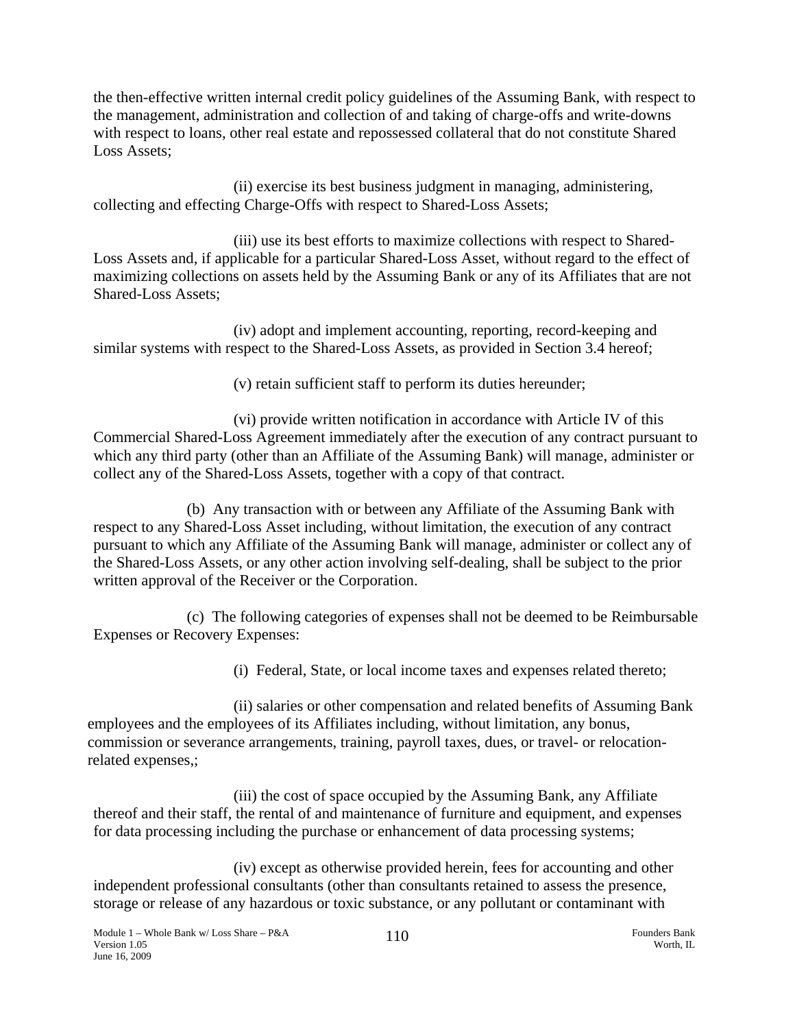the then-effective written internal credit policy guidelines of the Assuming Bank, with respect to the management, administration and collection of and taking of charge-offs and write-downs with respect to loans, other real estate and repossessed collateral that do not constitute Shared Loss Assets;

(ii) exercise its best business judgment in managing, administering, collecting and effecting Charge-Offs with respect to Shared-Loss Assets;

(iii) use its best efforts to maximize collections with respect to Shared-Loss Assets and, if applicable for a particular Shared-Loss Asset, without regard to the effect of maximizing collections on assets held by the Assuming Bank or any of its Affiliates that are not Shared-Loss Assets;

(iv) adopt and implement accounting, reporting, record-keeping and similar systems with respect to the Shared-Loss Assets, as provided in Section 3.4 hereof;

(v) retain sufficient staff to perform its duties hereunder;

(vi) provide written notification in accordance with Article IV of this Commercial Shared-Loss Agreement immediately after the execution of any contract pursuant to which any third party (other than an Affiliate of the Assuming Bank) will manage, administer or collect any of the Shared-Loss Assets, together with a copy of that contract.

(b) Any transaction with or between any Affiliate of the Assuming Bank with respect to any Shared-Loss Asset including, without limitation, the execution of any contract pursuant to which any Affiliate of the Assuming Bank will manage, administer or collect any of the Shared-Loss Assets, or any other action involving self-dealing, shall be subject to the prior written approval of the Receiver or the Corporation.

(c) The following categories of expenses shall not be deemed to be Reimbursable Expenses or Recovery Expenses:

(i) Federal, State, or local income taxes and expenses related thereto;

(ii) salaries or other compensation and related benefits of Assuming Bank employees and the employees of its Affiliates including, without limitation, any bonus, commission or severance arrangements, training, payroll taxes, dues, or travel- or relocationrelated expenses,;

(iii) the cost of space occupied by the Assuming Bank, any Affiliate thereof and their staff, the rental of and maintenance of furniture and equipment, and expenses for data processing including the purchase or enhancement of data processing systems;

(iv) except as otherwise provided herein, fees for accounting and other independent professional consultants (other than consultants retained to assess the presence, storage or release of any hazardous or toxic substance, or any pollutant or contaminant with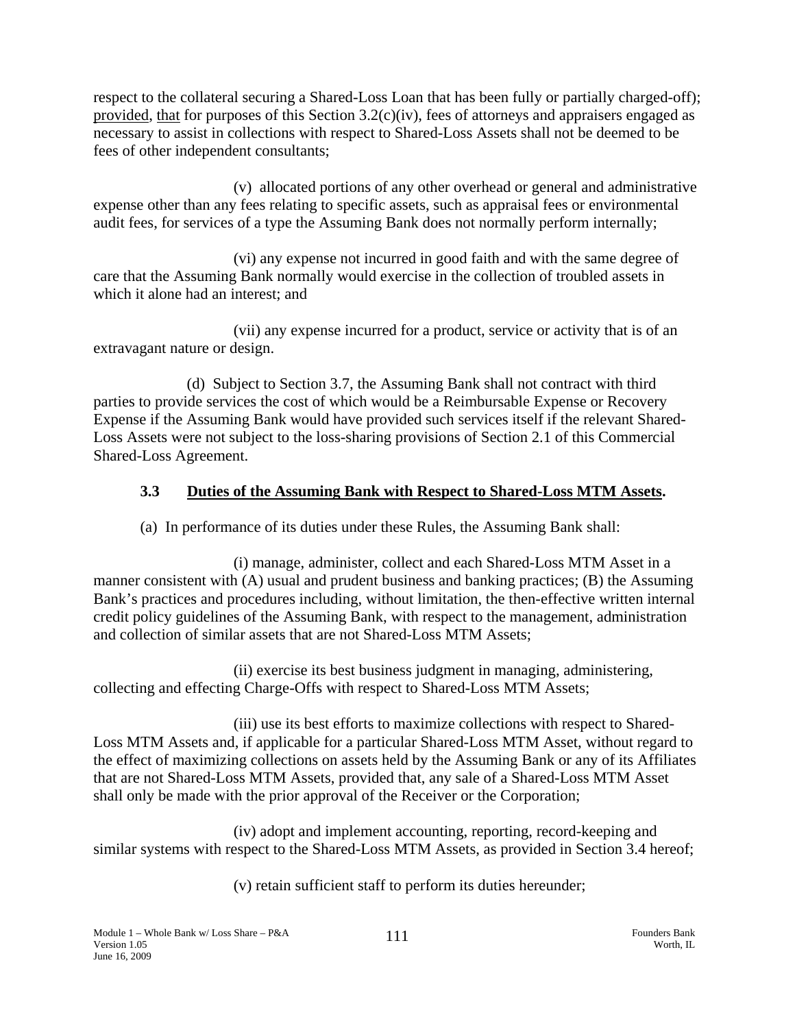respect to the collateral securing a Shared-Loss Loan that has been fully or partially charged-off); provided, that for purposes of this Section 3.2(c)(iv), fees of attorneys and appraisers engaged as necessary to assist in collections with respect to Shared-Loss Assets shall not be deemed to be fees of other independent consultants;

(v) allocated portions of any other overhead or general and administrative expense other than any fees relating to specific assets, such as appraisal fees or environmental audit fees, for services of a type the Assuming Bank does not normally perform internally;

(vi) any expense not incurred in good faith and with the same degree of care that the Assuming Bank normally would exercise in the collection of troubled assets in which it alone had an interest; and

(vii) any expense incurred for a product, service or activity that is of an extravagant nature or design.

(d) Subject to Section 3.7, the Assuming Bank shall not contract with third parties to provide services the cost of which would be a Reimbursable Expense or Recovery Expense if the Assuming Bank would have provided such services itself if the relevant Shared-Loss Assets were not subject to the loss-sharing provisions of Section 2.1 of this Commercial Shared-Loss Agreement.

# **3.3 Duties of the Assuming Bank with Respect to Shared-Loss MTM Assets.**

(a) In performance of its duties under these Rules, the Assuming Bank shall:

(i) manage, administer, collect and each Shared-Loss MTM Asset in a manner consistent with (A) usual and prudent business and banking practices; (B) the Assuming Bank's practices and procedures including, without limitation, the then-effective written internal credit policy guidelines of the Assuming Bank, with respect to the management, administration and collection of similar assets that are not Shared-Loss MTM Assets;

(ii) exercise its best business judgment in managing, administering, collecting and effecting Charge-Offs with respect to Shared-Loss MTM Assets;

(iii) use its best efforts to maximize collections with respect to Shared-Loss MTM Assets and, if applicable for a particular Shared-Loss MTM Asset, without regard to the effect of maximizing collections on assets held by the Assuming Bank or any of its Affiliates that are not Shared-Loss MTM Assets, provided that, any sale of a Shared-Loss MTM Asset shall only be made with the prior approval of the Receiver or the Corporation;

(iv) adopt and implement accounting, reporting, record-keeping and similar systems with respect to the Shared-Loss MTM Assets, as provided in Section 3.4 hereof;

(v) retain sufficient staff to perform its duties hereunder;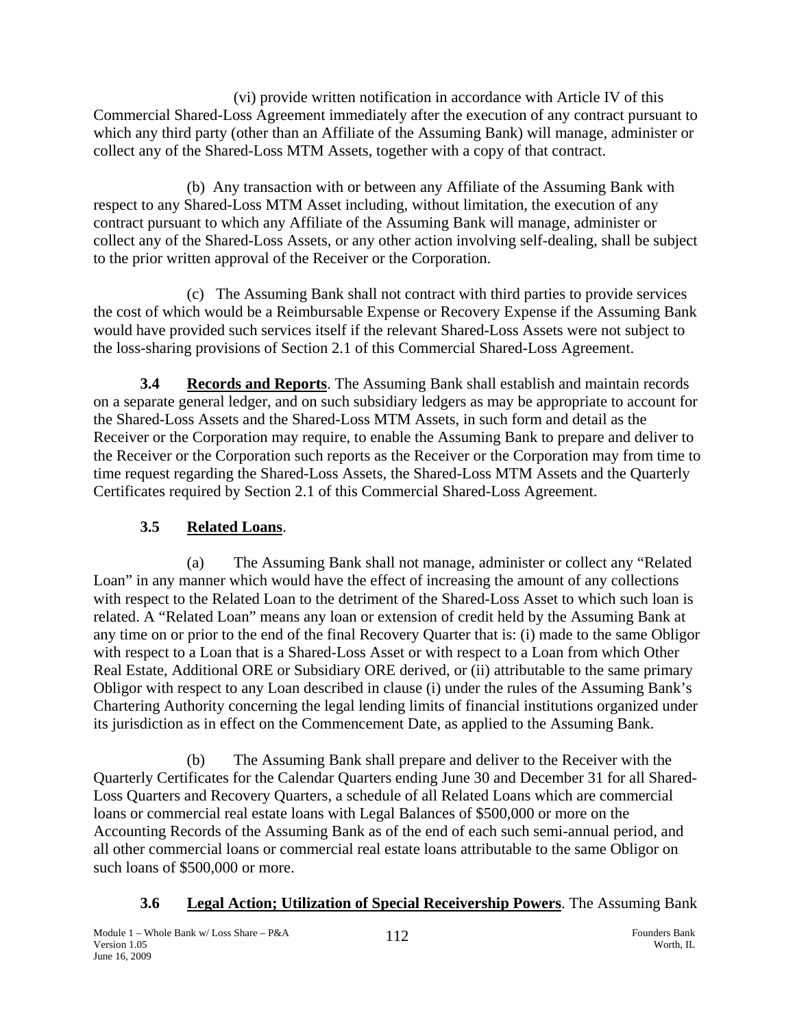(vi) provide written notification in accordance with Article IV of this Commercial Shared-Loss Agreement immediately after the execution of any contract pursuant to which any third party (other than an Affiliate of the Assuming Bank) will manage, administer or collect any of the Shared-Loss MTM Assets, together with a copy of that contract.

(b) Any transaction with or between any Affiliate of the Assuming Bank with respect to any Shared-Loss MTM Asset including, without limitation, the execution of any contract pursuant to which any Affiliate of the Assuming Bank will manage, administer or collect any of the Shared-Loss Assets, or any other action involving self-dealing, shall be subject to the prior written approval of the Receiver or the Corporation.

(c) The Assuming Bank shall not contract with third parties to provide services the cost of which would be a Reimbursable Expense or Recovery Expense if the Assuming Bank would have provided such services itself if the relevant Shared-Loss Assets were not subject to the loss-sharing provisions of Section 2.1 of this Commercial Shared-Loss Agreement.

**3.4 Records and Reports**. The Assuming Bank shall establish and maintain records on a separate general ledger, and on such subsidiary ledgers as may be appropriate to account for the Shared-Loss Assets and the Shared-Loss MTM Assets, in such form and detail as the Receiver or the Corporation may require, to enable the Assuming Bank to prepare and deliver to the Receiver or the Corporation such reports as the Receiver or the Corporation may from time to time request regarding the Shared-Loss Assets, the Shared-Loss MTM Assets and the Quarterly Certificates required by Section 2.1 of this Commercial Shared-Loss Agreement.

# **3.5 Related Loans**.

(a) The Assuming Bank shall not manage, administer or collect any "Related Loan" in any manner which would have the effect of increasing the amount of any collections with respect to the Related Loan to the detriment of the Shared-Loss Asset to which such loan is related. A "Related Loan" means any loan or extension of credit held by the Assuming Bank at any time on or prior to the end of the final Recovery Quarter that is: (i) made to the same Obligor with respect to a Loan that is a Shared-Loss Asset or with respect to a Loan from which Other Real Estate, Additional ORE or Subsidiary ORE derived, or (ii) attributable to the same primary Obligor with respect to any Loan described in clause (i) under the rules of the Assuming Bank's Chartering Authority concerning the legal lending limits of financial institutions organized under its jurisdiction as in effect on the Commencement Date, as applied to the Assuming Bank.

(b) The Assuming Bank shall prepare and deliver to the Receiver with the Quarterly Certificates for the Calendar Quarters ending June 30 and December 31 for all Shared-Loss Quarters and Recovery Quarters, a schedule of all Related Loans which are commercial loans or commercial real estate loans with Legal Balances of \$500,000 or more on the Accounting Records of the Assuming Bank as of the end of each such semi-annual period, and all other commercial loans or commercial real estate loans attributable to the same Obligor on such loans of \$500,000 or more.

## **3.6 Legal Action; Utilization of Special Receivership Powers**. The Assuming Bank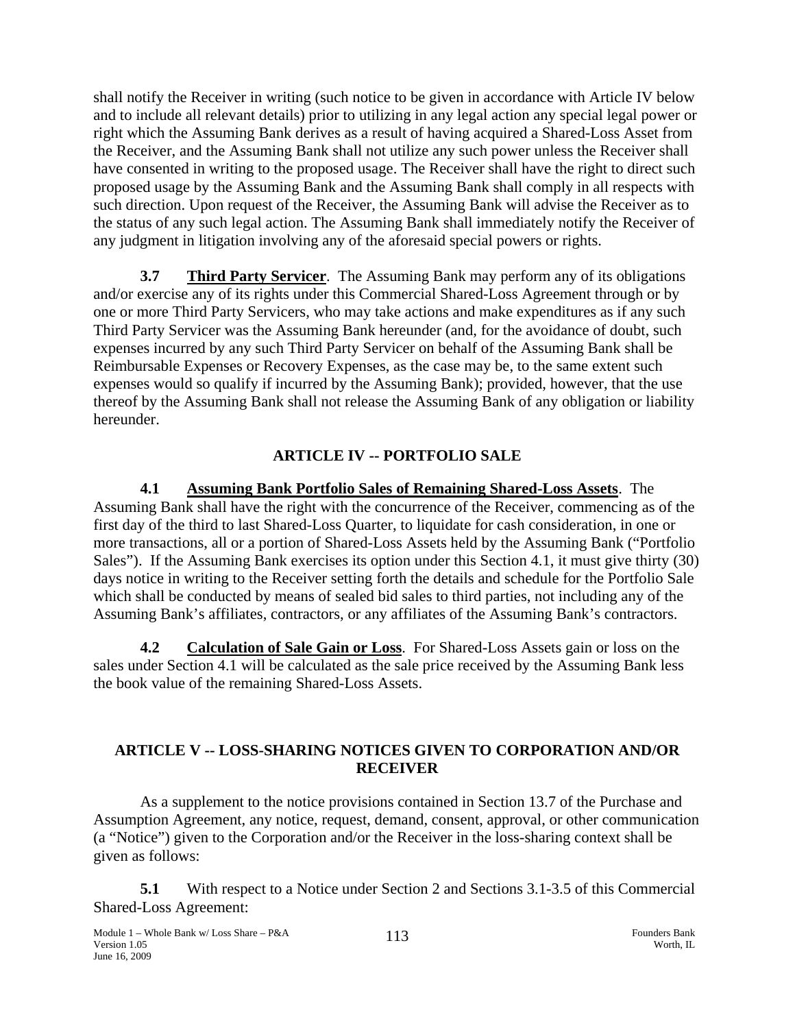shall notify the Receiver in writing (such notice to be given in accordance with Article IV below and to include all relevant details) prior to utilizing in any legal action any special legal power or right which the Assuming Bank derives as a result of having acquired a Shared-Loss Asset from the Receiver, and the Assuming Bank shall not utilize any such power unless the Receiver shall have consented in writing to the proposed usage. The Receiver shall have the right to direct such proposed usage by the Assuming Bank and the Assuming Bank shall comply in all respects with such direction. Upon request of the Receiver, the Assuming Bank will advise the Receiver as to the status of any such legal action. The Assuming Bank shall immediately notify the Receiver of any judgment in litigation involving any of the aforesaid special powers or rights.

**3.7** Third Party Servicer. The Assuming Bank may perform any of its obligations and/or exercise any of its rights under this Commercial Shared-Loss Agreement through or by one or more Third Party Servicers, who may take actions and make expenditures as if any such Third Party Servicer was the Assuming Bank hereunder (and, for the avoidance of doubt, such expenses incurred by any such Third Party Servicer on behalf of the Assuming Bank shall be Reimbursable Expenses or Recovery Expenses, as the case may be, to the same extent such expenses would so qualify if incurred by the Assuming Bank); provided, however, that the use thereof by the Assuming Bank shall not release the Assuming Bank of any obligation or liability hereunder.

### **ARTICLE IV -- PORTFOLIO SALE**

**4.1 Assuming Bank Portfolio Sales of Remaining Shared-Loss Assets**. The Assuming Bank shall have the right with the concurrence of the Receiver, commencing as of the first day of the third to last Shared-Loss Quarter, to liquidate for cash consideration, in one or more transactions, all or a portion of Shared-Loss Assets held by the Assuming Bank ("Portfolio Sales"). If the Assuming Bank exercises its option under this Section 4.1, it must give thirty (30) days notice in writing to the Receiver setting forth the details and schedule for the Portfolio Sale which shall be conducted by means of sealed bid sales to third parties, not including any of the Assuming Bank's affiliates, contractors, or any affiliates of the Assuming Bank's contractors.

**4.2 Calculation of Sale Gain or Loss**. For Shared-Loss Assets gain or loss on the sales under Section 4.1 will be calculated as the sale price received by the Assuming Bank less the book value of the remaining Shared-Loss Assets.

### **ARTICLE V -- LOSS-SHARING NOTICES GIVEN TO CORPORATION AND/OR RECEIVER**

As a supplement to the notice provisions contained in Section 13.7 of the Purchase and Assumption Agreement, any notice, request, demand, consent, approval, or other communication (a "Notice") given to the Corporation and/or the Receiver in the loss-sharing context shall be given as follows:

**5.1** With respect to a Notice under Section 2 and Sections 3.1-3.5 of this Commercial Shared-Loss Agreement: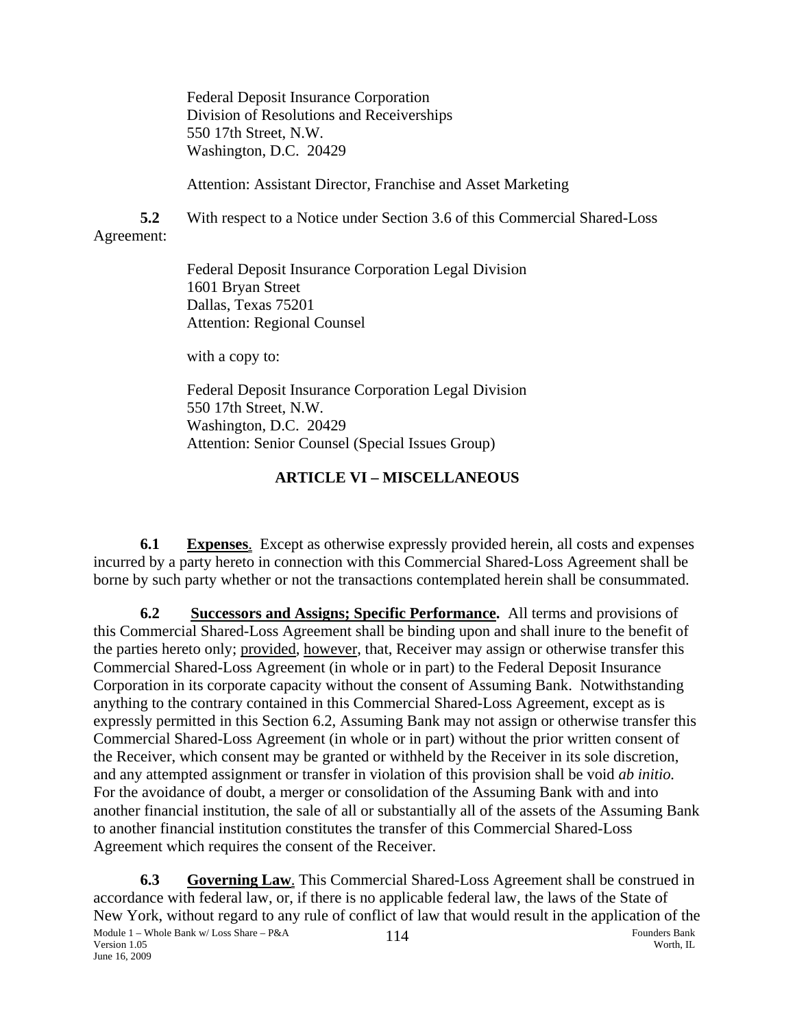Federal Deposit Insurance Corporation Division of Resolutions and Receiverships 550 17th Street, N.W. Washington, D.C. 20429

Attention: Assistant Director, Franchise and Asset Marketing

**5.2** With respect to a Notice under Section 3.6 of this Commercial Shared-Loss Agreement:

> Federal Deposit Insurance Corporation Legal Division 1601 Bryan Street Dallas, Texas 75201 Attention: Regional Counsel

with a copy to:

Federal Deposit Insurance Corporation Legal Division 550 17th Street, N.W. Washington, D.C. 20429 Attention: Senior Counsel (Special Issues Group)

## **ARTICLE VI – MISCELLANEOUS**

**6.1 Expenses**. Except as otherwise expressly provided herein, all costs and expenses incurred by a party hereto in connection with this Commercial Shared-Loss Agreement shall be borne by such party whether or not the transactions contemplated herein shall be consummated.

**6.2** Successors and Assigns; Specific Performance. All terms and provisions of this Commercial Shared-Loss Agreement shall be binding upon and shall inure to the benefit of the parties hereto only; provided, however, that, Receiver may assign or otherwise transfer this Commercial Shared-Loss Agreement (in whole or in part) to the Federal Deposit Insurance Corporation in its corporate capacity without the consent of Assuming Bank. Notwithstanding anything to the contrary contained in this Commercial Shared-Loss Agreement, except as is expressly permitted in this Section 6.2, Assuming Bank may not assign or otherwise transfer this Commercial Shared-Loss Agreement (in whole or in part) without the prior written consent of the Receiver, which consent may be granted or withheld by the Receiver in its sole discretion, and any attempted assignment or transfer in violation of this provision shall be void *ab initio.*  For the avoidance of doubt, a merger or consolidation of the Assuming Bank with and into another financial institution, the sale of all or substantially all of the assets of the Assuming Bank to another financial institution constitutes the transfer of this Commercial Shared-Loss Agreement which requires the consent of the Receiver.

Worth. IL **6.3 Governing Law**. This Commercial Shared-Loss Agreement shall be construed in accordance with federal law, or, if there is no applicable federal law, the laws of the State of New York, without regard to any rule of conflict of law that would result in the application of the Module 1 – Whole Bank w/ Loss Share – P&A  $114$  Founders Bank Worth, IL June 16, 2009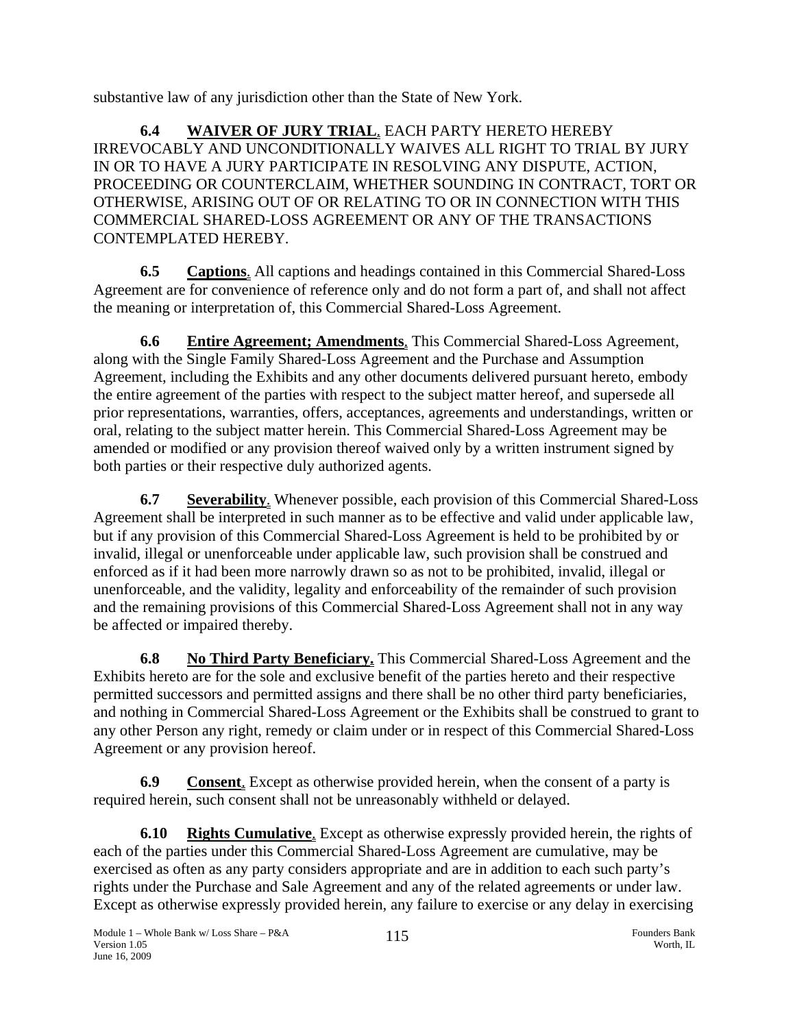substantive law of any jurisdiction other than the State of New York.

**6.4 WAIVER OF JURY TRIAL**. EACH PARTY HERETO HEREBY IRREVOCABLY AND UNCONDITIONALLY WAIVES ALL RIGHT TO TRIAL BY JURY IN OR TO HAVE A JURY PARTICIPATE IN RESOLVING ANY DISPUTE, ACTION, PROCEEDING OR COUNTERCLAIM, WHETHER SOUNDING IN CONTRACT, TORT OR OTHERWISE, ARISING OUT OF OR RELATING TO OR IN CONNECTION WITH THIS COMMERCIAL SHARED-LOSS AGREEMENT OR ANY OF THE TRANSACTIONS CONTEMPLATED HEREBY.

**6.5 Captions**. All captions and headings contained in this Commercial Shared-Loss Agreement are for convenience of reference only and do not form a part of, and shall not affect the meaning or interpretation of, this Commercial Shared-Loss Agreement.

**6.6 Entire Agreement; Amendments**. This Commercial Shared-Loss Agreement, along with the Single Family Shared-Loss Agreement and the Purchase and Assumption Agreement, including the Exhibits and any other documents delivered pursuant hereto, embody the entire agreement of the parties with respect to the subject matter hereof, and supersede all prior representations, warranties, offers, acceptances, agreements and understandings, written or oral, relating to the subject matter herein. This Commercial Shared-Loss Agreement may be amended or modified or any provision thereof waived only by a written instrument signed by both parties or their respective duly authorized agents.

**6.7 Severability**. Whenever possible, each provision of this Commercial Shared-Loss Agreement shall be interpreted in such manner as to be effective and valid under applicable law, but if any provision of this Commercial Shared-Loss Agreement is held to be prohibited by or invalid, illegal or unenforceable under applicable law, such provision shall be construed and enforced as if it had been more narrowly drawn so as not to be prohibited, invalid, illegal or unenforceable, and the validity, legality and enforceability of the remainder of such provision and the remaining provisions of this Commercial Shared-Loss Agreement shall not in any way be affected or impaired thereby.

**6.8 No Third Party Beneficiary.** This Commercial Shared-Loss Agreement and the Exhibits hereto are for the sole and exclusive benefit of the parties hereto and their respective permitted successors and permitted assigns and there shall be no other third party beneficiaries, and nothing in Commercial Shared-Loss Agreement or the Exhibits shall be construed to grant to any other Person any right, remedy or claim under or in respect of this Commercial Shared-Loss Agreement or any provision hereof.

**6.9** Consent. Except as otherwise provided herein, when the consent of a party is required herein, such consent shall not be unreasonably withheld or delayed.

**6.10 Rights Cumulative.** Except as otherwise expressly provided herein, the rights of each of the parties under this Commercial Shared-Loss Agreement are cumulative, may be exercised as often as any party considers appropriate and are in addition to each such party's rights under the Purchase and Sale Agreement and any of the related agreements or under law. Except as otherwise expressly provided herein, any failure to exercise or any delay in exercising